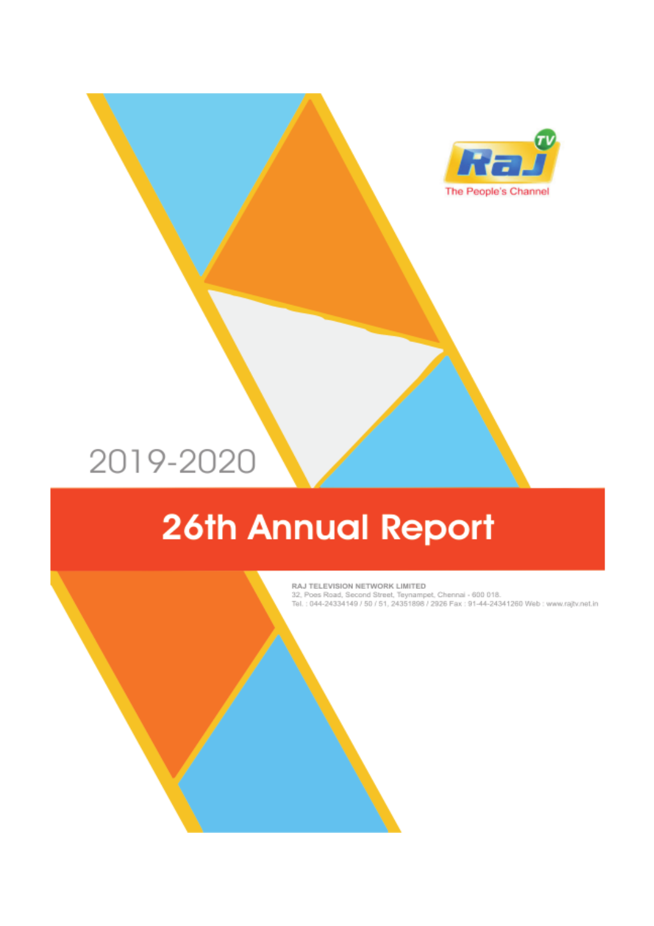

# 2019-2020

# **26th Annual Report**

#### RAJ TELEVISION NETWORK LIMITED

1999 - Islam War War Warn, american (ö. 1999)<br>1999 - Ann Road, Second Street, Teynampet, Chennal - 600 018.<br>191. : 044-24334149 / 50 / 51, 24351898 / 2926 Fax : 91-44-24341260 Web : www.rajtv.net.in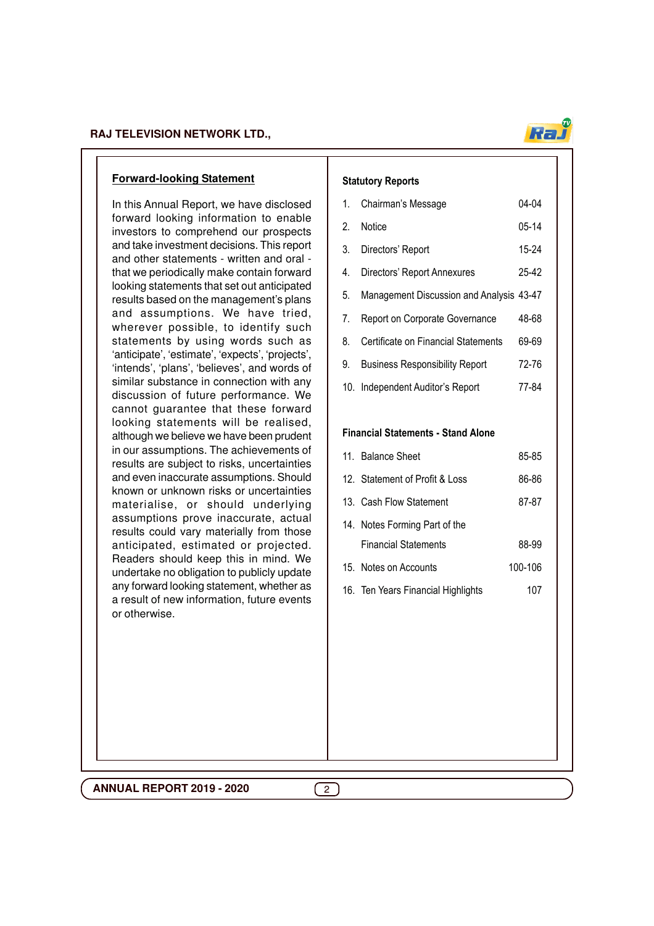

## **Forward-looking Statement**

In this Annual Report, we have disclosed forward looking information to enable investors to comprehend our prospects and take investment decisions. This report and other statements - written and oral that we periodically make contain forward looking statements that set out anticipated results based on the management's plans and assumptions. We have tried, wherever possible, to identify such statements by using words such as 'anticipate', 'estimate', 'expects', 'projects', 'intends', 'plans', 'believes', and words of similar substance in connection with any discussion of future performance. We cannot guarantee that these forward looking statements will be realised, although we believe we have been prudent in our assumptions. The achievements of results are subject to risks, uncertainties and even inaccurate assumptions. Should known or unknown risks or uncertainties materialise, or should underlying assumptions prove inaccurate, actual results could vary materially from those anticipated, estimated or projected. Readers should keep this in mind. We undertake no obligation to publicly update any forward looking statement, whether as a result of new information, future events or otherwise.

#### Statutory Reports

|    | 1. Chairman's Message                     | 04-04 |
|----|-------------------------------------------|-------|
| 2. | Notice                                    | 05-14 |
| 3. | Directors' Report                         | 15-24 |
| 4. | Directors' Report Annexures               | 25-42 |
| 5. | Management Discussion and Analysis 43-47  |       |
| 7. | Report on Corporate Governance            | 48-68 |
| 8. | Certificate on Financial Statements       | 69-69 |
| 9. | <b>Business Responsibility Report</b>     | 72-76 |
|    | 10. Independent Auditor's Report          | 77-84 |
|    |                                           |       |
|    | <b>Financial Statements - Stand Alone</b> |       |
|    | 11. Balance Sheet                         | 85-85 |

| 12. Statement of Profit & Loss | 86-86 |
|--------------------------------|-------|
| 13. Cash Flow Statement        | 87-87 |
| 14. Notes Forming Part of the  |       |
| <b>Financial Statements</b>    | 88-99 |

| 15. Notes on Accounts | 100-106 |
|-----------------------|---------|
|                       |         |

16. Ten Years Financial Highlights 107

**ANNUAL REPORT 2019 - 2020**

 $\sqrt{2}$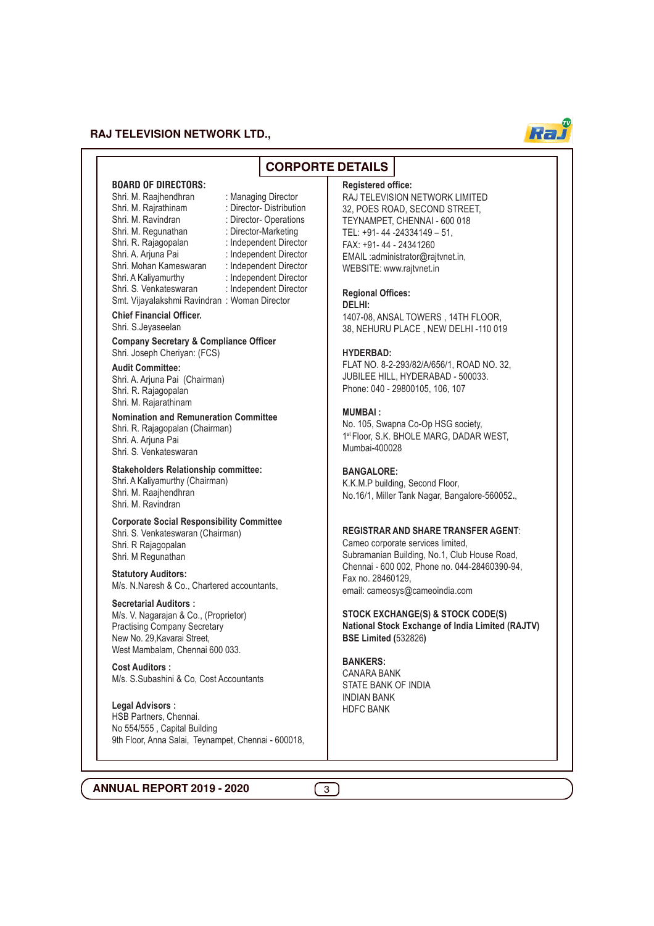

|                                                                                                                                                                                                                                                                                                                                                              | <b>CORPORTE DETAILS</b>                                                                                                                                                                                                             |                                                                                                                                                                                                                          |
|--------------------------------------------------------------------------------------------------------------------------------------------------------------------------------------------------------------------------------------------------------------------------------------------------------------------------------------------------------------|-------------------------------------------------------------------------------------------------------------------------------------------------------------------------------------------------------------------------------------|--------------------------------------------------------------------------------------------------------------------------------------------------------------------------------------------------------------------------|
| <b>BOARD OF DIRECTORS:</b><br>Shri. M. Raajhendhran<br>Shri. M. Rajrathinam<br>Shri, M. Ravindran<br>Shri. M. Regunathan<br>Shri. R. Rajagopalan<br>Shri. A. Arjuna Pai<br>Shri. Mohan Kameswaran<br>Shri. A Kaliyamurthy<br>Shri. S. Venkateswaran<br>Smt. Vijayalakshmi Ravindran: Woman Director<br><b>Chief Financial Officer.</b><br>Shri. S.Jeyaseelan | : Managing Director<br>: Director- Distribution<br>: Director- Operations<br>: Director-Marketing<br>: Independent Director<br>: Independent Director<br>: Independent Director<br>: Independent Director<br>: Independent Director | <b>Registered offic</b><br>RAJ TELEVISIO<br>32, POES ROAD<br>TEYNAMPET, C<br>TEL: +91-44-24<br>FAX: +91-44 - 2<br>EMAIL:administ<br>WEBSITE: www.<br><b>Regional Office</b><br>DELHI:<br>1407-08, ANSAL<br>38, NEHURU PL |
| <b>Company Secretary &amp; Compliance Officer</b><br>Shri. Joseph Cheriyan: (FCS)<br><b>Audit Committee:</b><br>Shri. A. Arjuna Pai (Chairman)<br>Shri. R. Rajagopalan                                                                                                                                                                                       |                                                                                                                                                                                                                                     | <b>HYDERBAD:</b><br>FLAT NO. 8-2-29<br>JUBILEE HILL, H<br>Phone: 040 - 298                                                                                                                                               |
| Shri. M. Rajarathinam<br><b>Nomination and Remuneration Committee</b><br>Shri. R. Rajagopalan (Chairman)<br>Shri. A. Arjuna Pai<br>Shri. S. Venkateswaran                                                                                                                                                                                                    |                                                                                                                                                                                                                                     | <b>MUMBAI:</b><br>No. 105, Swapna<br>1 <sup>st</sup> Floor, S.K. BH<br>Mumbai-400028                                                                                                                                     |
| <b>Stakeholders Relationship committee:</b><br>Shri. A Kaliyamurthy (Chairman)<br>Shri. M. Raajhendhran<br>Shri, M. Ravindran                                                                                                                                                                                                                                |                                                                                                                                                                                                                                     | <b>BANGALORE:</b><br>K.K.M.P building<br>No.16/1, Miller Ta                                                                                                                                                              |
| <b>Corporate Social Responsibility Committee</b><br>Shri. S. Venkateswaran (Chairman)<br>Shri. R Rajagopalan<br>Shri. M Regunathan<br><b>Statutory Auditors:</b><br>M/s. N.Naresh & Co., Chartered accountants,                                                                                                                                              |                                                                                                                                                                                                                                     | <b>REGISTRAR AN</b><br>Cameo corporate<br>Subramanian Bu<br>Chennai - 600 00<br>Fax no. 2846012<br>email: cameosys                                                                                                       |
| <b>Secretarial Auditors:</b><br>M/s. V. Nagarajan & Co., (Proprietor)<br><b>Practising Company Secretary</b><br>New No. 29, Kavarai Street,<br>West Mambalam, Chennai 600 033.                                                                                                                                                                               |                                                                                                                                                                                                                                     | <b>STOCK EXCHAI</b><br><b>National Stock</b><br><b>BSE Limited (53</b>                                                                                                                                                   |
| <b>Cost Auditors:</b><br>M/s. S.Subashini & Co, Cost Accountants<br><b>Legal Advisors:</b><br>HSB Partners, Chennai.<br>No 554/555, Capital Building<br>9th Floor, Anna Salai, Teynampet, Chennai - 600018,                                                                                                                                                  |                                                                                                                                                                                                                                     | <b>BANKERS:</b><br>CANARA BANK<br>STATE BANK OI<br><b>INDIAN BANK</b><br><b>HDFC BANK</b>                                                                                                                                |
|                                                                                                                                                                                                                                                                                                                                                              |                                                                                                                                                                                                                                     |                                                                                                                                                                                                                          |

ce:

**N NETWORK LIMITED** D, SECOND STREET, **HENNAI - 600 018**  $1334149 - 51,$  $.4341260$ rator@rajtvnet.in, .rajtvnet.in

#### es:

. TOWERS, 14TH FLOOR, ACE, NEW DELHI -110 019

93/82/A/656/1, ROAD NO. 32, HYDERABAD - 500033. 800105, 106, 107

a Co-Op HSG society, IOLE MARG, DADAR WEST,

, Second Floor, .<br>Fank Nagar, Bangalore-560052.,

#### **ID SHARE TRANSFER AGENT:**

e services limited, iilding, No.1, Club House Road, 02, Phone no. 044-28460390-94,  $29.$ emaindia.com

**NGE(S) & STOCK CODE(S)** Exchange of India Limited (RAJTV) 32826)

**F INDIA** 

**ANNUAL REPORT 2019 - 2020**

 $\sqrt{3}$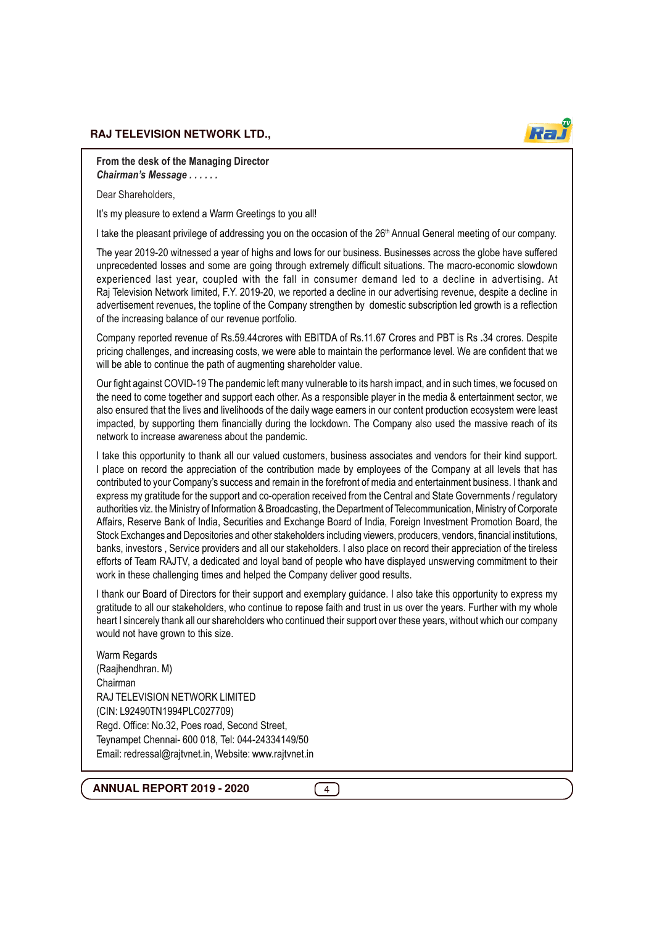

From the desk of the Managing Director Chairman's Message . . . . . .

Dear Shareholders,

It's my pleasure to extend a Warm Greetings to you all!

I take the pleasant privilege of addressing you on the occasion of the 26<sup>th</sup> Annual General meeting of our company.

The year 2019-20 witnessed a year of highs and lows for our business. Businesses across the globe have suffered unprecedented losses and some are going through extremely difficult situations. The macro-economic slowdown experienced last year, coupled with the fall in consumer demand led to a decline in advertising. At Raj Television Network limited, F.Y. 2019-20, we reported a decline in our advertising revenue, despite a decline in advertisement revenues, the topline of the Company strengthen by domestic subscription led growth is a reflection of the increasing balance of our revenue portfolio.

Company reported revenue of Rs.59.44crores with EBITDA of Rs.11.67 Crores and PBT is Rs .34 crores. Despite pricing challenges, and increasing costs, we were able to maintain the performance level. We are confident that we will be able to continue the path of augmenting shareholder value.

Our fight against COVID-19 The pandemic left many vulnerable to its harsh impact, and in such times, we focused on the need to come together and support each other. As a responsible player in the media & entertainment sector, we also ensured that the lives and livelihoods of the daily wage earners in our content production ecosystem were least impacted, by supporting them financially during the lockdown. The Company also used the massive reach of its network to increase awareness about the pandemic.

I take this opportunity to thank all our valued customers, business associates and vendors for their kind support. I place on record the appreciation of the contribution made by employees of the Company at all levels that has contributed to your Company's success and remain in the forefront of media and entertainment business. I thank and express my gratitude for the support and co-operation received from the Central and State Governments / regulatory authorities viz. the Ministry of Information & Broadcasting, the Department of Telecommunication, Ministry of Corporate Affairs, Reserve Bank of India, Securities and Exchange Board of India, Foreign Investment Promotion Board, the Stock Exchanges and Depositories and other stakeholders including viewers, producers, vendors, financial institutions, banks, investors , Service providers and all our stakeholders. I also place on record their appreciation of the tireless efforts of Team RAJTV, a dedicated and loyal band of people who have displayed unswerving commitment to their work in these challenging times and helped the Company deliver good results.

I thank our Board of Directors for their support and exemplary guidance. I also take this opportunity to express my gratitude to all our stakeholders, who continue to repose faith and trust in us over the years. Further with my whole heart I sincerely thank all our shareholders who continued their support over these years, without which our company would not have grown to this size.

Warm Regards (Raajhendhran. M) Chairman RAJ TELEVISION NETWORK LIMITED (CIN: L92490TN1994PLC027709) Regd. Office: No.32, Poes road, Second Street, Teynampet Chennai- 600 018, Tel: 044-24334149/50 Email: redressal@rajtvnet.in, Website: www.rajtvnet.in

**ANNUAL REPORT 2019 - 2020**

 $\sqrt{4}$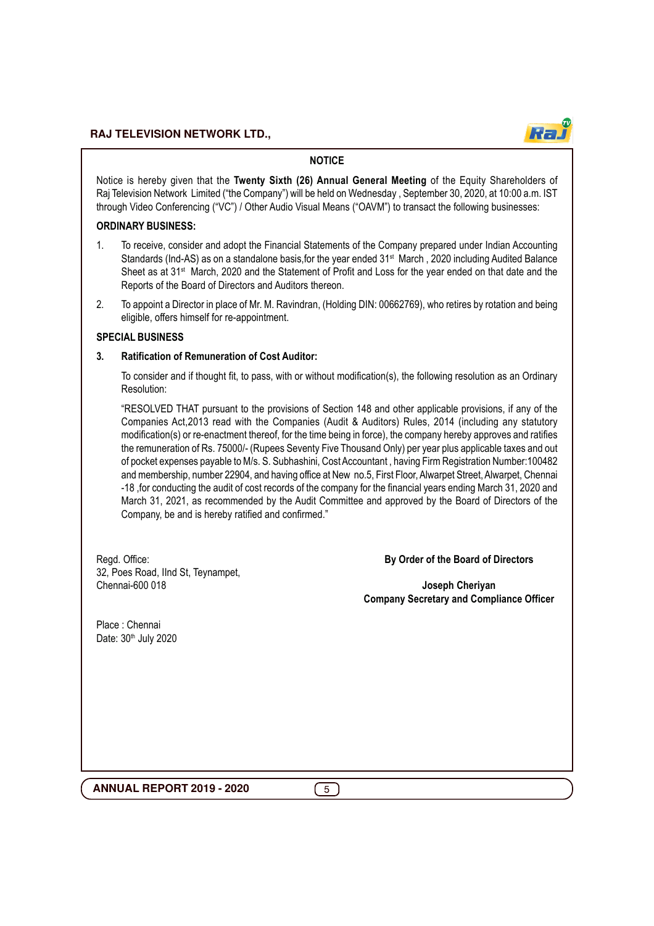

#### **NOTICE**

Notice is hereby given that the Twenty Sixth (26) Annual General Meeting of the Equity Shareholders of Raj Television Network Limited ("the Company") will be held on Wednesday , September 30, 2020, at 10:00 a.m. IST through Video Conferencing ("VC") / Other Audio Visual Means ("OAVM") to transact the following businesses:

### ORDINARY BUSINESS:

- 1. To receive, consider and adopt the Financial Statements of the Company prepared under Indian Accounting Standards (Ind-AS) as on a standalone basis, for the year ended 31<sup>st</sup> March, 2020 including Audited Balance Sheet as at 31<sup>st</sup> March, 2020 and the Statement of Profit and Loss for the year ended on that date and the Reports of the Board of Directors and Auditors thereon.
- 2. To appoint a Director in place of Mr. M. Ravindran, (Holding DIN: 00662769), who retires by rotation and being eligible, offers himself for re-appointment.

## SPECIAL BUSINESS

# 3. Ratification of Remuneration of Cost Auditor:

To consider and if thought fit, to pass, with or without modification(s), the following resolution as an Ordinary Resolution:

"RESOLVED THAT pursuant to the provisions of Section 148 and other applicable provisions, if any of the Companies Act,2013 read with the Companies (Audit & Auditors) Rules, 2014 (including any statutory modification(s) or re-enactment thereof, for the time being in force), the company hereby approves and ratifies the remuneration of Rs. 75000/- (Rupees Seventy Five Thousand Only) per year plus applicable taxes and out of pocket expenses payable to M/s. S. Subhashini, Cost Accountant , having Firm Registration Number:100482 and membership, number 22904, and having office at New no.5, First Floor, Alwarpet Street, Alwarpet, Chennai -18 ,for conducting the audit of cost records of the company for the financial years ending March 31, 2020 and March 31, 2021, as recommended by the Audit Committee and approved by the Board of Directors of the Company, be and is hereby ratified and confirmed."

32, Poes Road, IInd St, Teynampet, Chennai-600 018 Joseph Cheriyan

Regd. Office: The Board of Directors and Directors of the Board of Directors and Directors of the Board of Directors

Company Secretary and Compliance Officer

Place : Chennai Date: 30<sup>th</sup> July 2020

**ANNUAL REPORT 2019 - 2020**

 $\sqrt{5}$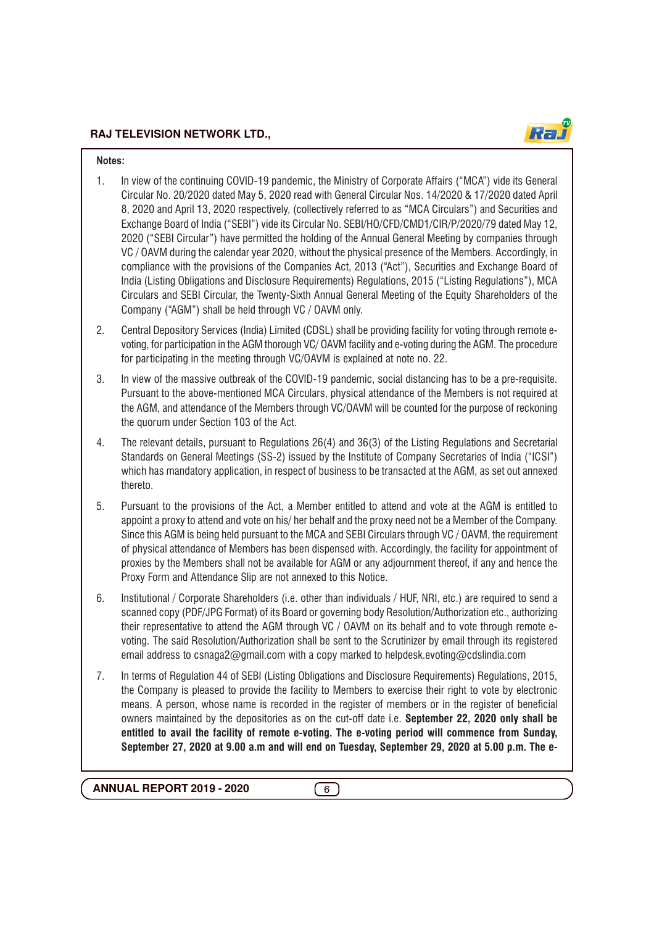

## Notes:

- 1. In view of the continuing COVID-19 pandemic, the Ministry of Corporate Affairs ("MCA") vide its General Circular No. 20/2020 dated May 5, 2020 read with General Circular Nos. 14/2020 & 17/2020 dated April 8, 2020 and April 13, 2020 respectively, (collectively referred to as "MCA Circulars") and Securities and Exchange Board of India ("SEBI") vide its Circular No. SEBI/HO/CFD/CMD1/CIR/P/2020/79 dated May 12, 2020 ("SEBI Circular") have permitted the holding of the Annual General Meeting by companies through VC / OAVM during the calendar year 2020, without the physical presence of the Members. Accordingly, in compliance with the provisions of the Companies Act, 2013 ("Act"), Securities and Exchange Board of India (Listing Obligations and Disclosure Requirements) Regulations, 2015 ("Listing Regulations"), MCA Circulars and SEBI Circular, the Twenty-Sixth Annual General Meeting of the Equity Shareholders of the Company ("AGM") shall be held through VC / OAVM only.
- 2. Central Depository Services (India) Limited (CDSL) shall be providing facility for voting through remote evoting, for participation in the AGM thorough VC/ OAVM facility and e-voting during the AGM. The procedure for participating in the meeting through VC/OAVM is explained at note no. 22.
- 3. In view of the massive outbreak of the COVID-19 pandemic, social distancing has to be a pre-requisite. Pursuant to the above-mentioned MCA Circulars, physical attendance of the Members is not required at the AGM, and attendance of the Members through VC/OAVM will be counted for the purpose of reckoning the quorum under Section 103 of the Act.
- 4. The relevant details, pursuant to Regulations 26(4) and 36(3) of the Listing Regulations and Secretarial Standards on General Meetings (SS-2) issued by the Institute of Company Secretaries of India ("ICSI") which has mandatory application, in respect of business to be transacted at the AGM, as set out annexed thereto.
- 5. Pursuant to the provisions of the Act, a Member entitled to attend and vote at the AGM is entitled to appoint a proxy to attend and vote on his/ her behalf and the proxy need not be a Member of the Company. Since this AGM is being held pursuant to the MCA and SEBI Circulars through VC / OAVM, the requirement of physical attendance of Members has been dispensed with. Accordingly, the facility for appointment of proxies by the Members shall not be available for AGM or any adjournment thereof, if any and hence the Proxy Form and Attendance Slip are not annexed to this Notice.
- 6. Institutional / Corporate Shareholders (i.e. other than individuals / HUF, NRI, etc.) are required to send a scanned copy (PDF/JPG Format) of its Board or governing body Resolution/Authorization etc., authorizing their representative to attend the AGM through VC / OAVM on its behalf and to vote through remote evoting. The said Resolution/Authorization shall be sent to the Scrutinizer by email through its registered email address to csnaga2@gmail.com with a copy marked to helpdesk.evoting@cdslindia.com
- 7. In terms of Regulation 44 of SEBI (Listing Obligations and Disclosure Requirements) Regulations, 2015, the Company is pleased to provide the facility to Members to exercise their right to vote by electronic means. A person, whose name is recorded in the register of members or in the register of beneficial owners maintained by the depositories as on the cut-off date i.e. September 22, 2020 only shall be entitled to avail the facility of remote e-voting. The e-voting period will commence from Sunday, September 27, 2020 at 9.00 a.m and will end on Tuesday, September 29, 2020 at 5.00 p.m. The e-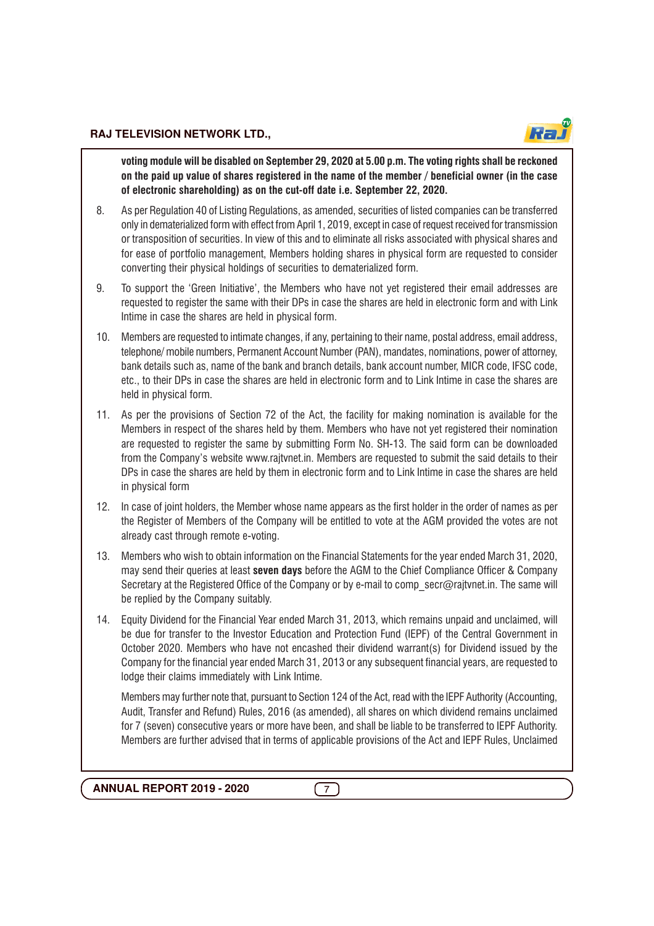

voting module will be disabled on September 29, 2020 at 5.00 p.m. The voting rights shall be reckoned on the paid up value of shares registered in the name of the member / beneficial owner (in the case of electronic shareholding) as on the cut-off date i.e. September 22, 2020.

- 8. As per Regulation 40 of Listing Regulations, as amended, securities of listed companies can be transferred only in dematerialized form with effect from April 1, 2019, except in case of request received for transmission or transposition of securities. In view of this and to eliminate all risks associated with physical shares and for ease of portfolio management, Members holding shares in physical form are requested to consider converting their physical holdings of securities to dematerialized form.
- 9. To support the 'Green Initiative', the Members who have not yet registered their email addresses are requested to register the same with their DPs in case the shares are held in electronic form and with Link Intime in case the shares are held in physical form.
- 10. Members are requested to intimate changes, if any, pertaining to their name, postal address, email address, telephone/ mobile numbers, Permanent Account Number (PAN), mandates, nominations, power of attorney, bank details such as, name of the bank and branch details, bank account number, MICR code, IFSC code, etc., to their DPs in case the shares are held in electronic form and to Link Intime in case the shares are held in physical form.
- 11. As per the provisions of Section 72 of the Act, the facility for making nomination is available for the Members in respect of the shares held by them. Members who have not yet registered their nomination are requested to register the same by submitting Form No. SH-13. The said form can be downloaded from the Company's website www.rajtvnet.in. Members are requested to submit the said details to their DPs in case the shares are held by them in electronic form and to Link Intime in case the shares are held in physical form
- 12. In case of joint holders, the Member whose name appears as the first holder in the order of names as per the Register of Members of the Company will be entitled to vote at the AGM provided the votes are not already cast through remote e-voting.
- 13. Members who wish to obtain information on the Financial Statements for the year ended March 31, 2020, may send their queries at least seven days before the AGM to the Chief Compliance Officer & Company Secretary at the Registered Office of the Company or by e-mail to comp\_secr@rajtvnet.in. The same will be replied by the Company suitably.
- 14. Equity Dividend for the Financial Year ended March 31, 2013, which remains unpaid and unclaimed, will be due for transfer to the Investor Education and Protection Fund (IEPF) of the Central Government in October 2020. Members who have not encashed their dividend warrant(s) for Dividend issued by the Company for the financial year ended March 31, 2013 or any subsequent financial years, are requested to lodge their claims immediately with Link Intime.

Members may further note that, pursuant to Section 124 of the Act, read with the IEPF Authority (Accounting, Audit, Transfer and Refund) Rules, 2016 (as amended), all shares on which dividend remains unclaimed for 7 (seven) consecutive years or more have been, and shall be liable to be transferred to IEPF Authority. Members are further advised that in terms of applicable provisions of the Act and IEPF Rules, Unclaimed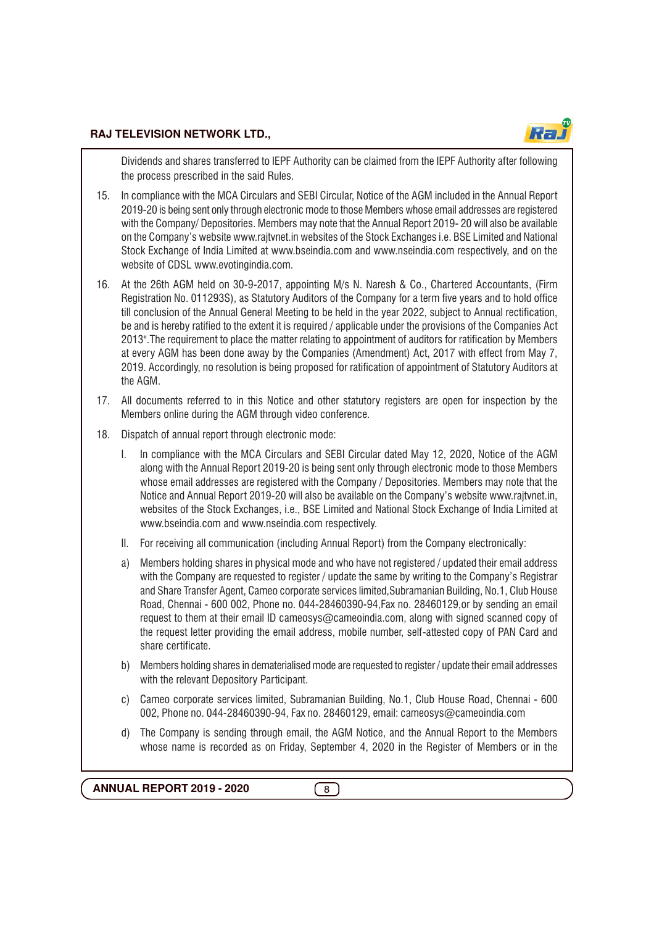



Dividends and shares transferred to IEPF Authority can be claimed from the IEPF Authority after following the process prescribed in the said Rules.

- 15. In compliance with the MCA Circulars and SEBI Circular, Notice of the AGM included in the Annual Report 2019-20 is being sent only through electronic mode to those Members whose email addresses are registered with the Company/ Depositories. Members may note that the Annual Report 2019- 20 will also be available on the Company's website www.rajtvnet.in websites of the Stock Exchanges i.e. BSE Limited and National Stock Exchange of India Limited at www.bseindia.com and www.nseindia.com respectively, and on the website of CDSL www.evotingindia.com.
- 16. At the 26th AGM held on 30-9-2017, appointing M/s N. Naresh & Co., Chartered Accountants, (Firm Registration No. 011293S), as Statutory Auditors of the Company for a term five years and to hold office till conclusion of the Annual General Meeting to be held in the year 2022, subject to Annual rectification, be and is hereby ratified to the extent it is required / applicable under the provisions of the Companies Act 2013".The requirement to place the matter relating to appointment of auditors for ratification by Members at every AGM has been done away by the Companies (Amendment) Act, 2017 with effect from May 7, 2019. Accordingly, no resolution is being proposed for ratification of appointment of Statutory Auditors at the AGM.
- 17. All documents referred to in this Notice and other statutory registers are open for inspection by the Members online during the AGM through video conference.
- 18. Dispatch of annual report through electronic mode:
	- I. In compliance with the MCA Circulars and SEBI Circular dated May 12, 2020, Notice of the AGM along with the Annual Report 2019-20 is being sent only through electronic mode to those Members whose email addresses are registered with the Company / Depositories. Members may note that the Notice and Annual Report 2019-20 will also be available on the Company's website www.rajtvnet.in, websites of the Stock Exchanges, i.e., BSE Limited and National Stock Exchange of India Limited at www.bseindia.com and www.nseindia.com respectively.
	- II. For receiving all communication (including Annual Report) from the Company electronically:
	- a) Members holding shares in physical mode and who have not registered / updated their email address with the Company are requested to register / update the same by writing to the Company's Registrar and Share Transfer Agent, Cameo corporate services limited,Subramanian Building, No.1, Club House Road, Chennai - 600 002, Phone no. 044-28460390-94,Fax no. 28460129,or by sending an email request to them at their email ID cameosys@cameoindia.com, along with signed scanned copy of the request letter providing the email address, mobile number, self-attested copy of PAN Card and share certificate.
	- b) Members holding shares in dematerialised mode are requested to register / update their email addresses with the relevant Depository Participant.
	- c) Cameo corporate services limited, Subramanian Building, No.1, Club House Road, Chennai 600 002, Phone no. 044-28460390-94, Fax no. 28460129, email: cameosys@cameoindia.com
	- d) The Company is sending through email, the AGM Notice, and the Annual Report to the Members whose name is recorded as on Friday, September 4, 2020 in the Register of Members or in the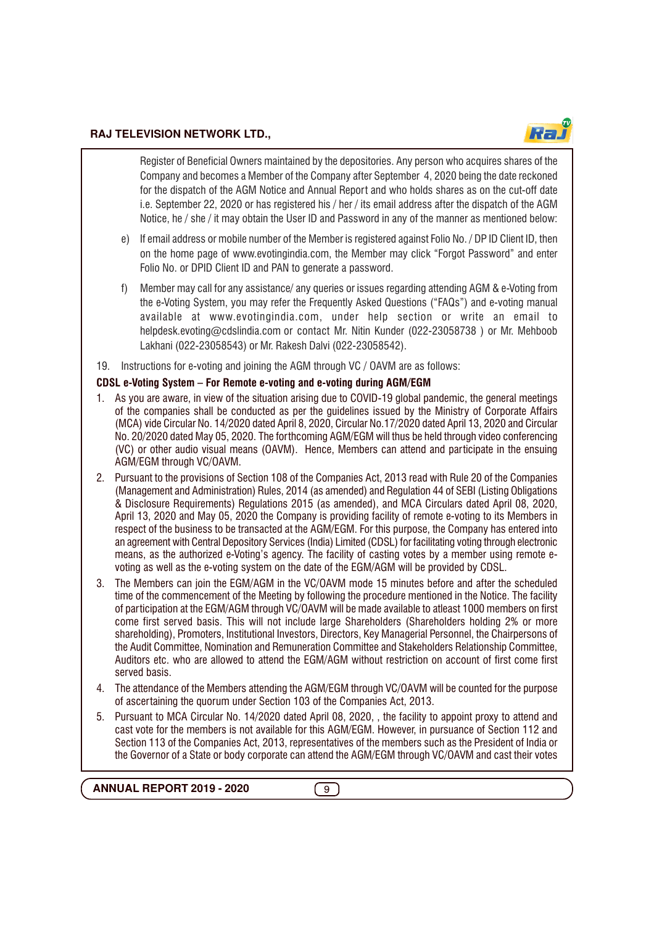

Register of Beneficial Owners maintained by the depositories. Any person who acquires shares of the Company and becomes a Member of the Company after September 4, 2020 being the date reckoned for the dispatch of the AGM Notice and Annual Report and who holds shares as on the cut-off date i.e. September 22, 2020 or has registered his / her / its email address after the dispatch of the AGM Notice, he / she / it may obtain the User ID and Password in any of the manner as mentioned below:

- e) If email address or mobile number of the Member is registered against Folio No. / DP ID Client ID, then on the home page of www.evotingindia.com, the Member may click "Forgot Password" and enter Folio No. or DPID Client ID and PAN to generate a password.
- f) Member may call for any assistance/ any queries or issues regarding attending AGM & e-Voting from the e-Voting System, you may refer the Frequently Asked Questions ("FAQs") and e-voting manual available at www.evotingindia.com, under help section or write an email to helpdesk.evoting@cdslindia.com or contact Mr. Nitin Kunder (022-23058738 ) or Mr. Mehboob Lakhani (022-23058543) or Mr. Rakesh Dalvi (022-23058542).

19. Instructions for e-voting and joining the AGM through VC / OAVM are as follows:

# CDSL e-Voting System – For Remote e-voting and e-voting during AGM/EGM

- 1. As you are aware, in view of the situation arising due to COVID-19 global pandemic, the general meetings of the companies shall be conducted as per the guidelines issued by the Ministry of Corporate Affairs (MCA) vide Circular No. 14/2020 dated April 8, 2020, Circular No.17/2020 dated April 13, 2020 and Circular No. 20/2020 dated May 05, 2020. The forthcoming AGM/EGM will thus be held through video conferencing (VC) or other audio visual means (OAVM). Hence, Members can attend and participate in the ensuing AGM/EGM through VC/OAVM.
- 2. Pursuant to the provisions of Section 108 of the Companies Act, 2013 read with Rule 20 of the Companies (Management and Administration) Rules, 2014 (as amended) and Regulation 44 of SEBI (Listing Obligations & Disclosure Requirements) Regulations 2015 (as amended), and MCA Circulars dated April 08, 2020, April 13, 2020 and May 05, 2020 the Company is providing facility of remote e-voting to its Members in respect of the business to be transacted at the AGM/EGM. For this purpose, the Company has entered into an agreement with Central Depository Services (India) Limited (CDSL) for facilitating voting through electronic means, as the authorized e-Voting's agency. The facility of casting votes by a member using remote evoting as well as the e-voting system on the date of the EGM/AGM will be provided by CDSL.
- 3. The Members can join the EGM/AGM in the VC/OAVM mode 15 minutes before and after the scheduled time of the commencement of the Meeting by following the procedure mentioned in the Notice. The facility of participation at the EGM/AGM through VC/OAVM will be made available to atleast 1000 members on first come first served basis. This will not include large Shareholders (Shareholders holding 2% or more shareholding), Promoters, Institutional Investors, Directors, Key Managerial Personnel, the Chairpersons of the Audit Committee, Nomination and Remuneration Committee and Stakeholders Relationship Committee, Auditors etc. who are allowed to attend the EGM/AGM without restriction on account of first come first served basis.
- 4. The attendance of the Members attending the AGM/EGM through VC/OAVM will be counted for the purpose of ascertaining the quorum under Section 103 of the Companies Act, 2013.
- 5. Pursuant to MCA Circular No. 14/2020 dated April 08, 2020, , the facility to appoint proxy to attend and cast vote for the members is not available for this AGM/EGM. However, in pursuance of Section 112 and Section 113 of the Companies Act, 2013, representatives of the members such as the President of India or the Governor of a State or body corporate can attend the AGM/EGM through VC/OAVM and cast their votes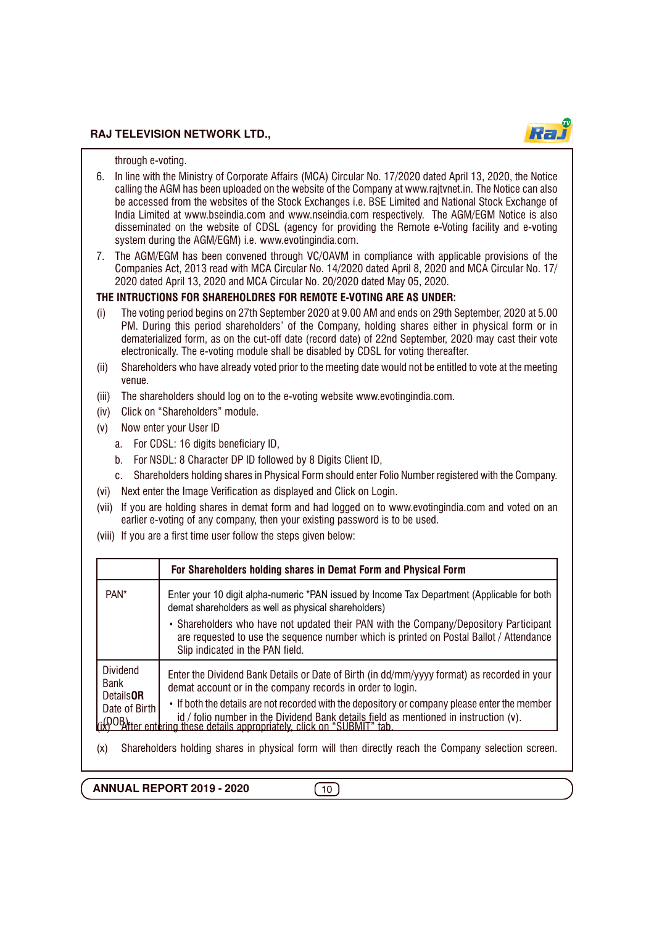

through e-voting.

- 6. In line with the Ministry of Corporate Affairs (MCA) Circular No. 17/2020 dated April 13, 2020, the Notice calling the AGM has been uploaded on the website of the Company at www.rajtvnet.in. The Notice can also be accessed from the websites of the Stock Exchanges i.e. BSE Limited and National Stock Exchange of India Limited at www.bseindia.com and www.nseindia.com respectively. The AGM/EGM Notice is also disseminated on the website of CDSL (agency for providing the Remote e-Voting facility and e-voting system during the AGM/EGM) i.e. www.evotingindia.com.
- 7. The AGM/EGM has been convened through VC/OAVM in compliance with applicable provisions of the Companies Act, 2013 read with MCA Circular No. 14/2020 dated April 8, 2020 and MCA Circular No. 17/ 2020 dated April 13, 2020 and MCA Circular No. 20/2020 dated May 05, 2020.

# THE INTRUCTIONS FOR SHAREHOLDRES FOR REMOTE E-VOTING ARE AS UNDER:

- (i) The voting period begins on 27th September 2020 at 9.00 AM and ends on 29th September, 2020 at 5.00 PM. During this period shareholders' of the Company, holding shares either in physical form or in dematerialized form, as on the cut-off date (record date) of 22nd September, 2020 may cast their vote electronically. The e-voting module shall be disabled by CDSL for voting thereafter.
- (ii) Shareholders who have already voted prior to the meeting date would not be entitled to vote at the meeting venue.
- (iii) The shareholders should log on to the e-voting website www.evotingindia.com.
- (iv) Click on "Shareholders" module.
- (v) Now enter your User ID
	- a. For CDSL: 16 digits beneficiary ID,
	- b. For NSDL: 8 Character DP ID followed by 8 Digits Client ID,
	- c. Shareholders holding shares in Physical Form should enter Folio Number registered with the Company.
- (vi) Next enter the Image Verification as displayed and Click on Login.
- (vii) If you are holding shares in demat form and had logged on to www.evotingindia.com and voted on an earlier e-voting of any company, then your existing password is to be used.
- (viii) If you are a first time user follow the steps given below:

|                                                                                                                                                                                                                                                                                                                                                                                                                                                                          | For Shareholders holding shares in Demat Form and Physical Form                                                                                     |
|--------------------------------------------------------------------------------------------------------------------------------------------------------------------------------------------------------------------------------------------------------------------------------------------------------------------------------------------------------------------------------------------------------------------------------------------------------------------------|-----------------------------------------------------------------------------------------------------------------------------------------------------|
| PAN <sup>*</sup>                                                                                                                                                                                                                                                                                                                                                                                                                                                         | Enter your 10 digit alpha-numeric *PAN issued by Income Tax Department (Applicable for both<br>demat shareholders as well as physical shareholders) |
| • Shareholders who have not updated their PAN with the Company/Depository Participant<br>are requested to use the sequence number which is printed on Postal Ballot / Attendance<br>Slip indicated in the PAN field.<br><b>Dividend</b><br><b>Bank</b><br>demat account or in the company records in order to login.<br>Details <b>OR</b><br>Date of Birth<br>Shareholders holding shares in physical form will then directly reach the Company selection screen.<br>(x) |                                                                                                                                                     |
|                                                                                                                                                                                                                                                                                                                                                                                                                                                                          | Enter the Dividend Bank Details or Date of Birth (in dd/mm/yyyy format) as recorded in your                                                         |
|                                                                                                                                                                                                                                                                                                                                                                                                                                                                          | • If both the details are not recorded with the depository or company please enter the member                                                       |
|                                                                                                                                                                                                                                                                                                                                                                                                                                                                          |                                                                                                                                                     |
|                                                                                                                                                                                                                                                                                                                                                                                                                                                                          | <b>ANNUAL REPORT 2019 - 2020</b><br>10                                                                                                              |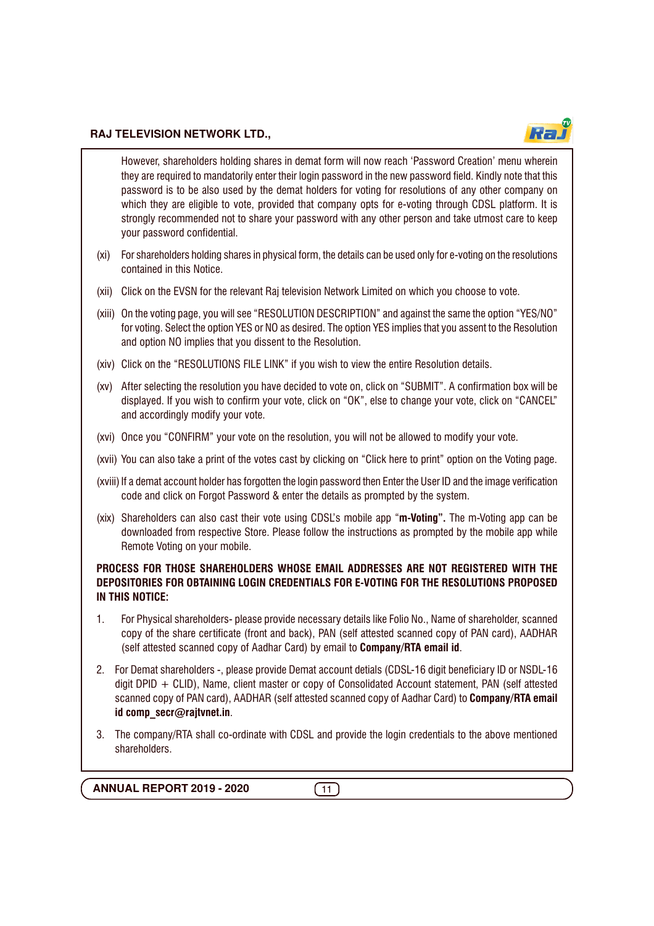

However, shareholders holding shares in demat form will now reach 'Password Creation' menu wherein they are required to mandatorily enter their login password in the new password field. Kindly note that this password is to be also used by the demat holders for voting for resolutions of any other company on which they are eligible to vote, provided that company opts for e-voting through CDSL platform. It is strongly recommended not to share your password with any other person and take utmost care to keep your password confidential.

- (xi) For shareholders holding shares in physical form, the details can be used only for e-voting on the resolutions contained in this Notice.
- (xii) Click on the EVSN for the relevant Raj television Network Limited on which you choose to vote.
- (xiii) On the voting page, you will see "RESOLUTION DESCRIPTION" and against the same the option "YES/NO" for voting. Select the option YES or NO as desired. The option YES implies that you assent to the Resolution and option NO implies that you dissent to the Resolution.
- (xiv) Click on the "RESOLUTIONS FILE LINK" if you wish to view the entire Resolution details.
- (xv) After selecting the resolution you have decided to vote on, click on "SUBMIT". A confirmation box will be displayed. If you wish to confirm your vote, click on "OK", else to change your vote, click on "CANCEL" and accordingly modify your vote.
- (xvi) Once you "CONFIRM" your vote on the resolution, you will not be allowed to modify your vote.
- (xvii) You can also take a print of the votes cast by clicking on "Click here to print" option on the Voting page.
- (xviii) If a demat account holder has forgotten the login password then Enter the User ID and the image verification code and click on Forgot Password & enter the details as prompted by the system.
- (xix) Shareholders can also cast their vote using CDSL's mobile app "**m-Voting**". The m-Voting app can be downloaded from respective Store. Please follow the instructions as prompted by the mobile app while Remote Voting on your mobile.

# PROCESS FOR THOSE SHAREHOLDERS WHOSE EMAIL ADDRESSES ARE NOT REGISTERED WITH THE DEPOSITORIES FOR OBTAINING LOGIN CREDENTIALS FOR E-VOTING FOR THE RESOLUTIONS PROPOSED IN THIS NOTICE:

- 1. For Physical shareholders- please provide necessary details like Folio No., Name of shareholder, scanned copy of the share certificate (front and back), PAN (self attested scanned copy of PAN card), AADHAR (self attested scanned copy of Aadhar Card) by email to Company/RTA email id.
- 2. For Demat shareholders -, please provide Demat account detials (CDSL-16 digit beneficiary ID or NSDL-16 digit DPID + CLID), Name, client master or copy of Consolidated Account statement, PAN (self attested scanned copy of PAN card), AADHAR (self attested scanned copy of Aadhar Card) to Company/RTA email id comp\_secr@rajtvnet.in.
- 3. The company/RTA shall co-ordinate with CDSL and provide the login credentials to the above mentioned shareholders.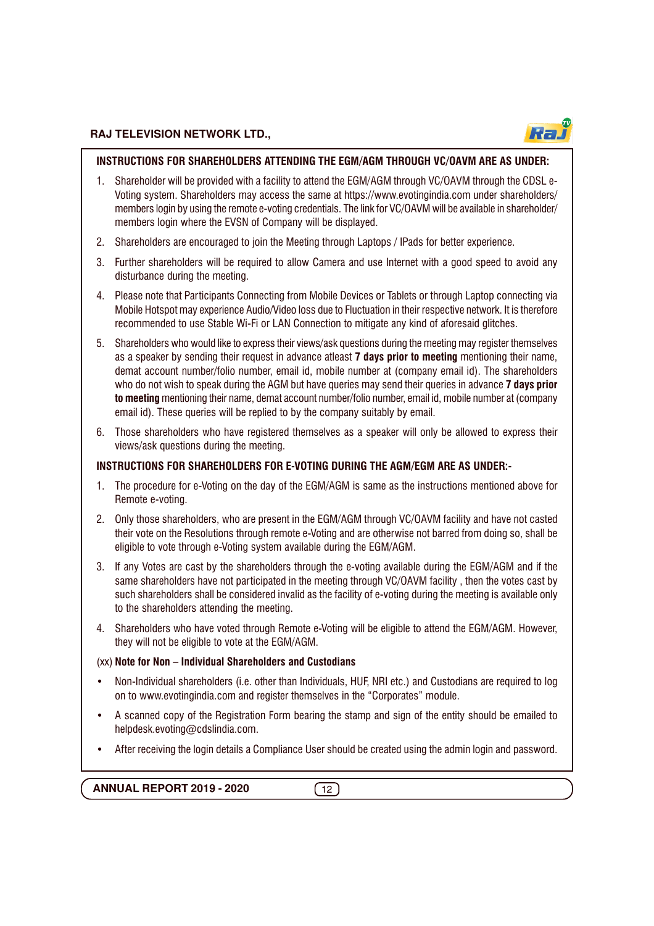

#### INSTRUCTIONS FOR SHAREHOLDERS ATTENDING THE EGM/AGM THROUGH VC/OAVM ARE AS UNDER:

- 1. Shareholder will be provided with a facility to attend the EGM/AGM through VC/OAVM through the CDSL e-Voting system. Shareholders may access the same at https://www.evotingindia.com under shareholders/ members login by using the remote e-voting credentials. The link for VC/OAVM will be available in shareholder/ members login where the EVSN of Company will be displayed.
- 2. Shareholders are encouraged to join the Meeting through Laptops / IPads for better experience.
- 3. Further shareholders will be required to allow Camera and use Internet with a good speed to avoid any disturbance during the meeting.
- 4. Please note that Participants Connecting from Mobile Devices or Tablets or through Laptop connecting via Mobile Hotspot may experience Audio/Video loss due to Fluctuation in their respective network. It is therefore recommended to use Stable Wi-Fi or LAN Connection to mitigate any kind of aforesaid glitches.
- 5. Shareholders who would like to express their views/ask questions during the meeting may register themselves as a speaker by sending their request in advance atleast 7 days prior to meeting mentioning their name, demat account number/folio number, email id, mobile number at (company email id). The shareholders who do not wish to speak during the AGM but have queries may send their queries in advance **7 days prior** to meeting mentioning their name, demat account number/folio number, email id, mobile number at (company email id). These queries will be replied to by the company suitably by email.
- 6. Those shareholders who have registered themselves as a speaker will only be allowed to express their views/ask questions during the meeting.

# INSTRUCTIONS FOR SHAREHOLDERS FOR E-VOTING DURING THE AGM/EGM ARE AS UNDER:-

- 1. The procedure for e-Voting on the day of the EGM/AGM is same as the instructions mentioned above for Remote e-voting.
- 2. Only those shareholders, who are present in the EGM/AGM through VC/OAVM facility and have not casted their vote on the Resolutions through remote e-Voting and are otherwise not barred from doing so, shall be eligible to vote through e-Voting system available during the EGM/AGM.
- 3. If any Votes are cast by the shareholders through the e-voting available during the EGM/AGM and if the same shareholders have not participated in the meeting through VC/OAVM facility , then the votes cast by such shareholders shall be considered invalid as the facility of e-voting during the meeting is available only to the shareholders attending the meeting.
- 4. Shareholders who have voted through Remote e-Voting will be eligible to attend the EGM/AGM. However, they will not be eligible to vote at the EGM/AGM.

#### (xx) Note for Non – Individual Shareholders and Custodians

- Non-Individual shareholders (i.e. other than Individuals, HUF, NRI etc.) and Custodians are required to log on to www.evotingindia.com and register themselves in the "Corporates" module.
- A scanned copy of the Registration Form bearing the stamp and sign of the entity should be emailed to helpdesk.evoting@cdslindia.com.
- After receiving the login details a Compliance User should be created using the admin login and password.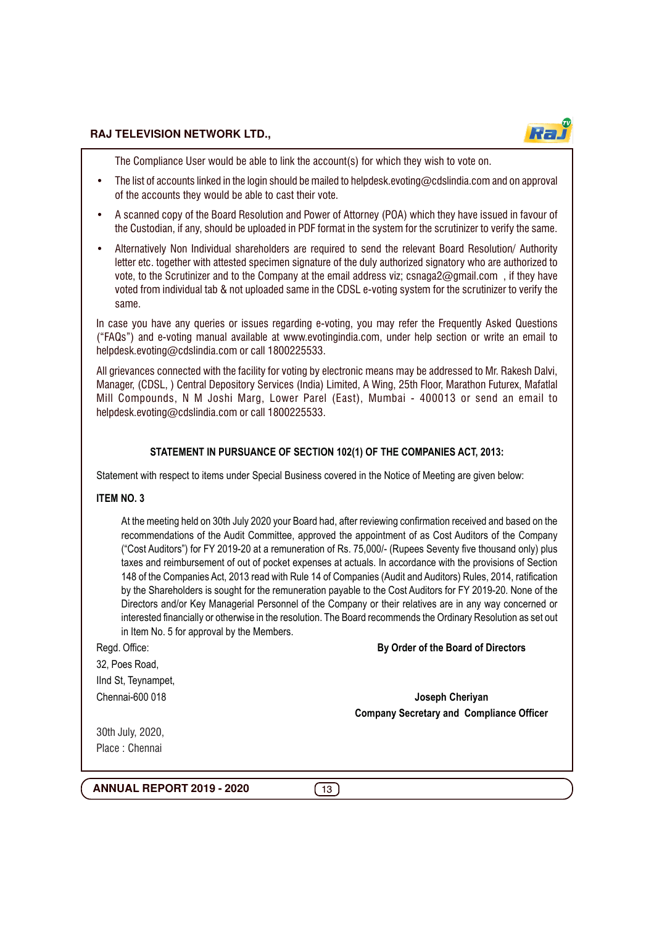

The Compliance User would be able to link the account(s) for which they wish to vote on.

- The list of accounts linked in the login should be mailed to helpdesk.evoting@cdslindia.com and on approval of the accounts they would be able to cast their vote.
- A scanned copy of the Board Resolution and Power of Attorney (POA) which they have issued in favour of the Custodian, if any, should be uploaded in PDF format in the system for the scrutinizer to verify the same.
- Alternatively Non Individual shareholders are required to send the relevant Board Resolution/ Authority letter etc. together with attested specimen signature of the duly authorized signatory who are authorized to vote, to the Scrutinizer and to the Company at the email address viz; csnaga2@gmail.com , if they have voted from individual tab & not uploaded same in the CDSL e-voting system for the scrutinizer to verify the same.

In case you have any queries or issues regarding e-voting, you may refer the Frequently Asked Questions ("FAQs") and e-voting manual available at www.evotingindia.com, under help section or write an email to helpdesk.evoting@cdslindia.com or call 1800225533.

All grievances connected with the facility for voting by electronic means may be addressed to Mr. Rakesh Dalvi, Manager, (CDSL, ) Central Depository Services (India) Limited, A Wing, 25th Floor, Marathon Futurex, Mafatlal Mill Compounds, N M Joshi Marg, Lower Parel (East), Mumbai - 400013 or send an email to helpdesk.evoting@cdslindia.com or call 1800225533.

# STATEMENT IN PURSUANCE OF SECTION 102(1) OF THE COMPANIES ACT, 2013:

Statement with respect to items under Special Business covered in the Notice of Meeting are given below:

# ITEM NO. 3

At the meeting held on 30th July 2020 your Board had, after reviewing confirmation received and based on the recommendations of the Audit Committee, approved the appointment of as Cost Auditors of the Company ("Cost Auditors") for FY 2019-20 at a remuneration of Rs. 75,000/- (Rupees Seventy five thousand only) plus taxes and reimbursement of out of pocket expenses at actuals. In accordance with the provisions of Section 148 of the Companies Act, 2013 read with Rule 14 of Companies (Audit and Auditors) Rules, 2014, ratification by the Shareholders is sought for the remuneration payable to the Cost Auditors for FY 2019-20. None of the Directors and/or Key Managerial Personnel of the Company or their relatives are in any way concerned or interested financially or otherwise in the resolution. The Board recommends the Ordinary Resolution as set out in Item No. 5 for approval by the Members.

| Regd. Office:                    | By Order of the Board of Directors              |
|----------------------------------|-------------------------------------------------|
| 32, Poes Road,                   |                                                 |
| lind St, Teynampet,              |                                                 |
| Chennai-600 018                  | Joseph Cheriyan                                 |
|                                  | <b>Company Secretary and Compliance Officer</b> |
| 30th July, 2020,                 |                                                 |
| Place: Chennai                   |                                                 |
|                                  |                                                 |
| <b>ANNUAL REPORT 2019 - 2020</b> | 13                                              |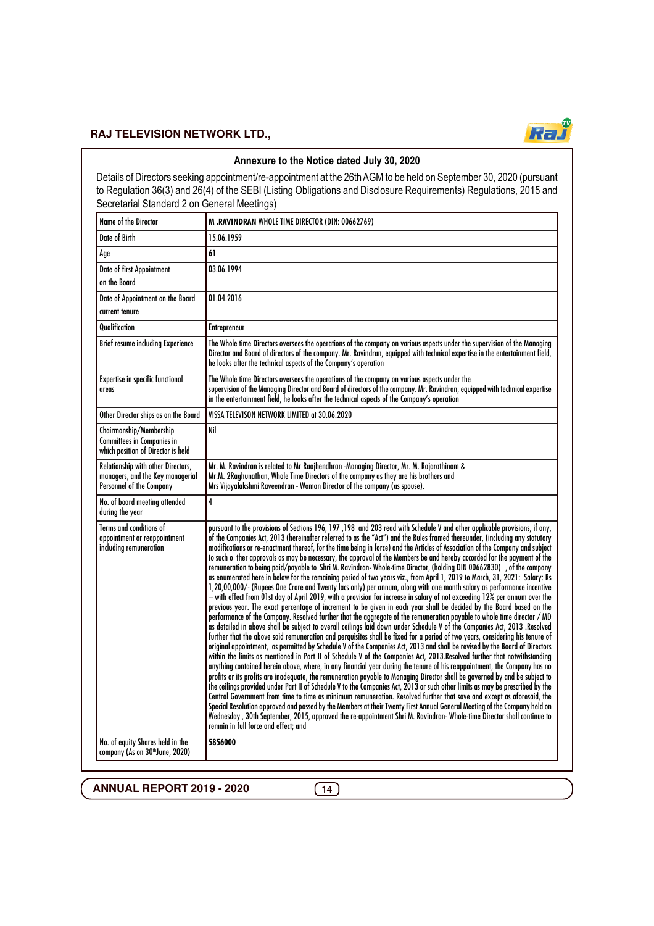

| Name of the Director                                                                               | M.RAVINDRAN WHOLE TIME DIRECTOR (DIN: 00662769)                                                                                                                                                                                                                                                                                                                                                                                                                                                                                                                                                                                                                                                                                                                                                                                                                                                                                                                                                                                                                                                                                                                                                                                                                                                                                                                                                                                                                                                                                                                                                                                                                                                                                                                                                                                                                                                                                                                                                                                                                                                                                                                                                                                                                                                                                                                                                                                                                                                                                                                                                                                  |
|----------------------------------------------------------------------------------------------------|----------------------------------------------------------------------------------------------------------------------------------------------------------------------------------------------------------------------------------------------------------------------------------------------------------------------------------------------------------------------------------------------------------------------------------------------------------------------------------------------------------------------------------------------------------------------------------------------------------------------------------------------------------------------------------------------------------------------------------------------------------------------------------------------------------------------------------------------------------------------------------------------------------------------------------------------------------------------------------------------------------------------------------------------------------------------------------------------------------------------------------------------------------------------------------------------------------------------------------------------------------------------------------------------------------------------------------------------------------------------------------------------------------------------------------------------------------------------------------------------------------------------------------------------------------------------------------------------------------------------------------------------------------------------------------------------------------------------------------------------------------------------------------------------------------------------------------------------------------------------------------------------------------------------------------------------------------------------------------------------------------------------------------------------------------------------------------------------------------------------------------------------------------------------------------------------------------------------------------------------------------------------------------------------------------------------------------------------------------------------------------------------------------------------------------------------------------------------------------------------------------------------------------------------------------------------------------------------------------------------------------|
| Date of Birth                                                                                      | 15.06.1959                                                                                                                                                                                                                                                                                                                                                                                                                                                                                                                                                                                                                                                                                                                                                                                                                                                                                                                                                                                                                                                                                                                                                                                                                                                                                                                                                                                                                                                                                                                                                                                                                                                                                                                                                                                                                                                                                                                                                                                                                                                                                                                                                                                                                                                                                                                                                                                                                                                                                                                                                                                                                       |
| Age                                                                                                | 61                                                                                                                                                                                                                                                                                                                                                                                                                                                                                                                                                                                                                                                                                                                                                                                                                                                                                                                                                                                                                                                                                                                                                                                                                                                                                                                                                                                                                                                                                                                                                                                                                                                                                                                                                                                                                                                                                                                                                                                                                                                                                                                                                                                                                                                                                                                                                                                                                                                                                                                                                                                                                               |
| Date of first Appointment<br>on the Board                                                          | 03.06.1994                                                                                                                                                                                                                                                                                                                                                                                                                                                                                                                                                                                                                                                                                                                                                                                                                                                                                                                                                                                                                                                                                                                                                                                                                                                                                                                                                                                                                                                                                                                                                                                                                                                                                                                                                                                                                                                                                                                                                                                                                                                                                                                                                                                                                                                                                                                                                                                                                                                                                                                                                                                                                       |
| Date of Appointment on the Board<br>current tenure                                                 | 01.04.2016                                                                                                                                                                                                                                                                                                                                                                                                                                                                                                                                                                                                                                                                                                                                                                                                                                                                                                                                                                                                                                                                                                                                                                                                                                                                                                                                                                                                                                                                                                                                                                                                                                                                                                                                                                                                                                                                                                                                                                                                                                                                                                                                                                                                                                                                                                                                                                                                                                                                                                                                                                                                                       |
| Qualification                                                                                      | Entrepreneur                                                                                                                                                                                                                                                                                                                                                                                                                                                                                                                                                                                                                                                                                                                                                                                                                                                                                                                                                                                                                                                                                                                                                                                                                                                                                                                                                                                                                                                                                                                                                                                                                                                                                                                                                                                                                                                                                                                                                                                                                                                                                                                                                                                                                                                                                                                                                                                                                                                                                                                                                                                                                     |
| Brief resume including Experience                                                                  | The Whole time Directors oversees the operations of the company on various aspects under the supervision of the Managing<br>Director and Board of directors of the company. Mr. Ravindran, equipped with technical expertise in the entertainment field,<br>he looks after the technical aspects of the Company's operation                                                                                                                                                                                                                                                                                                                                                                                                                                                                                                                                                                                                                                                                                                                                                                                                                                                                                                                                                                                                                                                                                                                                                                                                                                                                                                                                                                                                                                                                                                                                                                                                                                                                                                                                                                                                                                                                                                                                                                                                                                                                                                                                                                                                                                                                                                      |
| <b>Expertise in specific functional</b><br>areas                                                   | The Whole time Directors oversees the operations of the company on various aspects under the<br>supervision of the Managing Director and Board of directors of the company. Mr. Ravindran, equipped with technical expertise<br>in the entertainment field, he looks after the technical aspects of the Company's operation                                                                                                                                                                                                                                                                                                                                                                                                                                                                                                                                                                                                                                                                                                                                                                                                                                                                                                                                                                                                                                                                                                                                                                                                                                                                                                                                                                                                                                                                                                                                                                                                                                                                                                                                                                                                                                                                                                                                                                                                                                                                                                                                                                                                                                                                                                      |
| Other Director ships as on the Board                                                               | VISSA TELEVISON NETWORK LIMITED at 30.06.2020                                                                                                                                                                                                                                                                                                                                                                                                                                                                                                                                                                                                                                                                                                                                                                                                                                                                                                                                                                                                                                                                                                                                                                                                                                                                                                                                                                                                                                                                                                                                                                                                                                                                                                                                                                                                                                                                                                                                                                                                                                                                                                                                                                                                                                                                                                                                                                                                                                                                                                                                                                                    |
| Chairmanship/Membership<br>Committees in Companies in<br>which position of Director is held        | Nil                                                                                                                                                                                                                                                                                                                                                                                                                                                                                                                                                                                                                                                                                                                                                                                                                                                                                                                                                                                                                                                                                                                                                                                                                                                                                                                                                                                                                                                                                                                                                                                                                                                                                                                                                                                                                                                                                                                                                                                                                                                                                                                                                                                                                                                                                                                                                                                                                                                                                                                                                                                                                              |
| Relationship with other Directors,<br>managers, and the Key managerial<br>Personnel of the Company | Mr. M. Ravindran is related to Mr Raajhendhran -Managing Director, Mr. M. Rajarathinam &<br>Mr.M. 2Raghunathan, Whole Time Directors of the company as they are his brothers and<br>Mrs Vijayalakshmi Raveendran - Woman Director of the company (as spouse).                                                                                                                                                                                                                                                                                                                                                                                                                                                                                                                                                                                                                                                                                                                                                                                                                                                                                                                                                                                                                                                                                                                                                                                                                                                                                                                                                                                                                                                                                                                                                                                                                                                                                                                                                                                                                                                                                                                                                                                                                                                                                                                                                                                                                                                                                                                                                                    |
| No. of board meeting attended<br>during the year                                                   | 4                                                                                                                                                                                                                                                                                                                                                                                                                                                                                                                                                                                                                                                                                                                                                                                                                                                                                                                                                                                                                                                                                                                                                                                                                                                                                                                                                                                                                                                                                                                                                                                                                                                                                                                                                                                                                                                                                                                                                                                                                                                                                                                                                                                                                                                                                                                                                                                                                                                                                                                                                                                                                                |
| Terms and conditions of<br>appointment or reappointment<br>including remuneration                  | pursuant to the provisions of Sections 196, 197, 198 and 203 read with Schedule V and other applicable provisions, if any,<br>of the Companies Act, 2013 (hereinafter referred to as the "Act") and the Rules framed thereunder, (including any statutory<br>modifications or re-enactment thereof, for the time being in force) and the Articles of Association of the Company and subject<br>to such o ther approvals as may be necessary, the approval of the Members be and hereby accorded for the payment of the<br>remuneration to being paid/payable to Shri M. Ravindran- Whole-time Director, (holding DIN 00662830), of the company<br>as enumerated here in below for the remaining period of two years viz., from April 1, 2019 to March, 31, 2021: Salary: Rs<br>1,20,00,000/- (Rupees One Crore and Twenty lacs only) per annum, along with one month salary as performance incentive<br>— with effect from 01st day of April 2019, with a provision for increase in salary of not exceeding 12% per annum over the<br>previous year. The exact percentage of increment to be given in each year shall be decided by the Board based on the<br>performance of the Company. Resolved further that the aggregate of the remuneration payable to whole time director / MD<br>as detailed in above shall be subject to overall ceilings laid down under Schedule V of the Companies Act, 2013 .Resolved<br>further that the above said remuneration and perquisites shall be fixed for a period of two years, considering his tenure of<br>original appointment, as permitted by Schedule V of the Companies Act, 2013 and shall be revised by the Board of Directors<br>within the limits as mentioned in Part II of Schedule V of the Companies Act, 2013.Resolved further that notwithstanding<br>anything contained herein above, where, in any financial year during the tenure of his reappointment, the Company has no<br>profits or its profits are inadequate, the remuneration payable to Managing Director shall be governed by and be subject to<br>the ceilings provided under Part II of Schedule V to the Companies Act, 2013 or such other limits as may be prescribed by the<br>Central Government from time to time as minimum remuneration. Resolved further that save and except as aforesaid, the<br>Special Resolution approved and passed by the Members at their Twenty First Annual General Meeting of the Company held on<br>Wednesday , 30th September, 2015, approved the re-appointment Shri M. Ravindran- Whole-time Director shall continue to<br>remain in full force and effect; and |
| No. of equity Shares held in the<br>company (As on 30 <sup>th</sup> June, 2020)                    | 5856000                                                                                                                                                                                                                                                                                                                                                                                                                                                                                                                                                                                                                                                                                                                                                                                                                                                                                                                                                                                                                                                                                                                                                                                                                                                                                                                                                                                                                                                                                                                                                                                                                                                                                                                                                                                                                                                                                                                                                                                                                                                                                                                                                                                                                                                                                                                                                                                                                                                                                                                                                                                                                          |

# Annexure to the Notice dated July 30, 2020

Details of Directors seeking appointment/re-appointment at the 26th AGM to be held on September 30, 2020 (pursuant

**ANNUAL REPORT 2019 - 2020**

 $\boxed{14}$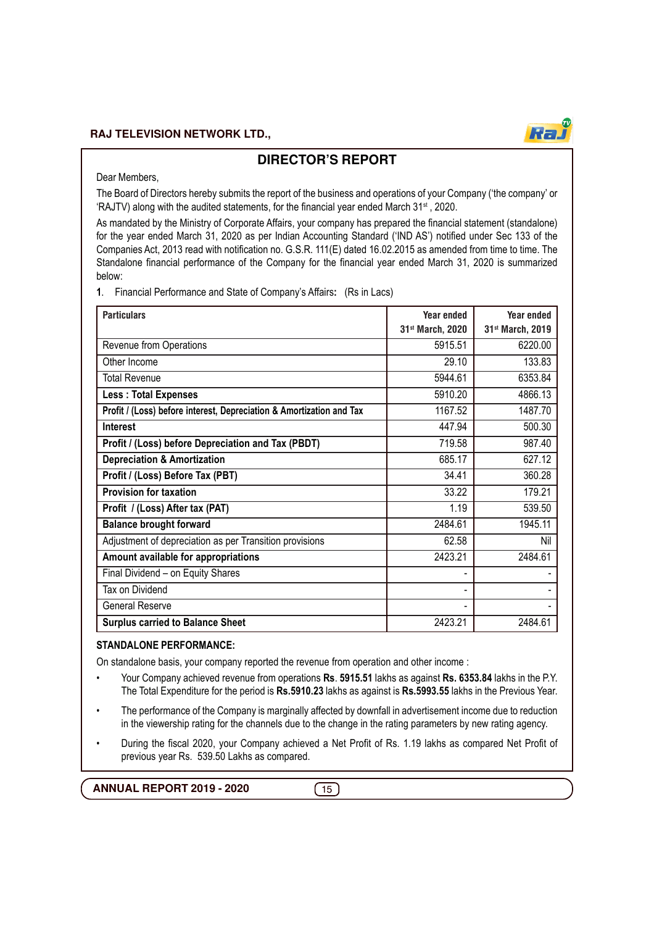

# **DIRECTOR'S REPORT**

Dear Members,

The Board of Directors hereby submits the report of the business and operations of your Company ('the company' or 'RAJTV) along with the audited statements, for the financial year ended March 31st , 2020.

As mandated by the Ministry of Corporate Affairs, your company has prepared the financial statement (standalone) for the year ended March 31, 2020 as per Indian Accounting Standard ('IND AS') notified under Sec 133 of the Companies Act, 2013 read with notification no. G.S.R. 111(E) dated 16.02.2015 as amended from time to time. The Standalone financial performance of the Company for the financial year ended March 31, 2020 is summarized below:

1. Financial Performance and State of Company's Affairs: (Rs in Lacs)

| <b>Particulars</b>                                                   | <b>Year ended</b> | <b>Year ended</b> |  |
|----------------------------------------------------------------------|-------------------|-------------------|--|
|                                                                      | 31st March, 2020  | 31st March, 2019  |  |
| Revenue from Operations                                              | 5915.51           | 6220.00           |  |
| Other Income                                                         | 29.10             | 133.83            |  |
| Total Revenue                                                        | 5944.61           | 6353.84           |  |
| <b>Less: Total Expenses</b>                                          | 5910.20           | 4866.13           |  |
| Profit / (Loss) before interest, Depreciation & Amortization and Tax | 1167.52           | 1487.70           |  |
| <b>Interest</b>                                                      | 447.94            | 500.30            |  |
| Profit / (Loss) before Depreciation and Tax (PBDT)                   | 719.58            | 987.40            |  |
| <b>Depreciation &amp; Amortization</b>                               | 685.17            | 627.12            |  |
| Profit / (Loss) Before Tax (PBT)                                     | 34.41             | 360.28            |  |
| <b>Provision for taxation</b>                                        | 33.22             | 179.21            |  |
| Profit / (Loss) After tax (PAT)                                      | 1.19              | 539.50            |  |
| <b>Balance brought forward</b>                                       | 2484.61           | 1945.11           |  |
| Adjustment of depreciation as per Transition provisions              | 62.58             | Nil               |  |
| Amount available for appropriations                                  | 2423.21           | 2484.61           |  |
| Final Dividend - on Equity Shares                                    |                   |                   |  |
| Tax on Dividend                                                      |                   |                   |  |
| General Reserve                                                      |                   |                   |  |
| <b>Surplus carried to Balance Sheet</b>                              | 2423.21           | 2484.61           |  |

### STANDALONE PERFORMANCE:

On standalone basis, your company reported the revenue from operation and other income :

- Your Company achieved revenue from operations Rs. 5915.51 lakhs as against Rs. 6353.84 lakhs in the P.Y. The Total Expenditure for the period is Rs.5910.23 lakhs as against is Rs.5993.55 lakhs in the Previous Year.
- The performance of the Company is marginally affected by downfall in advertisement income due to reduction in the viewership rating for the channels due to the change in the rating parameters by new rating agency.
- During the fiscal 2020, your Company achieved a Net Profit of Rs. 1.19 lakhs as compared Net Profit of previous year Rs. 539.50 Lakhs as compared.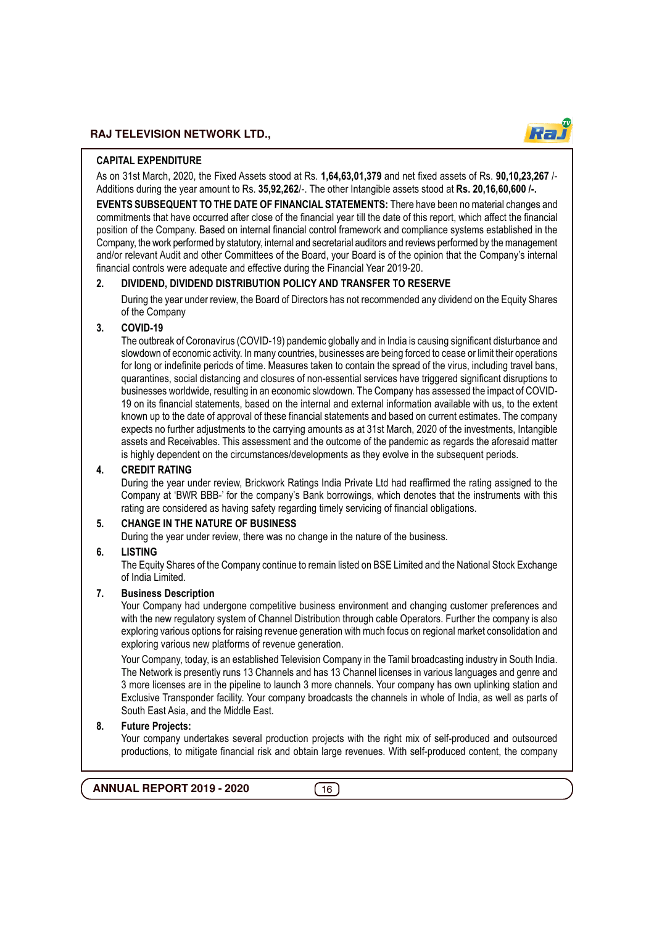

## CAPITAL EXPENDITURE

As on 31st March, 2020, the Fixed Assets stood at Rs. 1,64,63,01,379 and net fixed assets of Rs. 90,10,23,267 /- Additions during the year amount to Rs. 35,92,262/-. The other Intangible assets stood at Rs. 20,16,60,600 /-.

EVENTS SUBSEQUENT TO THE DATE OF FINANCIAL STATEMENTS: There have been no material changes and commitments that have occurred after close of the financial year till the date of this report, which affect the financial position of the Company. Based on internal financial control framework and compliance systems established in the Company, the work performed by statutory, internal and secretarial auditors and reviews performed by the management and/or relevant Audit and other Committees of the Board, your Board is of the opinion that the Company's internal financial controls were adequate and effective during the Financial Year 2019-20.

# 2. DIVIDEND, DIVIDEND DISTRIBUTION POLICY AND TRANSFER TO RESERVE

During the year under review, the Board of Directors has not recommended any dividend on the Equity Shares of the Company

# 3. COVID-19

The outbreak of Coronavirus (COVID-19) pandemic globally and in India is causing significant disturbance and slowdown of economic activity. In many countries, businesses are being forced to cease or limit their operations for long or indefinite periods of time. Measures taken to contain the spread of the virus, including travel bans, quarantines, social distancing and closures of non-essential services have triggered significant disruptions to businesses worldwide, resulting in an economic slowdown. The Company has assessed the impact of COVID-19 on its financial statements, based on the internal and external information available with us, to the extent known up to the date of approval of these financial statements and based on current estimates. The company expects no further adjustments to the carrying amounts as at 31st March, 2020 of the investments, Intangible assets and Receivables. This assessment and the outcome of the pandemic as regards the aforesaid matter is highly dependent on the circumstances/developments as they evolve in the subsequent periods.

#### 4. CREDIT RATING

During the year under review, Brickwork Ratings India Private Ltd had reaffirmed the rating assigned to the Company at 'BWR BBB-' for the company's Bank borrowings, which denotes that the instruments with this rating are considered as having safety regarding timely servicing of financial obligations.

# 5. CHANGE IN THE NATURE OF BUSINESS

During the year under review, there was no change in the nature of the business.

#### 6. LISTING

The Equity Shares of the Company continue to remain listed on BSE Limited and the National Stock Exchange of India Limited.

#### 7. Business Description

Your Company had undergone competitive business environment and changing customer preferences and with the new regulatory system of Channel Distribution through cable Operators. Further the company is also exploring various options for raising revenue generation with much focus on regional market consolidation and exploring various new platforms of revenue generation.

Your Company, today, is an established Television Company in the Tamil broadcasting industry in South India. The Network is presently runs 13 Channels and has 13 Channel licenses in various languages and genre and 3 more licenses are in the pipeline to launch 3 more channels. Your company has own uplinking station and Exclusive Transponder facility. Your company broadcasts the channels in whole of India, as well as parts of South East Asia, and the Middle East.

#### 8. Future Projects:

Your company undertakes several production projects with the right mix of self-produced and outsourced productions, to mitigate financial risk and obtain large revenues. With self-produced content, the company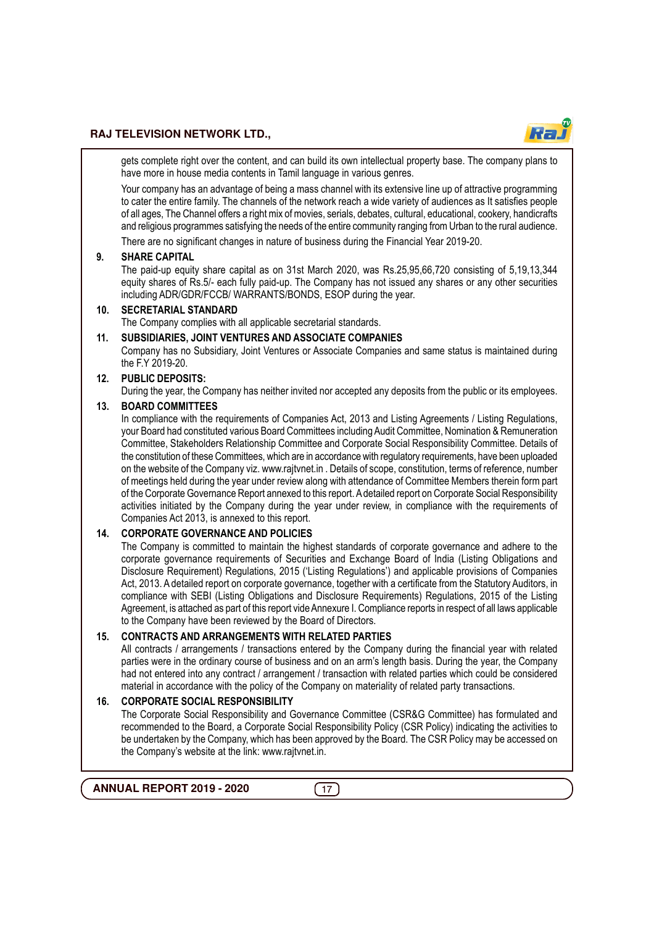

gets complete right over the content, and can build its own intellectual property base. The company plans to have more in house media contents in Tamil language in various genres.

Your company has an advantage of being a mass channel with its extensive line up of attractive programming to cater the entire family. The channels of the network reach a wide variety of audiences as It satisfies people of all ages, The Channel offers a right mix of movies, serials, debates, cultural, educational, cookery, handicrafts and religious programmes satisfying the needs of the entire community ranging from Urban to the rural audience.

There are no significant changes in nature of business during the Financial Year 2019-20.

#### 9. SHARE CAPITAL

The paid-up equity share capital as on 31st March 2020, was Rs.25,95,66,720 consisting of 5,19,13,344 equity shares of Rs.5/- each fully paid-up. The Company has not issued any shares or any other securities including ADR/GDR/FCCB/ WARRANTS/BONDS, ESOP during the year.

# 10. SECRETARIAL STANDARD

The Company complies with all applicable secretarial standards.

#### 11. SUBSIDIARIES, JOINT VENTURES AND ASSOCIATE COMPANIES

Company has no Subsidiary, Joint Ventures or Associate Companies and same status is maintained during the F.Y 2019-20.

## 12. PUBLIC DEPOSITS:

During the year, the Company has neither invited nor accepted any deposits from the public or its employees.

#### 13. BOARD COMMITTEES

In compliance with the requirements of Companies Act, 2013 and Listing Agreements / Listing Regulations, your Board had constituted various Board Committees including Audit Committee, Nomination & Remuneration Committee, Stakeholders Relationship Committee and Corporate Social Responsibility Committee. Details of the constitution of these Committees, which are in accordance with regulatory requirements, have been uploaded on the website of the Company viz. www.rajtvnet.in . Details of scope, constitution, terms of reference, number of meetings held during the year under review along with attendance of Committee Members therein form part of the Corporate Governance Report annexed to this report. A detailed report on Corporate Social Responsibility activities initiated by the Company during the year under review, in compliance with the requirements of Companies Act 2013, is annexed to this report.

## 14. CORPORATE GOVERNANCE AND POLICIES

The Company is committed to maintain the highest standards of corporate governance and adhere to the corporate governance requirements of Securities and Exchange Board of India (Listing Obligations and Disclosure Requirement) Regulations, 2015 ('Listing Regulations') and applicable provisions of Companies Act, 2013. A detailed report on corporate governance, together with a certificate from the Statutory Auditors, in compliance with SEBI (Listing Obligations and Disclosure Requirements) Regulations, 2015 of the Listing Agreement, is attached as part of this report vide Annexure I. Compliance reports in respect of all laws applicable to the Company have been reviewed by the Board of Directors.

# 15. CONTRACTS AND ARRANGEMENTS WITH RELATED PARTIES

All contracts / arrangements / transactions entered by the Company during the financial year with related parties were in the ordinary course of business and on an arm's length basis. During the year, the Company had not entered into any contract / arrangement / transaction with related parties which could be considered material in accordance with the policy of the Company on materiality of related party transactions.

#### 16. CORPORATE SOCIAL RESPONSIBILITY

The Corporate Social Responsibility and Governance Committee (CSR&G Committee) has formulated and recommended to the Board, a Corporate Social Responsibility Policy (CSR Policy) indicating the activities to be undertaken by the Company, which has been approved by the Board. The CSR Policy may be accessed on the Company's website at the link: www.rajtvnet.in.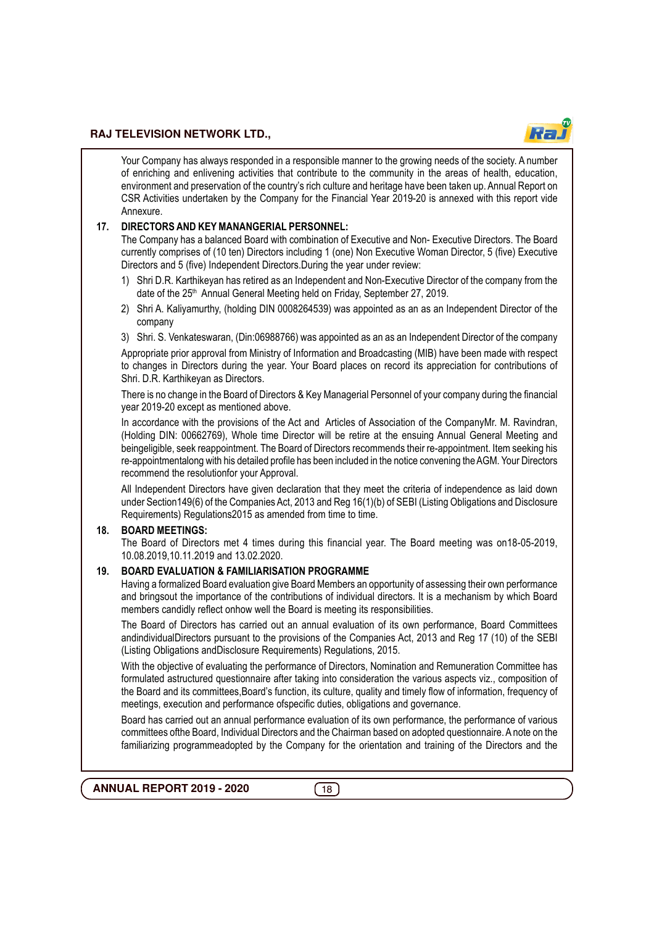

Your Company has always responded in a responsible manner to the growing needs of the society. A number of enriching and enlivening activities that contribute to the community in the areas of health, education, environment and preservation of the country's rich culture and heritage have been taken up. Annual Report on CSR Activities undertaken by the Company for the Financial Year 2019-20 is annexed with this report vide Annexure.

# 17. DIRECTORS AND KEY MANANGERIAL PERSONNEL:

The Company has a balanced Board with combination of Executive and Non- Executive Directors. The Board currently comprises of (10 ten) Directors including 1 (one) Non Executive Woman Director, 5 (five) Executive Directors and 5 (five) Independent Directors.During the year under review:

- 1) Shri D.R. Karthikeyan has retired as an Independent and Non-Executive Director of the company from the date of the 25<sup>th</sup> Annual General Meeting held on Friday, September 27, 2019.
- 2) Shri A. Kaliyamurthy, (holding DIN 0008264539) was appointed as an as an Independent Director of the company
- 3) Shri. S. Venkateswaran, (Din:06988766) was appointed as an as an Independent Director of the company

Appropriate prior approval from Ministry of Information and Broadcasting (MIB) have been made with respect to changes in Directors during the year. Your Board places on record its appreciation for contributions of Shri. D.R. Karthikeyan as Directors.

There is no change in the Board of Directors & Key Managerial Personnel of your company during the financial year 2019-20 except as mentioned above.

In accordance with the provisions of the Act and Articles of Association of the CompanyMr. M. Ravindran, (Holding DIN: 00662769), Whole time Director will be retire at the ensuing Annual General Meeting and beingeligible, seek reappointment. The Board of Directors recommends their re-appointment. Item seeking his re-appointmentalong with his detailed profile has been included in the notice convening the AGM. Your Directors recommend the resolutionfor your Approval.

All Independent Directors have given declaration that they meet the criteria of independence as laid down under Section149(6) of the Companies Act, 2013 and Reg 16(1)(b) of SEBI (Listing Obligations and Disclosure Requirements) Regulations2015 as amended from time to time.

#### 18. BOARD MEETINGS:

The Board of Directors met 4 times during this financial year. The Board meeting was on18-05-2019, 10.08.2019,10.11.2019 and 13.02.2020.

#### 19. BOARD EVALUATION & FAMILIARISATION PROGRAMME

Having a formalized Board evaluation give Board Members an opportunity of assessing their own performance and bringsout the importance of the contributions of individual directors. It is a mechanism by which Board members candidly reflect onhow well the Board is meeting its responsibilities.

The Board of Directors has carried out an annual evaluation of its own performance, Board Committees andindividualDirectors pursuant to the provisions of the Companies Act, 2013 and Reg 17 (10) of the SEBI (Listing Obligations andDisclosure Requirements) Regulations, 2015.

With the objective of evaluating the performance of Directors, Nomination and Remuneration Committee has formulated astructured questionnaire after taking into consideration the various aspects viz., composition of the Board and its committees,Board's function, its culture, quality and timely flow of information, frequency of meetings, execution and performance ofspecific duties, obligations and governance.

Board has carried out an annual performance evaluation of its own performance, the performance of various committees ofthe Board, Individual Directors and the Chairman based on adopted questionnaire. A note on the familiarizing programmeadopted by the Company for the orientation and training of the Directors and the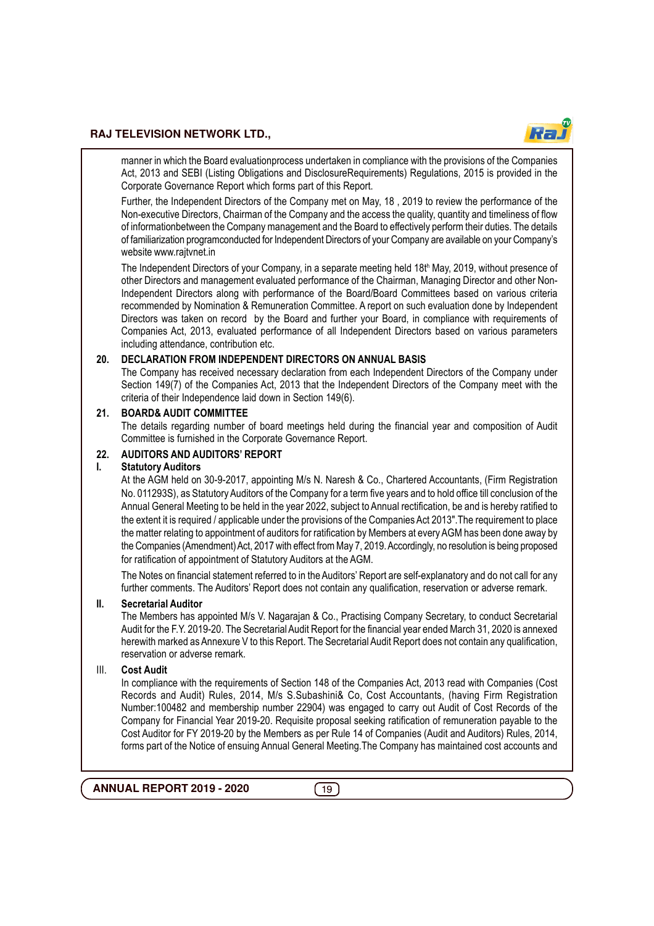

manner in which the Board evaluationprocess undertaken in compliance with the provisions of the Companies Act, 2013 and SEBI (Listing Obligations and DisclosureRequirements) Regulations, 2015 is provided in the Corporate Governance Report which forms part of this Report.

Further, the Independent Directors of the Company met on May, 18 , 2019 to review the performance of the Non-executive Directors, Chairman of the Company and the access the quality, quantity and timeliness of flow of informationbetween the Company management and the Board to effectively perform their duties. The details of familiarization programconducted for Independent Directors of your Company are available on your Company's website www.rajtvnet.in

The Independent Directors of your Company, in a separate meeting held 18tʰ May, 2019, without presence of other Directors and management evaluated performance of the Chairman, Managing Director and other Non-Independent Directors along with performance of the Board/Board Committees based on various criteria recommended by Nomination & Remuneration Committee. A report on such evaluation done by Independent Directors was taken on record by the Board and further your Board, in compliance with requirements of Companies Act, 2013, evaluated performance of all Independent Directors based on various parameters including attendance, contribution etc.

# 20. DECLARATION FROM INDEPENDENT DIRECTORS ON ANNUAL BASIS

The Company has received necessary declaration from each Independent Directors of the Company under Section 149(7) of the Companies Act, 2013 that the Independent Directors of the Company meet with the criteria of their Independence laid down in Section 149(6).

#### 21. BOARD& AUDIT COMMITTEE

The details regarding number of board meetings held during the financial year and composition of Audit Committee is furnished in the Corporate Governance Report.

# 22. AUDITORS AND AUDITORS' REPORT

#### I. Statutory Auditors

At the AGM held on 30-9-2017, appointing M/s N. Naresh & Co., Chartered Accountants, (Firm Registration No. 011293S), as Statutory Auditors of the Company for a term five years and to hold office till conclusion of the Annual General Meeting to be held in the year 2022, subject to Annual rectification, be and is hereby ratified to the extent it is required / applicable under the provisions of the Companies Act 2013".The requirement to place the matter relating to appointment of auditors for ratification by Members at every AGM has been done away by the Companies (Amendment) Act, 2017 with effect from May 7, 2019. Accordingly, no resolution is being proposed for ratification of appointment of Statutory Auditors at the AGM.

The Notes on financial statement referred to in the Auditors' Report are self-explanatory and do not call for any further comments. The Auditors' Report does not contain any qualification, reservation or adverse remark.

#### II. Secretarial Auditor

The Members has appointed M/s V. Nagarajan & Co., Practising Company Secretary, to conduct Secretarial Audit for the F.Y. 2019-20. The Secretarial Audit Report for the financial year ended March 31, 2020 is annexed herewith marked as Annexure V to this Report. The Secretarial Audit Report does not contain any qualification, reservation or adverse remark.

#### III. Cost Audit

In compliance with the requirements of Section 148 of the Companies Act, 2013 read with Companies (Cost Records and Audit) Rules, 2014, M/s S.Subashini& Co, Cost Accountants, (having Firm Registration Number:100482 and membership number 22904) was engaged to carry out Audit of Cost Records of the Company for Financial Year 2019-20. Requisite proposal seeking ratification of remuneration payable to the Cost Auditor for FY 2019-20 by the Members as per Rule 14 of Companies (Audit and Auditors) Rules, 2014, forms part of the Notice of ensuing Annual General Meeting.The Company has maintained cost accounts and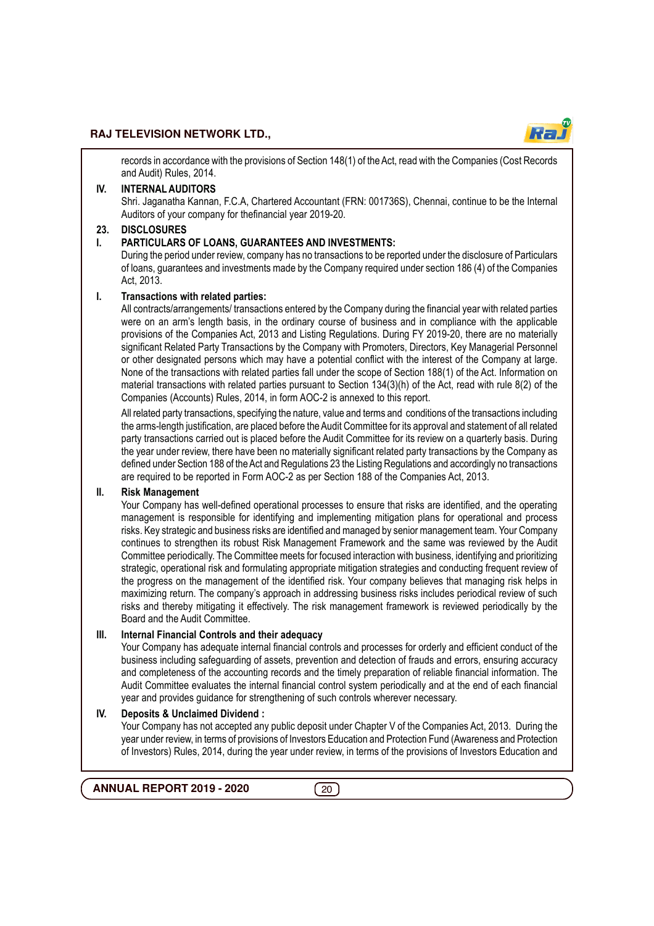

records in accordance with the provisions of Section 148(1) of the Act, read with the Companies (Cost Records and Audit) Rules, 2014.

#### IV. INTERNAL AUDITORS Shri. Jaganatha Kannan, F.C.A, Chartered Accountant (FRN: 001736S), Chennai, continue to be the Internal Auditors of your company for thefinancial year 2019-20.

# 23. DISCLOSURES

# I. PARTICULARS OF LOANS, GUARANTEES AND INVESTMENTS:

During the period under review, company has no transactions to be reported under the disclosure of Particulars of loans, guarantees and investments made by the Company required under section 186 (4) of the Companies Act, 2013.

# I. Transactions with related parties:

All contracts/arrangements/ transactions entered by the Company during the financial year with related parties were on an arm's length basis, in the ordinary course of business and in compliance with the applicable provisions of the Companies Act, 2013 and Listing Regulations. During FY 2019-20, there are no materially significant Related Party Transactions by the Company with Promoters, Directors, Key Managerial Personnel or other designated persons which may have a potential conflict with the interest of the Company at large. None of the transactions with related parties fall under the scope of Section 188(1) of the Act. Information on material transactions with related parties pursuant to Section 134(3)(h) of the Act, read with rule 8(2) of the Companies (Accounts) Rules, 2014, in form AOC-2 is annexed to this report.

All related party transactions, specifying the nature, value and terms and conditions of the transactions including the arms-length justification, are placed before the Audit Committee for its approval and statement of all related party transactions carried out is placed before the Audit Committee for its review on a quarterly basis. During the year under review, there have been no materially significant related party transactions by the Company as defined under Section 188 of the Act and Regulations 23 the Listing Regulations and accordingly no transactions are required to be reported in Form AOC-2 as per Section 188 of the Companies Act, 2013.

#### II. Risk Management

Your Company has well-defined operational processes to ensure that risks are identified, and the operating management is responsible for identifying and implementing mitigation plans for operational and process risks. Key strategic and business risks are identified and managed by senior management team. Your Company continues to strengthen its robust Risk Management Framework and the same was reviewed by the Audit Committee periodically. The Committee meets for focused interaction with business, identifying and prioritizing strategic, operational risk and formulating appropriate mitigation strategies and conducting frequent review of the progress on the management of the identified risk. Your company believes that managing risk helps in maximizing return. The company's approach in addressing business risks includes periodical review of such risks and thereby mitigating it effectively. The risk management framework is reviewed periodically by the Board and the Audit Committee.

# III. Internal Financial Controls and their adequacy

Your Company has adequate internal financial controls and processes for orderly and efficient conduct of the business including safeguarding of assets, prevention and detection of frauds and errors, ensuring accuracy and completeness of the accounting records and the timely preparation of reliable financial information. The Audit Committee evaluates the internal financial control system periodically and at the end of each financial year and provides guidance for strengthening of such controls wherever necessary.

# IV. Deposits & Unclaimed Dividend :

Your Company has not accepted any public deposit under Chapter V of the Companies Act, 2013. During the year under review, in terms of provisions of Investors Education and Protection Fund (Awareness and Protection of Investors) Rules, 2014, during the year under review, in terms of the provisions of Investors Education and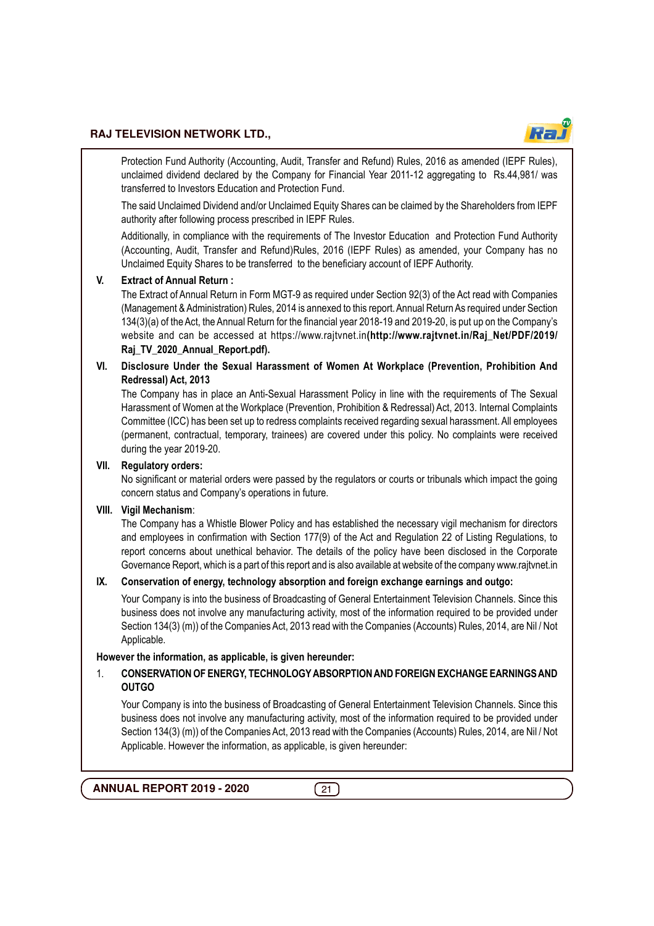

Protection Fund Authority (Accounting, Audit, Transfer and Refund) Rules, 2016 as amended (IEPF Rules), unclaimed dividend declared by the Company for Financial Year 2011-12 aggregating to Rs.44,981/ was transferred to Investors Education and Protection Fund.

The said Unclaimed Dividend and/or Unclaimed Equity Shares can be claimed by the Shareholders from IEPF authority after following process prescribed in IEPF Rules.

Additionally, in compliance with the requirements of The Investor Education and Protection Fund Authority (Accounting, Audit, Transfer and Refund)Rules, 2016 (IEPF Rules) as amended, your Company has no Unclaimed Equity Shares to be transferred to the beneficiary account of IEPF Authority.

#### V. Extract of Annual Return :

The Extract of Annual Return in Form MGT-9 as required under Section 92(3) of the Act read with Companies (Management & Administration) Rules, 2014 is annexed to this report. Annual Return As required under Section 134(3)(a) of the Act, the Annual Return for the financial year 2018-19 and 2019-20, is put up on the Company's website and can be accessed at https://www.rajtvnet.in(http://www.rajtvnet.in/Raj\_Net/PDF/2019/ Raj TV 2020 Annual Report.pdf).

VI. Disclosure Under the Sexual Harassment of Women At Workplace (Prevention, Prohibition And Redressal) Act, 2013

The Company has in place an Anti-Sexual Harassment Policy in line with the requirements of The Sexual Harassment of Women at the Workplace (Prevention, Prohibition & Redressal) Act, 2013. Internal Complaints Committee (ICC) has been set up to redress complaints received regarding sexual harassment. All employees (permanent, contractual, temporary, trainees) are covered under this policy. No complaints were received during the year 2019-20.

#### VII. Regulatory orders:

No significant or material orders were passed by the regulators or courts or tribunals which impact the going concern status and Company's operations in future.

#### VIII. Vigil Mechanism:

The Company has a Whistle Blower Policy and has established the necessary vigil mechanism for directors and employees in confirmation with Section 177(9) of the Act and Regulation 22 of Listing Regulations, to report concerns about unethical behavior. The details of the policy have been disclosed in the Corporate Governance Report, which is a part of this report and is also available at website of the company www.rajtvnet.in

#### IX. Conservation of energy, technology absorption and foreign exchange earnings and outgo:

Your Company is into the business of Broadcasting of General Entertainment Television Channels. Since this business does not involve any manufacturing activity, most of the information required to be provided under Section 134(3) (m)) of the Companies Act, 2013 read with the Companies (Accounts) Rules, 2014, are Nil / Not Applicable.

#### However the information, as applicable, is given hereunder:

# 1. CONSERVATION OF ENERGY, TECHNOLOGYABSORPTION AND FOREIGN EXCHANGE EARNINGS AND OUTGO

Your Company is into the business of Broadcasting of General Entertainment Television Channels. Since this business does not involve any manufacturing activity, most of the information required to be provided under Section 134(3) (m)) of the Companies Act, 2013 read with the Companies (Accounts) Rules, 2014, are Nil / Not Applicable. However the information, as applicable, is given hereunder: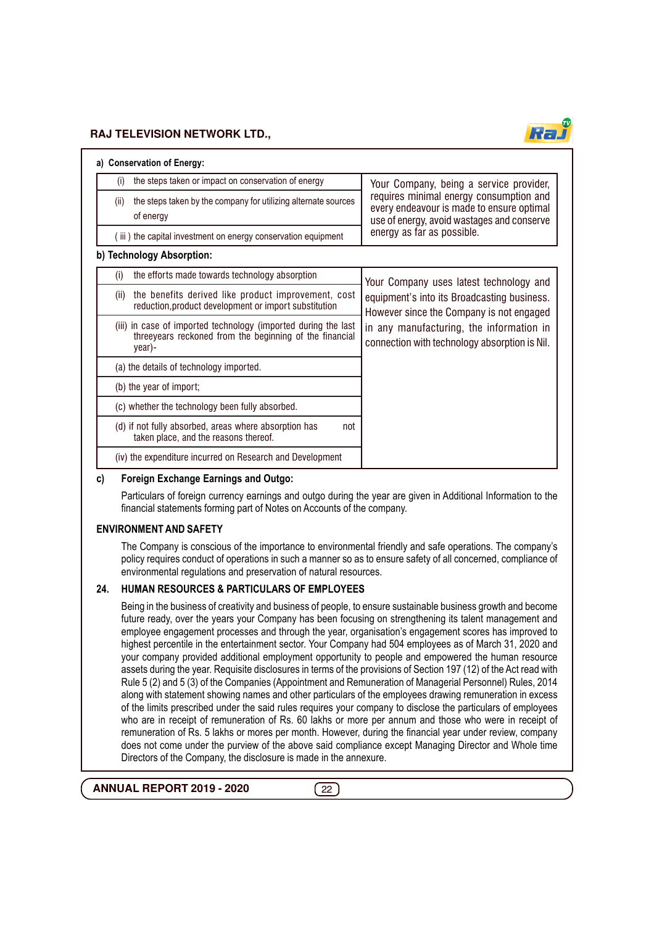

| (i)  | the steps taken or impact on conservation of energy                                                                                 | Your Company, being a service provider,                                                                                            |
|------|-------------------------------------------------------------------------------------------------------------------------------------|------------------------------------------------------------------------------------------------------------------------------------|
| (ii) | the steps taken by the company for utilizing alternate sources<br>of energy                                                         | requires minimal energy consumption and<br>every endeavour is made to ensure optimal<br>use of energy, avoid wastages and conserve |
|      | (iii) the capital investment on energy conservation equipment                                                                       | energy as far as possible.                                                                                                         |
|      | b) Technology Absorption:                                                                                                           |                                                                                                                                    |
| (i)  | the efforts made towards technology absorption                                                                                      | Your Company uses latest technology and                                                                                            |
| (ii) | the benefits derived like product improvement, cost<br>reduction, product development or import substitution                        | equipment's into its Broadcasting business.<br>However since the Company is not engaged                                            |
|      | (iii) in case of imported technology (imported during the last<br>threeyears reckoned from the beginning of the financial<br>year)- | in any manufacturing, the information in<br>connection with technology absorption is Nil.                                          |
|      | (a) the details of technology imported.                                                                                             |                                                                                                                                    |
|      | (b) the year of import;                                                                                                             |                                                                                                                                    |
|      | (c) whether the technology been fully absorbed.                                                                                     |                                                                                                                                    |
|      | (d) if not fully absorbed, areas where absorption has<br>not<br>taken place, and the reasons thereof.                               |                                                                                                                                    |
|      | (iv) the expenditure incurred on Research and Development                                                                           |                                                                                                                                    |

#### c) Foreign Exchange Earnings and Outgo:

Particulars of foreign currency earnings and outgo during the year are given in Additional Information to the financial statements forming part of Notes on Accounts of the company.

# ENVIRONMENT AND SAFETY

The Company is conscious of the importance to environmental friendly and safe operations. The company's policy requires conduct of operations in such a manner so as to ensure safety of all concerned, compliance of environmental regulations and preservation of natural resources.

## 24. HUMAN RESOURCES & PARTICULARS OF EMPLOYEES

Being in the business of creativity and business of people, to ensure sustainable business growth and become future ready, over the years your Company has been focusing on strengthening its talent management and employee engagement processes and through the year, organisation's engagement scores has improved to highest percentile in the entertainment sector. Your Company had 504 employees as of March 31, 2020 and your company provided additional employment opportunity to people and empowered the human resource assets during the year. Requisite disclosures in terms of the provisions of Section 197 (12) of the Act read with Rule 5 (2) and 5 (3) of the Companies (Appointment and Remuneration of Managerial Personnel) Rules, 2014 along with statement showing names and other particulars of the employees drawing remuneration in excess of the limits prescribed under the said rules requires your company to disclose the particulars of employees who are in receipt of remuneration of Rs. 60 lakhs or more per annum and those who were in receipt of remuneration of Rs. 5 lakhs or mores per month. However, during the financial year under review, company does not come under the purview of the above said compliance except Managing Director and Whole time Directors of the Company, the disclosure is made in the annexure.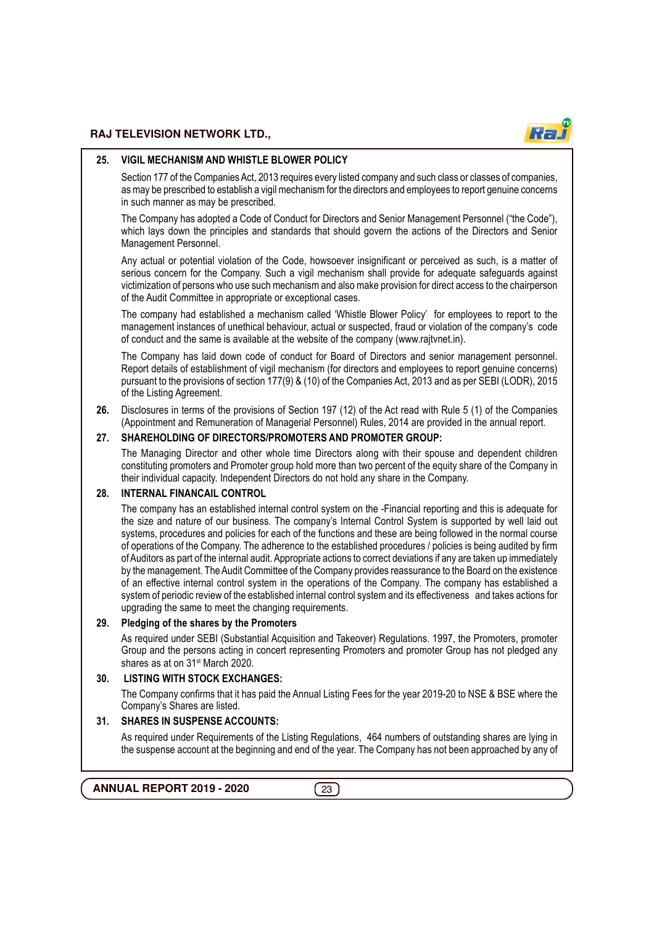



#### 25. VIGIL MECHANISM AND WHISTLE BLOWER POLICY

Section 177 of the Companies Act, 2013 requires every listed company and such class or classes of companies, as may be prescribed to establish a vigil mechanism for the directors and employees to report genuine concerns in such manner as may be prescribed.

The Company has adopted a Code of Conduct for Directors and Senior Management Personnel ("the Code"), which lays down the principles and standards that should govern the actions of the Directors and Senior Management Personnel.

Any actual or potential violation of the Code, howsoever insignificant or perceived as such, is a matter of serious concern for the Company. Such a vigil mechanism shall provide for adequate safeguards against victimization of persons who use such mechanism and also make provision for direct access to the chairperson of the Audit Committee in appropriate or exceptional cases.

The company had established a mechanism called 'Whistle Blower Policy' for employees to report to the management instances of unethical behaviour, actual or suspected, fraud or violation of the company's code of conduct and the same is available at the website of the company (www.rajtvnet.in).

The Company has laid down code of conduct for Board of Directors and senior management personnel. Report details of establishment of vigil mechanism (for directors and employees to report genuine concerns) pursuant to the provisions of section 177(9) & (10) of the Companies Act, 2013 and as per SEBI (LODR), 2015 of the Listing Agreement.

26. Disclosures in terms of the provisions of Section 197 (12) of the Act read with Rule 5 (1) of the Companies (Appointment and Remuneration of Managerial Personnel) Rules, 2014 are provided in the annual report.

#### 27. SHAREHOLDING OF DIRECTORS/PROMOTERS AND PROMOTER GROUP:

The Managing Director and other whole time Directors along with their spouse and dependent children constituting promoters and Promoter group hold more than two percent of the equity share of the Company in their individual capacity. Independent Directors do not hold any share in the Company.

#### 28. INTERNAL FINANCAIL CONTROL

The company has an established internal control system on the -Financial reporting and this is adequate for the size and nature of our business. The company's Internal Control System is supported by well laid out systems, procedures and policies for each of the functions and these are being followed in the normal course of operations of the Company. The adherence to the established procedures / policies is being audited by firm of Auditors as part of the internal audit. Appropriate actions to correct deviations if any are taken up immediately by the management. The Audit Committee of the Company provides reassurance to the Board on the existence of an effective internal control system in the operations of the Company. The company has established a system of periodic review of the established internal control system and its effectiveness and takes actions for upgrading the same to meet the changing requirements.

#### 29. Pledging of the shares by the Promoters

As required under SEBI (Substantial Acquisition and Takeover) Regulations. 1997, the Promoters, promoter Group and the persons acting in concert representing Promoters and promoter Group has not pledged any shares as at on 31<sup>st</sup> March 2020.

#### 30. LISTING WITH STOCK EXCHANGES:

The Company confirms that it has paid the Annual Listing Fees for the year 2019-20 to NSE & BSE where the Company's Shares are listed.

#### 31. SHARES IN SUSPENSE ACCOUNTS:

As required under Requirements of the Listing Regulations, 464 numbers of outstanding shares are lying in the suspense account at the beginning and end of the year. The Company has not been approached by any of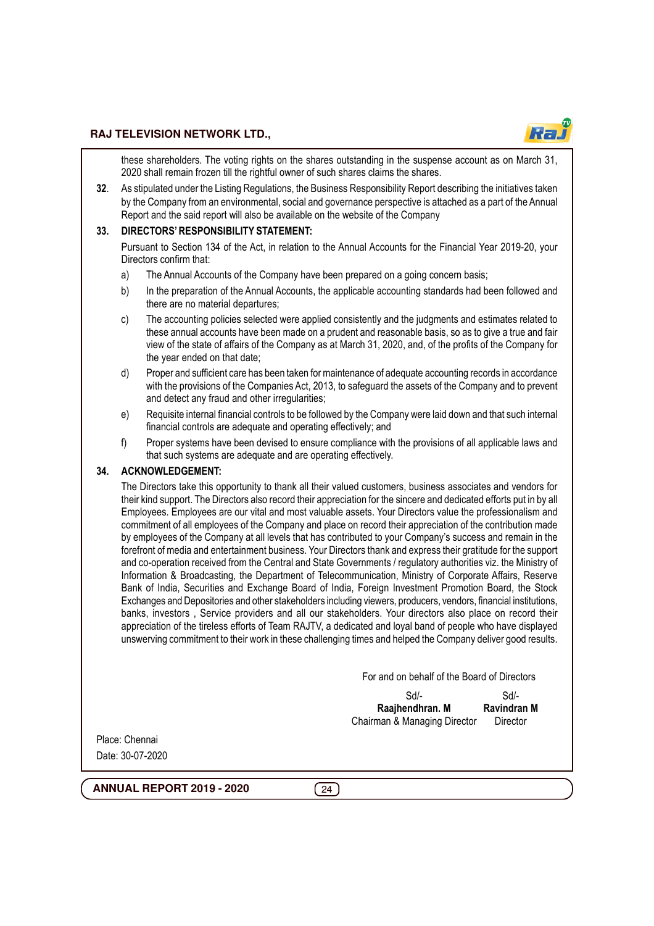



these shareholders. The voting rights on the shares outstanding in the suspense account as on March 31, 2020 shall remain frozen till the rightful owner of such shares claims the shares.

32. As stipulated under the Listing Regulations, the Business Responsibility Report describing the initiatives taken by the Company from an environmental, social and governance perspective is attached as a part of the Annual Report and the said report will also be available on the website of the Company

# 33. DIRECTORS' RESPONSIBILITY STATEMENT:

Pursuant to Section 134 of the Act, in relation to the Annual Accounts for the Financial Year 2019-20, your Directors confirm that:

- a) The Annual Accounts of the Company have been prepared on a going concern basis;
- b) In the preparation of the Annual Accounts, the applicable accounting standards had been followed and there are no material departures;
- c) The accounting policies selected were applied consistently and the judgments and estimates related to these annual accounts have been made on a prudent and reasonable basis, so as to give a true and fair view of the state of affairs of the Company as at March 31, 2020, and, of the profits of the Company for the year ended on that date;
- d) Proper and sufficient care has been taken for maintenance of adequate accounting records in accordance with the provisions of the Companies Act, 2013, to safeguard the assets of the Company and to prevent and detect any fraud and other irregularities;
- e) Requisite internal financial controls to be followed by the Company were laid down and that such internal financial controls are adequate and operating effectively; and
- f) Proper systems have been devised to ensure compliance with the provisions of all applicable laws and that such systems are adequate and are operating effectively.

#### 34. ACKNOWLEDGEMENT:

The Directors take this opportunity to thank all their valued customers, business associates and vendors for their kind support. The Directors also record their appreciation for the sincere and dedicated efforts put in by all Employees. Employees are our vital and most valuable assets. Your Directors value the professionalism and commitment of all employees of the Company and place on record their appreciation of the contribution made by employees of the Company at all levels that has contributed to your Company's success and remain in the forefront of media and entertainment business. Your Directors thank and express their gratitude for the support and co-operation received from the Central and State Governments / regulatory authorities viz. the Ministry of Information & Broadcasting, the Department of Telecommunication, Ministry of Corporate Affairs, Reserve Bank of India, Securities and Exchange Board of India, Foreign Investment Promotion Board, the Stock Exchanges and Depositories and other stakeholders including viewers, producers, vendors, financial institutions, banks, investors , Service providers and all our stakeholders. Your directors also place on record their appreciation of the tireless efforts of Team RAJTV, a dedicated and loyal band of people who have displayed unswerving commitment to their work in these challenging times and helped the Company deliver good results.

|                                    | For and on behalf of the Board of Directors                                                       |
|------------------------------------|---------------------------------------------------------------------------------------------------|
|                                    | Sd<br>$Sd$ -<br><b>Ravindran M</b><br>Raajhendhran. M<br>Chairman & Managing Director<br>Director |
| Place: Chennai<br>Date: 30-07-2020 |                                                                                                   |
| <b>ANNUAL REPORT 2019 - 2020</b>   | 24                                                                                                |
|                                    |                                                                                                   |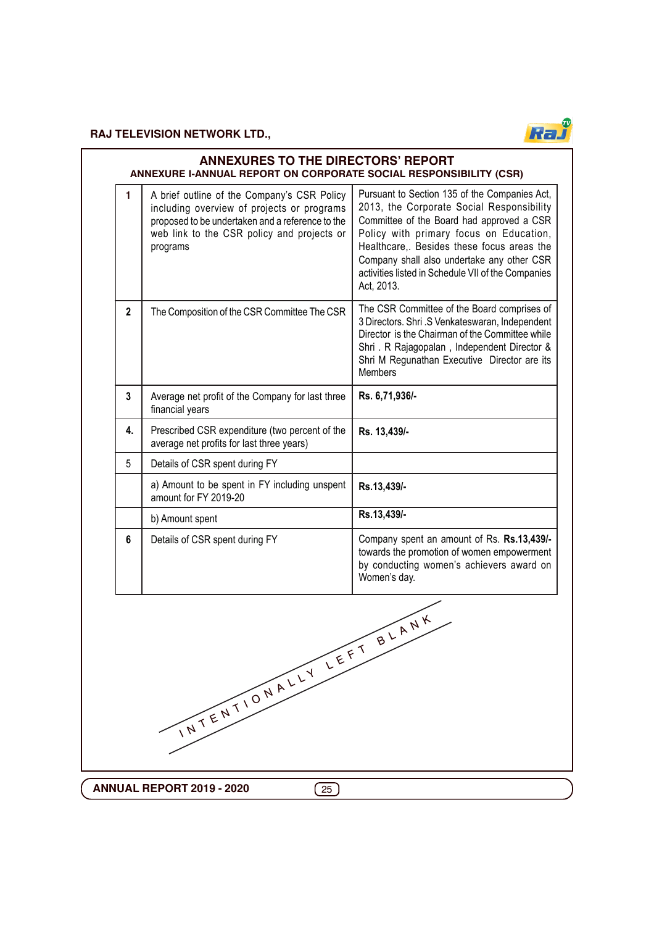

ŕ

|              | <b>ANNEXURES TO THE DIRECTORS' REPORT</b><br>ANNEXURE I-ANNUAL REPORT ON CORPORATE SOCIAL RESPONSIBILITY (CSR)                                                                                          |                                                                                                                                                                                                                                                                                                                                                    |
|--------------|---------------------------------------------------------------------------------------------------------------------------------------------------------------------------------------------------------|----------------------------------------------------------------------------------------------------------------------------------------------------------------------------------------------------------------------------------------------------------------------------------------------------------------------------------------------------|
| 1            | A brief outline of the Company's CSR Policy<br>including overview of projects or programs<br>proposed to be undertaken and a reference to the<br>web link to the CSR policy and projects or<br>programs | Pursuant to Section 135 of the Companies Act,<br>2013, the Corporate Social Responsibility<br>Committee of the Board had approved a CSR<br>Policy with primary focus on Education,<br>Healthcare,. Besides these focus areas the<br>Company shall also undertake any other CSR<br>activities listed in Schedule VII of the Companies<br>Act, 2013. |
| $\mathbf{2}$ | The Composition of the CSR Committee The CSR                                                                                                                                                            | The CSR Committee of the Board comprises of<br>3 Directors. Shri.S Venkateswaran, Independent<br>Director is the Chairman of the Committee while<br>Shri. R Rajagopalan, Independent Director &<br>Shri M Regunathan Executive Director are its<br><b>Members</b>                                                                                  |
| 3            | Average net profit of the Company for last three<br>financial years                                                                                                                                     | Rs. 6,71,936/-                                                                                                                                                                                                                                                                                                                                     |
| 4.           | Prescribed CSR expenditure (two percent of the<br>average net profits for last three years)                                                                                                             | Rs. 13,439/-                                                                                                                                                                                                                                                                                                                                       |
| 5            | Details of CSR spent during FY                                                                                                                                                                          |                                                                                                                                                                                                                                                                                                                                                    |
|              | a) Amount to be spent in FY including unspent<br>amount for FY 2019-20                                                                                                                                  | Rs.13,439/-                                                                                                                                                                                                                                                                                                                                        |
|              | b) Amount spent                                                                                                                                                                                         | Rs.13,439/-                                                                                                                                                                                                                                                                                                                                        |
| 6            | Details of CSR spent during FY                                                                                                                                                                          | Company spent an amount of Rs. Rs.13,439/-<br>towards the promotion of women empowerment<br>by conducting women's achievers award on<br>Women's day.                                                                                                                                                                                               |
|              | INTENTIONALLY LEFT                                                                                                                                                                                      | BLANK                                                                                                                                                                                                                                                                                                                                              |
|              | ANNUAL REPORT 2019 - 2020<br>25                                                                                                                                                                         |                                                                                                                                                                                                                                                                                                                                                    |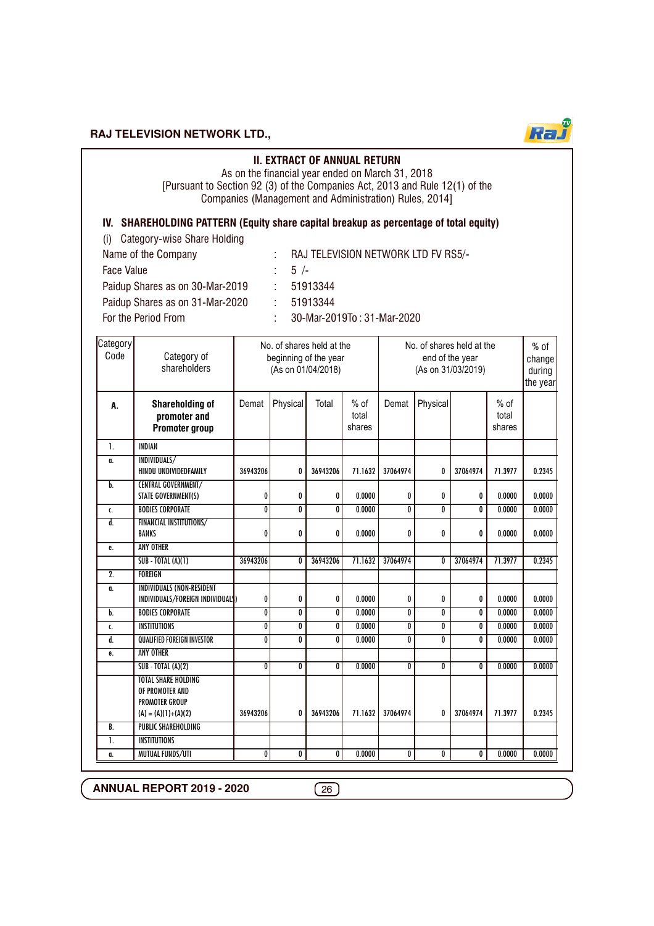

|                   | [Pursuant to Section 92 (3) of the Companies Act, 2013 and Rule 12(1) of the          |          |                           |                         | <b>II. EXTRACT OF ANNUAL RETURN</b><br>As on the financial year ended on March 31, 2018<br>Companies (Management and Administration) Rules, 2014] |                |                |                                              |         |                  |
|-------------------|---------------------------------------------------------------------------------------|----------|---------------------------|-------------------------|---------------------------------------------------------------------------------------------------------------------------------------------------|----------------|----------------|----------------------------------------------|---------|------------------|
|                   | IV. SHAREHOLDING PATTERN (Equity share capital breakup as percentage of total equity) |          |                           |                         |                                                                                                                                                   |                |                |                                              |         |                  |
| (i)               | Category-wise Share Holding                                                           |          |                           |                         |                                                                                                                                                   |                |                |                                              |         |                  |
|                   | Name of the Company                                                                   |          |                           |                         | RAJ TELEVISION NETWORK LTD FV RS5/-                                                                                                               |                |                |                                              |         |                  |
| <b>Face Value</b> |                                                                                       |          | 5/                        |                         |                                                                                                                                                   |                |                |                                              |         |                  |
|                   |                                                                                       |          |                           |                         |                                                                                                                                                   |                |                |                                              |         |                  |
|                   | Paidup Shares as on 30-Mar-2019                                                       |          |                           | 51913344                |                                                                                                                                                   |                |                |                                              |         |                  |
|                   | Paidup Shares as on 31-Mar-2020                                                       |          | ÷                         | 51913344                |                                                                                                                                                   |                |                |                                              |         |                  |
|                   | For the Period From                                                                   |          |                           |                         | 30-Mar-2019To: 31-Mar-2020                                                                                                                        |                |                |                                              |         |                  |
| Category          |                                                                                       |          | No. of shares held at the |                         |                                                                                                                                                   |                |                |                                              |         |                  |
| Code              | Category of                                                                           |          | beginning of the year     |                         |                                                                                                                                                   |                |                | No. of shares held at the<br>end of the year |         | $%$ of<br>change |
|                   | shareholders                                                                          |          | (As on 01/04/2018)        |                         |                                                                                                                                                   |                |                | (As on 31/03/2019)                           |         | during           |
|                   |                                                                                       |          |                           |                         |                                                                                                                                                   |                |                |                                              |         | the year         |
|                   | <b>Shareholding of</b>                                                                | Demat    | Physical                  | Total                   | $%$ of                                                                                                                                            | Demat          | Physical       |                                              | $%$ of  |                  |
| Α.                | promoter and                                                                          |          |                           |                         | total                                                                                                                                             |                |                |                                              | total   |                  |
|                   | <b>Promoter group</b>                                                                 |          |                           |                         | shares                                                                                                                                            |                |                |                                              | shares  |                  |
| $\mathbf{1}$ .    | <b>INDIAN</b>                                                                         |          |                           |                         |                                                                                                                                                   |                |                |                                              |         |                  |
| a.                | <b>INDIVIDUALS/</b>                                                                   |          |                           |                         |                                                                                                                                                   |                |                |                                              |         |                  |
|                   | HINDU UNDIVIDEDFAMILY                                                                 | 36943206 | 0                         | 36943206                | 71.1632                                                                                                                                           | 37064974       | 0              | 37064974                                     | 71.3977 | 0.2345           |
| Ь.                | <b>CENTRAL GOVERNMENT/</b><br>STATE GOVERNMENT(S)                                     | 0        | 0                         | 0                       | 0.0000                                                                                                                                            | 0              | 0              | 0                                            | 0.0000  | 0.0000           |
| c.                | <b>BODIES CORPORATE</b>                                                               | 0        | 0                         | 0                       | 0.0000                                                                                                                                            | 0              | 0              | 0                                            | 0.0000  | 0.0000           |
| d.                | <b>FINANCIAL INSTITUTIONS/</b>                                                        |          |                           |                         |                                                                                                                                                   |                |                |                                              |         |                  |
|                   | <b>BANKS</b>                                                                          | 0        | 0                         | 0                       | 0.0000                                                                                                                                            | 0              | 0              | 0                                            | 0.0000  | 0.0000           |
| е.                | <b>ANY OTHER</b>                                                                      |          |                           |                         |                                                                                                                                                   |                |                |                                              |         |                  |
|                   | <b>SUB - TOTAL (A)(1)</b>                                                             | 36943206 | $\overline{0}$            | 36943206                | 71.1632                                                                                                                                           | 37064974       | $\overline{0}$ | 37064974                                     | 71.3977 | 0.2345           |
| 2.                | FOREIGN                                                                               |          |                           |                         |                                                                                                                                                   |                |                |                                              |         |                  |
| a.                | <b>INDIVIDUALS (NON-RESIDENT</b><br>INDIVIDUALS/FOREIGN INDIVIDUALS)                  | 0        | 0                         | 0                       | 0.0000                                                                                                                                            | 0              | 0              | 0                                            | 0.0000  | 0.0000           |
| b.                | <b>BODIES CORPORATE</b>                                                               | 0        | 0                         | $\overline{\mathbf{0}}$ | 0.0000                                                                                                                                            | $\overline{0}$ | $\overline{0}$ | 0                                            | 0.0000  | 0.0000           |
| c.                | <b>INSTITUTIONS</b>                                                                   | 0        | 0                         | 0                       | 0.0000                                                                                                                                            | $\overline{0}$ | $\overline{0}$ | 0                                            | 0.0000  | 0.0000           |
| d.                | QUALIFIED FOREIGN INVESTOR                                                            | 0        | 0                         | 0                       | 0.0000                                                                                                                                            | 0              | 0              | 0                                            | 0.0000  | 0.0000           |
| e.                | ANY OTHER                                                                             |          |                           |                         |                                                                                                                                                   |                |                |                                              |         |                  |
|                   | SUB - TOTAL (A)(2)                                                                    | 0        | 0                         | 0                       | 0.0000                                                                                                                                            | 0              | 0              | 0                                            | 0.0000  | 0.0000           |
|                   | <b>TOTAL SHARE HOLDING</b><br>OF PROMOTER AND                                         |          |                           |                         |                                                                                                                                                   |                |                |                                              |         |                  |
|                   | PROMOTER GROUP                                                                        |          |                           |                         |                                                                                                                                                   |                |                |                                              |         |                  |
|                   | $(A) = (A)(1)+(A)(2)$                                                                 | 36943206 | 0                         | 36943206                | 71.1632                                                                                                                                           | 37064974       | 0              | 37064974                                     | 71.3977 | 0.2345           |
| B.                | <b>PUBLIC SHAREHOLDING</b>                                                            |          |                           |                         |                                                                                                                                                   |                |                |                                              |         |                  |
| 1.                | <b>INSTITUTIONS</b>                                                                   |          |                           |                         |                                                                                                                                                   |                |                |                                              |         |                  |
| a.                | <b>MUTUAL FUNDS/UTI</b>                                                               | 0        | 0                         | 0                       | 0.0000                                                                                                                                            | 0              | 0              | 0                                            | 0.0000  | 0.0000           |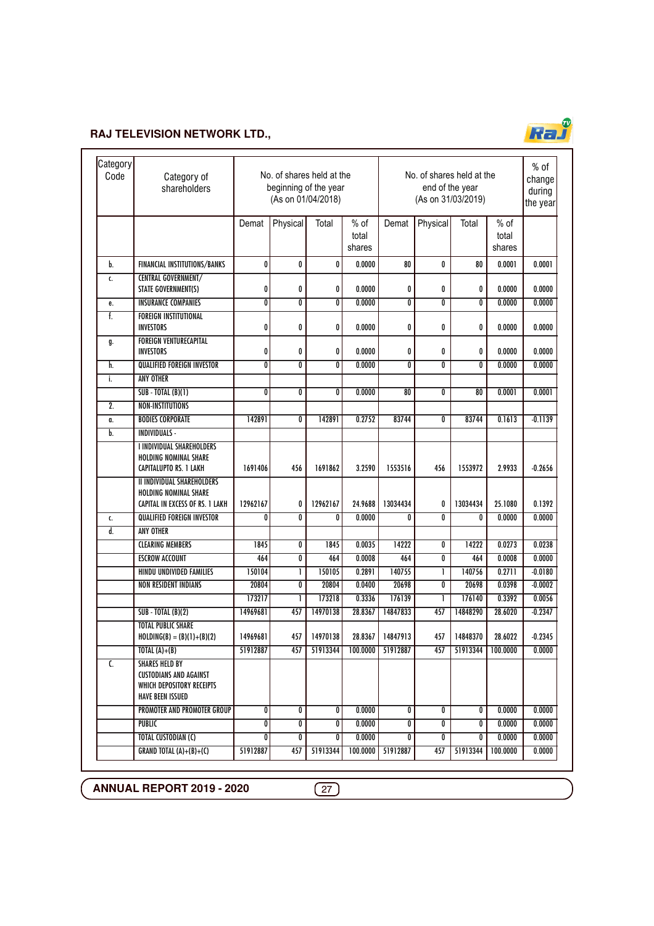

| Category<br>Code | Category of<br>shareholders                                                                                    |                         | No. of shares held at the<br>beginning of the year<br>(As on 01/04/2018) |                |                           | No. of shares held at the<br>end of the year<br>(As on 31/03/2019) |                         |                | $%$ of<br>change<br>during<br>the year |           |
|------------------|----------------------------------------------------------------------------------------------------------------|-------------------------|--------------------------------------------------------------------------|----------------|---------------------------|--------------------------------------------------------------------|-------------------------|----------------|----------------------------------------|-----------|
|                  |                                                                                                                | Demat                   | Physical                                                                 | Total          | $%$ of<br>total<br>shares | Demat                                                              | Physical                | Total          | $%$ of<br>total<br>shares              |           |
| Ь.               | <b>FINANCIAL INSTITUTIONS/BANKS</b>                                                                            | 0                       | 0                                                                        | 0              | 0.0000                    | 80                                                                 | 0                       | 80             | 0.0001                                 | 0.0001    |
| c.               | <b>CENTRAL GOVERNMENT/</b><br>STATE GOVERNMENT(S)                                                              | 0                       | 0                                                                        | 0              | 0.0000                    | 0                                                                  | 0                       | 0              | 0.0000                                 | 0.0000    |
| e.               | <b>INSURANCE COMPANIES</b>                                                                                     | 0                       | $\overline{0}$                                                           | 0              | 0.0000                    | 0                                                                  | $\mathbf{0}$            | 0              | 0.0000                                 | 0.0000    |
| f.               | <b>FOREIGN INSTITUTIONAL</b><br><b>INVESTORS</b>                                                               | 0                       | 0                                                                        | 0              | 0.0000                    | 0                                                                  | 0                       | 0              | 0.0000                                 | 0.0000    |
| g.               | <b>FOREIGN VENTURECAPITAL</b><br><b>INVESTORS</b>                                                              | 0                       | 0                                                                        | 0              | 0.0000                    | 0                                                                  | 0                       | 0              | 0.0000                                 | 0.0000    |
| h.               | <b>QUALIFIED FOREIGN INVESTOR</b>                                                                              | $\overline{0}$          | $\overline{0}$                                                           | $\overline{0}$ | 0.0000                    | 0                                                                  | $\overline{0}$          | $\overline{0}$ | 0.0000                                 | 0.0000    |
| i.               | <b>ANY OTHER</b>                                                                                               |                         |                                                                          |                |                           |                                                                    |                         |                |                                        |           |
|                  | <b>SUB - TOTAL (B)(1)</b>                                                                                      | $\overline{0}$          | $\overline{0}$                                                           | 0              | 0.0000                    | 80                                                                 | 0                       | 80             | 0.0001                                 | 0.0001    |
| 2.               | NON-INSTITUTIONS                                                                                               |                         |                                                                          |                |                           |                                                                    |                         |                |                                        |           |
| a.               | <b>BODIES CORPORATE</b>                                                                                        | 142891                  | 0                                                                        | 142891         | 0.2752                    | 83744                                                              | 0                       | 83744          | 0.1613                                 | $-0.1139$ |
| b.               | <b>INDIVIDUALS -</b>                                                                                           |                         |                                                                          |                |                           |                                                                    |                         |                |                                        |           |
|                  | <b>I INDIVIDUAL SHAREHOLDERS</b><br>HOLDING NOMINAL SHARE<br><b>CAPITALUPTO RS. 1 LAKH</b>                     | 1691406                 | 456                                                                      | 1691862        | 3.2590                    | 1553516                                                            | 456                     | 1553972        | 2.9933                                 | $-0.2656$ |
|                  | <b>II INDIVIDUAL SHAREHOLDERS</b><br><b>HOLDING NOMINAL SHARE</b><br>CAPITAL IN EXCESS OF RS. 1 LAKH           | 12962167                | 0                                                                        | 12962167       | 24.9688                   | 13034434                                                           | 0                       | 13034434       | 25.1080                                | 0.1392    |
| c.               | <b>QUALIFIED FOREIGN INVESTOR</b>                                                                              | 0                       | 0                                                                        | 0              | 0.0000                    | 0                                                                  | 0                       | 0              | 0.0000                                 | 0.0000    |
| d.               | <b>ANY OTHER</b>                                                                                               |                         |                                                                          |                |                           |                                                                    |                         |                |                                        |           |
|                  | <b>CLEARING MEMBERS</b>                                                                                        | 1845                    | 0                                                                        | 1845           | 0.0035                    | 14222                                                              | 0                       | 14222          | 0.0273                                 | 0.0238    |
|                  | <b>ESCROW ACCOUNT</b>                                                                                          | 464                     | 0                                                                        | 464            | 0.0008                    | 464                                                                | 0                       | 464            | 0.0008                                 | 0.0000    |
|                  | <b>HINDU UNDIVIDED FAMILIES</b>                                                                                | 150104                  | 1                                                                        | 150105         | 0.2891                    | 140755                                                             | 1                       | 140756         | 0.2711                                 | $-0.0180$ |
|                  | <b>NON RESIDENT INDIANS</b>                                                                                    | 20804                   | 0                                                                        | 20804          | 0.0400                    | 20698                                                              | 0                       | 20698          | 0.0398                                 | $-0.0002$ |
|                  |                                                                                                                | 173217                  | 1                                                                        | 173218         | 0.3336                    | 176139                                                             | 1                       | 176140         | 0.3392                                 | 0.0056    |
|                  | <b>SUB - TOTAL (B)(2)</b>                                                                                      | 14969681                | 457                                                                      | 14970138       | 28.8367                   | 14847833                                                           | 457                     | 14848290       | 28.6020                                | $-0.2347$ |
|                  | <b>TOTAL PUBLIC SHARE</b><br>$HOLDING(B) = (B)(1)+(B)(2)$                                                      | 14969681                | 457                                                                      | 14970138       | 28.8367                   | 14847913                                                           | 457                     | 14848370       | 28.6022                                | $-0.2345$ |
|                  | TOTAL $(A)+(B)$                                                                                                | 51912887                | 457                                                                      | 51913344       | 100.0000                  | 51912887                                                           | 457                     | 51913344       | 100.0000                               | 0.0000    |
| $\mathsf{C}$     | <b>SHARES HELD BY</b><br><b>CUSTODIANS AND AGAINST</b><br>WHICH DEPOSITORY RECEIPTS<br><b>HAVE BEEN ISSUED</b> |                         |                                                                          |                |                           |                                                                    |                         |                |                                        |           |
|                  | <b>PROMOTER AND PROMOTER GROUP</b>                                                                             | $\overline{\mathbf{0}}$ | 0                                                                        | 0              | 0.0000                    | 0                                                                  | 0                       | 0              | 0.0000                                 | 0.0000    |
|                  | <b>PUBLIC</b>                                                                                                  | $\overline{\mathbf{0}}$ | 0                                                                        | 0              | 0.0000                    | 0                                                                  | $\overline{\mathbf{0}}$ | $\overline{0}$ | 0.0000                                 | 0.0000    |
|                  | <b>TOTAL CUSTODIAN (C)</b>                                                                                     | $\overline{0}$          | 0                                                                        | 0              | 0.0000                    | 0                                                                  | 0                       | 0              | 0.0000                                 | 0.0000    |
|                  | GRAND TOTAL $(A)+(B)+(C)$                                                                                      | 51912887                | 457                                                                      | 51913344       | 100.0000                  | 51912887                                                           | 457                     | 51913344       | 100.0000                               | 0.0000    |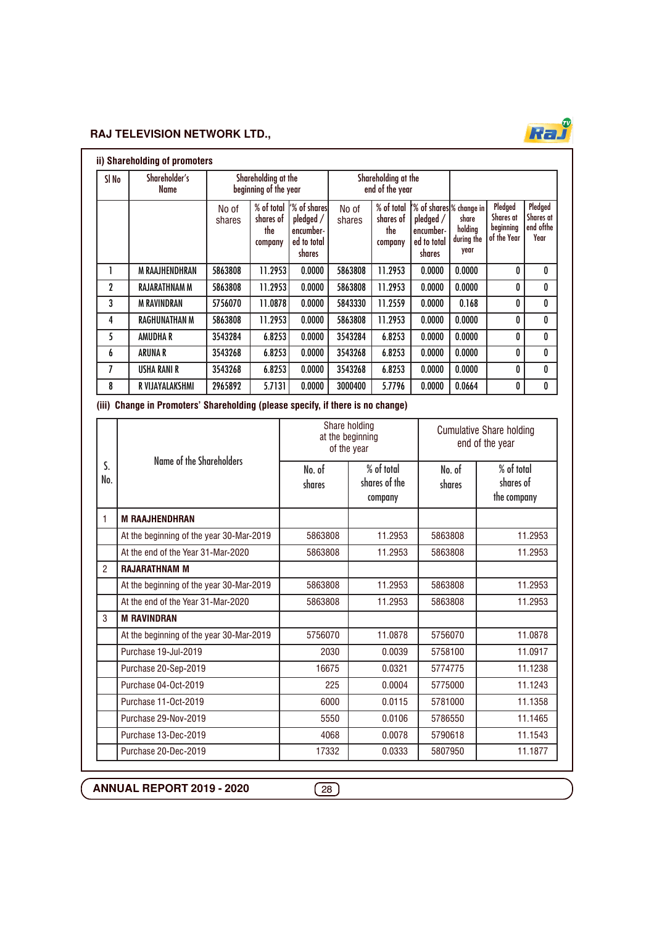

| SI No | Shareholder's<br>Name |                 | Shareholding at the<br>beginning of the year |                                                                  | Shareholding at the<br>end of the year |                                           |                                                                                  |                                        |                                                  |                                           |
|-------|-----------------------|-----------------|----------------------------------------------|------------------------------------------------------------------|----------------------------------------|-------------------------------------------|----------------------------------------------------------------------------------|----------------------------------------|--------------------------------------------------|-------------------------------------------|
|       |                       | No of<br>shares | % of total<br>shares of<br>the<br>company    | I'% of shares<br>pledged /<br>encumber-<br>ed to total<br>shares | No of<br>shares                        | % of total<br>shares of<br>the<br>company | 1% of shares % change in<br>$p$ ledged $/$<br>encumber-<br>ed to total<br>shares | share<br>holding<br>during the<br>year | Pledged<br>Shares at<br>beginning<br>of the Year | Pledged<br>Shares at<br>end ofthe<br>Year |
|       | M RAAJHENDHRAN        | 5863808         | 11.2953                                      | 0.0000                                                           | 5863808                                | 11.2953                                   | 0.0000                                                                           | 0.0000                                 | 0                                                | 0                                         |
| 2     | RAJARATHNAM M         | 5863808         | 11.2953                                      | 0.0000                                                           | 5863808                                | 11.2953                                   | 0.0000                                                                           | 0.0000                                 | 0                                                | 0                                         |
| 3     | <b>M RAVINDRAN</b>    | 5756070         | 11.0878                                      | 0.0000                                                           | 5843330                                | 11.2559                                   | 0.0000                                                                           | 0.168                                  | 0                                                | 0                                         |
| 4     | RAGHUNATHAN M         | 5863808         | 11.2953                                      | 0.0000                                                           | 5863808                                | 11.2953                                   | 0.0000                                                                           | 0.0000                                 | 0                                                | 0                                         |
| 5     | AMUDHA R              | 3543284         | 6.8253                                       | 0.0000                                                           | 3543284                                | 6.8253                                    | 0.0000                                                                           | 0.0000                                 | 0                                                | 0                                         |
| 6     | ARUNA R               | 3543268         | 6.8253                                       | 0.0000                                                           | 3543268                                | 6.8253                                    | 0.0000                                                                           | 0.0000                                 | 0                                                | 0                                         |
| 7     | USHA RANI R           | 3543268         | 6.8253                                       | 0.0000                                                           | 3543268                                | 6.8253                                    | 0.0000                                                                           | 0.0000                                 | 0                                                | 0                                         |
| 8     | R VIJAYALAKSHMI       | 2965892         | 5.7131                                       | 0.0000                                                           | 3000400                                | 5.7796                                    | 0.0000                                                                           | 0.0664                                 | 0                                                | 0                                         |

(iii) Change in Promoters' Shareholding (please specify, if there is no change)

|                | Name of the Shareholders                 |                  | Share holding<br>at the beginning<br>of the year | <b>Cumulative Share holding</b><br>end of the year |                                        |  |
|----------------|------------------------------------------|------------------|--------------------------------------------------|----------------------------------------------------|----------------------------------------|--|
| S.<br>No.      |                                          | No. of<br>shares | % of total<br>shares of the<br>company           | No. of<br>shares                                   | % of total<br>shares of<br>the company |  |
| 1              | <b>M RAAJHENDHRAN</b>                    |                  |                                                  |                                                    |                                        |  |
|                | At the beginning of the year 30-Mar-2019 | 5863808          | 11.2953                                          | 5863808                                            | 11.2953                                |  |
|                | At the end of the Year 31-Mar-2020       | 5863808          | 11.2953                                          | 5863808                                            | 11.2953                                |  |
| $\mathfrak{p}$ | <b>RAJARATHNAM M</b>                     |                  |                                                  |                                                    |                                        |  |
|                | At the beginning of the year 30-Mar-2019 | 5863808          | 11.2953                                          | 5863808                                            | 11.2953                                |  |
|                | At the end of the Year 31-Mar-2020       | 5863808          | 11.2953                                          | 5863808                                            | 11.2953                                |  |
| $\mathbf{3}$   | <b>M RAVINDRAN</b>                       |                  |                                                  |                                                    |                                        |  |
|                | At the beginning of the year 30-Mar-2019 | 5756070          | 11.0878                                          | 5756070                                            | 11.0878                                |  |
|                | Purchase 19-Jul-2019                     | 2030             | 0.0039                                           | 5758100                                            | 11.0917                                |  |
|                | Purchase 20-Sep-2019                     | 16675            | 0.0321                                           | 5774775                                            | 11.1238                                |  |
|                | Purchase 04-Oct-2019                     | 225              | 0.0004                                           | 5775000                                            | 11.1243                                |  |
|                | Purchase 11-Oct-2019                     | 6000             | 0.0115                                           | 5781000                                            | 11.1358                                |  |
|                | Purchase 29-Nov-2019                     | 5550             | 0.0106                                           | 5786550                                            | 11.1465                                |  |
|                | Purchase 13-Dec-2019                     | 4068             | 0.0078                                           | 5790618                                            | 11.1543                                |  |
|                | Purchase 20-Dec-2019                     | 17332            | 0.0333                                           | 5807950                                            | 11.1877                                |  |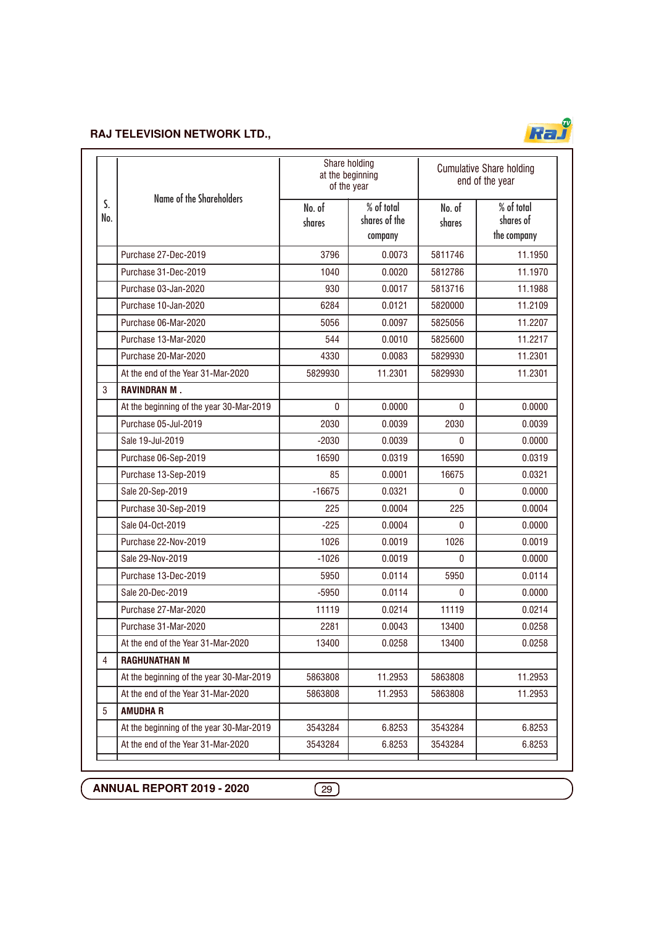

|           |                                          |                  | Share holding<br>at the beginning<br>of the year |                  | <b>Cumulative Share holding</b><br>end of the year |
|-----------|------------------------------------------|------------------|--------------------------------------------------|------------------|----------------------------------------------------|
| S.<br>No. | Name of the Shareholders                 | No. of<br>shares | % of total<br>shares of the<br>company           | No. of<br>shares | % of total<br>shares of<br>the company             |
|           | Purchase 27-Dec-2019                     | 3796             | 0.0073                                           | 5811746          | 11.1950                                            |
|           | Purchase 31-Dec-2019                     | 1040             | 0.0020                                           | 5812786          | 11.1970                                            |
|           | Purchase 03-Jan-2020                     | 930              | 0.0017                                           | 5813716          | 11.1988                                            |
|           | Purchase 10-Jan-2020                     | 6284             | 0.0121                                           | 5820000          | 11.2109                                            |
|           | Purchase 06-Mar-2020                     | 5056             | 0.0097                                           | 5825056          | 11.2207                                            |
|           | Purchase 13-Mar-2020                     | 544              | 0.0010                                           | 5825600          | 11.2217                                            |
|           | Purchase 20-Mar-2020                     | 4330             | 0.0083                                           | 5829930          | 11.2301                                            |
|           | At the end of the Year 31-Mar-2020       | 5829930          | 11.2301                                          | 5829930          | 11.2301                                            |
| 3         | <b>RAVINDRAN M.</b>                      |                  |                                                  |                  |                                                    |
|           | At the beginning of the year 30-Mar-2019 | 0                | 0.0000                                           | $\Omega$         | 0.0000                                             |
|           | Purchase 05-Jul-2019                     | 2030             | 0.0039                                           | 2030             | 0.0039                                             |
|           | Sale 19-Jul-2019                         | $-2030$          | 0.0039                                           | $\Omega$         | 0.0000                                             |
|           | Purchase 06-Sep-2019                     | 16590            | 0.0319                                           | 16590            | 0.0319                                             |
|           | Purchase 13-Sep-2019                     | 85               | 0.0001                                           | 16675            | 0.0321                                             |
|           | Sale 20-Sep-2019                         | $-16675$         | 0.0321                                           | $\Omega$         | 0.0000                                             |
|           | Purchase 30-Sep-2019                     | 225              | 0.0004                                           | 225              | 0.0004                                             |
|           | Sale 04-Oct-2019                         | $-225$           | 0.0004                                           | $\Omega$         | 0.0000                                             |
|           | Purchase 22-Nov-2019                     | 1026             | 0.0019                                           | 1026             | 0.0019                                             |
|           | Sale 29-Nov-2019                         | $-1026$          | 0.0019                                           | $\Omega$         | 0.0000                                             |
|           | Purchase 13-Dec-2019                     | 5950             | 0.0114                                           | 5950             | 0.0114                                             |
|           | Sale 20-Dec-2019                         | -5950            | 0.0114                                           | $\Omega$         | 0.0000                                             |
|           | Purchase 27-Mar-2020                     | 11119            | 0.0214                                           | 11119            | 0.0214                                             |
|           | Purchase 31-Mar-2020                     | 2281             | 0.0043                                           | 13400            | 0.0258                                             |
|           | At the end of the Year 31-Mar-2020       | 13400            | 0.0258                                           | 13400            | 0.0258                                             |
| 4         | <b>RAGHUNATHAN M</b>                     |                  |                                                  |                  |                                                    |
|           | At the beginning of the year 30-Mar-2019 | 5863808          | 11.2953                                          | 5863808          | 11.2953                                            |
|           | At the end of the Year 31-Mar-2020       | 5863808          | 11.2953                                          | 5863808          | 11.2953                                            |
| 5         | <b>AMUDHA R</b>                          |                  |                                                  |                  |                                                    |
|           | At the beginning of the year 30-Mar-2019 | 3543284          | 6.8253                                           | 3543284          | 6.8253                                             |
|           | At the end of the Year 31-Mar-2020       | 3543284          | 6.8253                                           | 3543284          | 6.8253                                             |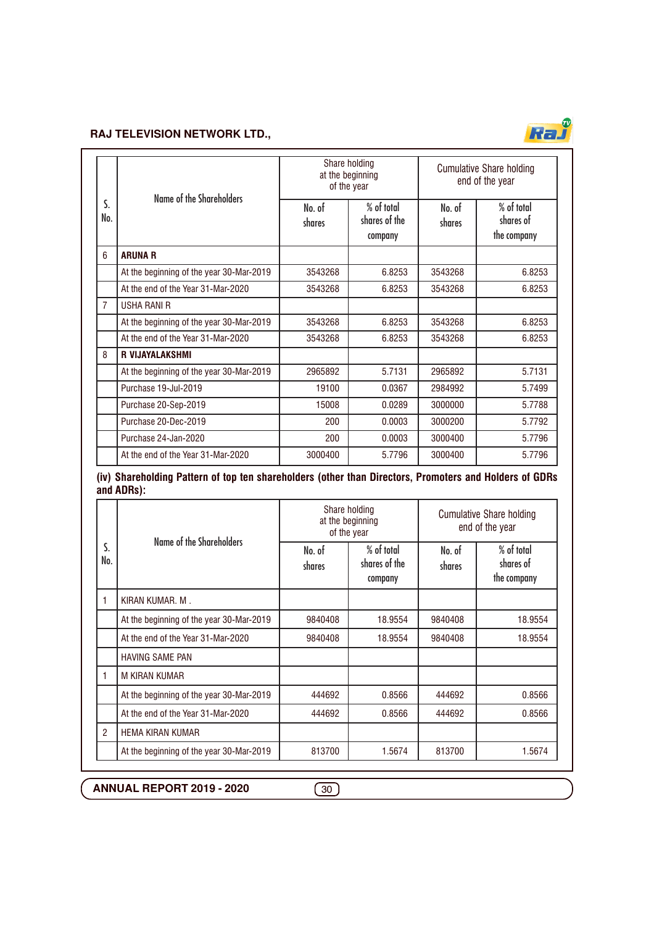

|                | Name of the Shareholders                 |                  | Share holding<br>at the beginning<br>of the year | <b>Cumulative Share holding</b><br>end of the year |                                        |  |
|----------------|------------------------------------------|------------------|--------------------------------------------------|----------------------------------------------------|----------------------------------------|--|
| S.<br>No.      |                                          | No. of<br>shares | % of total<br>shares of the<br>company           | No. of<br>shares                                   | % of total<br>shares of<br>the company |  |
| 6              | <b>ARUNA R</b>                           |                  |                                                  |                                                    |                                        |  |
|                | At the beginning of the year 30-Mar-2019 | 3543268          | 6.8253                                           | 3543268                                            | 6.8253                                 |  |
|                | At the end of the Year 31-Mar-2020       | 3543268          | 6.8253                                           | 3543268                                            | 6.8253                                 |  |
| $\overline{7}$ | USHA RANI R                              |                  |                                                  |                                                    |                                        |  |
|                | At the beginning of the year 30-Mar-2019 | 3543268          | 6.8253                                           | 3543268                                            | 6.8253                                 |  |
|                | At the end of the Year 31-Mar-2020       | 3543268          | 6.8253                                           | 3543268                                            | 6.8253                                 |  |
| 8              | <b>R VIJAYALAKSHMI</b>                   |                  |                                                  |                                                    |                                        |  |
|                | At the beginning of the year 30-Mar-2019 | 2965892          | 5.7131                                           | 2965892                                            | 5.7131                                 |  |
|                | Purchase 19-Jul-2019                     | 19100            | 0.0367                                           | 2984992                                            | 5.7499                                 |  |
|                | Purchase 20-Sep-2019                     | 15008            | 0.0289                                           | 3000000                                            | 5.7788                                 |  |
|                | Purchase 20-Dec-2019                     | 200              | 0.0003                                           | 3000200                                            | 5.7792                                 |  |
|                | Purchase 24-Jan-2020                     | 200              | 0.0003                                           | 3000400                                            | 5.7796                                 |  |
|                | At the end of the Year 31-Mar-2020       | 3000400          | 5.7796                                           | 3000400                                            | 5.7796                                 |  |

(iv) Shareholding Pattern of top ten shareholders (other than Directors, Promoters and Holders of GDRs and ADRs):

|                | Name of the Shareholders                 |                  | Share holding<br>at the beginning<br>of the year | <b>Cumulative Share holding</b><br>end of the year |                                        |  |
|----------------|------------------------------------------|------------------|--------------------------------------------------|----------------------------------------------------|----------------------------------------|--|
| S.<br>No.      |                                          | No. of<br>shares | % of total<br>shares of the<br>company           | No. of<br>shares                                   | % of total<br>shares of<br>the company |  |
| 1              | KIRAN KUMAR, M.                          |                  |                                                  |                                                    |                                        |  |
|                | At the beginning of the year 30-Mar-2019 | 9840408          | 18.9554                                          | 9840408                                            | 18.9554                                |  |
|                | At the end of the Year 31-Mar-2020       | 9840408          | 18.9554                                          | 9840408                                            | 18.9554                                |  |
|                | <b>HAVING SAME PAN</b>                   |                  |                                                  |                                                    |                                        |  |
| $\mathbf{1}$   | M KIRAN KUMAR                            |                  |                                                  |                                                    |                                        |  |
|                | At the beginning of the year 30-Mar-2019 | 444692           | 0.8566                                           | 444692                                             | 0.8566                                 |  |
|                | At the end of the Year 31-Mar-2020       | 444692           | 0.8566                                           | 444692                                             | 0.8566                                 |  |
| $\mathfrak{p}$ | <b>HEMA KIRAN KUMAR</b>                  |                  |                                                  |                                                    |                                        |  |
|                | At the beginning of the year 30-Mar-2019 | 813700           | 1.5674                                           | 813700                                             | 1.5674                                 |  |
|                |                                          |                  |                                                  |                                                    |                                        |  |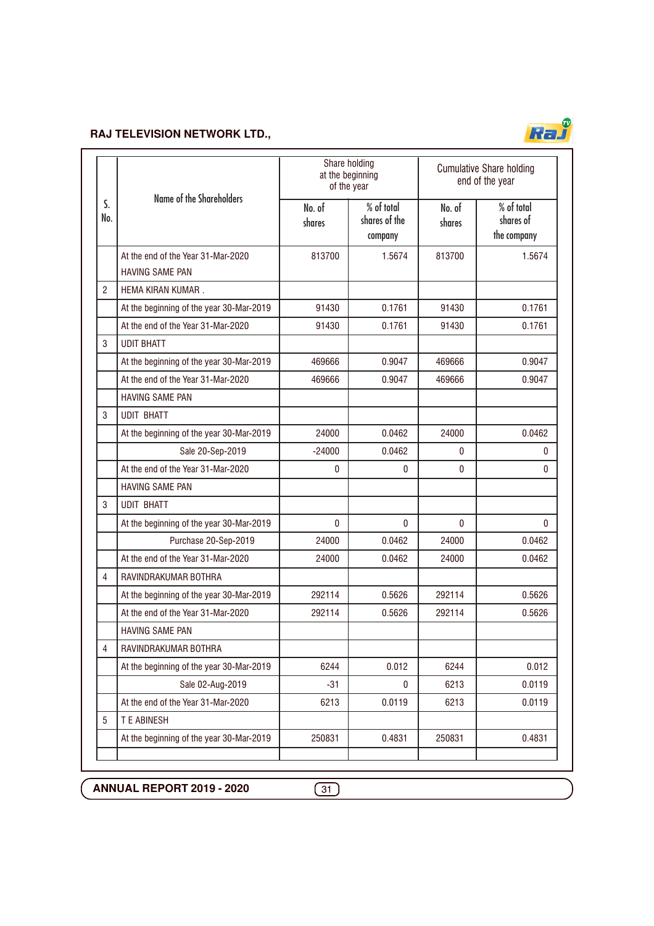

|                |                                                              | Share holding    | at the beginning<br>of the year        | <b>Cumulative Share holding</b><br>end of the year |                                        |  |
|----------------|--------------------------------------------------------------|------------------|----------------------------------------|----------------------------------------------------|----------------------------------------|--|
| S.<br>No.      | Name of the Shareholders                                     | No. of<br>shares | % of total<br>shares of the<br>company | No. of<br>shares                                   | % of total<br>shares of<br>the company |  |
|                | At the end of the Year 31-Mar-2020<br><b>HAVING SAME PAN</b> | 813700           | 1.5674                                 | 813700                                             | 1.5674                                 |  |
| $\overline{c}$ | HEMA KIRAN KUMAR.                                            |                  |                                        |                                                    |                                        |  |
|                | At the beginning of the year 30-Mar-2019                     | 91430            | 0.1761                                 | 91430                                              | 0.1761                                 |  |
|                | At the end of the Year 31-Mar-2020                           | 91430            | 0.1761                                 | 91430                                              | 0.1761                                 |  |
| 3              | <b>UDIT BHATT</b>                                            |                  |                                        |                                                    |                                        |  |
|                | At the beginning of the year 30-Mar-2019                     | 469666           | 0.9047                                 | 469666                                             | 0.9047                                 |  |
|                | At the end of the Year 31-Mar-2020                           | 469666           | 0.9047                                 | 469666                                             | 0.9047                                 |  |
|                | <b>HAVING SAME PAN</b>                                       |                  |                                        |                                                    |                                        |  |
| 3              | <b>UDIT BHATT</b>                                            |                  |                                        |                                                    |                                        |  |
|                | At the beginning of the year 30-Mar-2019                     | 24000            | 0.0462                                 | 24000                                              | 0.0462                                 |  |
|                | Sale 20-Sep-2019                                             | $-24000$         | 0.0462                                 | 0                                                  | 0                                      |  |
|                | At the end of the Year 31-Mar-2020                           | 0                | $\Omega$                               | $\Omega$                                           | 0                                      |  |
|                | <b>HAVING SAME PAN</b>                                       |                  |                                        |                                                    |                                        |  |
| 3              | <b>UDIT BHATT</b>                                            |                  |                                        |                                                    |                                        |  |
|                | At the beginning of the year 30-Mar-2019                     | 0                | $\Omega$                               | $\Omega$                                           | 0                                      |  |
|                | Purchase 20-Sep-2019                                         | 24000            | 0.0462                                 | 24000                                              | 0.0462                                 |  |
|                | At the end of the Year 31-Mar-2020                           | 24000            | 0.0462                                 | 24000                                              | 0.0462                                 |  |
| 4              | RAVINDRAKUMAR BOTHRA                                         |                  |                                        |                                                    |                                        |  |
|                | At the beginning of the year 30-Mar-2019                     | 292114           | 0.5626                                 | 292114                                             | 0.5626                                 |  |
|                | At the end of the Year 31-Mar-2020                           | 292114           | 0.5626                                 | 292114                                             | 0.5626                                 |  |
|                | <b>HAVING SAME PAN</b>                                       |                  |                                        |                                                    |                                        |  |
| 4              | RAVINDRAKUMAR BOTHRA                                         |                  |                                        |                                                    |                                        |  |
|                | At the beginning of the year 30-Mar-2019                     | 6244             | 0.012                                  | 6244                                               | 0.012                                  |  |
|                | Sale 02-Aug-2019                                             | $-31$            | 0                                      | 6213                                               | 0.0119                                 |  |
|                | At the end of the Year 31-Mar-2020                           | 6213             | 0.0119                                 | 6213                                               | 0.0119                                 |  |
| 5              | T E ABINESH                                                  |                  |                                        |                                                    |                                        |  |
|                | At the beginning of the year 30-Mar-2019                     | 250831           | 0.4831                                 | 250831                                             | 0.4831                                 |  |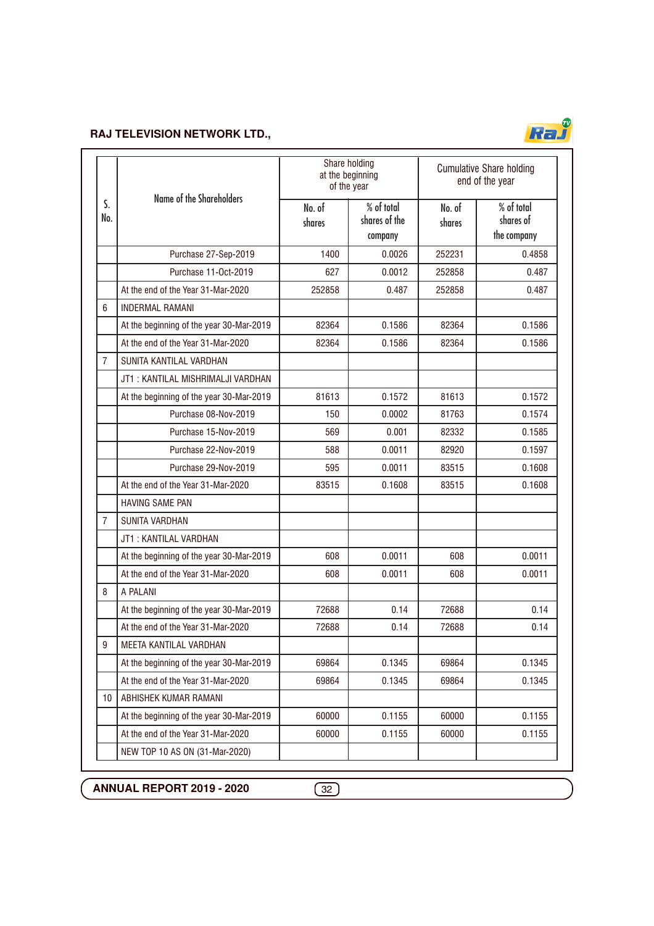

|                |                                          |                  | Share holding<br>at the beginning<br>of the year | <b>Cumulative Share holding</b><br>end of the year |                                        |  |
|----------------|------------------------------------------|------------------|--------------------------------------------------|----------------------------------------------------|----------------------------------------|--|
| S.<br>No.      | Name of the Shareholders                 | No. of<br>shares | % of total<br>shares of the<br>company           | No. of<br>shares                                   | % of total<br>shares of<br>the company |  |
|                | Purchase 27-Sep-2019                     | 1400             | 0.0026                                           | 252231                                             | 0.4858                                 |  |
|                | Purchase 11-Oct-2019                     | 627              | 0.0012                                           | 252858                                             | 0.487                                  |  |
|                | At the end of the Year 31-Mar-2020       | 252858           | 0.487                                            | 252858                                             | 0.487                                  |  |
| 6              | <b>INDERMAL RAMANI</b>                   |                  |                                                  |                                                    |                                        |  |
|                | At the beginning of the year 30-Mar-2019 | 82364            | 0.1586                                           | 82364                                              | 0.1586                                 |  |
|                | At the end of the Year 31-Mar-2020       | 82364            | 0.1586                                           | 82364                                              | 0.1586                                 |  |
| $\overline{7}$ | SUNITA KANTILAL VARDHAN                  |                  |                                                  |                                                    |                                        |  |
|                | JT1: KANTILAL MISHRIMALJI VARDHAN        |                  |                                                  |                                                    |                                        |  |
|                | At the beginning of the year 30-Mar-2019 | 81613            | 0.1572                                           | 81613                                              | 0.1572                                 |  |
|                | Purchase 08-Nov-2019                     | 150              | 0.0002                                           | 81763                                              | 0.1574                                 |  |
|                | Purchase 15-Nov-2019                     | 569              | 0.001                                            | 82332                                              | 0.1585                                 |  |
|                | Purchase 22-Nov-2019                     | 588              | 0.0011                                           | 82920                                              | 0.1597                                 |  |
|                | Purchase 29-Nov-2019                     | 595              | 0.0011                                           | 83515                                              | 0.1608                                 |  |
|                | At the end of the Year 31-Mar-2020       | 83515            | 0.1608                                           | 83515                                              | 0.1608                                 |  |
|                | <b>HAVING SAME PAN</b>                   |                  |                                                  |                                                    |                                        |  |
| $\overline{7}$ | <b>SUNITA VARDHAN</b>                    |                  |                                                  |                                                    |                                        |  |
|                | JT1: KANTILAL VARDHAN                    |                  |                                                  |                                                    |                                        |  |
|                | At the beginning of the year 30-Mar-2019 | 608              | 0.0011                                           | 608                                                | 0.0011                                 |  |
|                | At the end of the Year 31-Mar-2020       | 608              | 0.0011                                           | 608                                                | 0.0011                                 |  |
| 8              | A PALANI                                 |                  |                                                  |                                                    |                                        |  |
|                | At the beginning of the year 30-Mar-2019 | 72688            | 0.14                                             | 72688                                              | 0.14                                   |  |
|                | At the end of the Year 31-Mar-2020       | 72688            | 0.14                                             | 72688                                              | 0.14                                   |  |
| 9              | MEETA KANTILAL VARDHAN                   |                  |                                                  |                                                    |                                        |  |
|                | At the beginning of the year 30-Mar-2019 | 69864            | 0.1345                                           | 69864                                              | 0.1345                                 |  |
|                | At the end of the Year 31-Mar-2020       | 69864            | 0.1345                                           | 69864                                              | 0.1345                                 |  |
| 10             | ABHISHEK KUMAR RAMANI                    |                  |                                                  |                                                    |                                        |  |
|                | At the beginning of the year 30-Mar-2019 | 60000            | 0.1155                                           | 60000                                              | 0.1155                                 |  |
|                | At the end of the Year 31-Mar-2020       | 60000            | 0.1155                                           | 60000                                              | 0.1155                                 |  |
|                | NEW TOP 10 AS ON (31-Mar-2020)           |                  |                                                  |                                                    |                                        |  |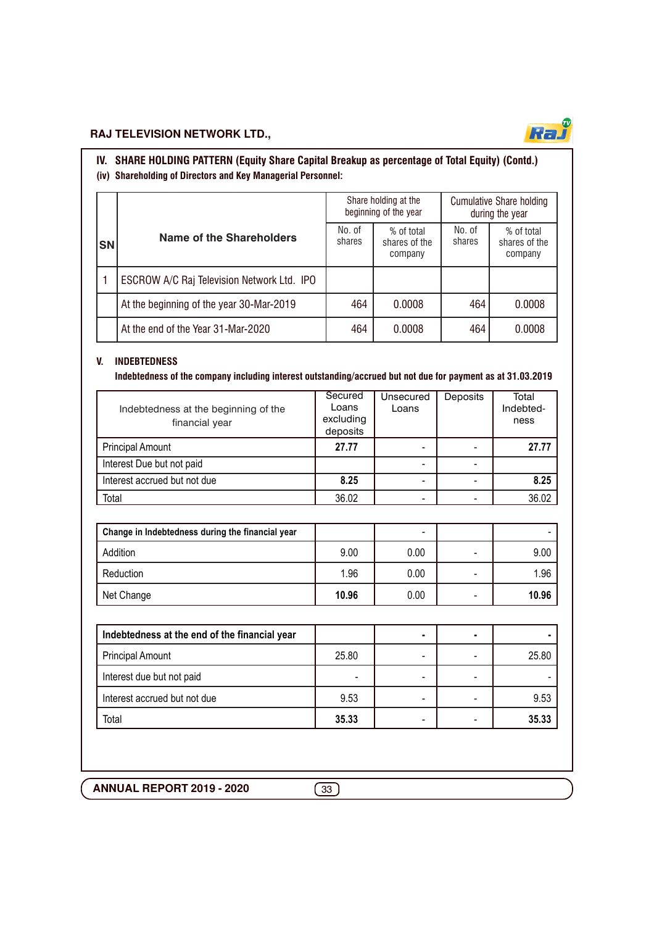

# IV. SHARE HOLDING PATTERN (Equity Share Capital Breakup as percentage of Total Equity) (Contd.) (iv) Shareholding of Directors and Key Managerial Personnel:

|           |                                            | Share holding at the<br>beginning of the year |                                        | <b>Cumulative Share holding</b><br>during the year |                                        |
|-----------|--------------------------------------------|-----------------------------------------------|----------------------------------------|----------------------------------------------------|----------------------------------------|
| <b>SN</b> | <b>Name of the Shareholders</b>            | No. of<br>shares                              | % of total<br>shares of the<br>company | No. of<br>shares                                   | % of total<br>shares of the<br>company |
|           | ESCROW A/C Raj Television Network Ltd. IPO |                                               |                                        |                                                    |                                        |
|           | At the beginning of the year 30-Mar-2019   | 464                                           | 0.0008                                 | 464                                                | 0.0008                                 |
|           | At the end of the Year 31-Mar-2020         | 464                                           | 0.0008                                 | 464                                                | 0.0008                                 |

# V. INDEBTEDNESS

Indebtedness of the company including interest outstanding/accrued but not due for payment as at 31.03.2019

|                                      | Secured   | Unsecured | <b>Deposits</b>          | Total     |
|--------------------------------------|-----------|-----------|--------------------------|-----------|
| Indebtedness at the beginning of the | Loans     | Loans     |                          | Indebted- |
| financial year                       | excluding |           |                          | ness      |
|                                      | deposits  |           |                          |           |
| <b>Principal Amount</b>              | 27.77     |           | $\overline{\phantom{0}}$ | 27.77     |
| Interest Due but not paid            |           |           |                          |           |
| Interest accrued but not due         | 8.25      |           |                          | 8.25      |
| Total                                | 36.02     |           |                          | 36.02     |

| Change in Indebtedness during the financial year |       | -    |   |       |
|--------------------------------------------------|-------|------|---|-------|
| Addition                                         | 9.00  | 0.00 |   | 9.00  |
| Reduction                                        | 1.96  | 0.00 | - | 1.96  |
| Net Change                                       | 10.96 | 0.00 | - | 10.96 |

| Indebtedness at the end of the financial year |       |  |       |
|-----------------------------------------------|-------|--|-------|
| <b>Principal Amount</b>                       | 25.80 |  | 25.80 |
| Interest due but not paid                     |       |  |       |
| Interest accrued but not due                  | 9.53  |  | 9.53  |
| Total                                         | 35.33 |  | 35.33 |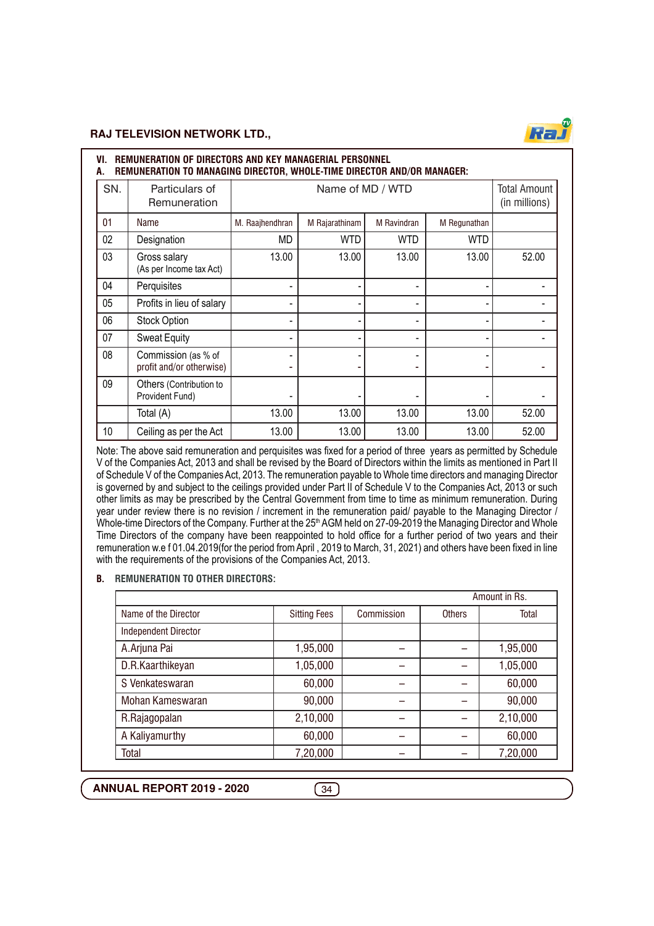

#### VI. REMUNERATION OF DIRECTORS AND KEY MANAGERIAL PERSONNEL A. REMUNERATION TO MANAGING DIRECTOR, WHOLE-TIME DIRECTOR AND/OR MANAGER:

| SN. | Particulars of<br>Remuneration                  | Name of MD / WTD |                |             | <b>Total Amount</b><br>(in millions) |       |
|-----|-------------------------------------------------|------------------|----------------|-------------|--------------------------------------|-------|
| 01  | Name                                            | M. Raajhendhran  | M Rajarathinam | M Ravindran | M Regunathan                         |       |
| 02  | Designation                                     | MD               | <b>WTD</b>     | WTD         | <b>WTD</b>                           |       |
| 03  | Gross salary<br>(As per Income tax Act)         | 13.00            | 13.00          | 13.00       | 13.00                                | 52.00 |
| 04  | Perquisites                                     |                  |                |             |                                      |       |
| 05  | Profits in lieu of salary                       |                  |                |             |                                      |       |
| 06  | <b>Stock Option</b>                             |                  |                |             |                                      |       |
| 07  | <b>Sweat Equity</b>                             |                  |                |             |                                      |       |
| 08  | Commission (as % of<br>profit and/or otherwise) |                  |                |             |                                      |       |
| 09  | Others (Contribution to<br>Provident Fund)      |                  |                |             |                                      |       |
|     | Total (A)                                       | 13.00            | 13.00          | 13.00       | 13.00                                | 52.00 |
| 10  | Ceiling as per the Act                          | 13.00            | 13.00          | 13.00       | 13.00                                | 52.00 |

Note: The above said remuneration and perquisites was fixed for a period of three years as permitted by Schedule V of the Companies Act, 2013 and shall be revised by the Board of Directors within the limits as mentioned in Part II of Schedule V of the Companies Act, 2013. The remuneration payable to Whole time directors and managing Director is governed by and subject to the ceilings provided under Part II of Schedule V to the Companies Act, 2013 or such other limits as may be prescribed by the Central Government from time to time as minimum remuneration. During year under review there is no revision / increment in the remuneration paid/ payable to the Managing Director / Whole-time Directors of the Company. Further at the 25<sup>th</sup> AGM held on 27-09-2019 the Managing Director and Whole Time Directors of the company have been reappointed to hold office for a further period of two years and their remuneration w.e f 01.04.2019(for the period from April , 2019 to March, 31, 2021) and others have been fixed in line with the requirements of the provisions of the Companies Act, 2013.

#### **B.** REMUNERATION TO OTHER DIRECTORS:

|                             | Amount in Rs.       |            |               |          |
|-----------------------------|---------------------|------------|---------------|----------|
| Name of the Director        | <b>Sitting Fees</b> | Commission | <b>Others</b> | Total    |
| <b>Independent Director</b> |                     |            |               |          |
| A. Arjuna Pai               | 1,95,000            |            |               | 1,95,000 |
| D.R.Kaarthikeyan            | 1,05,000            |            |               | 1,05,000 |
| S Venkateswaran             | 60,000              |            |               | 60,000   |
| Mohan Kameswaran            | 90,000              |            |               | 90,000   |
| R.Rajagopalan               | 2,10,000            |            |               | 2,10,000 |
| A Kaliyamurthy              | 60,000              |            |               | 60,000   |
| Total                       | 7,20,000            |            |               | 7,20,000 |
|                             |                     |            |               |          |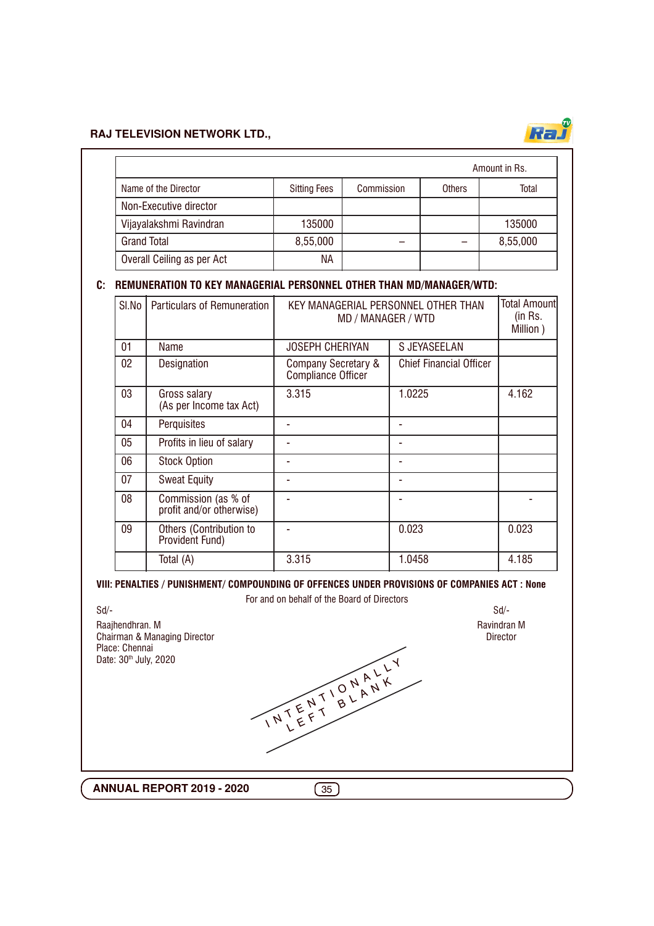

| Amount in Rs.              |                     |            |               |          |
|----------------------------|---------------------|------------|---------------|----------|
| Name of the Director       | <b>Sitting Fees</b> | Commission | <b>Others</b> | Total    |
| Non-Executive director     |                     |            |               |          |
| Vijayalakshmi Ravindran    | 135000              |            |               | 135000   |
| <b>Grand Total</b>         | 8,55,000            |            |               | 8,55,000 |
| Overall Ceiling as per Act | ΝA                  |            |               |          |

# C: REMUNERATION TO KEY MANAGERIAL PERSONNEL OTHER THAN MD/MANAGER/WTD:

| SI.No | <b>Particulars of Remuneration</b>              | KEY MANAGERIAL PERSONNEL OTHER THAN<br>MD / MANAGER / WTD |                                | <b>Total Amountl</b><br>(in Rs.<br>Million) |
|-------|-------------------------------------------------|-----------------------------------------------------------|--------------------------------|---------------------------------------------|
| 01    | Name                                            | JOSEPH CHERIYAN                                           | S JEYASEELAN                   |                                             |
| 02    | Designation                                     | Company Secretary &<br><b>Compliance Officer</b>          | <b>Chief Financial Officer</b> |                                             |
| 03    | Gross salary<br>(As per Income tax Act)         | 3.315                                                     | 1.0225                         | 4.162                                       |
| 04    | Perquisites                                     |                                                           |                                |                                             |
| 05    | Profits in lieu of salary                       |                                                           |                                |                                             |
| 06    | <b>Stock Option</b>                             |                                                           |                                |                                             |
| 07    | <b>Sweat Equity</b>                             |                                                           |                                |                                             |
| 08    | Commission (as % of<br>profit and/or otherwise) |                                                           |                                |                                             |
| 09    | Others (Contribution to<br>Provident Fund)      |                                                           | 0.023                          | 0.023                                       |
|       | Total (A)                                       | 3.315                                                     | 1.0458                         | 4.185                                       |

# VIII: PENALTIES / PUNISHMENT/ COMPOUNDING OF OFFENCES UNDER PROVISIONS OF COMPANIES ACT : None For and on behalf of the Board of Directors

| $\sim$<br>∪∪ |  |
|--------------|--|

Raajhendhran. M<br>Chairman & Managing Director National School (School and School and School and School and School and School an<br>Chairman & Managing Director Chairman & Managing Director Place: Chennai Date: 30<sup>th</sup> July, 2020

**ANNUAL REPORT 2019 - 2020**

INTENTIONALLY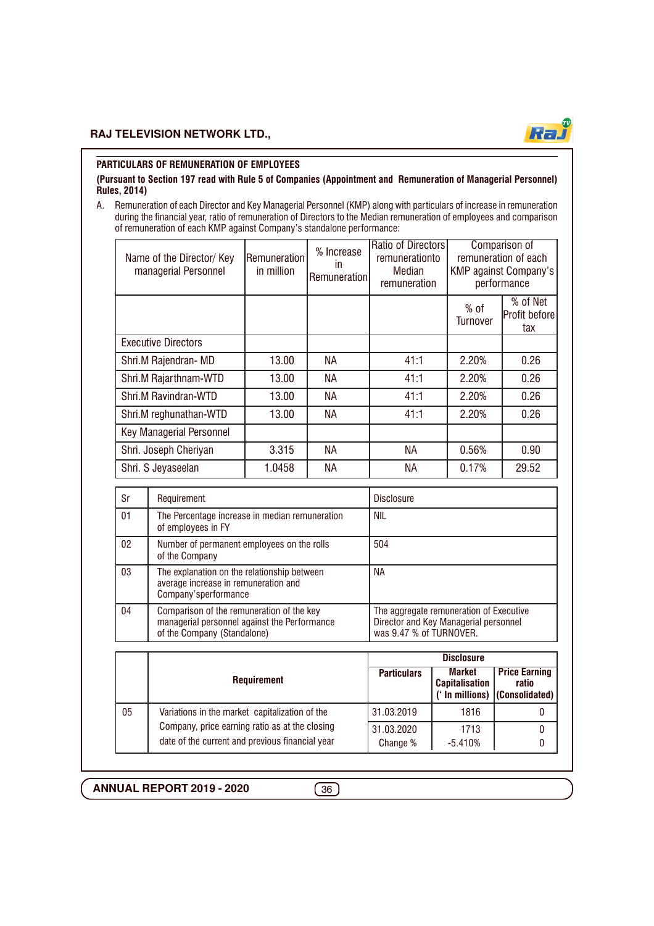

# PARTICULARS OF REMUNERATION OF EMPLOYEES

## (Pursuant to Section 197 read with Rule 5 of Companies (Appointment and Remuneration of Managerial Personnel) Rules, 2014)

A. Remuneration of each Director and Key Managerial Personnel (KMP) along with particulars of increase in remuneration during the financial year, ratio of remuneration of Directors to the Median remuneration of employees and comparison of remuneration of each KMP against Company's standalone performance:

| Name of the Director/ Key<br>managerial Personnel                                        |                            | Remuneration <br>in million | % Increase<br>ın<br>Remuneration | Ratio of Directors<br>remunerationto<br>Median<br>remuneration |                           | Comparison of<br>remuneration of each<br>KMP against Company's<br>performance |
|------------------------------------------------------------------------------------------|----------------------------|-----------------------------|----------------------------------|----------------------------------------------------------------|---------------------------|-------------------------------------------------------------------------------|
|                                                                                          |                            |                             |                                  |                                                                | $%$ of<br><b>Turnover</b> | % of Net<br>Profit before<br>tax                                              |
|                                                                                          | <b>Executive Directors</b> |                             |                                  |                                                                |                           |                                                                               |
|                                                                                          | Shri.M Rajendran- MD       | 13.00                       | NА                               | 41:1                                                           | 2.20%                     | 0.26                                                                          |
| Shri.M Rajarthnam-WTD                                                                    |                            | 13.00                       | NА                               | 41:1                                                           | 2.20%                     | 0.26                                                                          |
| Shri.M Ravindran-WTD                                                                     |                            | 13.00                       | NA.                              | 41:1                                                           | 2.20%                     | 0.26                                                                          |
| Shri.M reghunathan-WTD                                                                   |                            | 13.00                       | NА                               | 41:1                                                           | 2.20%                     | 0.26                                                                          |
| Key Managerial Personnel                                                                 |                            |                             |                                  |                                                                |                           |                                                                               |
| Shri. Joseph Cheriyan                                                                    |                            | 3.315                       | NА                               | NА                                                             | 0.56%                     | 0.90                                                                          |
| Shri. S Jeyaseelan                                                                       |                            | 1.0458                      | NА                               | NА                                                             | 0.17%                     | 29.52                                                                         |
| Sr                                                                                       | Requirement                |                             |                                  | <b>Disclosure</b>                                              |                           |                                                                               |
| 01<br>The Percentage increase in median remuneration<br><b>NIL</b><br>of employees in FY |                            |                             |                                  |                                                                |                           |                                                                               |

|                 | <u>UL GITIDIO ACCO III LI</u>                                                                                            |                                                                                                             |
|-----------------|--------------------------------------------------------------------------------------------------------------------------|-------------------------------------------------------------------------------------------------------------|
| 02 <sub>2</sub> | Number of permanent employees on the rolls<br>of the Company                                                             | 504                                                                                                         |
| 03              | The explanation on the relationship between<br>average increase in remuneration and<br>Company'sperformance              | NА                                                                                                          |
| 04              | Comparison of the remuneration of the key<br>managerial personnel against the Performance<br>of the Company (Standalone) | The aggregate remuneration of Executive<br>Director and Key Managerial personnel<br>was 9.47 % of TURNOVER. |

|    |                                                                                                   |                        | <b>Disclosure</b>               |                                                                  |  |
|----|---------------------------------------------------------------------------------------------------|------------------------|---------------------------------|------------------------------------------------------------------|--|
|    | <b>Requirement</b>                                                                                | <b>Particulars</b>     | Market<br><b>Capitalisation</b> | <b>Price Earning</b><br>ratio<br>('In millions)   (Consolidated) |  |
| 05 | Variations in the market capitalization of the                                                    | 31.03.2019             | 1816                            |                                                                  |  |
|    | Company, price earning ratio as at the closing<br>date of the current and previous financial year | 31.03.2020<br>Change % | 1713<br>$-5.410%$               |                                                                  |  |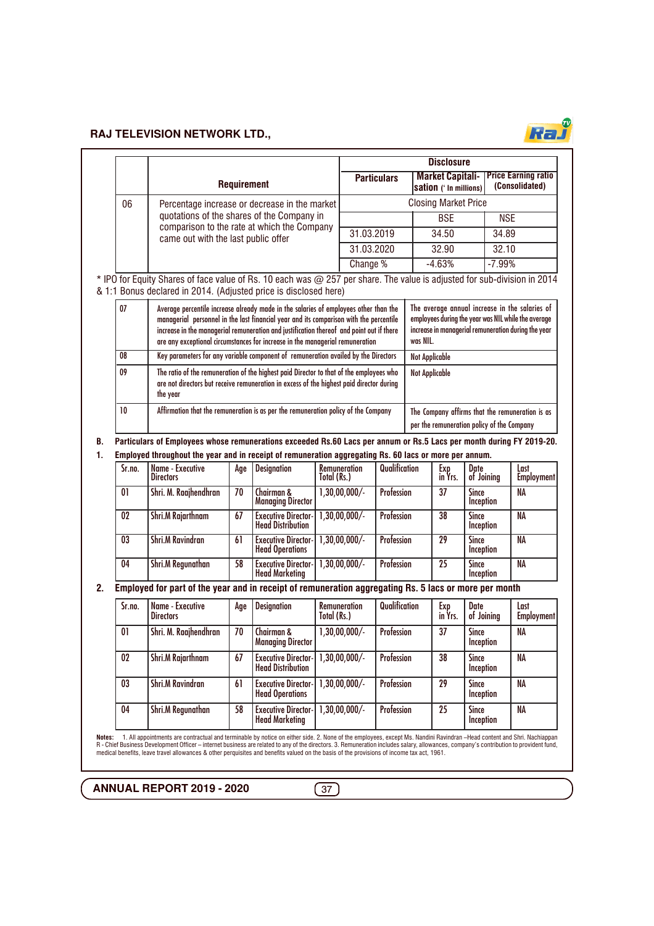

|    |        |                                                                                                                                                                                                                                                                                                                                                             |             |                                                       |                                    | <b>Disclosure</b>           |                    |                       |                                                   |                    |          |                                                                                                                                                              |
|----|--------|-------------------------------------------------------------------------------------------------------------------------------------------------------------------------------------------------------------------------------------------------------------------------------------------------------------------------------------------------------------|-------------|-------------------------------------------------------|------------------------------------|-----------------------------|--------------------|-----------------------|---------------------------------------------------|--------------------|----------|--------------------------------------------------------------------------------------------------------------------------------------------------------------|
|    |        |                                                                                                                                                                                                                                                                                                                                                             | Requirement |                                                       |                                    |                             | <b>Particulars</b> |                       | <b>Market Capitali-</b><br>Sation (' In millions) |                    |          | <b>Price Earning ratio</b><br>(Consolidated)                                                                                                                 |
|    | 06     | Percentage increase or decrease in the market                                                                                                                                                                                                                                                                                                               |             |                                                       |                                    | <b>Closing Market Price</b> |                    |                       |                                                   |                    |          |                                                                                                                                                              |
|    |        | quotations of the shares of the Company in<br>comparison to the rate at which the Company                                                                                                                                                                                                                                                                   |             |                                                       |                                    |                             |                    | <b>BSE</b>            |                                                   | <b>NSE</b>         |          |                                                                                                                                                              |
|    |        | came out with the last public offer                                                                                                                                                                                                                                                                                                                         |             |                                                       |                                    | 31.03.2019                  |                    |                       | 34.50                                             |                    | 34.89    |                                                                                                                                                              |
|    |        |                                                                                                                                                                                                                                                                                                                                                             |             |                                                       |                                    | 31.03.2020                  |                    |                       | 32.90                                             |                    | 32.10    |                                                                                                                                                              |
|    |        |                                                                                                                                                                                                                                                                                                                                                             |             |                                                       |                                    | Change %                    |                    |                       | $-4.63%$                                          |                    | $-7.99%$ |                                                                                                                                                              |
|    |        | * IPO for Equity Shares of face value of Rs. 10 each was @ 257 per share. The value is adjusted for sub-division in 2014<br>& 1:1 Bonus declared in 2014. (Adjusted price is disclosed here)                                                                                                                                                                |             |                                                       |                                    |                             |                    |                       |                                                   |                    |          |                                                                                                                                                              |
|    | 07     | Average percentile increase already made in the salaries of employees other than the<br>managerial personnel in the last financial year and its comparison with the percentile<br>increase in the managerial remuneration and justification thereof and point out if there<br>are any exceptional circumstances for increase in the managerial remuneration |             |                                                       |                                    |                             |                    | was NIL.              |                                                   |                    |          | The average annual increase in the salaries of<br>employees during the year was NIL while the average<br>increase in managerial remuneration during the year |
|    | 08     | Key parameters for any variable component of remuneration availed by the Directors                                                                                                                                                                                                                                                                          |             |                                                       |                                    |                             |                    | <b>Not Applicable</b> |                                                   |                    |          |                                                                                                                                                              |
|    | 09     | The ratio of the remuneration of the highest paid Director to that of the employees who<br>are not directors but receive remuneration in excess of the highest paid director during<br>the year                                                                                                                                                             |             |                                                       |                                    |                             |                    | <b>Not Applicable</b> |                                                   |                    |          |                                                                                                                                                              |
|    | 10     | Affirmation that the remuneration is as per the remuneration policy of the Company                                                                                                                                                                                                                                                                          |             |                                                       |                                    |                             |                    |                       | per the remuneration policy of the Company        |                    |          | The Company affirms that the remuneration is as                                                                                                              |
|    | Sr.no. | Name - Executive<br><b>Directors</b>                                                                                                                                                                                                                                                                                                                        | Age         | <b>Designation</b>                                    | Remuneration<br>Total (Rs.)        |                             | Qualification      |                       | Exp<br>in Yrs.                                    | Date<br>of Joining |          | Last                                                                                                                                                         |
|    |        |                                                                                                                                                                                                                                                                                                                                                             |             |                                                       |                                    |                             |                    |                       |                                                   |                    |          | <b>Employment</b>                                                                                                                                            |
|    | 01     | Shri. M. Raajhendhran                                                                                                                                                                                                                                                                                                                                       | 70          | Chairman &<br><b>Managing Director</b>                | $1,30,00,000/$ -                   |                             | Profession         |                       | 37                                                | Since<br>Inception |          | NA                                                                                                                                                           |
|    | 02     | Shri.M Rajarthnam                                                                                                                                                                                                                                                                                                                                           | 67          | <b>Executive Director-</b><br>Head Distribution       | $1,30,00,000/$ -                   |                             | Profession         |                       | 38                                                | Since<br>Inception |          | NA                                                                                                                                                           |
|    | 03     | <b>Shri.M Ravindran</b>                                                                                                                                                                                                                                                                                                                                     | 61          | <b>Executive Director-</b><br><b>Head Operations</b>  | $1,30,00,000/$ -                   |                             | Profession         |                       | 29                                                | Since<br>Inception |          | NA                                                                                                                                                           |
|    | 04     | Shri.M Regunathan                                                                                                                                                                                                                                                                                                                                           | 58          | <b>Executive Director-</b><br><b>Head Marketing</b>   | 1,30,00,000/                       |                             | Profession         |                       | $\overline{25}$                                   | Since<br>Inception |          | <b>NA</b>                                                                                                                                                    |
|    |        | Employed for part of the year and in receipt of remuneration aggregating Rs. 5 lacs or more per month                                                                                                                                                                                                                                                       |             |                                                       |                                    |                             |                    |                       |                                                   |                    |          |                                                                                                                                                              |
| 2. |        |                                                                                                                                                                                                                                                                                                                                                             |             |                                                       |                                    |                             |                    |                       |                                                   |                    |          |                                                                                                                                                              |
|    | Sr.no. | Name - Executive<br><b>Directors</b>                                                                                                                                                                                                                                                                                                                        | Age         | Designation                                           | <b>Remuneration</b><br>Total (Rs.) |                             | Qualification      |                       | Exp<br>in Yrs.                                    | Date<br>of Joining |          | Last                                                                                                                                                         |
|    | 01     | Shri. M. Raajhendhran                                                                                                                                                                                                                                                                                                                                       | 70          | Chairman &<br><b>Managing Director</b>                | $1,30,00,000/$ -                   |                             | Profession         |                       | 37                                                | Since<br>Inception |          | NA                                                                                                                                                           |
|    | 02     | Shri.M Rajarthnam                                                                                                                                                                                                                                                                                                                                           | 67          | <b>Executive Director</b><br><b>Head Distribution</b> | $1,30,00,000/$ -                   |                             | Profession         |                       | 38                                                | Since<br>Inception |          | <b>Employment</b><br>NA                                                                                                                                      |
|    | 03     | Shri.M Ravindran                                                                                                                                                                                                                                                                                                                                            | 61          | <b>Executive Director</b><br><b>Head Operations</b>   | $1,30,00,000/$ -                   |                             | Profession         |                       | 29                                                | Since<br>Inception |          | NA                                                                                                                                                           |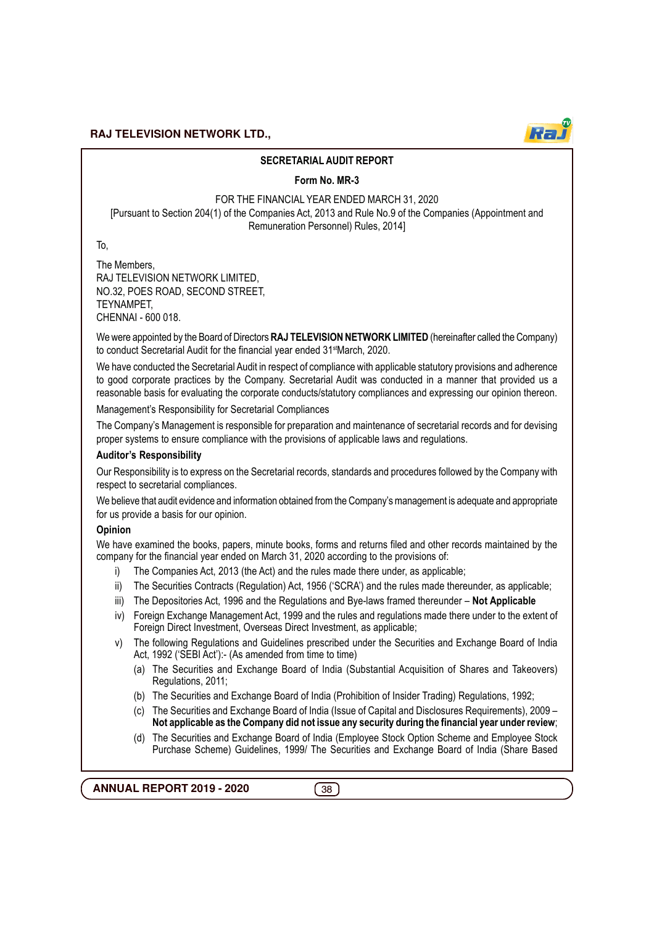

#### SECRETARIAL AUDIT REPORT

Form No. MR-3

FOR THE FINANCIAL YEAR ENDED MARCH 31, 2020

[Pursuant to Section 204(1) of the Companies Act, 2013 and Rule No.9 of the Companies (Appointment and Remuneration Personnel) Rules, 2014]

To,

The Members, RAJ TELEVISION NETWORK LIMITED, NO.32, POES ROAD, SECOND STREET, TEYNAMPET, CHENNAI - 600 018.

We were appointed by the Board of Directors **RAJ TELEVISION NETWORK LIMITED** (hereinafter called the Company) to conduct Secretarial Audit for the financial year ended 31stMarch, 2020.

We have conducted the Secretarial Audit in respect of compliance with applicable statutory provisions and adherence to good corporate practices by the Company. Secretarial Audit was conducted in a manner that provided us a reasonable basis for evaluating the corporate conducts/statutory compliances and expressing our opinion thereon.

Management's Responsibility for Secretarial Compliances

The Company's Management is responsible for preparation and maintenance of secretarial records and for devising proper systems to ensure compliance with the provisions of applicable laws and regulations.

#### Auditor's Responsibility

Our Responsibility is to express on the Secretarial records, standards and procedures followed by the Company with respect to secretarial compliances.

We believe that audit evidence and information obtained from the Company's management is adequate and appropriate for us provide a basis for our opinion.

#### Opinion

We have examined the books, papers, minute books, forms and returns filed and other records maintained by the company for the financial year ended on March 31, 2020 according to the provisions of:

- i) The Companies Act, 2013 (the Act) and the rules made there under, as applicable;
- ii) The Securities Contracts (Regulation) Act, 1956 ('SCRA') and the rules made thereunder, as applicable;
- iii) The Depositories Act, 1996 and the Regulations and Bye-laws framed thereunder Not Applicable
- iv) Foreign Exchange Management Act, 1999 and the rules and regulations made there under to the extent of Foreign Direct Investment, Overseas Direct Investment, as applicable;
- v) The following Regulations and Guidelines prescribed under the Securities and Exchange Board of India Act, 1992 ('SEBI Act'):- (As amended from time to time)
	- (a) The Securities and Exchange Board of India (Substantial Acquisition of Shares and Takeovers) Regulations, 2011;
	- (b) The Securities and Exchange Board of India (Prohibition of Insider Trading) Regulations, 1992;
	- (c) The Securities and Exchange Board of India (Issue of Capital and Disclosures Requirements), 2009 Not applicable as the Company did not issue any security during the financial year under review;
	- (d) The Securities and Exchange Board of India (Employee Stock Option Scheme and Employee Stock Purchase Scheme) Guidelines, 1999/ The Securities and Exchange Board of India (Share Based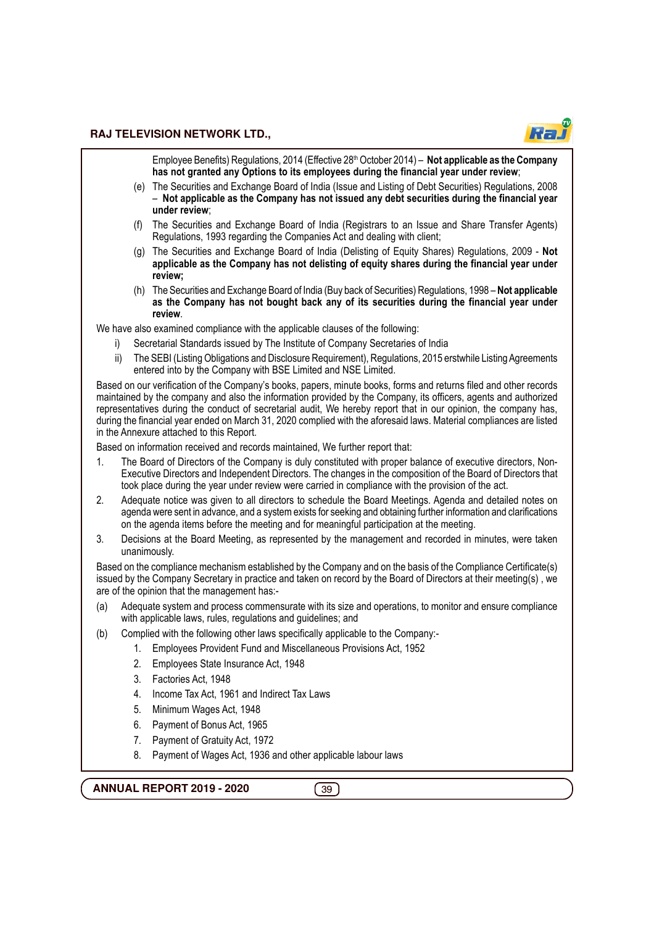

Employee Benefits) Regulations, 2014 (Effective  $28<sup>th</sup>$  October 2014) – Not applicable as the Company has not granted any Options to its employees during the financial year under review;

- (e) The Securities and Exchange Board of India (Issue and Listing of Debt Securities) Regulations, 2008 – Not applicable as the Company has not issued any debt securities during the financial year under review;
- (f) The Securities and Exchange Board of India (Registrars to an Issue and Share Transfer Agents) Regulations, 1993 regarding the Companies Act and dealing with client;
- (g) The Securities and Exchange Board of India (Delisting of Equity Shares) Regulations, 2009 Not applicable as the Company has not delisting of equity shares during the financial year under review;
- (h) The Securities and Exchange Board of India (Buy back of Securities) Regulations, 1998 Not applicable as the Company has not bought back any of its securities during the financial year under review.

We have also examined compliance with the applicable clauses of the following:

- i) Secretarial Standards issued by The Institute of Company Secretaries of India
- ii) The SEBI (Listing Obligations and Disclosure Requirement), Regulations, 2015 erstwhile Listing Agreements entered into by the Company with BSE Limited and NSE Limited.

Based on our verification of the Company's books, papers, minute books, forms and returns filed and other records maintained by the company and also the information provided by the Company, its officers, agents and authorized representatives during the conduct of secretarial audit, We hereby report that in our opinion, the company has, during the financial year ended on March 31, 2020 complied with the aforesaid laws. Material compliances are listed in the Annexure attached to this Report.

Based on information received and records maintained, We further report that:

- 1. The Board of Directors of the Company is duly constituted with proper balance of executive directors, Non-Executive Directors and Independent Directors. The changes in the composition of the Board of Directors that took place during the year under review were carried in compliance with the provision of the act.
- 2. Adequate notice was given to all directors to schedule the Board Meetings. Agenda and detailed notes on agenda were sent in advance, and a system exists for seeking and obtaining further information and clarifications on the agenda items before the meeting and for meaningful participation at the meeting.
- 3. Decisions at the Board Meeting, as represented by the management and recorded in minutes, were taken unanimously.

Based on the compliance mechanism established by the Company and on the basis of the Compliance Certificate(s) issued by the Company Secretary in practice and taken on record by the Board of Directors at their meeting(s) , we are of the opinion that the management has:-

- (a) Adequate system and process commensurate with its size and operations, to monitor and ensure compliance with applicable laws, rules, regulations and guidelines; and
- (b) Complied with the following other laws specifically applicable to the Company:-
	- 1. Employees Provident Fund and Miscellaneous Provisions Act, 1952
		- 2. Employees State Insurance Act, 1948
		- 3. Factories Act, 1948
		- 4. Income Tax Act, 1961 and Indirect Tax Laws
		- 5. Minimum Wages Act, 1948
		- 6. Payment of Bonus Act, 1965
		- 7. Payment of Gratuity Act, 1972
		- 8. Payment of Wages Act, 1936 and other applicable labour laws

**ANNUAL REPORT 2019 - 2020**

 $\sqrt{39}$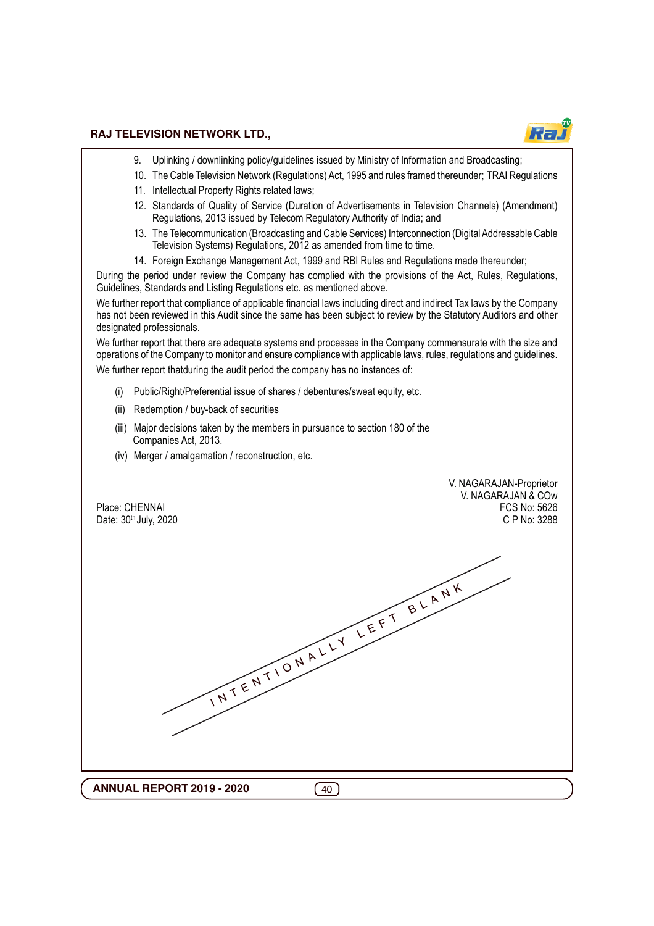

- 9. Uplinking / downlinking policy/guidelines issued by Ministry of Information and Broadcasting;
- 10. The Cable Television Network (Regulations) Act, 1995 and rules framed thereunder; TRAI Regulations
- 11. Intellectual Property Rights related laws;
- 12. Standards of Quality of Service (Duration of Advertisements in Television Channels) (Amendment) Regulations, 2013 issued by Telecom Regulatory Authority of India; and
- 13. The Telecommunication (Broadcasting and Cable Services) Interconnection (Digital Addressable Cable Television Systems) Regulations, 2012 as amended from time to time.
- 14. Foreign Exchange Management Act, 1999 and RBI Rules and Regulations made thereunder;

During the period under review the Company has complied with the provisions of the Act, Rules, Regulations, Guidelines, Standards and Listing Regulations etc. as mentioned above.

We further report that compliance of applicable financial laws including direct and indirect Tax laws by the Company has not been reviewed in this Audit since the same has been subject to review by the Statutory Auditors and other designated professionals.

We further report that there are adequate systems and processes in the Company commensurate with the size and operations of the Company to monitor and ensure compliance with applicable laws, rules, regulations and guidelines. We further report thatduring the audit period the company has no instances of:

- (i) Public/Right/Preferential issue of shares / debentures/sweat equity, etc.
- (ii) Redemption / buy-back of securities
- (iii) Major decisions taken by the members in pursuance to section 180 of the Companies Act, 2013.
- (iv) Merger / amalgamation / reconstruction, etc.

 $\sqrt{40}$ **ANNUAL REPORT 2019 - 2020** V. NAGARAJAN-Proprietor V. NAGARAJAN & COw Place: CHENNAI FCS No: 5626<br>Date: 30th July, 2020 Date: 30<sup>th</sup> July, 2020 INTENTIONALLY LEFT BLANK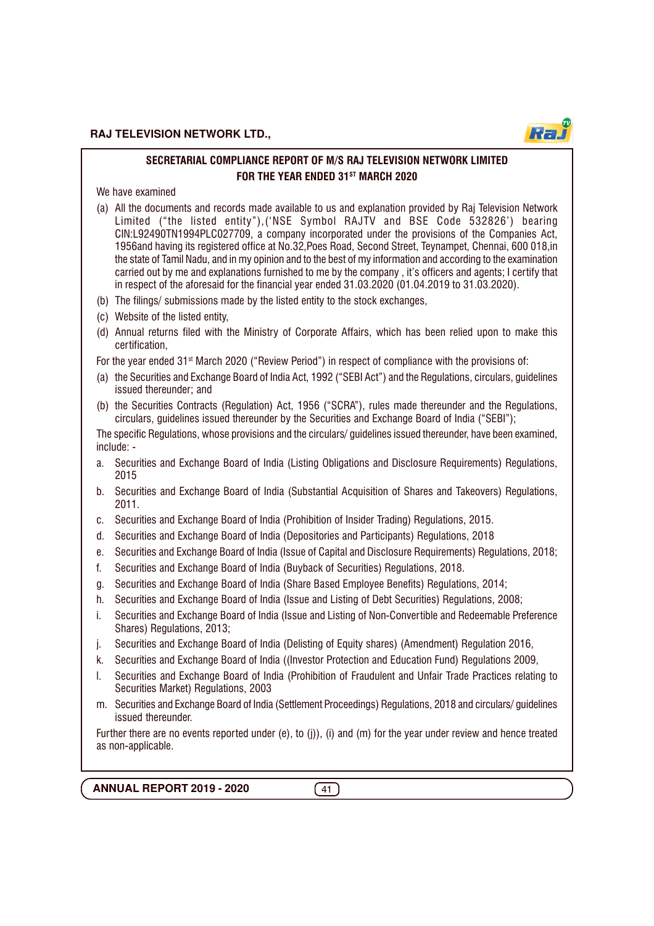

## SECRETARIAL COMPLIANCE REPORT OF M/S RAJ TELEVISION NETWORK LIMITED FOR THE YEAR ENDED 31<sup>ST</sup> MARCH 2020

#### We have examined

- (a) All the documents and records made available to us and explanation provided by Raj Television Network Limited ("the listed entity"),('NSE Symbol RAJTV and BSE Code 532826') bearing CIN:L92490TN1994PLC027709, a company incorporated under the provisions of the Companies Act, 1956and having its registered office at No.32,Poes Road, Second Street, Teynampet, Chennai, 600 018,in the state of Tamil Nadu, and in my opinion and to the best of my information and according to the examination carried out by me and explanations furnished to me by the company , it's officers and agents; I certify that in respect of the aforesaid for the financial year ended 31.03.2020 (01.04.2019 to 31.03.2020).
- (b) The filings/ submissions made by the listed entity to the stock exchanges,
- (c) Website of the listed entity,
- (d) Annual returns filed with the Ministry of Corporate Affairs, which has been relied upon to make this certification,

For the year ended 31<sup>st</sup> March 2020 ("Review Period") in respect of compliance with the provisions of:

- (a) the Securities and Exchange Board of India Act, 1992 ("SEBI Act") and the Regulations, circulars, guidelines issued thereunder; and
- (b) the Securities Contracts (Regulation) Act, 1956 ("SCRA"), rules made thereunder and the Regulations, circulars, guidelines issued thereunder by the Securities and Exchange Board of India ("SEBI");

The specific Regulations, whose provisions and the circulars/ guidelines issued thereunder, have been examined, include: -

- a. Securities and Exchange Board of India (Listing Obligations and Disclosure Requirements) Regulations, 2015
- b. Securities and Exchange Board of India (Substantial Acquisition of Shares and Takeovers) Regulations, 2011.
- c. Securities and Exchange Board of India (Prohibition of Insider Trading) Regulations, 2015.
- d. Securities and Exchange Board of India (Depositories and Participants) Regulations, 2018
- e. Securities and Exchange Board of India (Issue of Capital and Disclosure Requirements) Regulations, 2018;
- f. Securities and Exchange Board of India (Buyback of Securities) Regulations, 2018.
- g. Securities and Exchange Board of India (Share Based Employee Benefits) Regulations, 2014;
- h. Securities and Exchange Board of India (Issue and Listing of Debt Securities) Regulations, 2008;
- i. Securities and Exchange Board of India (Issue and Listing of Non-Convertible and Redeemable Preference Shares) Regulations, 2013;
- j. Securities and Exchange Board of India (Delisting of Equity shares) (Amendment) Regulation 2016,
- k. Securities and Exchange Board of India ((Investor Protection and Education Fund) Regulations 2009,
- l. Securities and Exchange Board of India (Prohibition of Fraudulent and Unfair Trade Practices relating to Securities Market) Regulations, 2003
- m. Securities and Exchange Board of India (Settlement Proceedings) Regulations, 2018 and circulars/ guidelines issued thereunder.

Further there are no events reported under (e), to (j)), (i) and (m) for the year under review and hence treated as non-applicable.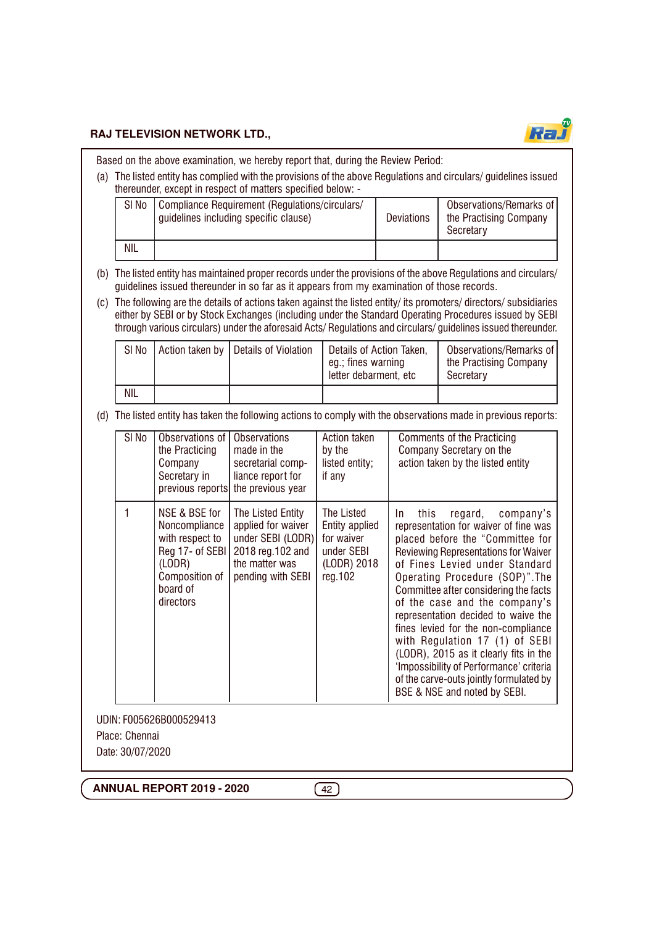

Based on the above examination, we hereby report that, during the Review Period:

(a) The listed entity has complied with the provisions of the above Regulations and circulars/ guidelines issued thereunder, except in respect of matters specified below: -

| SI <sub>No</sub> | Compliance Requirement (Regulations/circulars/<br>guidelines including specific clause) | <b>Deviations</b> | Observations/Remarks of<br>the Practising Company<br>Secretary |
|------------------|-----------------------------------------------------------------------------------------|-------------------|----------------------------------------------------------------|
| <b>NIL</b>       |                                                                                         |                   |                                                                |

- (b) The listed entity has maintained proper records under the provisions of the above Regulations and circulars/ guidelines issued thereunder in so far as it appears from my examination of those records.
- (c) The following are the details of actions taken against the listed entity/ its promoters/ directors/ subsidiaries either by SEBI or by Stock Exchanges (including under the Standard Operating Procedures issued by SEBI through various circulars) under the aforesaid Acts/ Regulations and circulars/ guidelines issued thereunder.

| SI No | Action taken by   Details of Violation | Details of Action Taken,<br>eg.; fines warning<br>letter debarment, etc | Observations/Remarks of<br>the Practising Company<br>Secretary |
|-------|----------------------------------------|-------------------------------------------------------------------------|----------------------------------------------------------------|
| NIL   |                                        |                                                                         |                                                                |

(d) The listed entity has taken the following actions to comply with the observations made in previous reports:

| SI No | Observations of I<br>the Practicing<br>Company<br>Secretary in<br>previous reports                                        | <b>Observations</b><br>made in the<br>secretarial comp-<br>liance report for<br>the previous year                        | Action taken<br>by the<br>listed entity;<br>if any                                 | Comments of the Practicing<br>Company Secretary on the<br>action taken by the listed entity                                                                                                                                                                                                                                                                                                                                                                                                                                                                                                 |
|-------|---------------------------------------------------------------------------------------------------------------------------|--------------------------------------------------------------------------------------------------------------------------|------------------------------------------------------------------------------------|---------------------------------------------------------------------------------------------------------------------------------------------------------------------------------------------------------------------------------------------------------------------------------------------------------------------------------------------------------------------------------------------------------------------------------------------------------------------------------------------------------------------------------------------------------------------------------------------|
|       | NSE & BSE for<br>Noncompliance<br>with respect to<br>Reg 17- of SEBI<br>(LODR)<br>Composition of<br>board of<br>directors | The Listed Entity<br>applied for waiver<br>under SEBI (LODR)<br>2018 reg. 102 and<br>the matter was<br>pending with SEBI | The Listed<br>Entity applied<br>for waiver<br>under SEBI<br>(LODR) 2018<br>reg.102 | this<br>regard, company's<br>In.<br>representation for waiver of fine was<br>placed before the "Committee for<br><b>Reviewing Representations for Waiver</b><br>of Fines Levied under Standard<br>Operating Procedure (SOP)". The<br>Committee after considering the facts<br>of the case and the company's<br>representation decided to waive the<br>fines levied for the non-compliance<br>with Regulation 17 (1) of SEBI<br>(LODR), 2015 as it clearly fits in the<br>'Impossibility of Performance' criteria<br>of the carve-outs jointly formulated by<br>BSE & NSE and noted by SEBI. |

UDIN: F005626B000529413

Place: Chennai

Date: 30/07/2020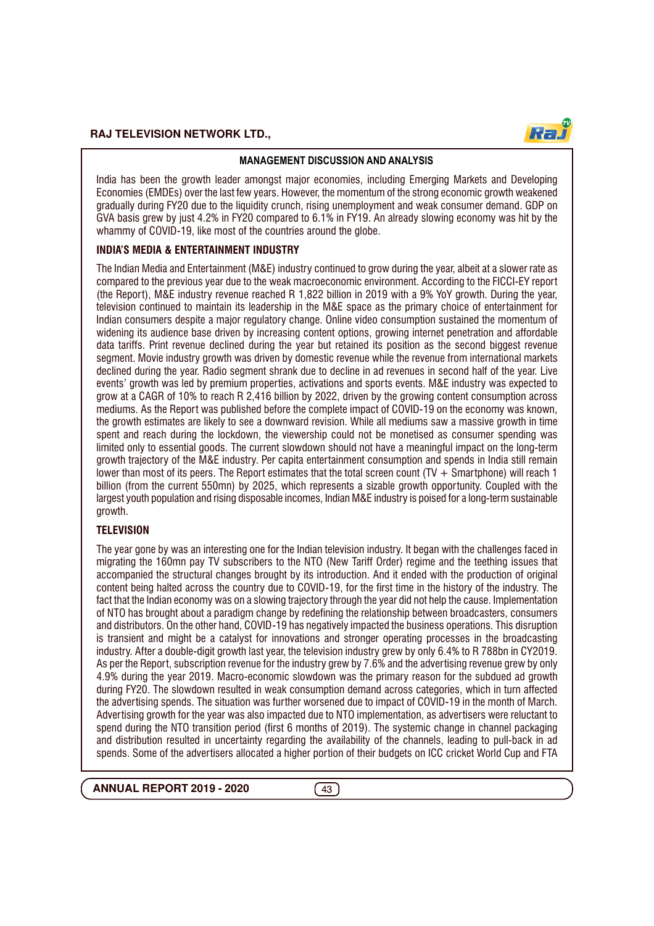

#### MANAGEMENT DISCUSSION AND ANALYSIS

India has been the growth leader amongst major economies, including Emerging Markets and Developing Economies (EMDEs) over the last few years. However, the momentum of the strong economic growth weakened gradually during FY20 due to the liquidity crunch, rising unemployment and weak consumer demand. GDP on GVA basis grew by just 4.2% in FY20 compared to 6.1% in FY19. An already slowing economy was hit by the whammy of COVID-19, like most of the countries around the globe.

### INDIA'S MEDIA & ENTERTAINMENT INDUSTRY

The Indian Media and Entertainment (M&E) industry continued to grow during the year, albeit at a slower rate as compared to the previous year due to the weak macroeconomic environment. According to the FICCI-EY report (the Report), M&E industry revenue reached R 1,822 billion in 2019 with a 9% YoY growth. During the year, television continued to maintain its leadership in the M&E space as the primary choice of entertainment for Indian consumers despite a major regulatory change. Online video consumption sustained the momentum of widening its audience base driven by increasing content options, growing internet penetration and affordable data tariffs. Print revenue declined during the year but retained its position as the second biggest revenue segment. Movie industry growth was driven by domestic revenue while the revenue from international markets declined during the year. Radio segment shrank due to decline in ad revenues in second half of the year. Live events' growth was led by premium properties, activations and sports events. M&E industry was expected to grow at a CAGR of 10% to reach R 2,416 billion by 2022, driven by the growing content consumption across mediums. As the Report was published before the complete impact of COVID-19 on the economy was known, the growth estimates are likely to see a downward revision. While all mediums saw a massive growth in time spent and reach during the lockdown, the viewership could not be monetised as consumer spending was limited only to essential goods. The current slowdown should not have a meaningful impact on the long-term growth trajectory of the M&E industry. Per capita entertainment consumption and spends in India still remain lower than most of its peers. The Report estimates that the total screen count (TV + Smartphone) will reach 1 billion (from the current 550mn) by 2025, which represents a sizable growth opportunity. Coupled with the largest youth population and rising disposable incomes, Indian M&E industry is poised for a long-term sustainable growth.

## **TELEVISION**

The year gone by was an interesting one for the Indian television industry. It began with the challenges faced in migrating the 160mn pay TV subscribers to the NTO (New Tariff Order) regime and the teething issues that accompanied the structural changes brought by its introduction. And it ended with the production of original content being halted across the country due to COVID-19, for the first time in the history of the industry. The fact that the Indian economy was on a slowing trajectory through the year did not help the cause. Implementation of NTO has brought about a paradigm change by redefining the relationship between broadcasters, consumers and distributors. On the other hand, COVID-19 has negatively impacted the business operations. This disruption is transient and might be a catalyst for innovations and stronger operating processes in the broadcasting industry. After a double-digit growth last year, the television industry grew by only 6.4% to R 788bn in CY2019. As per the Report, subscription revenue for the industry grew by 7.6% and the advertising revenue grew by only 4.9% during the year 2019. Macro-economic slowdown was the primary reason for the subdued ad growth during FY20. The slowdown resulted in weak consumption demand across categories, which in turn affected the advertising spends. The situation was further worsened due to impact of COVID-19 in the month of March. Advertising growth for the year was also impacted due to NTO implementation, as advertisers were reluctant to spend during the NTO transition period (first 6 months of 2019). The systemic change in channel packaging and distribution resulted in uncertainty regarding the availability of the channels, leading to pull-back in ad spends. Some of the advertisers allocated a higher portion of their budgets on ICC cricket World Cup and FTA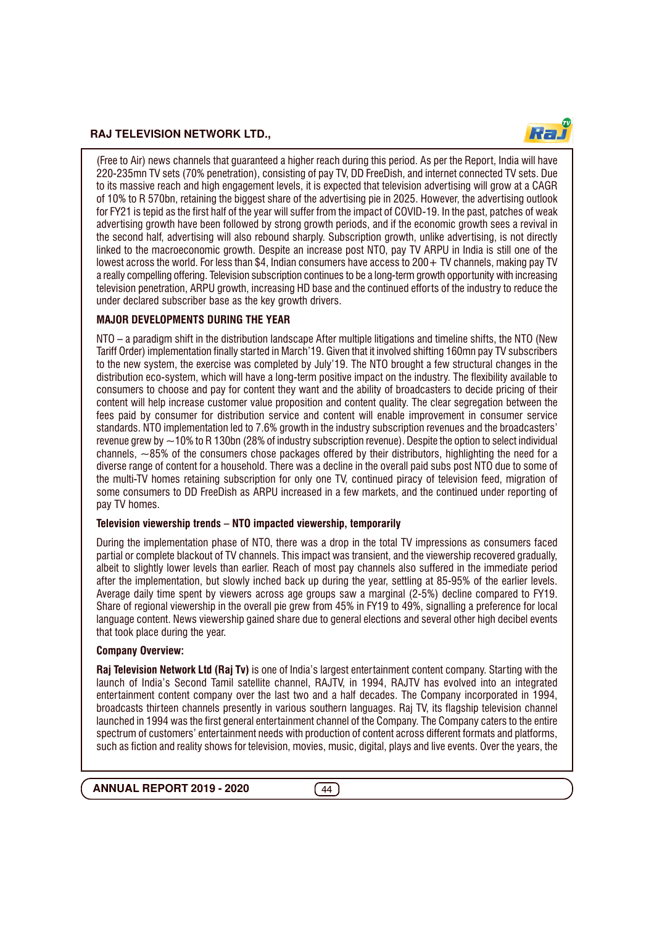

(Free to Air) news channels that guaranteed a higher reach during this period. As per the Report, India will have 220-235mn TV sets (70% penetration), consisting of pay TV, DD FreeDish, and internet connected TV sets. Due to its massive reach and high engagement levels, it is expected that television advertising will grow at a CAGR of 10% to R 570bn, retaining the biggest share of the advertising pie in 2025. However, the advertising outlook for FY21 is tepid as the first half of the year will suffer from the impact of COVID-19. In the past, patches of weak advertising growth have been followed by strong growth periods, and if the economic growth sees a revival in the second half, advertising will also rebound sharply. Subscription growth, unlike advertising, is not directly linked to the macroeconomic growth. Despite an increase post NTO, pay TV ARPU in India is still one of the lowest across the world. For less than \$4, Indian consumers have access to 200 + TV channels, making pay TV a really compelling offering. Television subscription continues to be a long-term growth opportunity with increasing television penetration, ARPU growth, increasing HD base and the continued efforts of the industry to reduce the under declared subscriber base as the key growth drivers.

# MAJOR DEVELOPMENTS DURING THE YEAR

NTO – a paradigm shift in the distribution landscape After multiple litigations and timeline shifts, the NTO (New Tariff Order) implementation finally started in March'19. Given that it involved shifting 160mn pay TV subscribers to the new system, the exercise was completed by July'19. The NTO brought a few structural changes in the distribution eco-system, which will have a long-term positive impact on the industry. The flexibility available to consumers to choose and pay for content they want and the ability of broadcasters to decide pricing of their content will help increase customer value proposition and content quality. The clear segregation between the fees paid by consumer for distribution service and content will enable improvement in consumer service standards. NTO implementation led to 7.6% growth in the industry subscription revenues and the broadcasters' revenue grew by ~10% to R 130bn (28% of industry subscription revenue). Despite the option to select individual channels,  $\sim$ 85% of the consumers chose packages offered by their distributors, highlighting the need for a diverse range of content for a household. There was a decline in the overall paid subs post NTO due to some of the multi-TV homes retaining subscription for only one TV, continued piracy of television feed, migration of some consumers to DD FreeDish as ARPU increased in a few markets, and the continued under reporting of pay TV homes.

## Television viewership trends – NTO impacted viewership, temporarily

During the implementation phase of NTO, there was a drop in the total TV impressions as consumers faced partial or complete blackout of TV channels. This impact was transient, and the viewership recovered gradually, albeit to slightly lower levels than earlier. Reach of most pay channels also suffered in the immediate period after the implementation, but slowly inched back up during the year, settling at 85-95% of the earlier levels. Average daily time spent by viewers across age groups saw a marginal (2-5%) decline compared to FY19. Share of regional viewership in the overall pie grew from 45% in FY19 to 49%, signalling a preference for local language content. News viewership gained share due to general elections and several other high decibel events that took place during the year.

## Company Overview:

Raj Television Network Ltd (Raj Tv) is one of India's largest entertainment content company. Starting with the launch of India's Second Tamil satellite channel, RAJTV, in 1994, RAJTV has evolved into an integrated entertainment content company over the last two and a half decades. The Company incorporated in 1994, broadcasts thirteen channels presently in various southern languages. Raj TV, its flagship television channel launched in 1994 was the first general entertainment channel of the Company. The Company caters to the entire spectrum of customers' entertainment needs with production of content across different formats and platforms, such as fiction and reality shows for television, movies, music, digital, plays and live events. Over the years, the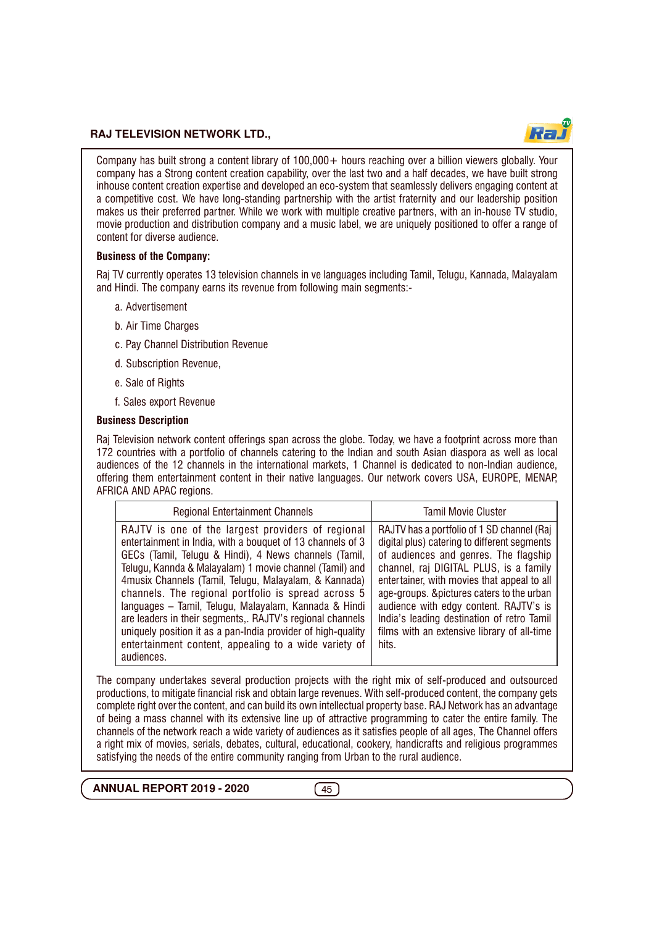

Company has built strong a content library of 100,000+ hours reaching over a billion viewers globally. Your company has a Strong content creation capability, over the last two and a half decades, we have built strong inhouse content creation expertise and developed an eco-system that seamlessly delivers engaging content at a competitive cost. We have long-standing partnership with the artist fraternity and our leadership position makes us their preferred partner. While we work with multiple creative partners, with an in-house TV studio, movie production and distribution company and a music label, we are uniquely positioned to offer a range of content for diverse audience.

### Business of the Company:

Raj TV currently operates 13 television channels in ve languages including Tamil, Telugu, Kannada, Malayalam and Hindi. The company earns its revenue from following main segments:-

- a. Advertisement
- b. Air Time Charges
- c. Pay Channel Distribution Revenue
- d. Subscription Revenue,
- e. Sale of Rights
- f. Sales export Revenue

#### Business Description

Raj Television network content offerings span across the globe. Today, we have a footprint across more than 172 countries with a portfolio of channels catering to the Indian and south Asian diaspora as well as local audiences of the 12 channels in the international markets, 1 Channel is dedicated to non-Indian audience, offering them entertainment content in their native languages. Our network covers USA, EUROPE, MENAP, AFRICA AND APAC regions.

| <b>Regional Entertainment Channels</b>                                                                                                                                                                                                                                                                                                                                                                                                                                                                                                                                                                           | <b>Tamil Movie Cluster</b>                                                                                                                                                                                                                                                                                                                                                                                                |
|------------------------------------------------------------------------------------------------------------------------------------------------------------------------------------------------------------------------------------------------------------------------------------------------------------------------------------------------------------------------------------------------------------------------------------------------------------------------------------------------------------------------------------------------------------------------------------------------------------------|---------------------------------------------------------------------------------------------------------------------------------------------------------------------------------------------------------------------------------------------------------------------------------------------------------------------------------------------------------------------------------------------------------------------------|
| RAJTV is one of the largest providers of regional<br>entertainment in India, with a bouquet of 13 channels of 3<br>GECs (Tamil, Telugu & Hindi), 4 News channels (Tamil,<br>Telugu, Kannda & Malayalam) 1 movie channel (Tamil) and<br>4musix Channels (Tamil, Telugu, Malayalam, & Kannada)<br>channels. The regional portfolio is spread across 5<br>languages - Tamil, Telugu, Malayalam, Kannada & Hindi<br>are leaders in their segments,. RAJTV's regional channels<br>uniquely position it as a pan-India provider of high-quality<br>entertainment content, appealing to a wide variety of<br>audiences. | RAJTV has a portfolio of 1 SD channel (Raj<br>digital plus) catering to different segments<br>of audiences and genres. The flagship<br>channel, raj DIGITAL PLUS, is a family<br>entertainer, with movies that appeal to all<br>age-groups. &pictures caters to the urban<br>audience with edgy content. RAJTV's is<br>India's leading destination of retro Tamil<br>films with an extensive library of all-time<br>hits. |

The company undertakes several production projects with the right mix of self-produced and outsourced productions, to mitigate financial risk and obtain large revenues. With self-produced content, the company gets complete right over the content, and can build its own intellectual property base. RAJ Network has an advantage of being a mass channel with its extensive line up of attractive programming to cater the entire family. The channels of the network reach a wide variety of audiences as it satisfies people of all ages, The Channel offers a right mix of movies, serials, debates, cultural, educational, cookery, handicrafts and religious programmes satisfying the needs of the entire community ranging from Urban to the rural audience.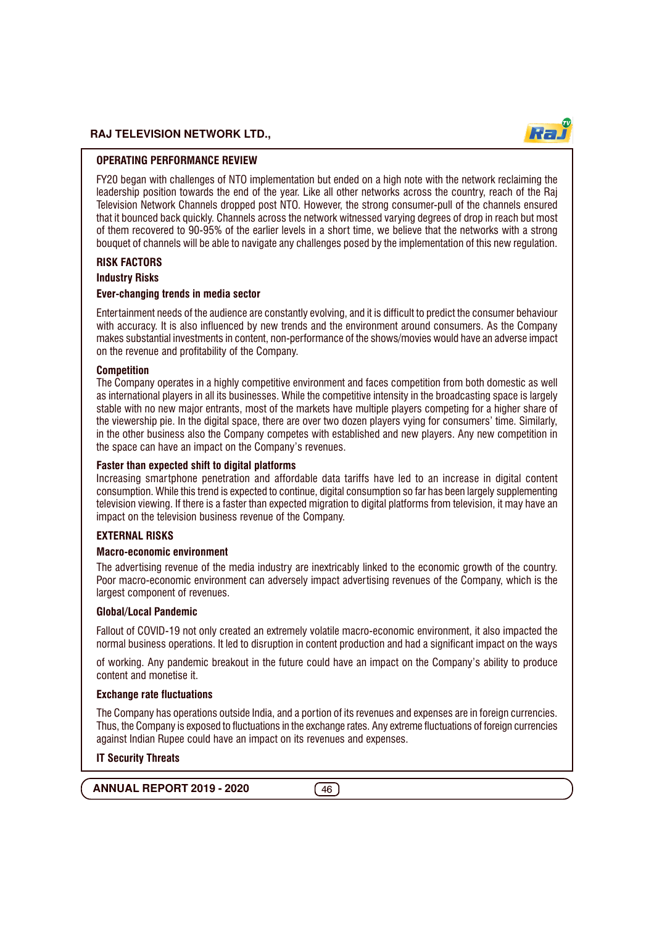

#### OPERATING PERFORMANCE REVIEW

FY20 began with challenges of NTO implementation but ended on a high note with the network reclaiming the leadership position towards the end of the year. Like all other networks across the country, reach of the Raj Television Network Channels dropped post NTO. However, the strong consumer-pull of the channels ensured that it bounced back quickly. Channels across the network witnessed varying degrees of drop in reach but most of them recovered to 90-95% of the earlier levels in a short time, we believe that the networks with a strong bouquet of channels will be able to navigate any challenges posed by the implementation of this new regulation.

#### RISK FACTORS

#### Industry Risks

#### Ever-changing trends in media sector

Entertainment needs of the audience are constantly evolving, and it is difficult to predict the consumer behaviour with accuracy. It is also influenced by new trends and the environment around consumers. As the Company makes substantial investments in content, non-performance of the shows/movies would have an adverse impact on the revenue and profitability of the Company.

#### Competition

The Company operates in a highly competitive environment and faces competition from both domestic as well as international players in all its businesses. While the competitive intensity in the broadcasting space is largely stable with no new major entrants, most of the markets have multiple players competing for a higher share of the viewership pie. In the digital space, there are over two dozen players vying for consumers' time. Similarly, in the other business also the Company competes with established and new players. Any new competition in the space can have an impact on the Company's revenues.

#### Faster than expected shift to digital platforms

Increasing smartphone penetration and affordable data tariffs have led to an increase in digital content consumption. While this trend is expected to continue, digital consumption so far has been largely supplementing television viewing. If there is a faster than expected migration to digital platforms from television, it may have an impact on the television business revenue of the Company.

### EXTERNAL RISKS

#### Macro-economic environment

The advertising revenue of the media industry are inextricably linked to the economic growth of the country. Poor macro-economic environment can adversely impact advertising revenues of the Company, which is the largest component of revenues.

#### Global/Local Pandemic

Fallout of COVID-19 not only created an extremely volatile macro-economic environment, it also impacted the normal business operations. It led to disruption in content production and had a significant impact on the ways

of working. Any pandemic breakout in the future could have an impact on the Company's ability to produce content and monetise it.

#### Exchange rate fluctuations

The Company has operations outside India, and a portion of its revenues and expenses are in foreign currencies. Thus, the Company is exposed to fluctuations in the exchange rates. Any extreme fluctuations of foreign currencies against Indian Rupee could have an impact on its revenues and expenses.

#### IT Security Threats

**ANNUAL REPORT 2019 - 2020**

 $\sqrt{46}$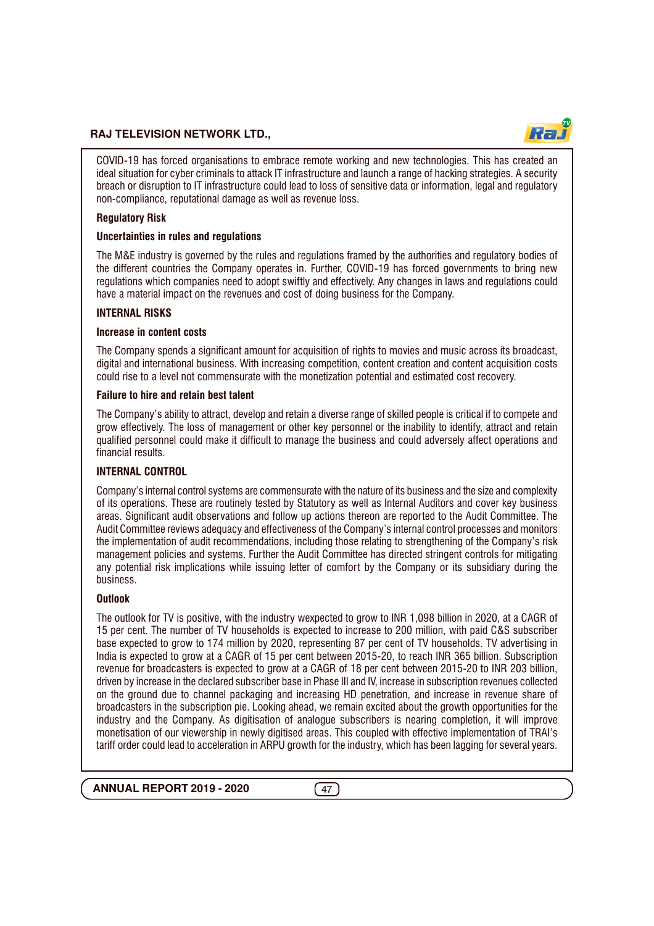

COVID-19 has forced organisations to embrace remote working and new technologies. This has created an ideal situation for cyber criminals to attack IT infrastructure and launch a range of hacking strategies. A security breach or disruption to IT infrastructure could lead to loss of sensitive data or information, legal and regulatory non-compliance, reputational damage as well as revenue loss.

#### Regulatory Risk

#### Uncertainties in rules and regulations

The M&E industry is governed by the rules and regulations framed by the authorities and regulatory bodies of the different countries the Company operates in. Further, COVID-19 has forced governments to bring new regulations which companies need to adopt swiftly and effectively. Any changes in laws and regulations could have a material impact on the revenues and cost of doing business for the Company.

### INTERNAL RISKS

#### Increase in content costs

The Company spends a significant amount for acquisition of rights to movies and music across its broadcast, digital and international business. With increasing competition, content creation and content acquisition costs could rise to a level not commensurate with the monetization potential and estimated cost recovery.

#### Failure to hire and retain best talent

The Company's ability to attract, develop and retain a diverse range of skilled people is critical if to compete and grow effectively. The loss of management or other key personnel or the inability to identify, attract and retain qualified personnel could make it difficult to manage the business and could adversely affect operations and financial results.

## INTERNAL CONTROL

Company's internal control systems are commensurate with the nature of its business and the size and complexity of its operations. These are routinely tested by Statutory as well as Internal Auditors and cover key business areas. Significant audit observations and follow up actions thereon are reported to the Audit Committee. The Audit Committee reviews adequacy and effectiveness of the Company's internal control processes and monitors the implementation of audit recommendations, including those relating to strengthening of the Company's risk management policies and systems. Further the Audit Committee has directed stringent controls for mitigating any potential risk implications while issuing letter of comfort by the Company or its subsidiary during the business.

#### **Outlook**

The outlook for TV is positive, with the industry wexpected to grow to INR 1,098 billion in 2020, at a CAGR of 15 per cent. The number of TV households is expected to increase to 200 million, with paid C&S subscriber base expected to grow to 174 million by 2020, representing 87 per cent of TV households. TV advertising in India is expected to grow at a CAGR of 15 per cent between 2015-20, to reach INR 365 billion. Subscription revenue for broadcasters is expected to grow at a CAGR of 18 per cent between 2015-20 to INR 203 billion, driven by increase in the declared subscriber base in Phase III and IV, increase in subscription revenues collected on the ground due to channel packaging and increasing HD penetration, and increase in revenue share of broadcasters in the subscription pie. Looking ahead, we remain excited about the growth opportunities for the industry and the Company. As digitisation of analogue subscribers is nearing completion, it will improve monetisation of our viewership in newly digitised areas. This coupled with effective implementation of TRAI's tariff order could lead to acceleration in ARPU growth for the industry, which has been lagging for several years.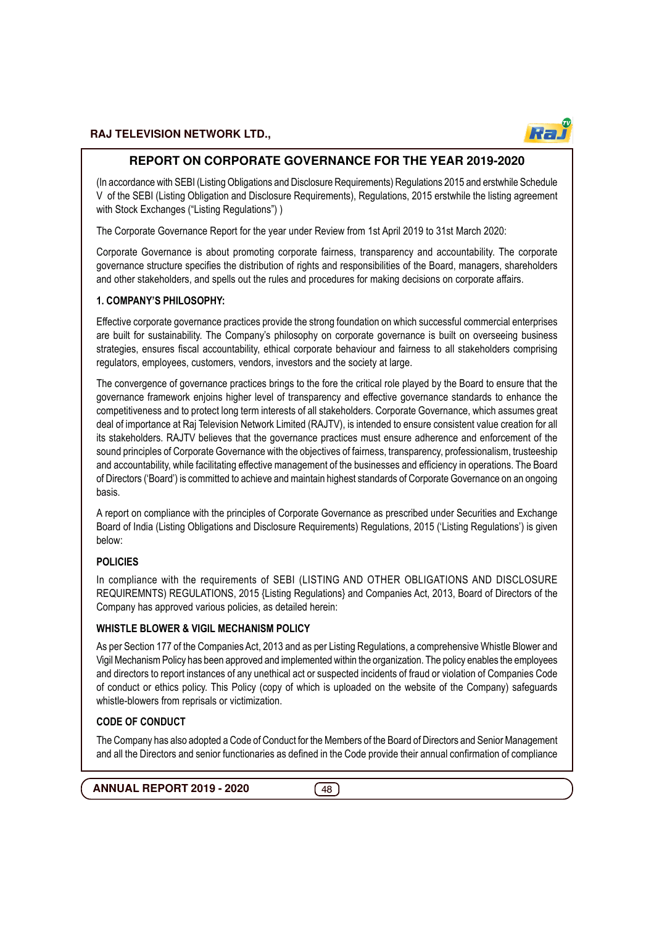

# **REPORT ON CORPORATE GOVERNANCE FOR THE YEAR 2019-2020**

(In accordance with SEBI (Listing Obligations and Disclosure Requirements) Regulations 2015 and erstwhile Schedule V of the SEBI (Listing Obligation and Disclosure Requirements), Regulations, 2015 erstwhile the listing agreement with Stock Exchanges ("Listing Regulations") )

The Corporate Governance Report for the year under Review from 1st April 2019 to 31st March 2020:

Corporate Governance is about promoting corporate fairness, transparency and accountability. The corporate governance structure specifies the distribution of rights and responsibilities of the Board, managers, shareholders and other stakeholders, and spells out the rules and procedures for making decisions on corporate affairs.

### 1. COMPANY'S PHILOSOPHY:

Effective corporate governance practices provide the strong foundation on which successful commercial enterprises are built for sustainability. The Company's philosophy on corporate governance is built on overseeing business strategies, ensures fiscal accountability, ethical corporate behaviour and fairness to all stakeholders comprising regulators, employees, customers, vendors, investors and the society at large.

The convergence of governance practices brings to the fore the critical role played by the Board to ensure that the governance framework enjoins higher level of transparency and effective governance standards to enhance the competitiveness and to protect long term interests of all stakeholders. Corporate Governance, which assumes great deal of importance at Raj Television Network Limited (RAJTV), is intended to ensure consistent value creation for all its stakeholders. RAJTV believes that the governance practices must ensure adherence and enforcement of the sound principles of Corporate Governance with the objectives of fairness, transparency, professionalism, trusteeship and accountability, while facilitating effective management of the businesses and efficiency in operations. The Board of Directors ('Board') is committed to achieve and maintain highest standards of Corporate Governance on an ongoing basis.

A report on compliance with the principles of Corporate Governance as prescribed under Securities and Exchange Board of India (Listing Obligations and Disclosure Requirements) Regulations, 2015 ('Listing Regulations') is given below:

## POLICIES

In compliance with the requirements of SEBI (LISTING AND OTHER OBLIGATIONS AND DISCLOSURE REQUIREMNTS) REGULATIONS, 2015 {Listing Regulations} and Companies Act, 2013, Board of Directors of the Company has approved various policies, as detailed herein:

#### WHISTLE BLOWER & VIGIL MECHANISM POLICY

As per Section 177 of the Companies Act, 2013 and as per Listing Regulations, a comprehensive Whistle Blower and Vigil Mechanism Policy has been approved and implemented within the organization. The policy enables the employees and directors to report instances of any unethical act or suspected incidents of fraud or violation of Companies Code of conduct or ethics policy. This Policy (copy of which is uploaded on the website of the Company) safeguards whistle-blowers from reprisals or victimization.

## CODE OF CONDUCT

The Company has also adopted a Code of Conduct for the Members of the Board of Directors and Senior Management and all the Directors and senior functionaries as defined in the Code provide their annual confirmation of compliance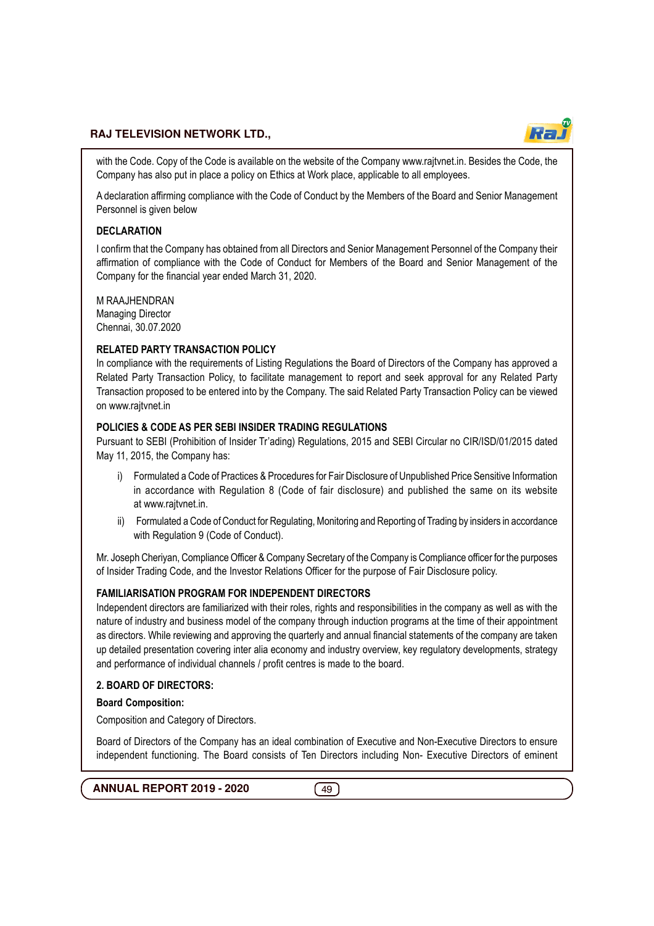

with the Code. Copy of the Code is available on the website of the Company www.rajtvnet.in. Besides the Code, the Company has also put in place a policy on Ethics at Work place, applicable to all employees.

A declaration affirming compliance with the Code of Conduct by the Members of the Board and Senior Management Personnel is given below

## DECLARATION

I confirm that the Company has obtained from all Directors and Senior Management Personnel of the Company their affirmation of compliance with the Code of Conduct for Members of the Board and Senior Management of the Company for the financial year ended March 31, 2020.

M RAAJHENDRAN Managing Director Chennai, 30.07.2020

### RELATED PARTY TRANSACTION POLICY

In compliance with the requirements of Listing Regulations the Board of Directors of the Company has approved a Related Party Transaction Policy, to facilitate management to report and seek approval for any Related Party Transaction proposed to be entered into by the Company. The said Related Party Transaction Policy can be viewed on www.rajtvnet.in

## POLICIES & CODE AS PER SEBI INSIDER TRADING REGULATIONS

Pursuant to SEBI (Prohibition of Insider Tr'ading) Regulations, 2015 and SEBI Circular no CIR/ISD/01/2015 dated May 11, 2015, the Company has:

- i) Formulated a Code of Practices & Procedures for Fair Disclosure of Unpublished Price Sensitive Information in accordance with Regulation 8 (Code of fair disclosure) and published the same on its website at www.rajtvnet.in.
- ii) Formulated a Code of Conduct for Regulating, Monitoring and Reporting of Trading by insiders in accordance with Regulation 9 (Code of Conduct).

Mr. Joseph Cheriyan, Compliance Officer & Company Secretary of the Company is Compliance officer for the purposes of Insider Trading Code, and the Investor Relations Officer for the purpose of Fair Disclosure policy.

## FAMILIARISATION PROGRAM FOR INDEPENDENT DIRECTORS

Independent directors are familiarized with their roles, rights and responsibilities in the company as well as with the nature of industry and business model of the company through induction programs at the time of their appointment as directors. While reviewing and approving the quarterly and annual financial statements of the company are taken up detailed presentation covering inter alia economy and industry overview, key regulatory developments, strategy and performance of individual channels / profit centres is made to the board.

## 2. BOARD OF DIRECTORS:

## Board Composition:

Composition and Category of Directors.

Board of Directors of the Company has an ideal combination of Executive and Non-Executive Directors to ensure independent functioning. The Board consists of Ten Directors including Non- Executive Directors of eminent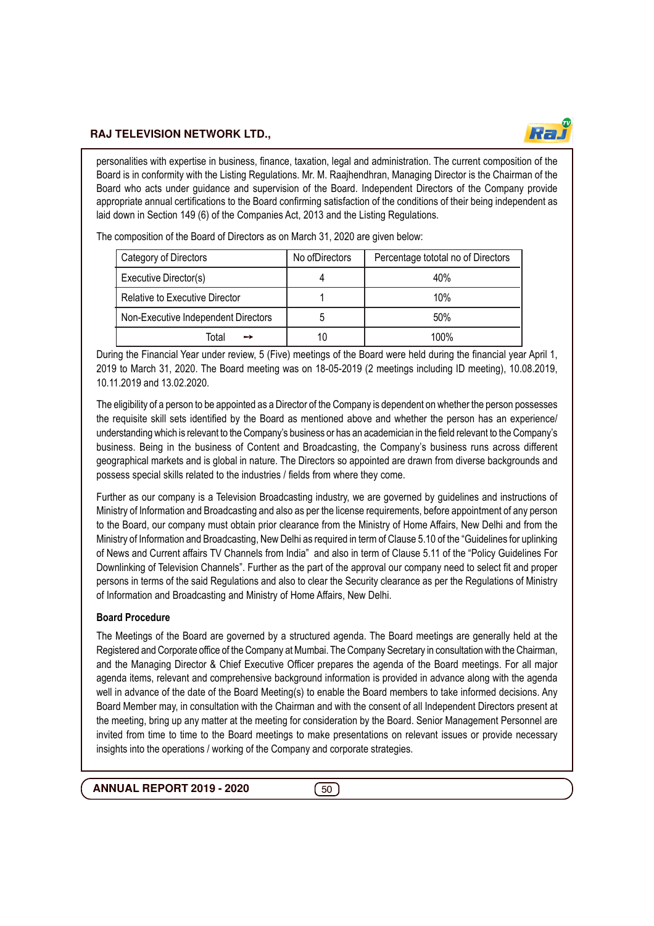

personalities with expertise in business, finance, taxation, legal and administration. The current composition of the Board is in conformity with the Listing Regulations. Mr. M. Raajhendhran, Managing Director is the Chairman of the Board who acts under guidance and supervision of the Board. Independent Directors of the Company provide appropriate annual certifications to the Board confirming satisfaction of the conditions of their being independent as laid down in Section 149 (6) of the Companies Act, 2013 and the Listing Regulations.

The composition of the Board of Directors as on March 31, 2020 are given below:

| Category of Directors                 | No ofDirectors | Percentage tototal no of Directors |
|---------------------------------------|----------------|------------------------------------|
| Executive Director(s)                 |                | 40%                                |
| <b>Relative to Executive Director</b> |                | 10%                                |
| Non-Executive Independent Directors   |                | 50%                                |
| Total<br>→                            | 10             | 100%                               |

During the Financial Year under review, 5 (Five) meetings of the Board were held during the financial year April 1, 2019 to March 31, 2020. The Board meeting was on 18-05-2019 (2 meetings including ID meeting), 10.08.2019, 10.11.2019 and 13.02.2020.

The eligibility of a person to be appointed as a Director of the Company is dependent on whether the person possesses the requisite skill sets identified by the Board as mentioned above and whether the person has an experience/ understanding which is relevant to the Company's business or has an academician in the field relevant to the Company's business. Being in the business of Content and Broadcasting, the Company's business runs across different geographical markets and is global in nature. The Directors so appointed are drawn from diverse backgrounds and possess special skills related to the industries / fields from where they come.

Further as our company is a Television Broadcasting industry, we are governed by guidelines and instructions of Ministry of Information and Broadcasting and also as per the license requirements, before appointment of any person to the Board, our company must obtain prior clearance from the Ministry of Home Affairs, New Delhi and from the Ministry of Information and Broadcasting, New Delhi as required in term of Clause 5.10 of the "Guidelines for uplinking of News and Current affairs TV Channels from India" and also in term of Clause 5.11 of the "Policy Guidelines For Downlinking of Television Channels". Further as the part of the approval our company need to select fit and proper persons in terms of the said Regulations and also to clear the Security clearance as per the Regulations of Ministry of Information and Broadcasting and Ministry of Home Affairs, New Delhi.

## Board Procedure

The Meetings of the Board are governed by a structured agenda. The Board meetings are generally held at the Registered and Corporate office of the Company at Mumbai. The Company Secretary in consultation with the Chairman, and the Managing Director & Chief Executive Officer prepares the agenda of the Board meetings. For all major agenda items, relevant and comprehensive background information is provided in advance along with the agenda well in advance of the date of the Board Meeting(s) to enable the Board members to take informed decisions. Any Board Member may, in consultation with the Chairman and with the consent of all Independent Directors present at the meeting, bring up any matter at the meeting for consideration by the Board. Senior Management Personnel are invited from time to time to the Board meetings to make presentations on relevant issues or provide necessary insights into the operations / working of the Company and corporate strategies.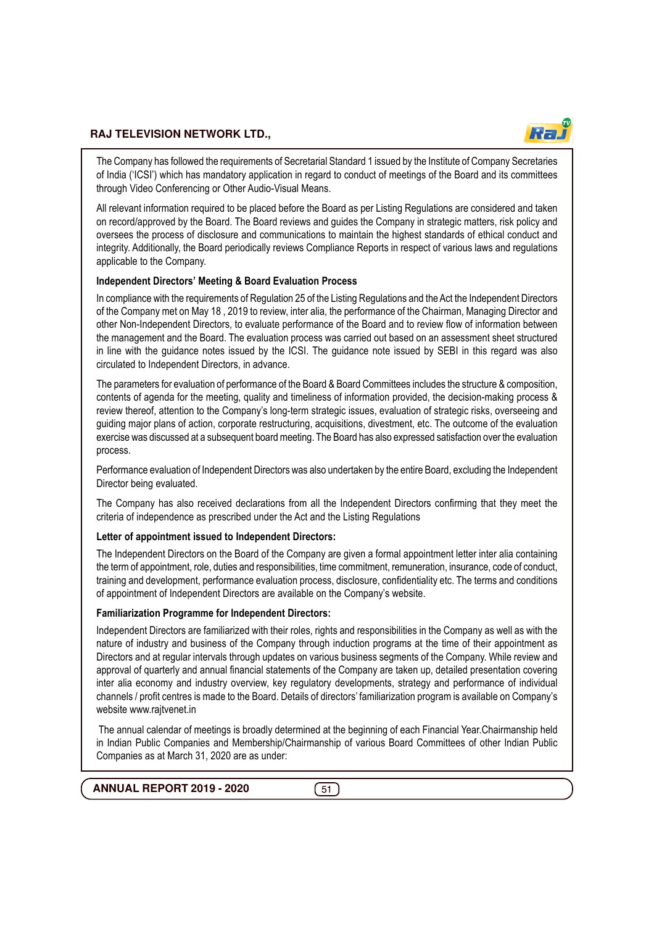

The Company has followed the requirements of Secretarial Standard 1 issued by the Institute of Company Secretaries of India ('ICSI') which has mandatory application in regard to conduct of meetings of the Board and its committees through Video Conferencing or Other Audio-Visual Means.

All relevant information required to be placed before the Board as per Listing Regulations are considered and taken on record/approved by the Board. The Board reviews and guides the Company in strategic matters, risk policy and oversees the process of disclosure and communications to maintain the highest standards of ethical conduct and integrity. Additionally, the Board periodically reviews Compliance Reports in respect of various laws and regulations applicable to the Company.

#### Independent Directors' Meeting & Board Evaluation Process

In compliance with the requirements of Regulation 25 of the Listing Regulations and the Act the Independent Directors of the Company met on May 18 , 2019 to review, inter alia, the performance of the Chairman, Managing Director and other Non-Independent Directors, to evaluate performance of the Board and to review flow of information between the management and the Board. The evaluation process was carried out based on an assessment sheet structured in line with the guidance notes issued by the ICSI. The guidance note issued by SEBI in this regard was also circulated to Independent Directors, in advance.

The parameters for evaluation of performance of the Board & Board Committees includes the structure & composition, contents of agenda for the meeting, quality and timeliness of information provided, the decision-making process & review thereof, attention to the Company's long-term strategic issues, evaluation of strategic risks, overseeing and guiding major plans of action, corporate restructuring, acquisitions, divestment, etc. The outcome of the evaluation exercise was discussed at a subsequent board meeting. The Board has also expressed satisfaction over the evaluation process.

Performance evaluation of Independent Directors was also undertaken by the entire Board, excluding the Independent Director being evaluated.

The Company has also received declarations from all the Independent Directors confirming that they meet the criteria of independence as prescribed under the Act and the Listing Regulations

#### Letter of appointment issued to Independent Directors:

The Independent Directors on the Board of the Company are given a formal appointment letter inter alia containing the term of appointment, role, duties and responsibilities, time commitment, remuneration, insurance, code of conduct, training and development, performance evaluation process, disclosure, confidentiality etc. The terms and conditions of appointment of Independent Directors are available on the Company's website.

#### Familiarization Programme for Independent Directors:

Independent Directors are familiarized with their roles, rights and responsibilities in the Company as well as with the nature of industry and business of the Company through induction programs at the time of their appointment as Directors and at regular intervals through updates on various business segments of the Company. While review and approval of quarterly and annual financial statements of the Company are taken up, detailed presentation covering inter alia economy and industry overview, key regulatory developments, strategy and performance of individual channels / profit centres is made to the Board. Details of directors' familiarization program is available on Company's website www.rajtvenet.in

The annual calendar of meetings is broadly determined at the beginning of each Financial Year.Chairmanship held in Indian Public Companies and Membership/Chairmanship of various Board Committees of other Indian Public Companies as at March 31, 2020 are as under:

 $\sqrt{51}$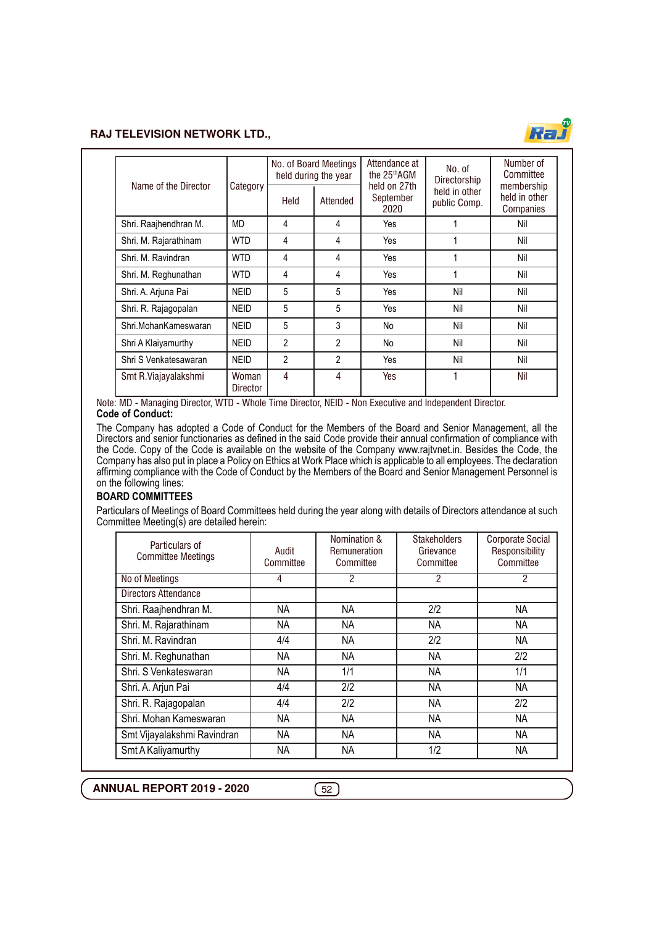



| Name of the Director  |                   | No. of Board Meetings<br>held during the year |                | Attendance at<br>the 25th AGM     | No. of<br>Directorship        | Number of<br>Committee                   |
|-----------------------|-------------------|-----------------------------------------------|----------------|-----------------------------------|-------------------------------|------------------------------------------|
|                       | Category          | Held                                          | Attended       | held on 27th<br>September<br>2020 | held in other<br>public Comp. | membership<br>held in other<br>Companies |
| Shri. Raajhendhran M. | MD                | 4                                             | 4              | Yes                               |                               | Nil                                      |
| Shri. M. Rajarathinam | WTD               | 4                                             | 4              | Yes                               | 1                             | Nil                                      |
| Shri, M. Ravindran    | WTD               | 4                                             | 4              | Yes                               | 1                             | Nil                                      |
| Shri. M. Reghunathan  | WTD               | 4                                             | 4              | Yes                               |                               | Nil                                      |
| Shri. A. Arjuna Pai   | <b>NEID</b>       | 5                                             | 5              | Yes                               | Nil                           | Nil                                      |
| Shri. R. Rajagopalan  | <b>NEID</b>       | 5                                             | 5              | Yes                               | Nil                           | Nil                                      |
| Shri.MohanKameswaran  | <b>NEID</b>       | 5                                             | 3              | No                                | Nil                           | Nil                                      |
| Shri A Klaiyamurthy   | <b>NEID</b>       | $\overline{2}$                                | $\overline{2}$ | No                                | Nil                           | Nil                                      |
| Shri S Venkatesawaran | <b>NEID</b>       | $\overline{2}$                                | $\overline{2}$ | Yes                               | Nil                           | Nil                                      |
| Smt R.Viajayalakshmi  | Woman<br>Director | 4                                             | 4              | Yes                               | 1                             | Nil                                      |

Note: MD - Managing Director, WTD - Whole Time Director, NEID - Non Executive and Independent Director. Code of Conduct:

The Company has adopted a Code of Conduct for the Members of the Board and Senior Management, all the Directors and senior functionaries as defined in the said Code provide their annual confirmation of compliance with the Code. Copy of the Code is available on the website of the Company www.rajtvnet.in. Besides the Code, the Company has also put in place a Policy on Ethics at Work Place which is applicable to all employees. The declaration affirming compliance with the Code of Conduct by the Members of the Board and Senior Management Personnel is on the following lines:

## BOARD COMMITTEES

Particulars of Meetings of Board Committees held during the year along with details of Directors attendance at such Committee Meeting(s) are detailed herein:

| Particulars of<br><b>Committee Meetings</b> | Audit<br>Committee | Nomination &<br>Remuneration<br>Committee | <b>Stakeholders</b><br>Grievance<br>Committee | <b>Corporate Social</b><br>Responsibility<br>Committee |
|---------------------------------------------|--------------------|-------------------------------------------|-----------------------------------------------|--------------------------------------------------------|
| No of Meetings                              | 4                  | 2                                         | 2                                             | $\mathfrak{p}$                                         |
| Directors Attendance                        |                    |                                           |                                               |                                                        |
| Shri. Raajhendhran M.                       | <b>NA</b>          | <b>NA</b>                                 | 2/2                                           | NA.                                                    |
| Shri. M. Rajarathinam                       | NA.                | NA.                                       | NA.                                           | NA                                                     |
| Shri, M. Ravindran                          | 4/4                | <b>NA</b>                                 | 2/2                                           | NA.                                                    |
| Shri. M. Reghunathan                        | NA.                | NA.                                       | <b>NA</b>                                     | 2/2                                                    |
| Shri. S Venkateswaran                       | NA.                | 1/1                                       | <b>NA</b>                                     | 1/1                                                    |
| Shri. A. Arjun Pai                          | 4/4                | 2/2                                       | NA.                                           | NA                                                     |
| Shri. R. Rajagopalan                        | 4/4                | 2/2                                       | <b>NA</b>                                     | 2/2                                                    |
| Shri. Mohan Kameswaran                      | <b>NA</b>          | NА                                        | NA.                                           | <b>NA</b>                                              |
| Smt Vijayalakshmi Ravindran                 | NA.                | NA.                                       | <b>NA</b>                                     | <b>NA</b>                                              |
| Smt A Kaliyamurthy                          | NA.                | NA                                        | 1/2                                           | NA                                                     |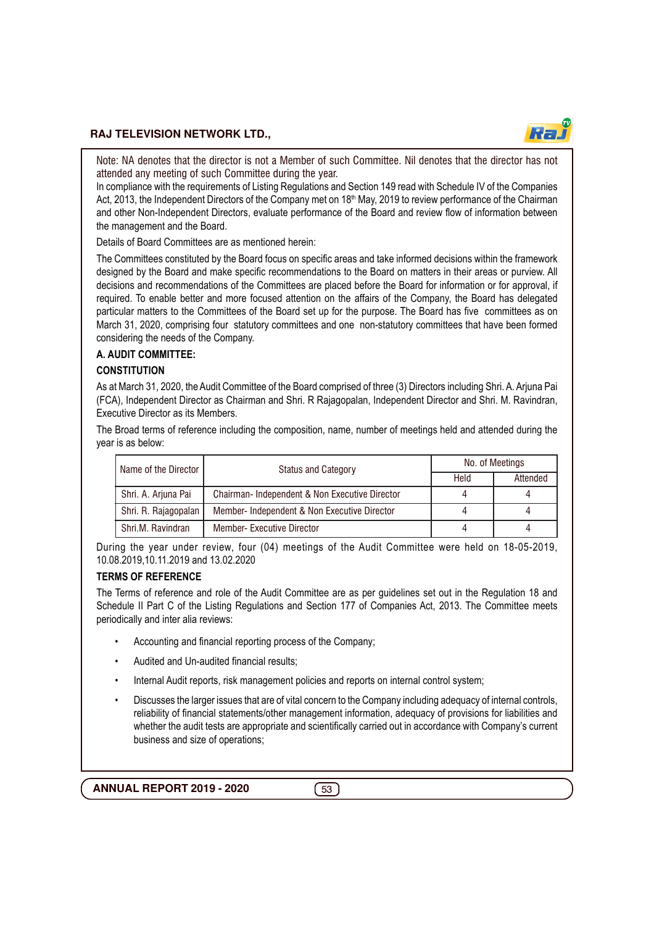

Note: NA denotes that the director is not a Member of such Committee. Nil denotes that the director has not attended any meeting of such Committee during the year.

In compliance with the requirements of Listing Regulations and Section 149 read with Schedule IV of the Companies Act, 2013, the Independent Directors of the Company met on 18<sup>th</sup> May, 2019 to review performance of the Chairman and other Non-Independent Directors, evaluate performance of the Board and review flow of information between the management and the Board.

Details of Board Committees are as mentioned herein:

The Committees constituted by the Board focus on specific areas and take informed decisions within the framework designed by the Board and make specific recommendations to the Board on matters in their areas or purview. All decisions and recommendations of the Committees are placed before the Board for information or for approval, if required. To enable better and more focused attention on the affairs of the Company, the Board has delegated particular matters to the Committees of the Board set up for the purpose. The Board has five committees as on March 31, 2020, comprising four statutory committees and one non-statutory committees that have been formed considering the needs of the Company.

#### A. AUDIT COMMITTEE:

### **CONSTITUTION**

As at March 31, 2020, the Audit Committee of the Board comprised of three (3) Directors including Shri. A. Arjuna Pai (FCA), Independent Director as Chairman and Shri. R Rajagopalan, Independent Director and Shri. M. Ravindran, Executive Director as its Members.

The Broad terms of reference including the composition, name, number of meetings held and attended during the year is as below:

| Name of the Director | <b>Status and Category</b>                    | No. of Meetings |          |
|----------------------|-----------------------------------------------|-----------------|----------|
|                      |                                               | Held            | Attended |
| Shri. A. Arjuna Pai  | Chairman-Independent & Non Executive Director |                 |          |
| Shri. R. Rajagopalan | Member- Independent & Non Executive Director  |                 |          |
| Shri.M. Ravindran    | <b>Member- Executive Director</b>             |                 |          |

During the year under review, four (04) meetings of the Audit Committee were held on 18-05-2019, 10.08.2019,10.11.2019 and 13.02.2020

### TERMS OF REFERENCE

The Terms of reference and role of the Audit Committee are as per guidelines set out in the Regulation 18 and Schedule II Part C of the Listing Regulations and Section 177 of Companies Act, 2013. The Committee meets periodically and inter alia reviews:

- Accounting and financial reporting process of the Company;
- Audited and Un-audited financial results;
- Internal Audit reports, risk management policies and reports on internal control system;
- Discusses the larger issues that are of vital concern to the Company including adequacy of internal controls, reliability of financial statements/other management information, adequacy of provisions for liabilities and whether the audit tests are appropriate and scientifically carried out in accordance with Company's current business and size of operations;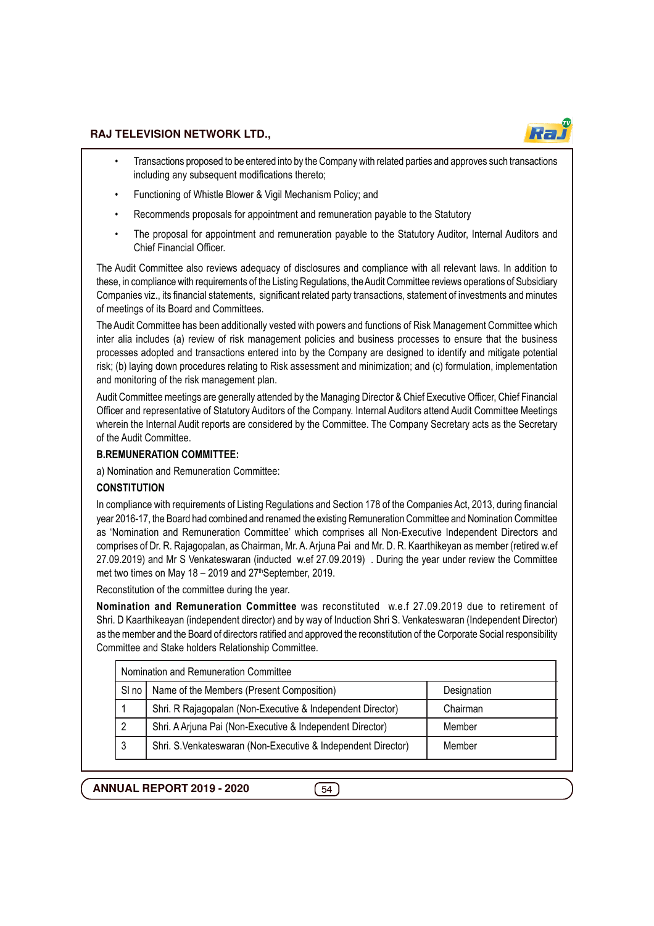

- Transactions proposed to be entered into by the Company with related parties and approves such transactions including any subsequent modifications thereto;
- Functioning of Whistle Blower & Vigil Mechanism Policy; and
- Recommends proposals for appointment and remuneration payable to the Statutory
- The proposal for appointment and remuneration payable to the Statutory Auditor, Internal Auditors and Chief Financial Officer.

The Audit Committee also reviews adequacy of disclosures and compliance with all relevant laws. In addition to these, in compliance with requirements of the Listing Regulations, the Audit Committee reviews operations of Subsidiary Companies viz., its financial statements, significant related party transactions, statement of investments and minutes of meetings of its Board and Committees.

The Audit Committee has been additionally vested with powers and functions of Risk Management Committee which inter alia includes (a) review of risk management policies and business processes to ensure that the business processes adopted and transactions entered into by the Company are designed to identify and mitigate potential risk; (b) laying down procedures relating to Risk assessment and minimization; and (c) formulation, implementation and monitoring of the risk management plan.

Audit Committee meetings are generally attended by the Managing Director & Chief Executive Officer, Chief Financial Officer and representative of Statutory Auditors of the Company. Internal Auditors attend Audit Committee Meetings wherein the Internal Audit reports are considered by the Committee. The Company Secretary acts as the Secretary of the Audit Committee.

## B.REMUNERATION COMMITTEE:

a) Nomination and Remuneration Committee:

## **CONSTITUTION**

In compliance with requirements of Listing Regulations and Section 178 of the Companies Act, 2013, during financial year 2016-17, the Board had combined and renamed the existing Remuneration Committee and Nomination Committee as 'Nomination and Remuneration Committee' which comprises all Non-Executive Independent Directors and comprises of Dr. R. Rajagopalan, as Chairman, Mr. A. Arjuna Pai and Mr. D. R. Kaarthikeyan as member (retired w.ef 27.09.2019) and Mr S Venkateswaran (inducted w.ef 27.09.2019) . During the year under review the Committee met two times on May  $18 - 2019$  and  $27<sup>th</sup>$ September, 2019.

Reconstitution of the committee during the year.

Nomination and Remuneration Committee was reconstituted w.e.f 27.09.2019 due to retirement of Shri. D Kaarthikeayan (independent director) and by way of Induction Shri S. Venkateswaran (Independent Director) as the member and the Board of directors ratified and approved the reconstitution of the Corporate Social responsibility Committee and Stake holders Relationship Committee.

|               | Nomination and Remuneration Committee                         |             |  |  |  |  |
|---------------|---------------------------------------------------------------|-------------|--|--|--|--|
| SI no I       | Name of the Members (Present Composition)                     | Designation |  |  |  |  |
|               | Shri. R Rajagopalan (Non-Executive & Independent Director)    | Chairman    |  |  |  |  |
| $\mathcal{P}$ | Shri. A Arjuna Pai (Non-Executive & Independent Director)     | Member      |  |  |  |  |
| 3             | Shri. S. Venkateswaran (Non-Executive & Independent Director) | Member      |  |  |  |  |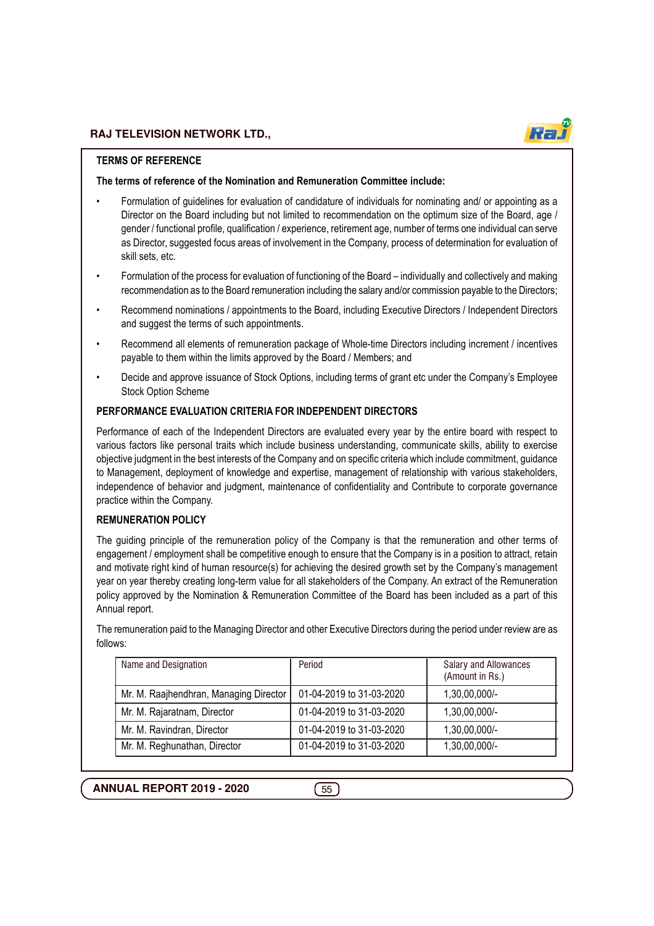

#### TERMS OF REFERENCE

#### The terms of reference of the Nomination and Remuneration Committee include:

- Formulation of guidelines for evaluation of candidature of individuals for nominating and/ or appointing as a Director on the Board including but not limited to recommendation on the optimum size of the Board, age / gender / functional profile, qualification / experience, retirement age, number of terms one individual can serve as Director, suggested focus areas of involvement in the Company, process of determination for evaluation of skill sets, etc.
- Formulation of the process for evaluation of functioning of the Board individually and collectively and making recommendation as to the Board remuneration including the salary and/or commission payable to the Directors;
- Recommend nominations / appointments to the Board, including Executive Directors / Independent Directors and suggest the terms of such appointments.
- Recommend all elements of remuneration package of Whole-time Directors including increment / incentives payable to them within the limits approved by the Board / Members; and
- Decide and approve issuance of Stock Options, including terms of grant etc under the Company's Employee Stock Option Scheme

### PERFORMANCE EVALUATION CRITERIA FOR INDEPENDENT DIRECTORS

Performance of each of the Independent Directors are evaluated every year by the entire board with respect to various factors like personal traits which include business understanding, communicate skills, ability to exercise objective judgment in the best interests of the Company and on specific criteria which include commitment, guidance to Management, deployment of knowledge and expertise, management of relationship with various stakeholders, independence of behavior and judgment, maintenance of confidentiality and Contribute to corporate governance practice within the Company.

#### REMUNERATION POLICY

The guiding principle of the remuneration policy of the Company is that the remuneration and other terms of engagement / employment shall be competitive enough to ensure that the Company is in a position to attract, retain and motivate right kind of human resource(s) for achieving the desired growth set by the Company's management year on year thereby creating long-term value for all stakeholders of the Company. An extract of the Remuneration policy approved by the Nomination & Remuneration Committee of the Board has been included as a part of this Annual report.

The remuneration paid to the Managing Director and other Executive Directors during the period under review are as follows:

| Name and Designation                   | Period                   | <b>Salary and Allowances</b><br>(Amount in Rs.) |
|----------------------------------------|--------------------------|-------------------------------------------------|
| Mr. M. Raajhendhran, Managing Director | 01-04-2019 to 31-03-2020 | 1,30,00,000/-                                   |
| Mr. M. Rajaratnam, Director            | 01-04-2019 to 31-03-2020 | 1,30,00,000/-                                   |
| Mr. M. Ravindran, Director             | 01-04-2019 to 31-03-2020 | 1,30,00,000/-                                   |
| Mr. M. Reghunathan, Director           | 01-04-2019 to 31-03-2020 | 1,30,00,000/-                                   |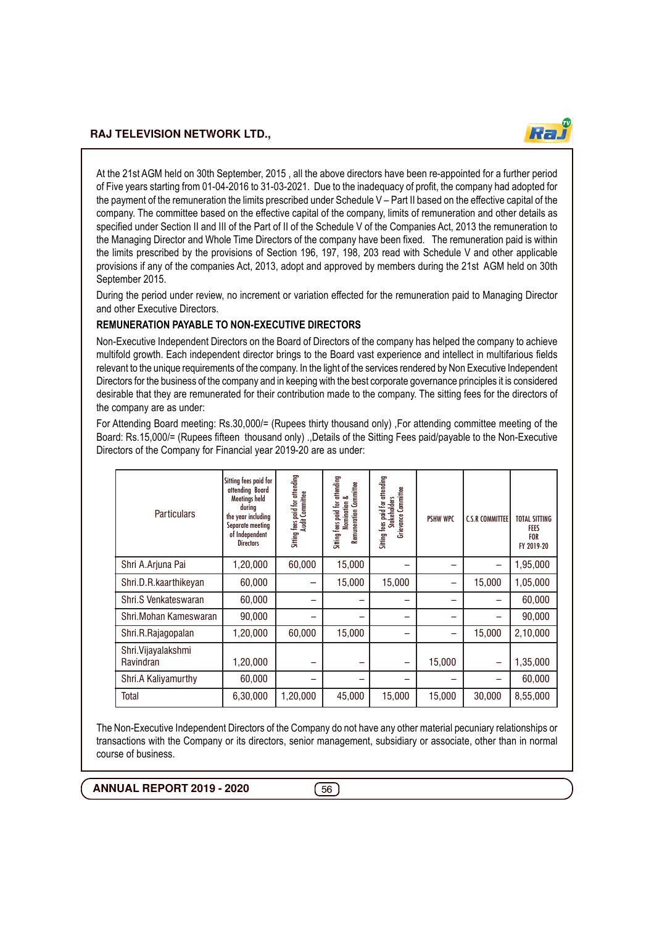

At the 21st AGM held on 30th September, 2015 , all the above directors have been re-appointed for a further period of Five years starting from 01-04-2016 to 31-03-2021. Due to the inadequacy of profit, the company had adopted for the payment of the remuneration the limits prescribed under Schedule V – Part II based on the effective capital of the company. The committee based on the effective capital of the company, limits of remuneration and other details as specified under Section II and III of the Part of II of the Schedule V of the Companies Act, 2013 the remuneration to the Managing Director and Whole Time Directors of the company have been fixed. The remuneration paid is within the limits prescribed by the provisions of Section 196, 197, 198, 203 read with Schedule V and other applicable provisions if any of the companies Act, 2013, adopt and approved by members during the 21st AGM held on 30th September 2015.

During the period under review, no increment or variation effected for the remuneration paid to Managing Director and other Executive Directors.

## REMUNERATION PAYABLE TO NON-EXECUTIVE DIRECTORS

Non-Executive Independent Directors on the Board of Directors of the company has helped the company to achieve multifold growth. Each independent director brings to the Board vast experience and intellect in multifarious fields relevant to the unique requirements of the company. In the light of the services rendered by Non Executive Independent Directors for the business of the company and in keeping with the best corporate governance principles it is considered desirable that they are remunerated for their contribution made to the company. The sitting fees for the directors of the company are as under:

For Attending Board meeting: Rs.30,000/= (Rupees thirty thousand only) ,For attending committee meeting of the Board: Rs.15,000/= (Rupees fifteen thousand only) .,Details of the Sitting Fees paid/payable to the Non-Executive Directors of the Company for Financial year 2019-20 are as under:

| <b>Particulars</b>               | Sitting fees paid for<br>attending Board<br>Meetings held<br>during<br>the year including<br>Separate meeting<br>of Independent<br><b>Directors</b> | Sitting fees paid for attending<br>Audit Committee | Sitting fees paid for attending<br><b>Remuneration Committee</b><br>Nomination & | Sitting fees paid for attending<br>Grievance Committee<br><b>Stakeholders</b> | <b>PSHW WPC</b> |        | TOTAL SITTING<br>FEES<br><b>FOR</b><br>FY 2019-20 |
|----------------------------------|-----------------------------------------------------------------------------------------------------------------------------------------------------|----------------------------------------------------|----------------------------------------------------------------------------------|-------------------------------------------------------------------------------|-----------------|--------|---------------------------------------------------|
| Shri A.Arjuna Pai                | 1,20,000                                                                                                                                            | 60,000                                             | 15,000                                                                           |                                                                               |                 | -      | 1,95,000                                          |
| Shri.D.R.kaarthikeyan            | 60,000                                                                                                                                              |                                                    | 15,000                                                                           | 15,000                                                                        | -               | 15,000 | 1,05,000                                          |
| Shri.S Venkateswaran             | 60,000                                                                                                                                              |                                                    |                                                                                  |                                                                               |                 |        | 60,000                                            |
| Shri.Mohan Kameswaran            | 90,000                                                                                                                                              |                                                    |                                                                                  |                                                                               |                 |        | 90,000                                            |
| Shri.R.Rajagopalan               | 1,20,000                                                                                                                                            | 60,000                                             | 15,000                                                                           |                                                                               |                 | 15,000 | 2,10,000                                          |
| Shri. Vijayalakshmi<br>Ravindran | 1,20,000                                                                                                                                            |                                                    |                                                                                  |                                                                               | 15,000          | -      | 1,35,000                                          |
| Shri.A Kaliyamurthy              | 60,000                                                                                                                                              |                                                    |                                                                                  |                                                                               |                 |        | 60,000                                            |
| Total                            | 6,30,000                                                                                                                                            | 1,20,000                                           | 45,000                                                                           | 15,000                                                                        | 15,000          | 30,000 | 8,55,000                                          |

The Non-Executive Independent Directors of the Company do not have any other material pecuniary relationships or transactions with the Company or its directors, senior management, subsidiary or associate, other than in normal course of business.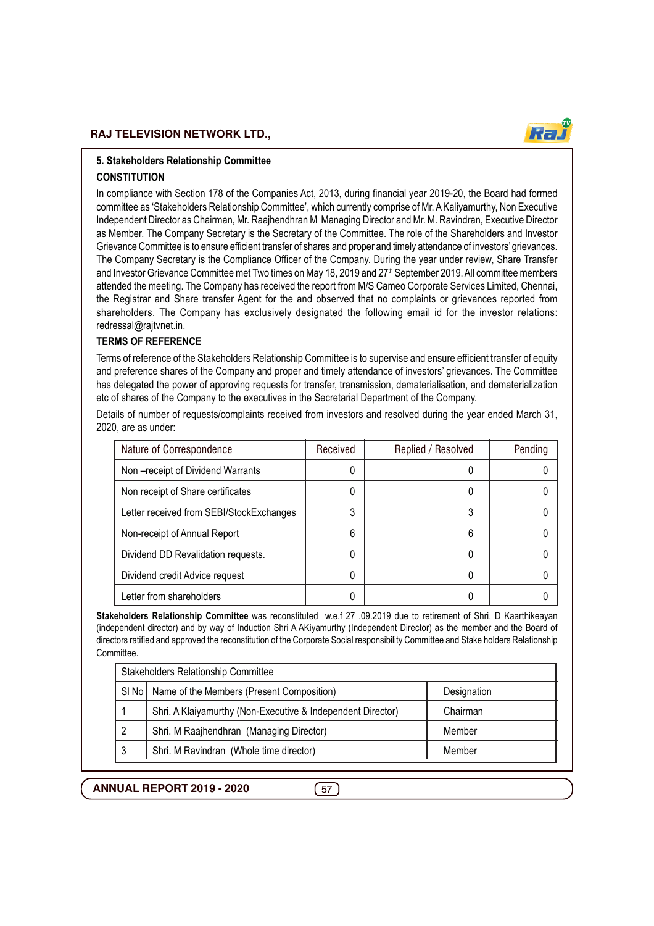

### 5. Stakeholders Relationship Committee **CONSTITUTION**

In compliance with Section 178 of the Companies Act, 2013, during financial year 2019-20, the Board had formed committee as 'Stakeholders Relationship Committee', which currently comprise of Mr. A Kaliyamurthy, Non Executive Independent Director as Chairman, Mr. Raajhendhran M Managing Director and Mr. M. Ravindran, Executive Director as Member. The Company Secretary is the Secretary of the Committee. The role of the Shareholders and Investor Grievance Committee is to ensure efficient transfer of shares and proper and timely attendance of investors' grievances. The Company Secretary is the Compliance Officer of the Company. During the year under review, Share Transfer and Investor Grievance Committee met Two times on May 18, 2019 and 27<sup>th</sup> September 2019. All committee members attended the meeting. The Company has received the report from M/S Cameo Corporate Services Limited, Chennai, the Registrar and Share transfer Agent for the and observed that no complaints or grievances reported from shareholders. The Company has exclusively designated the following email id for the investor relations: redressal@rajtvnet.in.

# TERMS OF REFERENCE

Terms of reference of the Stakeholders Relationship Committee is to supervise and ensure efficient transfer of equity and preference shares of the Company and proper and timely attendance of investors' grievances. The Committee has delegated the power of approving requests for transfer, transmission, dematerialisation, and dematerialization etc of shares of the Company to the executives in the Secretarial Department of the Company.

Details of number of requests/complaints received from investors and resolved during the year ended March 31, 2020, are as under:

| Nature of Correspondence                 | Received | Replied / Resolved | Pending |
|------------------------------------------|----------|--------------------|---------|
| Non-receipt of Dividend Warrants         |          |                    |         |
| Non receipt of Share certificates        |          |                    |         |
| Letter received from SEBI/StockExchanges |          |                    |         |
| Non-receipt of Annual Report             | 6        |                    |         |
| Dividend DD Revalidation requests.       |          |                    |         |
| Dividend credit Advice request           |          |                    |         |
| Letter from shareholders                 |          |                    |         |

Stakeholders Relationship Committee was reconstituted w.e.f 27 .09.2019 due to retirement of Shri. D Kaarthikeayan (independent director) and by way of Induction Shri A AKiyamurthy (Independent Director) as the member and the Board of directors ratified and approved the reconstitution of the Corporate Social responsibility Committee and Stake holders Relationship Committee.

| Stakeholders Relationship Committee |                                                             |             |  |  |
|-------------------------------------|-------------------------------------------------------------|-------------|--|--|
|                                     | SI No   Name of the Members (Present Composition)           | Designation |  |  |
|                                     | Shri. A Klaiyamurthy (Non-Executive & Independent Director) | Chairman    |  |  |
| 2                                   | Shri. M Raajhendhran (Managing Director)                    | Member      |  |  |
|                                     | Shri. M Ravindran (Whole time director)                     | Member      |  |  |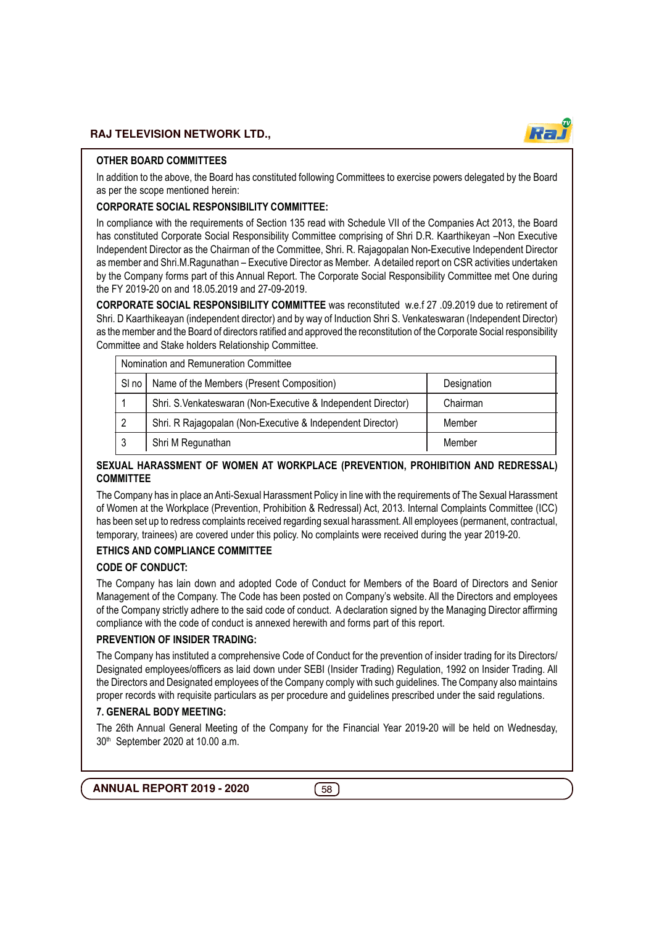

### OTHER BOARD COMMITTEES

In addition to the above, the Board has constituted following Committees to exercise powers delegated by the Board as per the scope mentioned herein:

### CORPORATE SOCIAL RESPONSIBILITY COMMITTEE:

In compliance with the requirements of Section 135 read with Schedule VII of the Companies Act 2013, the Board has constituted Corporate Social Responsibility Committee comprising of Shri D.R. Kaarthikeyan –Non Executive Independent Director as the Chairman of the Committee, Shri. R. Rajagopalan Non-Executive Independent Director as member and Shri.M.Ragunathan – Executive Director as Member. A detailed report on CSR activities undertaken by the Company forms part of this Annual Report. The Corporate Social Responsibility Committee met One during the FY 2019-20 on and 18.05.2019 and 27-09-2019.

CORPORATE SOCIAL RESPONSIBILITY COMMITTEE was reconstituted w.e.f 27 .09.2019 due to retirement of Shri. D Kaarthikeayan (independent director) and by way of Induction Shri S. Venkateswaran (Independent Director) as the member and the Board of directors ratified and approved the reconstitution of the Corporate Social responsibility Committee and Stake holders Relationship Committee.

|                  | Nomination and Remuneration Committee                         |             |  |  |  |  |
|------------------|---------------------------------------------------------------|-------------|--|--|--|--|
| SI <sub>no</sub> | Name of the Members (Present Composition)                     | Designation |  |  |  |  |
|                  | Shri. S. Venkateswaran (Non-Executive & Independent Director) | Chairman    |  |  |  |  |
|                  | Shri. R Rajagopalan (Non-Executive & Independent Director)    | Member      |  |  |  |  |
|                  | Shri M Regunathan                                             | Member      |  |  |  |  |

## SEXUAL HARASSMENT OF WOMEN AT WORKPLACE (PREVENTION, PROHIBITION AND REDRESSAL) **COMMITTEE**

The Company has in place an Anti-Sexual Harassment Policy in line with the requirements of The Sexual Harassment of Women at the Workplace (Prevention, Prohibition & Redressal) Act, 2013. Internal Complaints Committee (ICC) has been set up to redress complaints received regarding sexual harassment. All employees (permanent, contractual, temporary, trainees) are covered under this policy. No complaints were received during the year 2019-20.

## ETHICS AND COMPLIANCE COMMITTEE

#### CODE OF CONDUCT:

The Company has lain down and adopted Code of Conduct for Members of the Board of Directors and Senior Management of the Company. The Code has been posted on Company's website. All the Directors and employees of the Company strictly adhere to the said code of conduct. A declaration signed by the Managing Director affirming compliance with the code of conduct is annexed herewith and forms part of this report.

## PREVENTION OF INSIDER TRADING:

The Company has instituted a comprehensive Code of Conduct for the prevention of insider trading for its Directors/ Designated employees/officers as laid down under SEBI (Insider Trading) Regulation, 1992 on Insider Trading. All the Directors and Designated employees of the Company comply with such guidelines. The Company also maintains proper records with requisite particulars as per procedure and guidelines prescribed under the said regulations.

## 7. GENERAL BODY MEETING:

The 26th Annual General Meeting of the Company for the Financial Year 2019-20 will be held on Wednesday, 30<sup>th</sup> September 2020 at 10.00 a.m.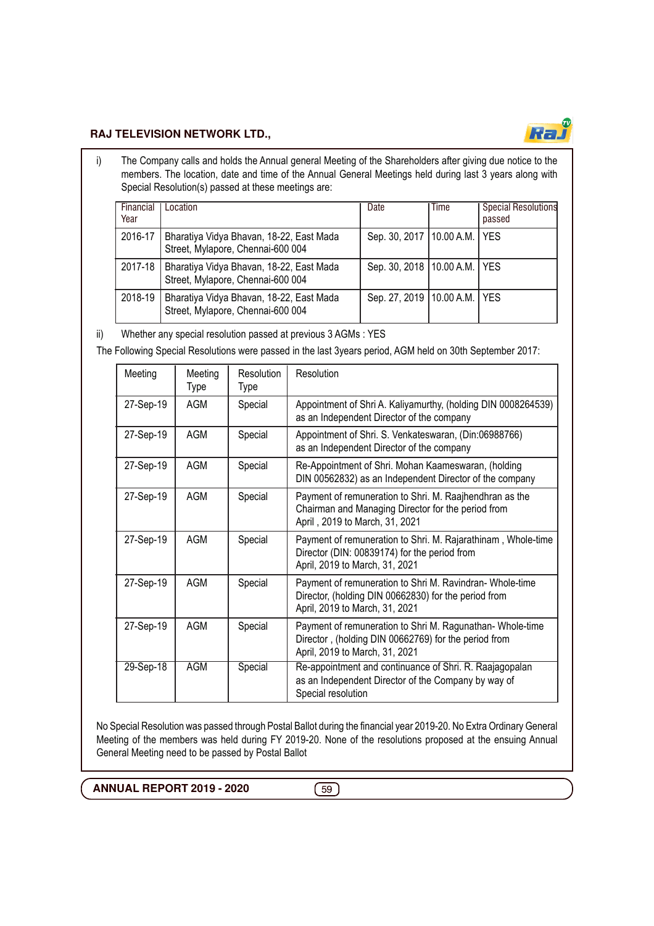

i) The Company calls and holds the Annual general Meeting of the Shareholders after giving due notice to the members. The location, date and time of the Annual General Meetings held during last 3 years along with Special Resolution(s) passed at these meetings are:

| Financial<br>Year | l ocation.                                                                    | Date                             | Time | <b>Special Resolutions</b><br>passed |
|-------------------|-------------------------------------------------------------------------------|----------------------------------|------|--------------------------------------|
| 2016-17           | Bharatiya Vidya Bhavan, 18-22, East Mada<br>Street, Mylapore, Chennai-600 004 | Sep. 30, 2017   10.00 A.M.   YES |      |                                      |
| 2017-18           | Bharatiya Vidya Bhavan, 18-22, East Mada<br>Street, Mylapore, Chennai-600 004 | Sep. 30, 2018   10.00 A.M.   YES |      |                                      |
| 2018-19           | Bharatiya Vidya Bhavan, 18-22, East Mada<br>Street, Mylapore, Chennai-600 004 | Sep. 27, 2019   10.00 A.M.   YES |      |                                      |

ii) Whether any special resolution passed at previous 3 AGMs : YES

The Following Special Resolutions were passed in the last 3years period, AGM held on 30th September 2017:

| Meeting   | Meeting<br>Type | <b>Resolution</b><br>Type | Resolution                                                                                                                                          |
|-----------|-----------------|---------------------------|-----------------------------------------------------------------------------------------------------------------------------------------------------|
| 27-Sep-19 | AGM             | Special                   | Appointment of Shri A. Kaliyamurthy, (holding DIN 0008264539)<br>as an Independent Director of the company                                          |
| 27-Sep-19 | AGM             | Special                   | Appointment of Shri. S. Venkateswaran, (Din:06988766)<br>as an Independent Director of the company                                                  |
| 27-Sep-19 | <b>AGM</b>      | Special                   | Re-Appointment of Shri. Mohan Kaameswaran, (holding<br>DIN 00562832) as an Independent Director of the company                                      |
| 27-Sep-19 | AGM             | Special                   | Payment of remuneration to Shri. M. Raajhendhran as the<br>Chairman and Managing Director for the period from<br>April, 2019 to March, 31, 2021     |
| 27-Sep-19 | AGM             | Special                   | Payment of remuneration to Shri. M. Rajarathinam, Whole-time<br>Director (DIN: 00839174) for the period from<br>April, 2019 to March, 31, 2021      |
| 27-Sep-19 | AGM             | Special                   | Payment of remuneration to Shri M. Ravindran- Whole-time<br>Director, (holding DIN 00662830) for the period from<br>April, 2019 to March, 31, 2021  |
| 27-Sep-19 | AGM             | Special                   | Payment of remuneration to Shri M. Ragunathan- Whole-time<br>Director, (holding DIN 00662769) for the period from<br>April, 2019 to March, 31, 2021 |
| 29-Sep-18 | AGM             | Special                   | Re-appointment and continuance of Shri. R. Raajagopalan<br>as an Independent Director of the Company by way of<br>Special resolution                |

No Special Resolution was passed through Postal Ballot during the financial year 2019-20. No Extra Ordinary General Meeting of the members was held during FY 2019-20. None of the resolutions proposed at the ensuing Annual General Meeting need to be passed by Postal Ballot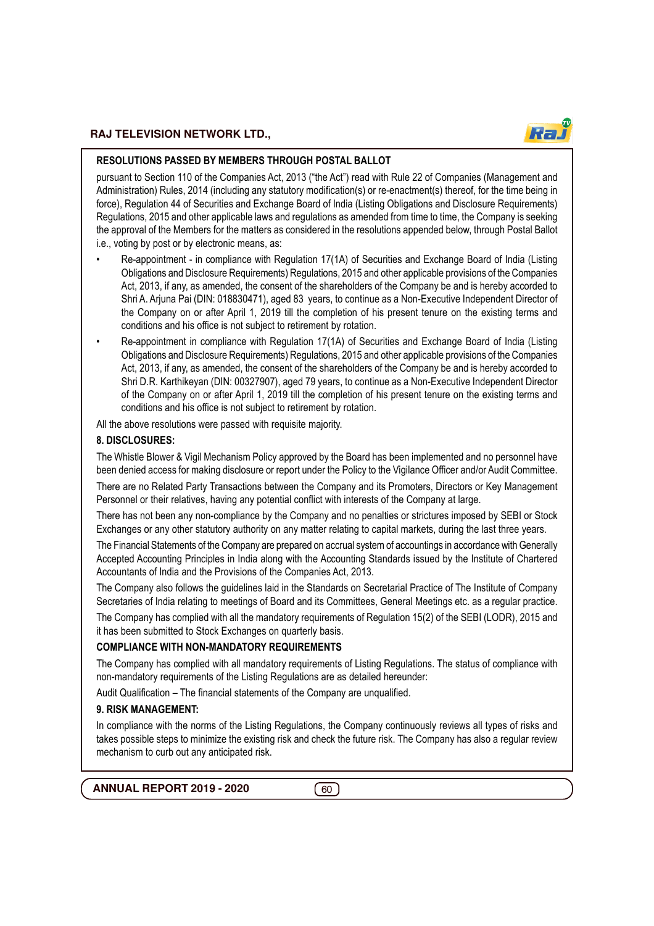

#### RESOLUTIONS PASSED BY MEMBERS THROUGH POSTAL BALLOT

pursuant to Section 110 of the Companies Act, 2013 ("the Act") read with Rule 22 of Companies (Management and Administration) Rules, 2014 (including any statutory modification(s) or re-enactment(s) thereof, for the time being in force), Regulation 44 of Securities and Exchange Board of India (Listing Obligations and Disclosure Requirements) Regulations, 2015 and other applicable laws and regulations as amended from time to time, the Company is seeking the approval of the Members for the matters as considered in the resolutions appended below, through Postal Ballot i.e., voting by post or by electronic means, as:

- Re-appointment in compliance with Regulation 17(1A) of Securities and Exchange Board of India (Listing Obligations and Disclosure Requirements) Regulations, 2015 and other applicable provisions of the Companies Act, 2013, if any, as amended, the consent of the shareholders of the Company be and is hereby accorded to Shri A. Arjuna Pai (DIN: 018830471), aged 83 years, to continue as a Non-Executive Independent Director of the Company on or after April 1, 2019 till the completion of his present tenure on the existing terms and conditions and his office is not subject to retirement by rotation.
- Re-appointment in compliance with Regulation 17(1A) of Securities and Exchange Board of India (Listing Obligations and Disclosure Requirements) Regulations, 2015 and other applicable provisions of the Companies Act, 2013, if any, as amended, the consent of the shareholders of the Company be and is hereby accorded to Shri D.R. Karthikeyan (DIN: 00327907), aged 79 years, to continue as a Non-Executive Independent Director of the Company on or after April 1, 2019 till the completion of his present tenure on the existing terms and conditions and his office is not subject to retirement by rotation.

All the above resolutions were passed with requisite majority.

### 8. DISCLOSURES:

The Whistle Blower & Vigil Mechanism Policy approved by the Board has been implemented and no personnel have been denied access for making disclosure or report under the Policy to the Vigilance Officer and/or Audit Committee. There are no Related Party Transactions between the Company and its Promoters, Directors or Key Management Personnel or their relatives, having any potential conflict with interests of the Company at large.

There has not been any non-compliance by the Company and no penalties or strictures imposed by SEBI or Stock Exchanges or any other statutory authority on any matter relating to capital markets, during the last three years.

The Financial Statements of the Company are prepared on accrual system of accountings in accordance with Generally Accepted Accounting Principles in India along with the Accounting Standards issued by the Institute of Chartered Accountants of India and the Provisions of the Companies Act, 2013.

The Company also follows the guidelines laid in the Standards on Secretarial Practice of The Institute of Company Secretaries of India relating to meetings of Board and its Committees, General Meetings etc. as a regular practice.

The Company has complied with all the mandatory requirements of Regulation 15(2) of the SEBI (LODR), 2015 and it has been submitted to Stock Exchanges on quarterly basis.

#### COMPLIANCE WITH NON-MANDATORY REQUIREMENTS

The Company has complied with all mandatory requirements of Listing Regulations. The status of compliance with non-mandatory requirements of the Listing Regulations are as detailed hereunder:

Audit Qualification – The financial statements of the Company are unqualified.

#### 9. RISK MANAGEMENT:

In compliance with the norms of the Listing Regulations, the Company continuously reviews all types of risks and takes possible steps to minimize the existing risk and check the future risk. The Company has also a regular review mechanism to curb out any anticipated risk.

| <b>ANNUAL REPORT 2019 - 2020</b> |
|----------------------------------|
|----------------------------------|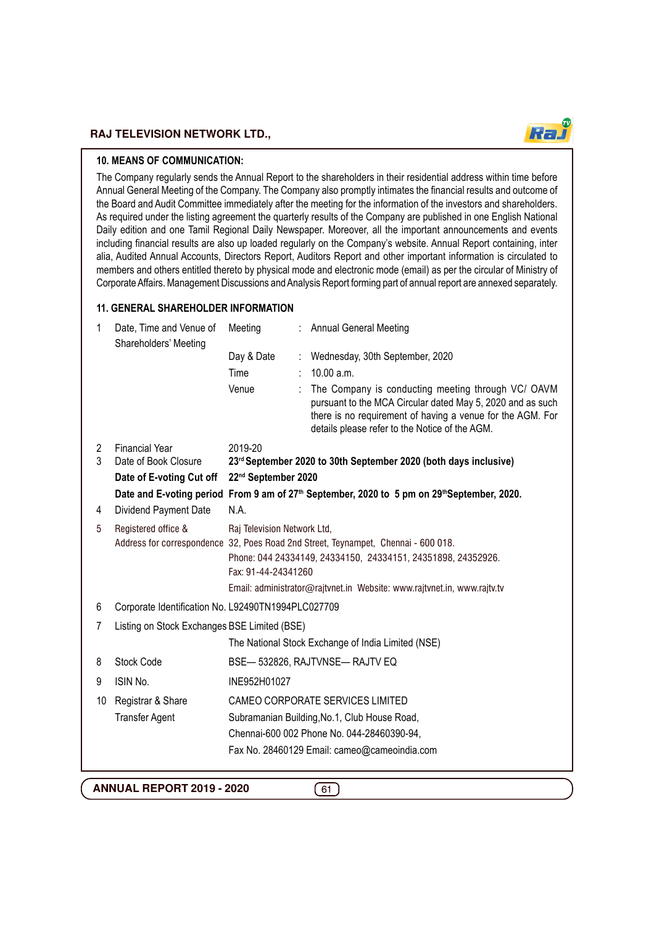

#### 10. MEANS OF COMMUNICATION:

The Company regularly sends the Annual Report to the shareholders in their residential address within time before Annual General Meeting of the Company. The Company also promptly intimates the financial results and outcome of the Board and Audit Committee immediately after the meeting for the information of the investors and shareholders. As required under the listing agreement the quarterly results of the Company are published in one English National Daily edition and one Tamil Regional Daily Newspaper. Moreover, all the important announcements and events including financial results are also up loaded regularly on the Company's website. Annual Report containing, inter alia, Audited Annual Accounts, Directors Report, Auditors Report and other important information is circulated to members and others entitled thereto by physical mode and electronic mode (email) as per the circular of Ministry of Corporate Affairs. Management Discussions and Analysis Report forming part of annual report are annexed separately.

#### 11. GENERAL SHAREHOLDER INFORMATION

| 1              | Date, Time and Venue of<br>Shareholders' Meeting   | Meeting                          |    | Annual General Meeting                                                                                                                                                                                                           |  |  |
|----------------|----------------------------------------------------|----------------------------------|----|----------------------------------------------------------------------------------------------------------------------------------------------------------------------------------------------------------------------------------|--|--|
|                |                                                    | Day & Date                       | t. | Wednesday, 30th September, 2020                                                                                                                                                                                                  |  |  |
|                |                                                    | Time                             |    | 10.00 a.m.                                                                                                                                                                                                                       |  |  |
|                |                                                    | Venue                            |    | The Company is conducting meeting through VC/ OAVM<br>pursuant to the MCA Circular dated May 5, 2020 and as such<br>there is no requirement of having a venue for the AGM. For<br>details please refer to the Notice of the AGM. |  |  |
| $\overline{2}$ | <b>Financial Year</b>                              | 2019-20                          |    |                                                                                                                                                                                                                                  |  |  |
| 3              | Date of Book Closure                               |                                  |    | 23rd September 2020 to 30th September 2020 (both days inclusive)                                                                                                                                                                 |  |  |
|                | Date of E-voting Cut off                           | 22 <sup>nd</sup> September 2020  |    |                                                                                                                                                                                                                                  |  |  |
|                |                                                    |                                  |    | Date and E-voting period From 9 am of 27 <sup>th</sup> September, 2020 to 5 pm on 29 <sup>th</sup> September, 2020.                                                                                                              |  |  |
| 4              | Dividend Payment Date                              | N.A.                             |    |                                                                                                                                                                                                                                  |  |  |
| 5              | Registered office &                                | Raj Television Network Ltd,      |    |                                                                                                                                                                                                                                  |  |  |
|                |                                                    |                                  |    | Address for correspondence 32, Poes Road 2nd Street, Teynampet, Chennai - 600 018.<br>Phone: 044 24334149, 24334150, 24334151, 24351898, 24352926.                                                                               |  |  |
|                |                                                    | Fax: 91-44-24341260              |    |                                                                                                                                                                                                                                  |  |  |
|                |                                                    |                                  |    | Email: administrator@rajtvnet.in Website: www.rajtvnet.in, www.rajtv.tv                                                                                                                                                          |  |  |
| 6              | Corporate Identification No. L92490TN1994PLC027709 |                                  |    |                                                                                                                                                                                                                                  |  |  |
| 7              | Listing on Stock Exchanges BSE Limited (BSE)       |                                  |    |                                                                                                                                                                                                                                  |  |  |
|                |                                                    |                                  |    | The National Stock Exchange of India Limited (NSE)                                                                                                                                                                               |  |  |
| 8              | <b>Stock Code</b>                                  |                                  |    | BSE-532826, RAJTVNSE-RAJTVEQ                                                                                                                                                                                                     |  |  |
| 9              | ISIN No.                                           | INE952H01027                     |    |                                                                                                                                                                                                                                  |  |  |
| 10             | Registrar & Share                                  | CAMEO CORPORATE SERVICES LIMITED |    |                                                                                                                                                                                                                                  |  |  |
|                | <b>Transfer Agent</b>                              |                                  |    | Subramanian Building, No.1, Club House Road,                                                                                                                                                                                     |  |  |
|                |                                                    |                                  |    | Chennai-600 002 Phone No. 044-28460390-94,                                                                                                                                                                                       |  |  |
|                |                                                    |                                  |    | Fax No. 28460129 Email: cameo@cameoindia.com                                                                                                                                                                                     |  |  |
|                |                                                    |                                  |    |                                                                                                                                                                                                                                  |  |  |
|                | ANNUAL REPORT 2019 - 2020<br>61                    |                                  |    |                                                                                                                                                                                                                                  |  |  |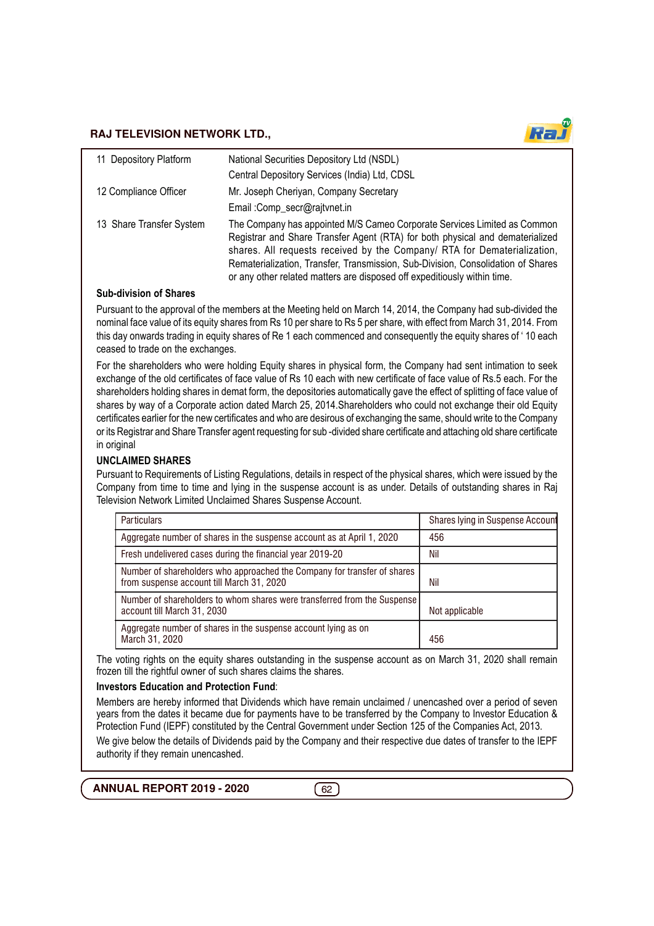

| 11 Depository Platform   | National Securities Depository Ltd (NSDL)                                                                                                                                                                                                                                                                                                                                                             |
|--------------------------|-------------------------------------------------------------------------------------------------------------------------------------------------------------------------------------------------------------------------------------------------------------------------------------------------------------------------------------------------------------------------------------------------------|
|                          | Central Depository Services (India) Ltd, CDSL                                                                                                                                                                                                                                                                                                                                                         |
| 12 Compliance Officer    | Mr. Joseph Cheriyan, Company Secretary                                                                                                                                                                                                                                                                                                                                                                |
|                          | Email: Comp_secr@rajtvnet.in                                                                                                                                                                                                                                                                                                                                                                          |
| 13 Share Transfer System | The Company has appointed M/S Cameo Corporate Services Limited as Common<br>Registrar and Share Transfer Agent (RTA) for both physical and dematerialized<br>shares. All requests received by the Company/ RTA for Dematerialization,<br>Rematerialization, Transfer, Transmission, Sub-Division, Consolidation of Shares<br>or any other related matters are disposed off expeditiously within time. |

### Sub-division of Shares

Pursuant to the approval of the members at the Meeting held on March 14, 2014, the Company had sub-divided the nominal face value of its equity shares from Rs 10 per share to Rs 5 per share, with effect from March 31, 2014. From this day onwards trading in equity shares of Re 1 each commenced and consequently the equity shares of ' 10 each ceased to trade on the exchanges.

For the shareholders who were holding Equity shares in physical form, the Company had sent intimation to seek exchange of the old certificates of face value of Rs 10 each with new certificate of face value of Rs.5 each. For the shareholders holding shares in demat form, the depositories automatically gave the effect of splitting of face value of shares by way of a Corporate action dated March 25, 2014.Shareholders who could not exchange their old Equity certificates earlier for the new certificates and who are desirous of exchanging the same, should write to the Company or its Registrar and Share Transfer agent requesting for sub -divided share certificate and attaching old share certificate in original

### UNCLAIMED SHARES

Pursuant to Requirements of Listing Regulations, details in respect of the physical shares, which were issued by the Company from time to time and lying in the suspense account is as under. Details of outstanding shares in Raj Television Network Limited Unclaimed Shares Suspense Account.

| <b>Particulars</b>                                                                                                    | Shares lying in Suspense Account |
|-----------------------------------------------------------------------------------------------------------------------|----------------------------------|
| Aggregate number of shares in the suspense account as at April 1, 2020                                                | 456                              |
| Fresh undelivered cases during the financial year 2019-20                                                             | Nil                              |
| Number of shareholders who approached the Company for transfer of shares<br>from suspense account till March 31, 2020 | Nil                              |
| Number of shareholders to whom shares were transferred from the Suspense<br>account till March 31, 2030               | Not applicable                   |
| Aggregate number of shares in the suspense account lying as on<br>March 31, 2020                                      | 456                              |

The voting rights on the equity shares outstanding in the suspense account as on March 31, 2020 shall remain frozen till the rightful owner of such shares claims the shares.

#### Investors Education and Protection Fund:

Members are hereby informed that Dividends which have remain unclaimed / unencashed over a period of seven years from the dates it became due for payments have to be transferred by the Company to Investor Education & Protection Fund (IEPF) constituted by the Central Government under Section 125 of the Companies Act, 2013.

We give below the details of Dividends paid by the Company and their respective due dates of transfer to the IEPF authority if they remain unencashed.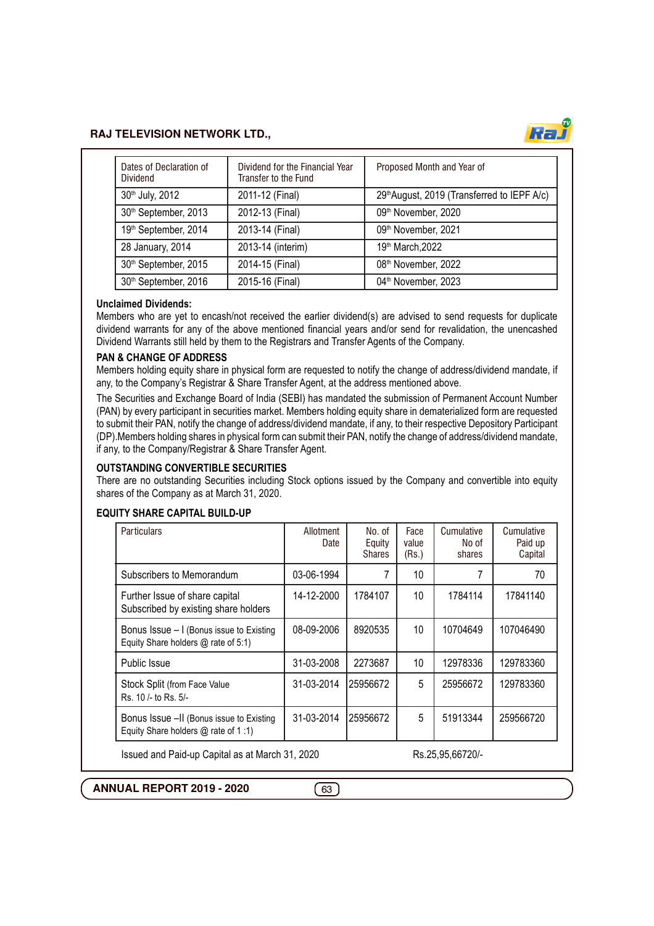

| Dates of Declaration of<br><b>Dividend</b> | Dividend for the Financial Year<br>Transfer to the Fund | Proposed Month and Year of                  |
|--------------------------------------------|---------------------------------------------------------|---------------------------------------------|
| 30th July, 2012                            | 2011-12 (Final)                                         | 29th August, 2019 (Transferred to IEPF A/c) |
| 30th September, 2013                       | 2012-13 (Final)                                         | 09th November, 2020                         |
| 19th September, 2014                       | 2013-14 (Final)                                         | 09th November, 2021                         |
| 28 January, 2014                           | 2013-14 (interim)                                       | 19 <sup>th</sup> March, 2022                |
| 30 <sup>th</sup> September, 2015           | 2014-15 (Final)                                         | 08 <sup>th</sup> November, 2022             |
| 30 <sup>th</sup> September, 2016           | 2015-16 (Final)                                         | 04 <sup>th</sup> November, 2023             |

### Unclaimed Dividends:

Members who are yet to encash/not received the earlier dividend(s) are advised to send requests for duplicate dividend warrants for any of the above mentioned financial years and/or send for revalidation, the unencashed Dividend Warrants still held by them to the Registrars and Transfer Agents of the Company.

### PAN & CHANGE OF ADDRESS

Members holding equity share in physical form are requested to notify the change of address/dividend mandate, if any, to the Company's Registrar & Share Transfer Agent, at the address mentioned above.

The Securities and Exchange Board of India (SEBI) has mandated the submission of Permanent Account Number (PAN) by every participant in securities market. Members holding equity share in dematerialized form are requested to submit their PAN, notify the change of address/dividend mandate, if any, to their respective Depository Participant (DP).Members holding shares in physical form can submit their PAN, notify the change of address/dividend mandate, if any, to the Company/Registrar & Share Transfer Agent.

### OUTSTANDING CONVERTIBLE SECURITIES

There are no outstanding Securities including Stock options issued by the Company and convertible into equity shares of the Company as at March 31, 2020.

## EQUITY SHARE CAPITAL BUILD-UP

| Particulars                                                                       | Allotment<br>Date | No. of<br>Equity<br><b>Shares</b> | Face<br>value<br>(Rs.) | Cumulative<br>No of<br>shares | Cumulative<br>Paid up<br>Capital |
|-----------------------------------------------------------------------------------|-------------------|-----------------------------------|------------------------|-------------------------------|----------------------------------|
| Subscribers to Memorandum                                                         | 03-06-1994        |                                   | 10                     |                               | 70                               |
| Further Issue of share capital<br>Subscribed by existing share holders            | 14-12-2000        | 1784107                           | 10                     | 1784114                       | 17841140                         |
| Bonus Issue - I (Bonus issue to Existing<br>Equity Share holders @ rate of 5:1)   | 08-09-2006        | 8920535                           | 10                     | 10704649                      | 107046490                        |
| Public Issue                                                                      | 31-03-2008        | 2273687                           | 10                     | 12978336                      | 129783360                        |
| Stock Split (from Face Value<br>Rs. 10 /- to Rs. 5/-                              | 31-03-2014        | 25956672                          | 5                      | 25956672                      | 129783360                        |
| Bonus Issue -II (Bonus issue to Existing<br>Equity Share holders $@$ rate of 1:1) | 31-03-2014        | 25956672                          | 5                      | 51913344                      | 259566720                        |
| Issued and Paid-up Capital as at March 31, 2020                                   |                   |                                   |                        | Rs.25,95,66720/-              |                                  |

**ANNUAL REPORT 2019 - 2020**

 $\sqrt{63}$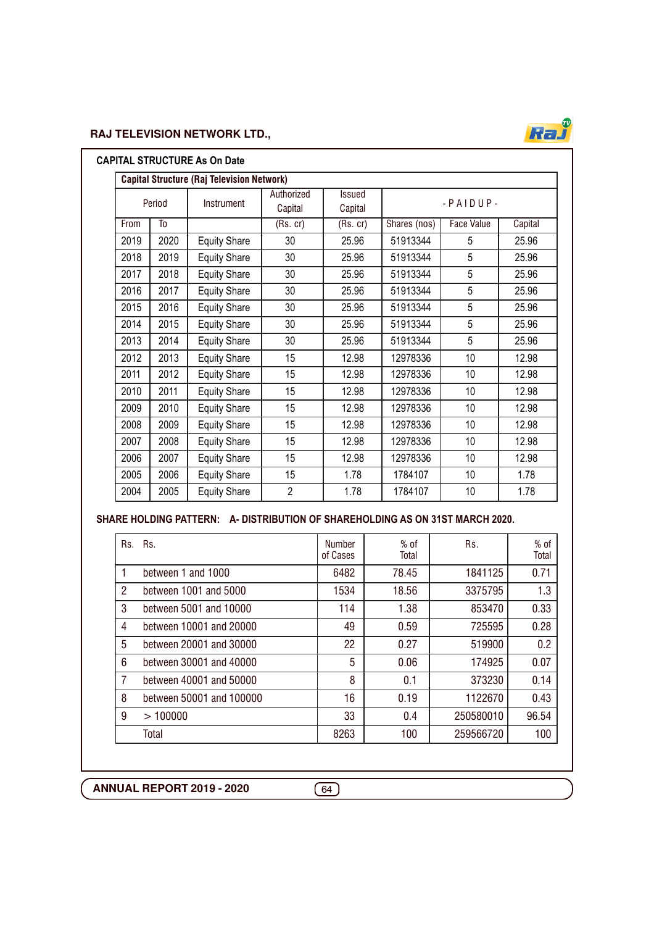

Ĕ.

### **RAJ TELEVISION NETWORK LTD.,**

| <b>CAPITAL STRUCTURE As On Date</b>        |  |
|--------------------------------------------|--|
| Capital Structure (Raj Television Network) |  |

| Gaphai Shuguule (naj leievisium Network) |                             |                     |                  |          |              |                   |         |  |  |
|------------------------------------------|-----------------------------|---------------------|------------------|----------|--------------|-------------------|---------|--|--|
|                                          |                             |                     | Authorized       | Issued   |              |                   |         |  |  |
|                                          | Period                      | Instrument          | Capital          | Capital  |              | $-$ PAIDUP $-$    |         |  |  |
| From                                     | T <sub>0</sub>              |                     | (Rs. cr)         | (Rs. cr) | Shares (nos) | <b>Face Value</b> | Capital |  |  |
| 2019                                     | 2020                        | <b>Equity Share</b> | 30               | 25.96    | 51913344     | 5                 | 25.96   |  |  |
| 2018                                     | 2019                        | <b>Equity Share</b> | 30 <sub>2</sub>  | 25.96    | 51913344     | 5                 | 25.96   |  |  |
| 2017                                     | 2018                        | <b>Equity Share</b> | 30               | 25.96    | 51913344     | 5                 | 25.96   |  |  |
| 2016                                     | 2017                        | <b>Equity Share</b> | 30               | 25.96    | 51913344     | 5                 | 25.96   |  |  |
| 2015                                     | 2016                        | <b>Equity Share</b> | 30               | 25.96    | 51913344     | 5                 | 25.96   |  |  |
| 2014                                     | 2015                        | <b>Equity Share</b> | 30               | 25.96    | 51913344     | 5                 | 25.96   |  |  |
| 2013                                     | 2014                        | <b>Equity Share</b> | 30               | 25.96    | 51913344     | 5                 | 25.96   |  |  |
| 2012                                     | 2013                        | <b>Equity Share</b> | 15               | 12.98    | 12978336     | 10                | 12.98   |  |  |
| 2011                                     | 2012                        | <b>Equity Share</b> | 15               | 12.98    | 12978336     | 10                | 12.98   |  |  |
| 2010                                     | 2011                        | <b>Equity Share</b> | 15 <sup>15</sup> | 12.98    | 12978336     | 10                | 12.98   |  |  |
| 2009                                     | 2010                        | <b>Equity Share</b> | 15               | 12.98    | 12978336     | 10                | 12.98   |  |  |
| 2008                                     | 2009                        | <b>Equity Share</b> | 15               | 12.98    | 12978336     | 10                | 12.98   |  |  |
| 2007                                     | 2008                        | <b>Equity Share</b> | 15               | 12.98    | 12978336     | 10                | 12.98   |  |  |
| 2006                                     | 2007                        | <b>Equity Share</b> | 15               | 12.98    | 12978336     | 10                | 12.98   |  |  |
| 2005                                     | 2006                        | <b>Equity Share</b> | 15               | 1.78     | 1784107      | 10                | 1.78    |  |  |
| 2004                                     | 2005<br><b>Equity Share</b> |                     | $\overline{2}$   | 1.78     | 1784107      | 10                | 1.78    |  |  |
|                                          |                             |                     |                  |          |              |                   |         |  |  |

# SHARE HOLDING PATTERN: A- DISTRIBUTION OF SHAREHOLDING AS ON 31ST MARCH 2020.

|   | Rs. Rs.                  | Number<br>of Cases | $%$ of<br>Total | Rs.       | $%$ of<br>Total |
|---|--------------------------|--------------------|-----------------|-----------|-----------------|
|   | between 1 and 1000       | 6482               | 78.45           | 1841125   | 0.71            |
| 2 | between 1001 and 5000    | 1534               | 18.56           | 3375795   | 1.3             |
| 3 | between 5001 and 10000   | 114                | 1.38            | 853470    | 0.33            |
| 4 | between 10001 and 20000  | 49                 | 0.59            | 725595    | 0.28            |
| 5 | between 20001 and 30000  | 22                 | 0.27            | 519900    | 0.2             |
| 6 | between 30001 and 40000  | 5                  | 0.06            | 174925    | 0.07            |
| 7 | between 40001 and 50000  | 8                  | 0.1             | 373230    | 0.14            |
| 8 | between 50001 and 100000 | 16                 | 0.19            | 1122670   | 0.43            |
| 9 | >100000                  | 33                 | 0.4             | 250580010 | 96.54           |
|   | Total                    | 8263               | 100             | 259566720 | 100             |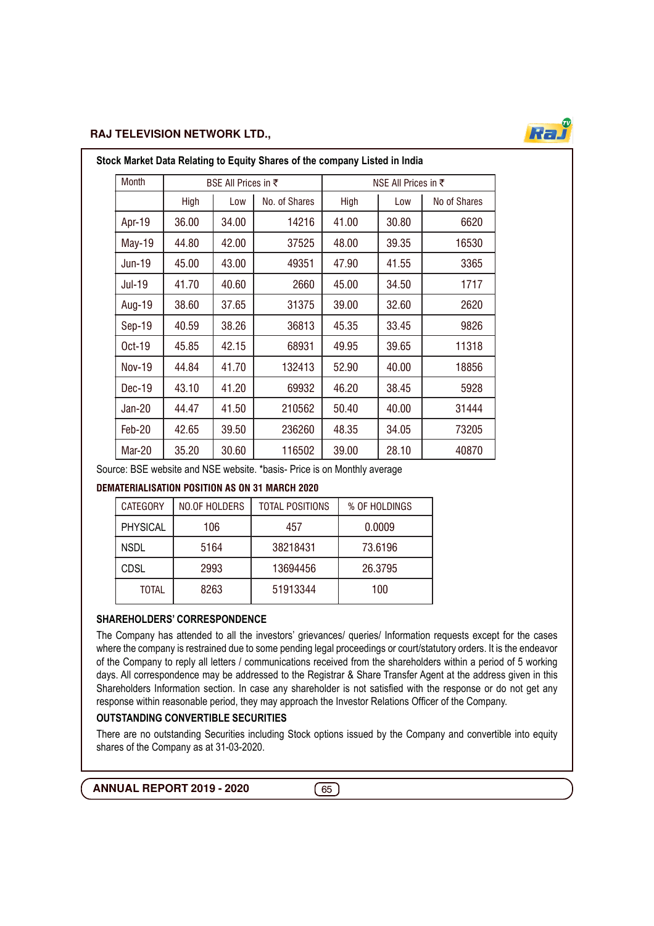

| <b>Month</b> |       | BSE All Prices in $\bar{\tau}$ |               |       |       | NSE All Prices in $\bar{\tau}$ |  |  |
|--------------|-------|--------------------------------|---------------|-------|-------|--------------------------------|--|--|
|              | High  | Low                            | No. of Shares | High  | Low   | No of Shares                   |  |  |
| Apr-19       | 36.00 | 34.00                          | 14216         | 41.00 | 30.80 | 6620                           |  |  |
| May-19       | 44.80 | 42.00                          | 37525         | 48.00 | 39.35 | 16530                          |  |  |
| Jun-19       | 45.00 | 43.00                          | 49351         | 47.90 | 41.55 | 3365                           |  |  |
| Jul-19       | 41.70 | 40.60                          | 2660          | 45.00 | 34.50 | 1717                           |  |  |
| Aug-19       | 38.60 | 37.65                          | 31375         | 39.00 | 32.60 | 2620                           |  |  |
| Sep-19       | 40.59 | 38.26                          | 36813         | 45.35 | 33.45 | 9826                           |  |  |
| $Oct-19$     | 45.85 | 42.15                          | 68931         | 49.95 | 39.65 | 11318                          |  |  |
| Nov-19       | 44.84 | 41.70                          | 132413        | 52.90 | 40.00 | 18856                          |  |  |
| Dec-19       | 43.10 | 41.20                          | 69932         | 46.20 | 38.45 | 5928                           |  |  |
| Jan-20       | 44.47 | 41.50                          | 210562        | 50.40 | 40.00 | 31444                          |  |  |
| Feb-20       | 42.65 | 39.50                          | 236260        | 48.35 | 34.05 | 73205                          |  |  |
| Mar-20       | 35.20 | 30.60                          | 116502        | 39.00 | 28.10 | 40870                          |  |  |

Stock Market Data Relating to Equity Shares of the company Listed in India

Source: BSE website and NSE website. \*basis- Price is on Monthly average

## DEMATERIALISATION POSITION AS ON 31 MARCH 2020

| <b>CATEGORY</b> | NO.OF HOLDERS | <b>TOTAL POSITIONS</b> | % OF HOLDINGS |
|-----------------|---------------|------------------------|---------------|
| <b>PHYSICAL</b> | 106           | 457                    | 0.0009        |
| <b>NSDL</b>     | 5164          | 38218431               | 73.6196       |
| CDSL            | 2993          | 13694456               | 26,3795       |
| <b>TOTAL</b>    | 8263          | 51913344               | 100           |

### SHAREHOLDERS' CORRESPONDENCE

The Company has attended to all the investors' grievances/ queries/ Information requests except for the cases where the company is restrained due to some pending legal proceedings or court/statutory orders. It is the endeavor of the Company to reply all letters / communications received from the shareholders within a period of 5 working days. All correspondence may be addressed to the Registrar & Share Transfer Agent at the address given in this Shareholders Information section. In case any shareholder is not satisfied with the response or do not get any response within reasonable period, they may approach the Investor Relations Officer of the Company.

# OUTSTANDING CONVERTIBLE SECURITIES

There are no outstanding Securities including Stock options issued by the Company and convertible into equity shares of the Company as at 31-03-2020.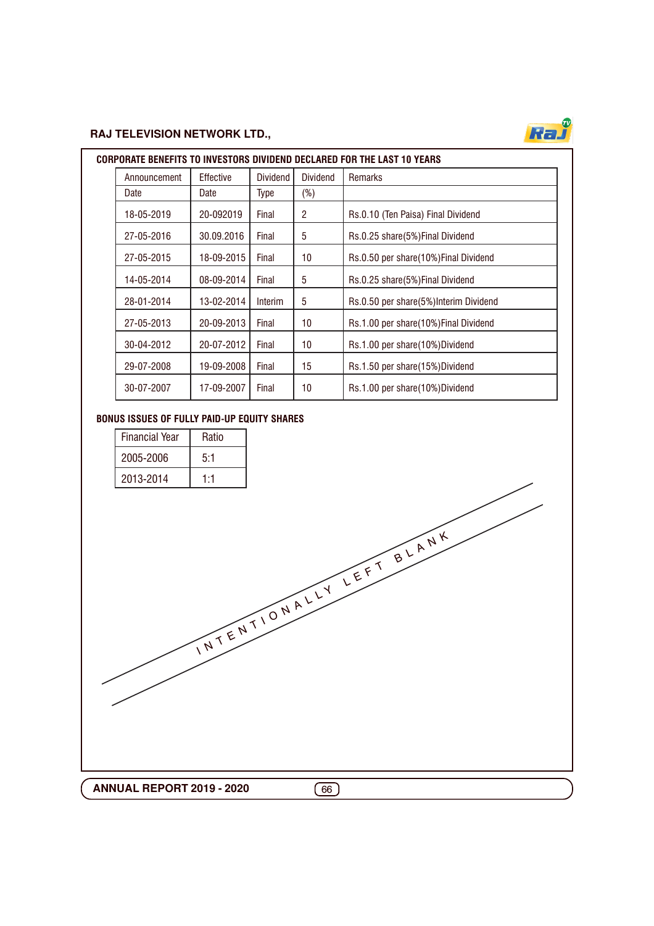

### CORPORATE BENEFITS TO INVESTORS DIVIDEND DECLARED FOR THE LAST 10 YEARS

| Announcement | Effective  | Dividend | Dividend | Remarks                                |
|--------------|------------|----------|----------|----------------------------------------|
| Date         | Date       | Type     | $(\%)$   |                                        |
| 18-05-2019   | 20-092019  | Final    | 2        | Rs.0.10 (Ten Paisa) Final Dividend     |
| 27-05-2016   | 30.09.2016 | Final    | 5        | Rs.0.25 share(5%)Final Dividend        |
| 27-05-2015   | 18-09-2015 | Final    | 10       | Rs.0.50 per share (10%) Final Dividend |
| 14-05-2014   | 08-09-2014 | Final    | 5        | Rs.0.25 share(5%)Final Dividend        |
| 28-01-2014   | 13-02-2014 | Interim  | 5        | Rs.0.50 per share(5%)Interim Dividend  |
| 27-05-2013   | 20-09-2013 | Final    | 10       | Rs.1.00 per share(10%)Final Dividend   |
| 30-04-2012   | 20-07-2012 | Final    | 10       | Rs.1.00 per share(10%)Dividend         |
| 29-07-2008   | 19-09-2008 | Final    | 15       | Rs.1.50 per share(15%)Dividend         |
| 30-07-2007   | 17-09-2007 | Final    | 10       | Rs.1.00 per share(10%)Dividend         |

## BONUS ISSUES OF FULLY PAID-UP EQUITY SHARES

| <b>Financial Year</b> | Ratio |
|-----------------------|-------|
| 2005-2006             | 5:1   |
| 2013-2014             | 1:1   |

**ANNUAL REPORT 2019 - 2020**

INTENTIONALLY LEFT BLANK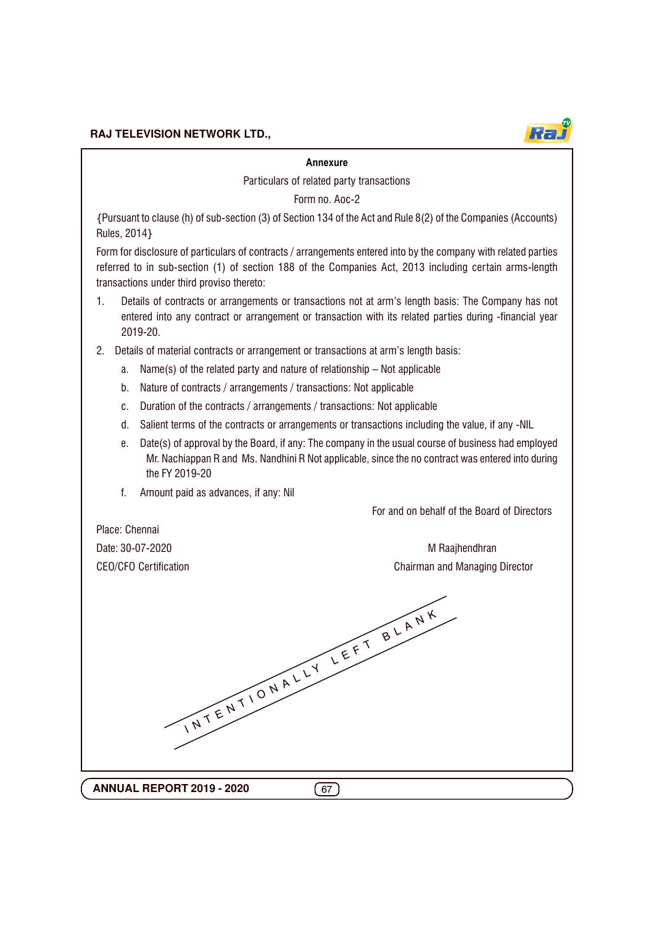

### Annexure

Particulars of related party transactions

# Form no. Aoc-2

{Pursuant to clause (h) of sub-section (3) of Section 134 of the Act and Rule 8(2) of the Companies (Accounts) Rules, 2014}

Form for disclosure of particulars of contracts / arrangements entered into by the company with related parties referred to in sub-section (1) of section 188 of the Companies Act, 2013 including certain arms-length transactions under third proviso thereto:

- 1. Details of contracts or arrangements or transactions not at arm's length basis: The Company has not entered into any contract or arrangement or transaction with its related parties during -financial year 2019-20.
- 2. Details of material contracts or arrangement or transactions at arm's length basis:
	- a. Name(s) of the related party and nature of relationship Not applicable
	- b. Nature of contracts / arrangements / transactions: Not applicable
	- c. Duration of the contracts / arrangements / transactions: Not applicable
	- d. Salient terms of the contracts or arrangements or transactions including the value, if any -NIL
	- e. Date(s) of approval by the Board, if any: The company in the usual course of business had employed Mr. Nachiappan R and Ms. Nandhini R Not applicable, since the no contract was entered into during the FY 2019-20
	- f. Amount paid as advances, if any: Nil

For and on behalf of the Board of Directors

Place: Chennai

Date: 30-07-2020 Maajhendhran CEO/CFO Certification Chairman and Managing Director



**ANNUAL REPORT 2019 - 2020**

 $\boxed{67}$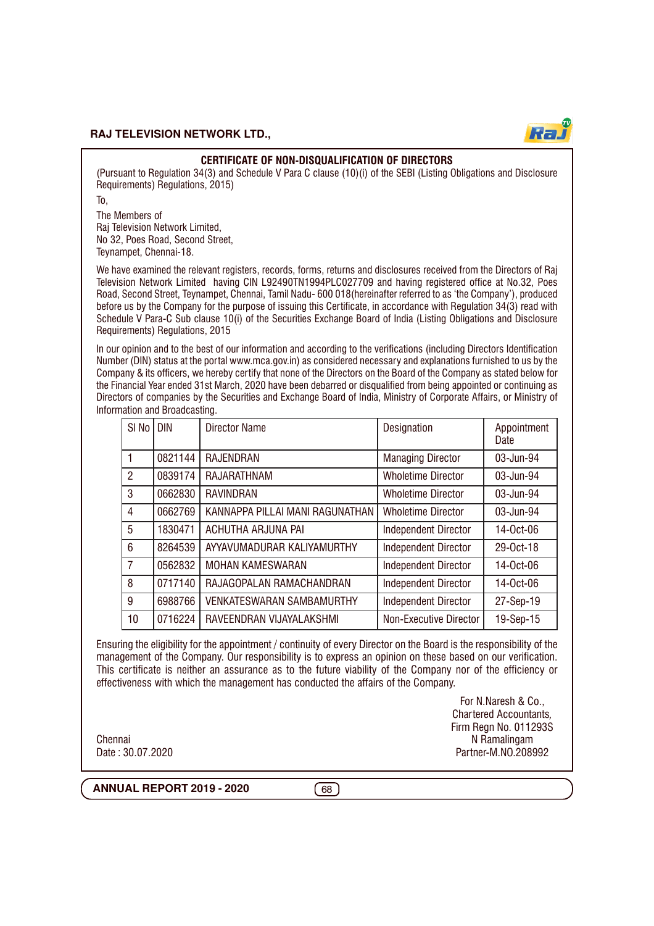

#### CERTIFICATE OF NON-DISQUALIFICATION OF DIRECTORS

(Pursuant to Regulation 34(3) and Schedule V Para C clause (10)(i) of the SEBI (Listing Obligations and Disclosure Requirements) Regulations, 2015)

To,

The Members of Raj Television Network Limited, No 32, Poes Road, Second Street, Teynampet, Chennai-18.

We have examined the relevant registers, records, forms, returns and disclosures received from the Directors of Raj Television Network Limited having CIN L92490TN1994PLC027709 and having registered office at No.32, Poes Road, Second Street, Teynampet, Chennai, Tamil Nadu- 600 018(hereinafter referred to as 'the Company'), produced before us by the Company for the purpose of issuing this Certificate, in accordance with Regulation 34(3) read with Schedule V Para-C Sub clause 10(i) of the Securities Exchange Board of India (Listing Obligations and Disclosure Requirements) Regulations, 2015

In our opinion and to the best of our information and according to the verifications (including Directors Identification Number (DIN) status at the portal www.mca.gov.in) as considered necessary and explanations furnished to us by the Company & its officers, we hereby certify that none of the Directors on the Board of the Company as stated below for the Financial Year ended 31st March, 2020 have been debarred or disqualified from being appointed or continuing as Directors of companies by the Securities and Exchange Board of India, Ministry of Corporate Affairs, or Ministry of Information and Broadcasting.

| SI No          | <b>DIN</b> | Director Name                    | Designation                   | Appointment<br>Date |
|----------------|------------|----------------------------------|-------------------------------|---------------------|
|                | 0821144    | <b>RAJENDRAN</b>                 | <b>Managing Director</b>      | 03-Jun-94           |
| $\overline{c}$ | 0839174    | RAJARATHNAM                      | <b>Wholetime Director</b>     | 03-Jun-94           |
| 3              | 0662830    | RAVINDRAN                        | <b>Wholetime Director</b>     | 03-Jun-94           |
| 4              | 0662769    | KANNAPPA PILLAI MANI RAGUNATHAN  | <b>Wholetime Director</b>     | 03-Jun-94           |
| 5              | 1830471    | ACHUTHA ARJUNA PAI               | <b>Independent Director</b>   | 14-Oct-06           |
| 6              | 8264539    | AYYAVUMADURAR KALIYAMURTHY       | <b>Independent Director</b>   | 29-Oct-18           |
| 7              | 0562832    | <b>MOHAN KAMESWARAN</b>          | <b>Independent Director</b>   | 14-0ct-06           |
| 8              | 0717140    | RAJAGOPALAN RAMACHANDRAN         | <b>Independent Director</b>   | 14-Oct-06           |
| 9              | 6988766    | <b>VENKATESWARAN SAMBAMURTHY</b> | <b>Independent Director</b>   | 27-Sep-19           |
| 10             | 0716224    | RAVEENDRAN VIJAYALAKSHMI         | <b>Non-Executive Director</b> | 19-Sep-15           |

Ensuring the eligibility for the appointment / continuity of every Director on the Board is the responsibility of the management of the Company. Our responsibility is to express an opinion on these based on our verification. This certificate is neither an assurance as to the future viability of the Company nor of the efficiency or effectiveness with which the management has conducted the affairs of the Company.

For N.Naresh & Co., Chartered Accountants, Firm Regn No. 011293S Chennai N Ramalingam N Ramalingam N Ramalingam N Ramalingam N Ramalingam N Ramalingam N Ramalingam N Ramalingam Date : 30.07.2020 Partner-M.NO.208992

**ANNUAL REPORT 2019 - 2020**

<u>68</u>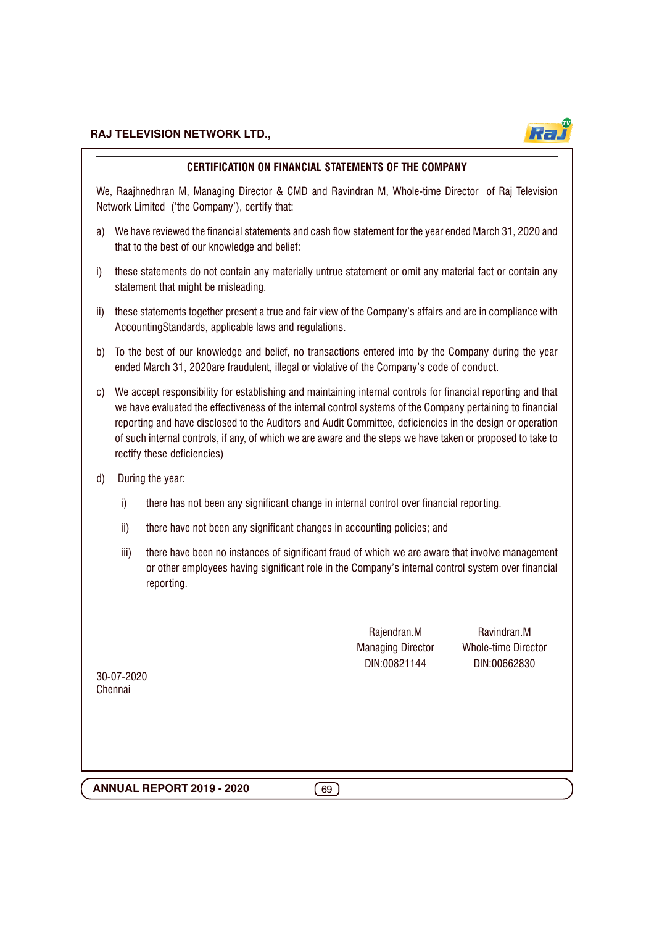

### CERTIFICATION ON FINANCIAL STATEMENTS OF THE COMPANY

We, Raajhnedhran M, Managing Director & CMD and Ravindran M, Whole-time Director of Raj Television Network Limited ('the Company'), certify that:

- a) We have reviewed the financial statements and cash flow statement for the year ended March 31, 2020 and that to the best of our knowledge and belief:
- i) these statements do not contain any materially untrue statement or omit any material fact or contain any statement that might be misleading.
- ii) these statements together present a true and fair view of the Company's affairs and are in compliance with AccountingStandards, applicable laws and regulations.
- b) To the best of our knowledge and belief, no transactions entered into by the Company during the year ended March 31, 2020are fraudulent, illegal or violative of the Company's code of conduct.
- c) We accept responsibility for establishing and maintaining internal controls for financial reporting and that we have evaluated the effectiveness of the internal control systems of the Company pertaining to financial reporting and have disclosed to the Auditors and Audit Committee, deficiencies in the design or operation of such internal controls, if any, of which we are aware and the steps we have taken or proposed to take to rectify these deficiencies)
- d) During the year:
	- i) there has not been any significant change in internal control over financial reporting.
	- ii) there have not been any significant changes in accounting policies; and
	- iii) there have been no instances of significant fraud of which we are aware that involve management or other employees having significant role in the Company's internal control system over financial reporting.

Rajendran.M Ravindran.M

Managing Director Whole-time Director DIN:00821144 DIN:00662830

30-07-2020 Chennai

**ANNUAL REPORT 2019 - 2020**

 $\sqrt{69}$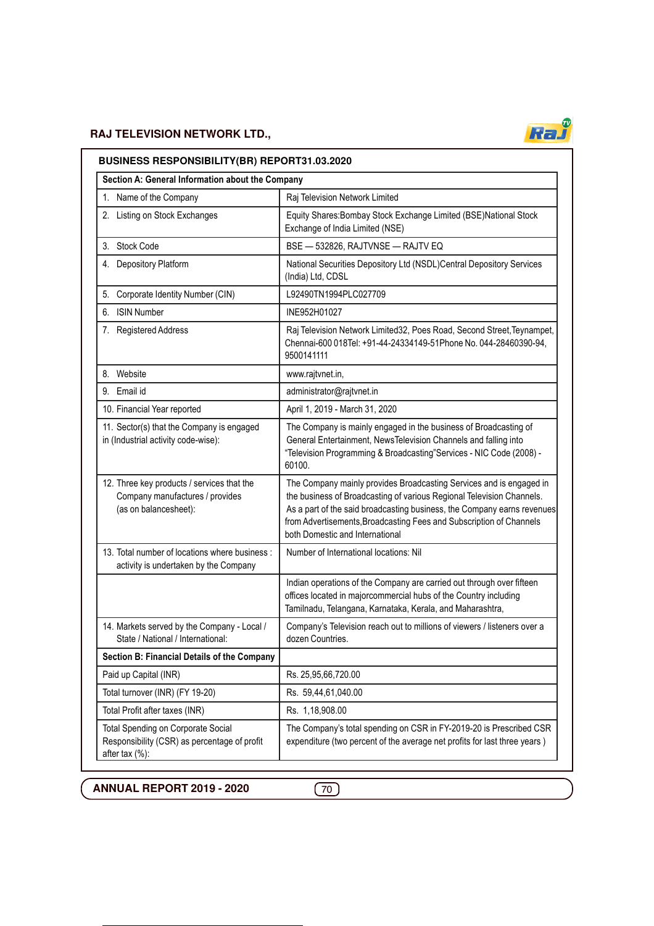

| Section A: General Information about the Company                                                         |                                                                                                                                                                                                                                                                                                                                   |
|----------------------------------------------------------------------------------------------------------|-----------------------------------------------------------------------------------------------------------------------------------------------------------------------------------------------------------------------------------------------------------------------------------------------------------------------------------|
| Name of the Company<br>1.                                                                                | Raj Television Network Limited                                                                                                                                                                                                                                                                                                    |
| 2. Listing on Stock Exchanges                                                                            | Equity Shares: Bombay Stock Exchange Limited (BSE) National Stock<br>Exchange of India Limited (NSE)                                                                                                                                                                                                                              |
| 3. Stock Code                                                                                            | BSE - 532826, RAJTVNSE - RAJTV EQ                                                                                                                                                                                                                                                                                                 |
| 4. Depository Platform                                                                                   | National Securities Depository Ltd (NSDL)Central Depository Services<br>(India) Ltd, CDSL                                                                                                                                                                                                                                         |
| 5. Corporate Identity Number (CIN)                                                                       | L92490TN1994PLC027709                                                                                                                                                                                                                                                                                                             |
| 6. ISIN Number                                                                                           | INE952H01027                                                                                                                                                                                                                                                                                                                      |
| 7. Registered Address                                                                                    | Raj Television Network Limited32, Poes Road, Second Street, Teynampet,<br>Chennai-600 018Tel: +91-44-24334149-51Phone No. 044-28460390-94,<br>9500141111                                                                                                                                                                          |
| 8. Website                                                                                               | www.rajtvnet.in,                                                                                                                                                                                                                                                                                                                  |
| 9. Email id                                                                                              | administrator@rajtvnet.in                                                                                                                                                                                                                                                                                                         |
| 10. Financial Year reported                                                                              | April 1, 2019 - March 31, 2020                                                                                                                                                                                                                                                                                                    |
| 11. Sector(s) that the Company is engaged<br>in (Industrial activity code-wise):                         | The Company is mainly engaged in the business of Broadcasting of<br>General Entertainment, NewsTelevision Channels and falling into<br>"Television Programming & Broadcasting"Services - NIC Code (2008) -<br>60100.                                                                                                              |
| 12. Three key products / services that the<br>Company manufactures / provides<br>(as on balancesheet):   | The Company mainly provides Broadcasting Services and is engaged in<br>the business of Broadcasting of various Regional Television Channels.<br>As a part of the said broadcasting business, the Company earns revenues<br>from Advertisements, Broadcasting Fees and Subscription of Channels<br>both Domestic and International |
| 13. Total number of locations where business :<br>activity is undertaken by the Company                  | Number of International locations: Nil                                                                                                                                                                                                                                                                                            |
|                                                                                                          | Indian operations of the Company are carried out through over fifteen<br>offices located in majorcommercial hubs of the Country including<br>Tamilnadu, Telangana, Karnataka, Kerala, and Maharashtra,                                                                                                                            |
| 14. Markets served by the Company - Local /<br>State / National / International:                         | Company's Television reach out to millions of viewers / listeners over a<br>dozen Countries.                                                                                                                                                                                                                                      |
| Section B: Financial Details of the Company                                                              |                                                                                                                                                                                                                                                                                                                                   |
| Paid up Capital (INR)                                                                                    | Rs. 25,95,66,720.00                                                                                                                                                                                                                                                                                                               |
| Total turnover (INR) (FY 19-20)                                                                          | Rs. 59,44,61,040.00                                                                                                                                                                                                                                                                                                               |
| Total Profit after taxes (INR)                                                                           | Rs. 1,18,908.00                                                                                                                                                                                                                                                                                                                   |
| Total Spending on Corporate Social<br>Responsibility (CSR) as percentage of profit<br>after tax $(\%)$ : | The Company's total spending on CSR in FY-2019-20 is Prescribed CSR<br>expenditure (two percent of the average net profits for last three years)                                                                                                                                                                                  |

**ANNUAL REPORT 2019 - 2020**

 $(70)$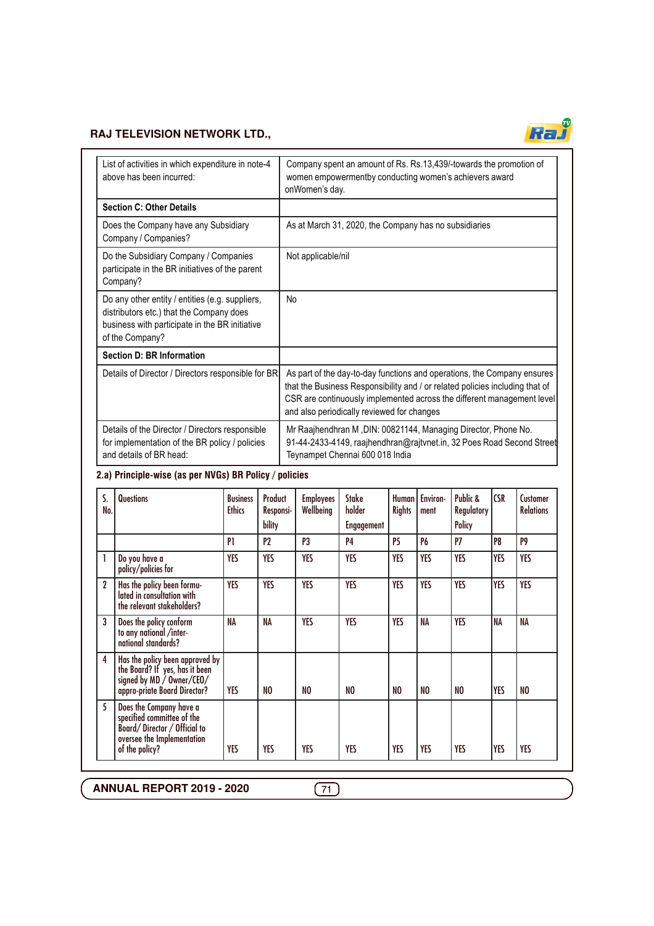

| List of activities in which expenditure in note-4<br>above has been incurred:                                                                                    | Company spent an amount of Rs. Rs.13,439/-towards the promotion of<br>women empowermentby conducting women's achievers award<br>onWomen's day. |                     |                                                                                                                                                                                                                                                                                 |                                                                                                                                                                            |                                                       |               |                  |                      |            |                              |
|------------------------------------------------------------------------------------------------------------------------------------------------------------------|------------------------------------------------------------------------------------------------------------------------------------------------|---------------------|---------------------------------------------------------------------------------------------------------------------------------------------------------------------------------------------------------------------------------------------------------------------------------|----------------------------------------------------------------------------------------------------------------------------------------------------------------------------|-------------------------------------------------------|---------------|------------------|----------------------|------------|------------------------------|
| <b>Section C: Other Details</b>                                                                                                                                  |                                                                                                                                                |                     |                                                                                                                                                                                                                                                                                 |                                                                                                                                                                            |                                                       |               |                  |                      |            |                              |
| Does the Company have any Subsidiary<br>Company / Companies?                                                                                                     |                                                                                                                                                |                     |                                                                                                                                                                                                                                                                                 |                                                                                                                                                                            | As at March 31, 2020, the Company has no subsidiaries |               |                  |                      |            |                              |
| Do the Subsidiary Company / Companies<br>participate in the BR initiatives of the parent<br>Company?                                                             |                                                                                                                                                |                     |                                                                                                                                                                                                                                                                                 | Not applicable/nil                                                                                                                                                         |                                                       |               |                  |                      |            |                              |
| Do any other entity / entities (e.g. suppliers,<br>distributors etc.) that the Company does<br>business with participate in the BR initiative<br>of the Company? |                                                                                                                                                |                     |                                                                                                                                                                                                                                                                                 | N <sub>0</sub>                                                                                                                                                             |                                                       |               |                  |                      |            |                              |
| <b>Section D: BR Information</b>                                                                                                                                 |                                                                                                                                                |                     |                                                                                                                                                                                                                                                                                 |                                                                                                                                                                            |                                                       |               |                  |                      |            |                              |
| Details of Director / Directors responsible for BR:                                                                                                              |                                                                                                                                                |                     | As part of the day-to-day functions and operations, the Company ensures<br>that the Business Responsibility and / or related policies including that of<br>CSR are continuously implemented across the different management level<br>and also periodically reviewed for changes |                                                                                                                                                                            |                                                       |               |                  |                      |            |                              |
| Details of the Director / Directors responsible<br>for implementation of the BR policy / policies<br>and details of BR head:                                     |                                                                                                                                                |                     |                                                                                                                                                                                                                                                                                 | Mr Raajhendhran M, DIN: 00821144, Managing Director, Phone No.<br>91-44-2433-4149, raajhendhran@rajtvnet.in, 32 Poes Road Second Street<br>Teynampet Chennai 600 018 India |                                                       |               |                  |                      |            |                              |
| 2.a) Principle-wise (as per NVGs) BR Policy / policies                                                                                                           |                                                                                                                                                |                     |                                                                                                                                                                                                                                                                                 |                                                                                                                                                                            |                                                       |               |                  |                      |            |                              |
| S.<br>Questions                                                                                                                                                  | <b>Business</b>                                                                                                                                | Product             |                                                                                                                                                                                                                                                                                 | <b>Employees</b>                                                                                                                                                           | Stake                                                 |               | Human   Environ- | Public &             | <b>CSR</b> |                              |
| No.                                                                                                                                                              | <b>Ethics</b>                                                                                                                                  | Responsi-<br>bility |                                                                                                                                                                                                                                                                                 | Wellbeing                                                                                                                                                                  | holder<br>Engagement                                  | <b>Rights</b> | ment             | Regulatory<br>Policy |            | Customer<br><b>Relations</b> |

|                |                                                                                                                                       |     | bility         |     | Engagement |     |                | <b>Policy</b> |     |     |
|----------------|---------------------------------------------------------------------------------------------------------------------------------------|-----|----------------|-----|------------|-----|----------------|---------------|-----|-----|
|                |                                                                                                                                       | P1  | P <sub>2</sub> | P3  | P4         | P5  | P <sub>6</sub> | P7            | P8  | P9  |
| 1              | Do you have a<br>policy/policies for                                                                                                  | YES | YES            | YES | YES        | YES | <b>YES</b>     | YES           | YES | YES |
| $\overline{2}$ | Has the policy been formu-<br>lated in consultation with<br>the relevant stakeholders?                                                | YES | YES            | YES | YES        | YES | <b>YES</b>     | YES           | YES | YES |
| 3              | Does the policy conform<br>to any national /inter-<br>national standards?                                                             | NA  | NA             | YES | YES        | YES | <b>NA</b>      | YES           | NA  | NA  |
| 4              | Has the policy been approved by<br>the Board? If yes, has it been<br>signed by MD / 0wner/CEO/<br>appro-priate Board Director?        | YES | NO             | NO  | NO         | NO  | NO             | NO            | YES | NO  |
| 5              | Does the Company have a<br>specified committee of the<br>Board/Director / Official to<br>oversee the Implementation<br>of the policy? | YES | YES            | YES | YES        | YES | YES            | YES           | YES | YES |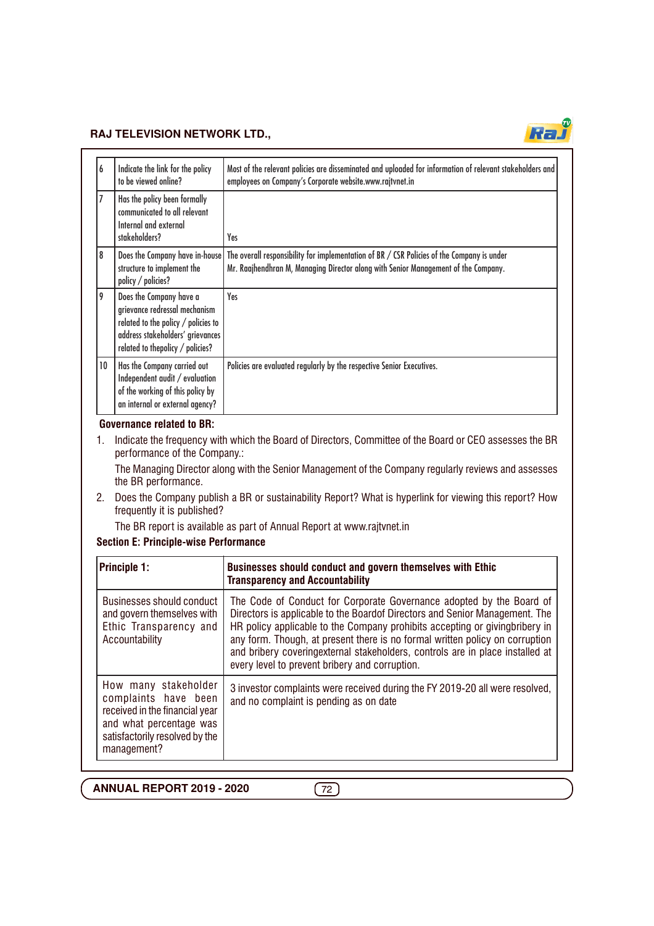

| 6  | Indicate the link for the policy<br>to be viewed online?                                                                                                                                                                                                               | Most of the relevant policies are disseminated and uploaded for information of relevant stakeholders and<br>employees on Company's Corporate website.www.rajtvnet.in             |  |  |  |  |  |  |
|----|------------------------------------------------------------------------------------------------------------------------------------------------------------------------------------------------------------------------------------------------------------------------|----------------------------------------------------------------------------------------------------------------------------------------------------------------------------------|--|--|--|--|--|--|
| 7  | Has the policy been formally<br>communicated to all relevant<br>Internal and external<br>stakeholders?                                                                                                                                                                 | Yes                                                                                                                                                                              |  |  |  |  |  |  |
| 8  | Does the Company have in-house<br>structure to implement the<br>policy / policies?                                                                                                                                                                                     | The overall responsibility for implementation of BR / CSR Policies of the Company is under<br>Mr. Raajhendhran M, Managing Director along with Senior Management of the Company. |  |  |  |  |  |  |
| 9  | Does the Company have a<br>grievance redressal mechanism<br>related to the policy / policies to<br>address stakeholders' grievances<br>related to thepolicy / policies?                                                                                                | Yes                                                                                                                                                                              |  |  |  |  |  |  |
| 10 | Has the Company carried out<br>Independent audit / evaluation<br>of the working of this policy by<br>an internal or external agency?                                                                                                                                   | Policies are evaluated regularly by the respective Senior Executives.                                                                                                            |  |  |  |  |  |  |
|    | Governance related to BR:                                                                                                                                                                                                                                              |                                                                                                                                                                                  |  |  |  |  |  |  |
| 1. | Indicate the frequency with which the Board of Directors, Committee of the Board or CEO assesses the BR<br>performance of the Company.:<br>The Managing Director along with the Senior Management of the Company regularly reviews and assesses<br>the BR performance. |                                                                                                                                                                                  |  |  |  |  |  |  |

2. Does the Company publish a BR or sustainability Report? What is hyperlink for viewing this report? How frequently it is published?

The BR report is available as part of Annual Report at www.rajtvnet.in

# Section E: Principle-wise Performance

| Principle 1:                                                                                                                                               | Businesses should conduct and govern themselves with Ethic<br><b>Transparency and Accountability</b>                                                                                                                                                                                                                                                                                                                                                    |
|------------------------------------------------------------------------------------------------------------------------------------------------------------|---------------------------------------------------------------------------------------------------------------------------------------------------------------------------------------------------------------------------------------------------------------------------------------------------------------------------------------------------------------------------------------------------------------------------------------------------------|
| Businesses should conduct<br>and govern themselves with<br>Ethic Transparency and<br>Accountability                                                        | The Code of Conduct for Corporate Governance adopted by the Board of<br>Directors is applicable to the Boardof Directors and Senior Management. The<br>HR policy applicable to the Company prohibits accepting or giving bribery in<br>any form. Though, at present there is no formal written policy on corruption<br>and bribery covering external stakeholders, controls are in place installed at<br>every level to prevent bribery and corruption. |
| How many stakeholder<br>complaints have been<br>received in the financial year<br>and what percentage was<br>satisfactorily resolved by the<br>management? | 3 investor complaints were received during the FY 2019-20 all were resolved,<br>and no complaint is pending as on date                                                                                                                                                                                                                                                                                                                                  |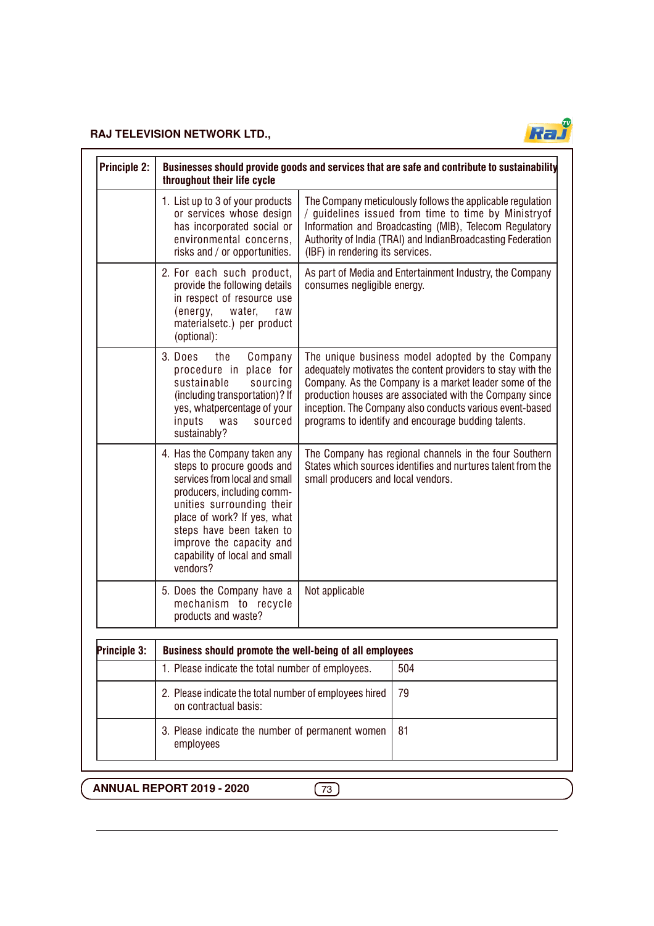

| Principle 2: | throughout their life cycle                                                                                                                                                                                                                                                                |                                    | Businesses should provide goods and services that are safe and contribute to sustainability                                                                                                                                                                                                                                                             |
|--------------|--------------------------------------------------------------------------------------------------------------------------------------------------------------------------------------------------------------------------------------------------------------------------------------------|------------------------------------|---------------------------------------------------------------------------------------------------------------------------------------------------------------------------------------------------------------------------------------------------------------------------------------------------------------------------------------------------------|
|              | 1. List up to 3 of your products<br>or services whose design<br>has incorporated social or<br>environmental concerns,<br>risks and / or opportunities.                                                                                                                                     | (IBF) in rendering its services.   | The Company meticulously follows the applicable regulation<br>/ guidelines issued from time to time by Ministryof<br>Information and Broadcasting (MIB), Telecom Regulatory<br>Authority of India (TRAI) and IndianBroadcasting Federation                                                                                                              |
|              | 2. For each such product,<br>provide the following details<br>in respect of resource use<br>water,<br>(energy,<br>raw<br>materialsetc.) per product<br>(optional):                                                                                                                         | consumes negligible energy.        | As part of Media and Entertainment Industry, the Company                                                                                                                                                                                                                                                                                                |
|              | 3. Does<br>Company<br>the<br>procedure in place for<br>sustainable<br>sourcing<br>(including transportation)? If<br>yes, whatpercentage of your<br>inputs<br>was<br>sourced<br>sustainably?                                                                                                |                                    | The unique business model adopted by the Company<br>adequately motivates the content providers to stay with the<br>Company. As the Company is a market leader some of the<br>production houses are associated with the Company since<br>inception. The Company also conducts various event-based<br>programs to identify and encourage budding talents. |
|              | 4. Has the Company taken any<br>steps to procure goods and<br>services from local and small<br>producers, including comm-<br>unities surrounding their<br>place of work? If yes, what<br>steps have been taken to<br>improve the capacity and<br>capability of local and small<br>vendors? | small producers and local vendors. | The Company has regional channels in the four Southern<br>States which sources identifies and nurtures talent from the                                                                                                                                                                                                                                  |
|              | 5. Does the Company have a<br>mechanism to recycle<br>products and waste?                                                                                                                                                                                                                  | Not applicable                     |                                                                                                                                                                                                                                                                                                                                                         |
| Principle 3: | Business should promote the well-being of all employees                                                                                                                                                                                                                                    |                                    |                                                                                                                                                                                                                                                                                                                                                         |
|              | 1. Please indicate the total number of employees.                                                                                                                                                                                                                                          |                                    | 504                                                                                                                                                                                                                                                                                                                                                     |
|              | 2. Please indicate the total number of employees hired<br>on contractual basis:                                                                                                                                                                                                            |                                    | 79                                                                                                                                                                                                                                                                                                                                                      |
|              | 3. Please indicate the number of permanent women<br>employees                                                                                                                                                                                                                              |                                    | 81                                                                                                                                                                                                                                                                                                                                                      |
|              |                                                                                                                                                                                                                                                                                            |                                    |                                                                                                                                                                                                                                                                                                                                                         |
|              | ANNUAL REPORT 2019 - 2020                                                                                                                                                                                                                                                                  | 73                                 |                                                                                                                                                                                                                                                                                                                                                         |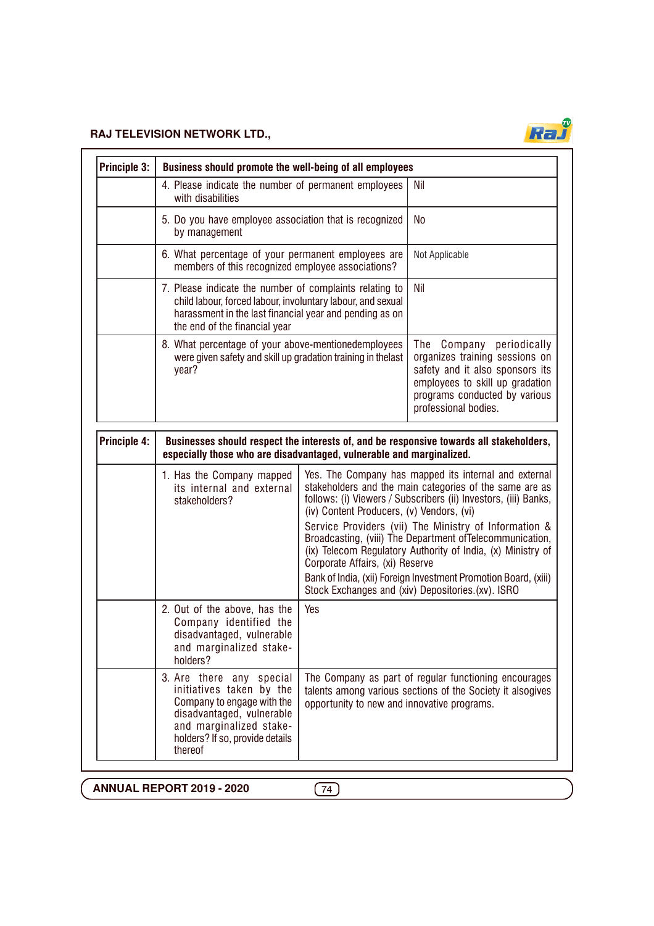

| Principle 3: | Business should promote the well-being of all employees                                                                                                                                                            |                                                                              |                                                                                                                                                                                                                                                                                                                                                                                                                                                                                                   |
|--------------|--------------------------------------------------------------------------------------------------------------------------------------------------------------------------------------------------------------------|------------------------------------------------------------------------------|---------------------------------------------------------------------------------------------------------------------------------------------------------------------------------------------------------------------------------------------------------------------------------------------------------------------------------------------------------------------------------------------------------------------------------------------------------------------------------------------------|
|              | 4. Please indicate the number of permanent employees<br>with disabilities                                                                                                                                          |                                                                              | Nil                                                                                                                                                                                                                                                                                                                                                                                                                                                                                               |
|              | 5. Do you have employee association that is recognized<br>by management                                                                                                                                            |                                                                              | <b>No</b>                                                                                                                                                                                                                                                                                                                                                                                                                                                                                         |
|              | 6. What percentage of your permanent employees are<br>members of this recognized employee associations?                                                                                                            |                                                                              | Not Applicable                                                                                                                                                                                                                                                                                                                                                                                                                                                                                    |
|              | 7. Please indicate the number of complaints relating to<br>child labour, forced labour, involuntary labour, and sexual<br>harassment in the last financial year and pending as on<br>the end of the financial year |                                                                              | Nil                                                                                                                                                                                                                                                                                                                                                                                                                                                                                               |
|              | 8. What percentage of your above-mentionedemployees<br>were given safety and skill up gradation training in thelast<br>year?                                                                                       |                                                                              | The Company periodically<br>organizes training sessions on<br>safety and it also sponsors its<br>employees to skill up gradation<br>programs conducted by various<br>professional bodies.                                                                                                                                                                                                                                                                                                         |
| Principle 4: | especially those who are disadvantaged, vulnerable and marginalized.                                                                                                                                               |                                                                              | Businesses should respect the interests of, and be responsive towards all stakeholders,                                                                                                                                                                                                                                                                                                                                                                                                           |
|              | 1. Has the Company mapped<br>its internal and external<br>stakeholders?                                                                                                                                            | (iv) Content Producers, (v) Vendors, (vi)<br>Corporate Affairs, (xi) Reserve | Yes. The Company has mapped its internal and external<br>stakeholders and the main categories of the same are as<br>follows: (i) Viewers / Subscribers (ii) Investors, (iii) Banks,<br>Service Providers (vii) The Ministry of Information &<br>Broadcasting, (viii) The Department of Telecommunication,<br>(ix) Telecom Regulatory Authority of India, (x) Ministry of<br>Bank of India, (xii) Foreign Investment Promotion Board, (xiii)<br>Stock Exchanges and (xiv) Depositories. (xv). ISRO |
|              | 2. Out of the above, has the<br>Company identified the<br>disadvantaged, vulnerable<br>and marginalized stake-<br>holders?                                                                                         | Yes                                                                          |                                                                                                                                                                                                                                                                                                                                                                                                                                                                                                   |
|              | 3. Are there any special<br>initiatives taken by the<br>Company to engage with the<br>disadvantaged, vulnerable<br>and marginalized stake-<br>holders? If so, provide details<br>thereof                           | opportunity to new and innovative programs.                                  | The Company as part of regular functioning encourages<br>talents among various sections of the Society it alsogives                                                                                                                                                                                                                                                                                                                                                                               |

**ANNUAL REPORT 2019 - 2020**

 $\boxed{74}$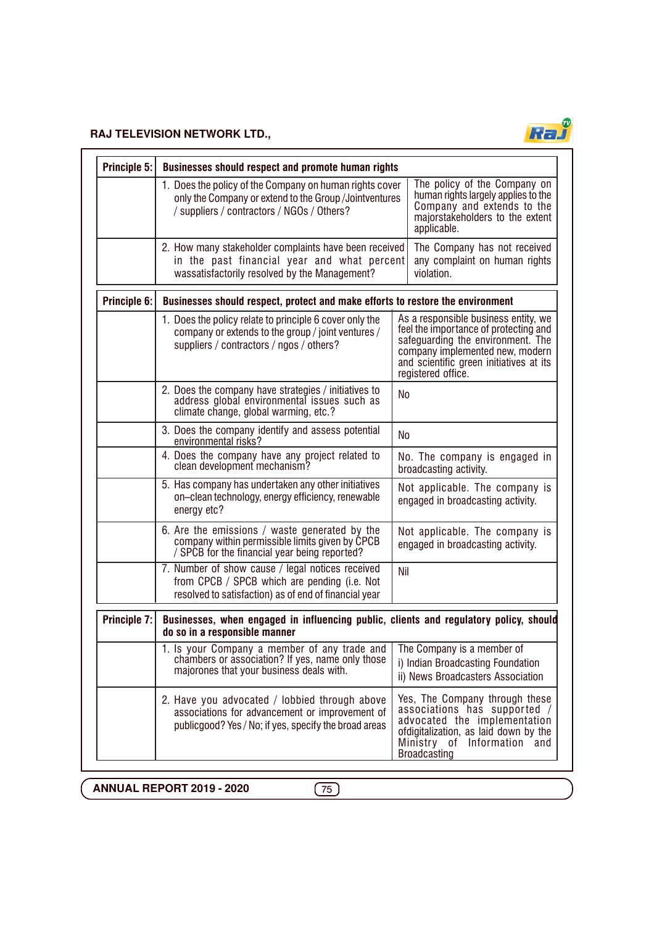

| Principle 5: | <b>Businesses should respect and promote human rights</b>                                                                                                        |                                                                                                                                                                                                                        |
|--------------|------------------------------------------------------------------------------------------------------------------------------------------------------------------|------------------------------------------------------------------------------------------------------------------------------------------------------------------------------------------------------------------------|
|              | 1. Does the policy of the Company on human rights cover<br>only the Company or extend to the Group / Jointventures<br>/ suppliers / contractors / NGOs / Others? | The policy of the Company on<br>human rights largely applies to the<br>Company and extends to the<br>majorstakeholders to the extent<br>applicable.                                                                    |
|              | 2. How many stakeholder complaints have been received<br>in the past financial year and what percent<br>wassatisfactorily resolved by the Management?            | The Company has not received<br>any complaint on human rights<br>violation.                                                                                                                                            |
| Principle 6: | Businesses should respect, protect and make efforts to restore the environment                                                                                   |                                                                                                                                                                                                                        |
|              | 1. Does the policy relate to principle 6 cover only the<br>company or extends to the group / joint ventures /<br>suppliers / contractors / ngos / others?        | As a responsible business entity, we<br>feel the importance of protecting and<br>safeguarding the environment. The<br>company implemented new, modern<br>and scientific green initiatives at its<br>registered office. |
|              | 2. Does the company have strategies / initiatives to<br>address global environmental issues such as<br>climate change, global warming, etc.?                     | N <sub>0</sub>                                                                                                                                                                                                         |
|              | 3. Does the company identify and assess potential<br>environmental risks?                                                                                        | No.                                                                                                                                                                                                                    |
|              | 4. Does the company have any project related to<br>clean development mechanism?                                                                                  | No. The company is engaged in<br>broadcasting activity.                                                                                                                                                                |
|              | 5. Has company has undertaken any other initiatives<br>on-clean technology, energy efficiency, renewable<br>energy etc?                                          | Not applicable. The company is<br>engaged in broadcasting activity.                                                                                                                                                    |
|              | 6. Are the emissions / waste generated by the<br>company within permissible limits given by CPCB<br>/ SPCB for the financial year being reported?                | Not applicable. The company is<br>engaged in broadcasting activity.                                                                                                                                                    |
|              | 7. Number of show cause / legal notices received<br>from CPCB / SPCB which are pending (i.e. Not<br>resolved to satisfaction) as of end of financial year        | Nil                                                                                                                                                                                                                    |
| Principle 7: | Businesses, when engaged in influencing public, clients and regulatory policy, should<br>do so in a responsible manner                                           |                                                                                                                                                                                                                        |
|              | 1. Is your Company a member of any trade and<br>chambers or association? If yes, name only those<br>majorones that your business deals with.                     | The Company is a member of<br>i) Indian Broadcasting Foundation<br>ii) News Broadcasters Association                                                                                                                   |
|              | 2. Have you advocated / lobbied through above<br>associations for advancement or improvement of<br>publicgood? Yes / No; if yes, specify the broad areas         | Yes, The Company through these<br>associations has supported /<br>advocated the implementation<br>ofdigitalization, as laid down by the<br>Ministry of Information and<br><b>Broadcasting</b>                          |

**ANNUAL REPORT 2019 - 2020**

 $(75)$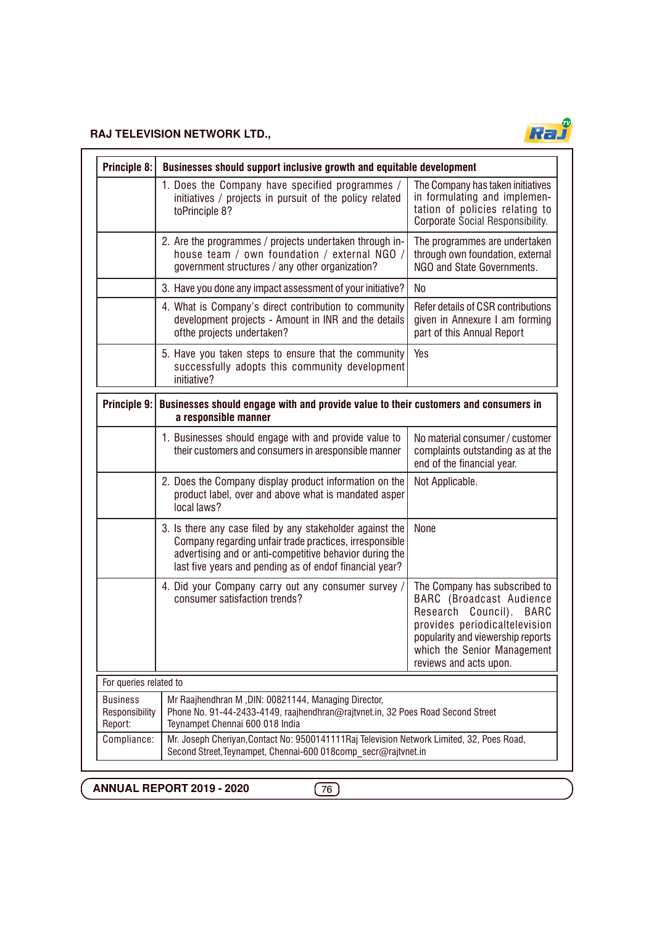

| Principle 8:                                 | Businesses should support inclusive growth and equitable development                                                                                                                                                                       |                                                                                                                                                                                                                                      |
|----------------------------------------------|--------------------------------------------------------------------------------------------------------------------------------------------------------------------------------------------------------------------------------------------|--------------------------------------------------------------------------------------------------------------------------------------------------------------------------------------------------------------------------------------|
|                                              | 1. Does the Company have specified programmes /<br>initiatives / projects in pursuit of the policy related<br>toPrinciple 8?                                                                                                               | The Company has taken initiatives<br>in formulating and implemen-<br>tation of policies relating to<br>Corporate Social Responsibility.                                                                                              |
|                                              | 2. Are the programmes / projects undertaken through in-<br>house team / own foundation / external NGO /<br>government structures / any other organization?                                                                                 | The programmes are undertaken<br>through own foundation, external<br>NGO and State Governments.                                                                                                                                      |
|                                              | 3. Have you done any impact assessment of your initiative?                                                                                                                                                                                 | N <sub>0</sub>                                                                                                                                                                                                                       |
|                                              | 4. What is Company's direct contribution to community<br>development projects - Amount in INR and the details<br>ofthe projects undertaken?                                                                                                | Refer details of CSR contributions<br>given in Annexure I am forming<br>part of this Annual Report                                                                                                                                   |
|                                              | 5. Have you taken steps to ensure that the community<br>successfully adopts this community development<br>initiative?                                                                                                                      | Yes                                                                                                                                                                                                                                  |
| Principle 9:                                 | Businesses should engage with and provide value to their customers and consumers in<br>a responsible manner                                                                                                                                |                                                                                                                                                                                                                                      |
|                                              | 1. Businesses should engage with and provide value to<br>their customers and consumers in aresponsible manner                                                                                                                              | No material consumer / customer<br>complaints outstanding as at the<br>end of the financial year.                                                                                                                                    |
|                                              | 2. Does the Company display product information on the<br>product label, over and above what is mandated asper<br>local laws?                                                                                                              | Not Applicable.                                                                                                                                                                                                                      |
|                                              | 3. Is there any case filed by any stakeholder against the<br>Company regarding unfair trade practices, irresponsible<br>advertising and or anti-competitive behavior during the<br>last five years and pending as of endof financial year? | None                                                                                                                                                                                                                                 |
|                                              | 4. Did your Company carry out any consumer survey /<br>consumer satisfaction trends?                                                                                                                                                       | The Company has subscribed to<br><b>BARC</b> (Broadcast Audience<br>Research Council).<br><b>BARC</b><br>provides periodicaltelevision<br>popularity and viewership reports<br>which the Senior Management<br>reviews and acts upon. |
| For queries related to                       |                                                                                                                                                                                                                                            |                                                                                                                                                                                                                                      |
| <b>Business</b><br>Responsibility<br>Report: | Mr Raajhendhran M, DIN: 00821144, Managing Director,<br>Phone No. 91-44-2433-4149, raajhendhran@rajtvnet.in, 32 Poes Road Second Street<br>Teynampet Chennai 600 018 India                                                                 |                                                                                                                                                                                                                                      |
| Compliance:                                  | Mr. Joseph Cheriyan, Contact No: 9500141111Raj Television Network Limited, 32, Poes Road,<br>Second Street, Teynampet, Chennai-600 018comp secr@rajtvnet.in                                                                                |                                                                                                                                                                                                                                      |

**ANNUAL REPORT 2019 - 2020**

 $(76)$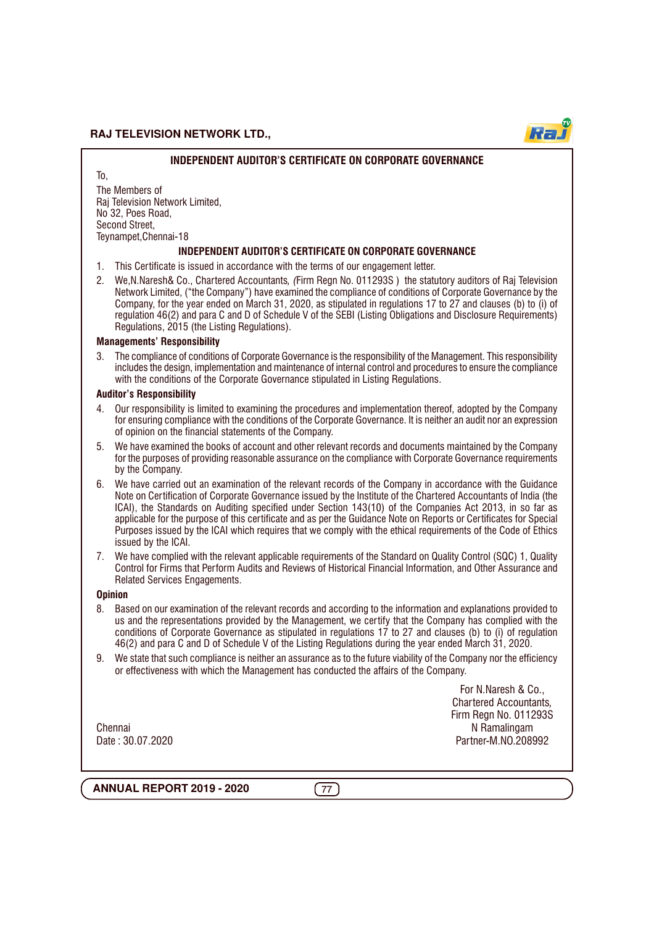

### INDEPENDENT AUDITOR'S CERTIFICATE ON CORPORATE GOVERNANCE

To, The Members of Raj Television Network Limited, No 32, Poes Road, Second Street, Teynampet,Chennai-18

#### INDEPENDENT AUDITOR'S CERTIFICATE ON CORPORATE GOVERNANCE

- 1. This Certificate is issued in accordance with the terms of our engagement letter.
- 2. We,N.Naresh& Co., Chartered Accountants, (Firm Regn No. 011293S ) the statutory auditors of Raj Television Network Limited, ("the Company") have examined the compliance of conditions of Corporate Governance by the Company, for the year ended on March 31, 2020, as stipulated in regulations 17 to 27 and clauses (b) to (i) of regulation 46(2) and para C and D of Schedule V of the SEBI (Listing Obligations and Disclosure Requirements) Regulations, 2015 (the Listing Regulations).

#### Managements' Responsibility

3. The compliance of conditions of Corporate Governance is the responsibility of the Management. This responsibility includes the design, implementation and maintenance of internal control and procedures to ensure the compliance with the conditions of the Corporate Governance stipulated in Listing Regulations.

#### Auditor's Responsibility

- 4. Our responsibility is limited to examining the procedures and implementation thereof, adopted by the Company for ensuring compliance with the conditions of the Corporate Governance. It is neither an audit nor an expression of opinion on the financial statements of the Company.
- 5. We have examined the books of account and other relevant records and documents maintained by the Company for the purposes of providing reasonable assurance on the compliance with Corporate Governance requirements by the Company.
- 6. We have carried out an examination of the relevant records of the Company in accordance with the Guidance Note on Certification of Corporate Governance issued by the Institute of the Chartered Accountants of India (the ICAI), the Standards on Auditing specified under Section 143(10) of the Companies Act 2013, in so far as applicable for the purpose of this certificate and as per the Guidance Note on Reports or Certificates for Special Purposes issued by the ICAI which requires that we comply with the ethical requirements of the Code of Ethics issued by the ICAI.
- 7. We have complied with the relevant applicable requirements of the Standard on Quality Control (SQC) 1, Quality Control for Firms that Perform Audits and Reviews of Historical Financial Information, and Other Assurance and Related Services Engagements.

#### **Opinion**

- 8. Based on our examination of the relevant records and according to the information and explanations provided to us and the representations provided by the Management, we certify that the Company has complied with the conditions of Corporate Governance as stipulated in regulations 17 to 27 and clauses (b) to (i) of regulation 46(2) and para C and D of Schedule V of the Listing Regulations during the year ended March 31, 2020.
- 9. We state that such compliance is neither an assurance as to the future viability of the Company nor the efficiency or effectiveness with which the Management has conducted the affairs of the Company.

For N.Naresh & Co., Chartered Accountants, Firm Regn No. 011293S Chennai National Chennai National Accords and the Chennai National Accords and National Accords and National Accords and National Accords and National Accords and National Accords and National Accords and National Accords Date : 30.07.2020 Partner-M.NO.208992

**ANNUAL REPORT 2019 - 2020**

 $\sqrt{77}$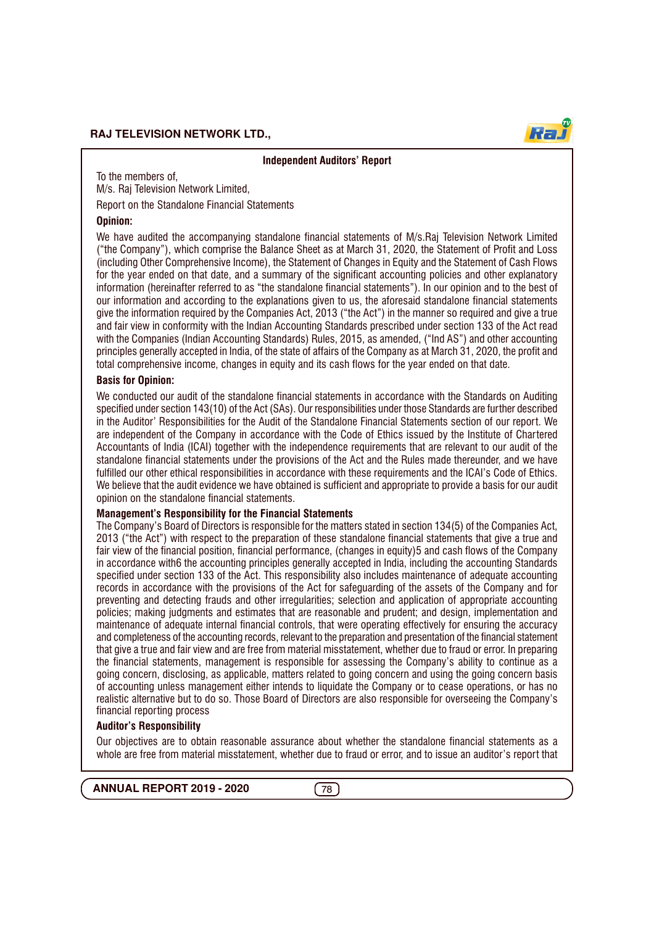

#### Independent Auditors' Report

To the members of, M/s. Raj Television Network Limited,

Report on the Standalone Financial Statements

## Opinion:

We have audited the accompanying standalone financial statements of M/s.Raj Television Network Limited ("the Company"), which comprise the Balance Sheet as at March 31, 2020, the Statement of Profit and Loss (including Other Comprehensive Income), the Statement of Changes in Equity and the Statement of Cash Flows for the year ended on that date, and a summary of the significant accounting policies and other explanatory information (hereinafter referred to as "the standalone financial statements"). In our opinion and to the best of our information and according to the explanations given to us, the aforesaid standalone financial statements give the information required by the Companies Act, 2013 ("the Act") in the manner so required and give a true and fair view in conformity with the Indian Accounting Standards prescribed under section 133 of the Act read with the Companies (Indian Accounting Standards) Rules, 2015, as amended, ("Ind AS") and other accounting principles generally accepted in India, of the state of affairs of the Company as at March 31, 2020, the profit and total comprehensive income, changes in equity and its cash flows for the year ended on that date.

## Basis for Opinion:

We conducted our audit of the standalone financial statements in accordance with the Standards on Auditing specified under section 143(10) of the Act (SAs). Our responsibilities under those Standards are further described in the Auditor' Responsibilities for the Audit of the Standalone Financial Statements section of our report. We are independent of the Company in accordance with the Code of Ethics issued by the Institute of Chartered Accountants of India (ICAI) together with the independence requirements that are relevant to our audit of the standalone financial statements under the provisions of the Act and the Rules made thereunder, and we have fulfilled our other ethical responsibilities in accordance with these requirements and the ICAI's Code of Ethics. We believe that the audit evidence we have obtained is sufficient and appropriate to provide a basis for our audit opinion on the standalone financial statements.

### Management's Responsibility for the Financial Statements

The Company's Board of Directors is responsible for the matters stated in section 134(5) of the Companies Act, 2013 ("the Act") with respect to the preparation of these standalone financial statements that give a true and fair view of the financial position, financial performance, (changes in equity)5 and cash flows of the Company in accordance with6 the accounting principles generally accepted in India, including the accounting Standards specified under section 133 of the Act. This responsibility also includes maintenance of adequate accounting records in accordance with the provisions of the Act for safeguarding of the assets of the Company and for preventing and detecting frauds and other irregularities; selection and application of appropriate accounting policies; making judgments and estimates that are reasonable and prudent; and design, implementation and maintenance of adequate internal financial controls, that were operating effectively for ensuring the accuracy and completeness of the accounting records, relevant to the preparation and presentation of the financial statement that give a true and fair view and are free from material misstatement, whether due to fraud or error. In preparing the financial statements, management is responsible for assessing the Company's ability to continue as a going concern, disclosing, as applicable, matters related to going concern and using the going concern basis of accounting unless management either intends to liquidate the Company or to cease operations, or has no realistic alternative but to do so. Those Board of Directors are also responsible for overseeing the Company's financial reporting process

### Auditor's Responsibility

Our objectives are to obtain reasonable assurance about whether the standalone financial statements as a whole are free from material misstatement, whether due to fraud or error, and to issue an auditor's report that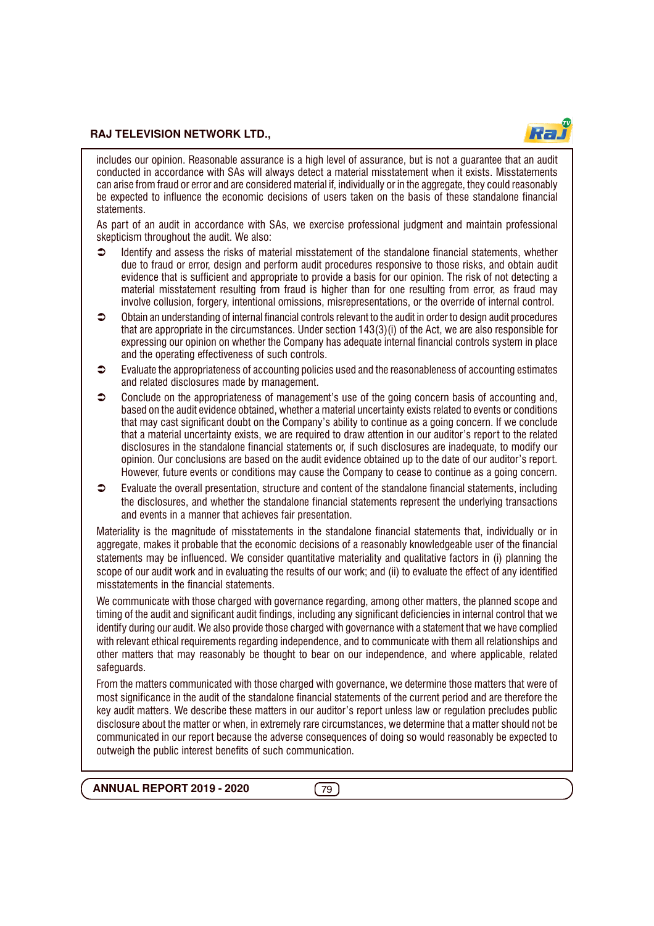

includes our opinion. Reasonable assurance is a high level of assurance, but is not a guarantee that an audit conducted in accordance with SAs will always detect a material misstatement when it exists. Misstatements can arise from fraud or error and are considered material if, individually or in the aggregate, they could reasonably be expected to influence the economic decisions of users taken on the basis of these standalone financial statements.

As part of an audit in accordance with SAs, we exercise professional judgment and maintain professional skepticism throughout the audit. We also:

- $\supset$  Identify and assess the risks of material misstatement of the standalone financial statements, whether due to fraud or error, design and perform audit procedures responsive to those risks, and obtain audit evidence that is sufficient and appropriate to provide a basis for our opinion. The risk of not detecting a material misstatement resulting from fraud is higher than for one resulting from error, as fraud may involve collusion, forgery, intentional omissions, misrepresentations, or the override of internal control.
- $\heartsuit$  Obtain an understanding of internal financial controls relevant to the audit in order to design audit procedures that are appropriate in the circumstances. Under section 143(3)(i) of the Act, we are also responsible for expressing our opinion on whether the Company has adequate internal financial controls system in place and the operating effectiveness of such controls.
- $\supset$  Evaluate the appropriateness of accounting policies used and the reasonableness of accounting estimates and related disclosures made by management.
- $\bullet$  Conclude on the appropriateness of management's use of the going concern basis of accounting and, based on the audit evidence obtained, whether a material uncertainty exists related to events or conditions that may cast significant doubt on the Company's ability to continue as a going concern. If we conclude that a material uncertainty exists, we are required to draw attention in our auditor's report to the related disclosures in the standalone financial statements or, if such disclosures are inadequate, to modify our opinion. Our conclusions are based on the audit evidence obtained up to the date of our auditor's report. However, future events or conditions may cause the Company to cease to continue as a going concern.
- $\heartsuit$  Evaluate the overall presentation, structure and content of the standalone financial statements, including the disclosures, and whether the standalone financial statements represent the underlying transactions and events in a manner that achieves fair presentation.

Materiality is the magnitude of misstatements in the standalone financial statements that, individually or in aggregate, makes it probable that the economic decisions of a reasonably knowledgeable user of the financial statements may be influenced. We consider quantitative materiality and qualitative factors in (i) planning the scope of our audit work and in evaluating the results of our work; and (ii) to evaluate the effect of any identified misstatements in the financial statements.

We communicate with those charged with governance regarding, among other matters, the planned scope and timing of the audit and significant audit findings, including any significant deficiencies in internal control that we identify during our audit. We also provide those charged with governance with a statement that we have complied with relevant ethical requirements regarding independence, and to communicate with them all relationships and other matters that may reasonably be thought to bear on our independence, and where applicable, related safeguards.

From the matters communicated with those charged with governance, we determine those matters that were of most significance in the audit of the standalone financial statements of the current period and are therefore the key audit matters. We describe these matters in our auditor's report unless law or regulation precludes public disclosure about the matter or when, in extremely rare circumstances, we determine that a matter should not be communicated in our report because the adverse consequences of doing so would reasonably be expected to outweigh the public interest benefits of such communication.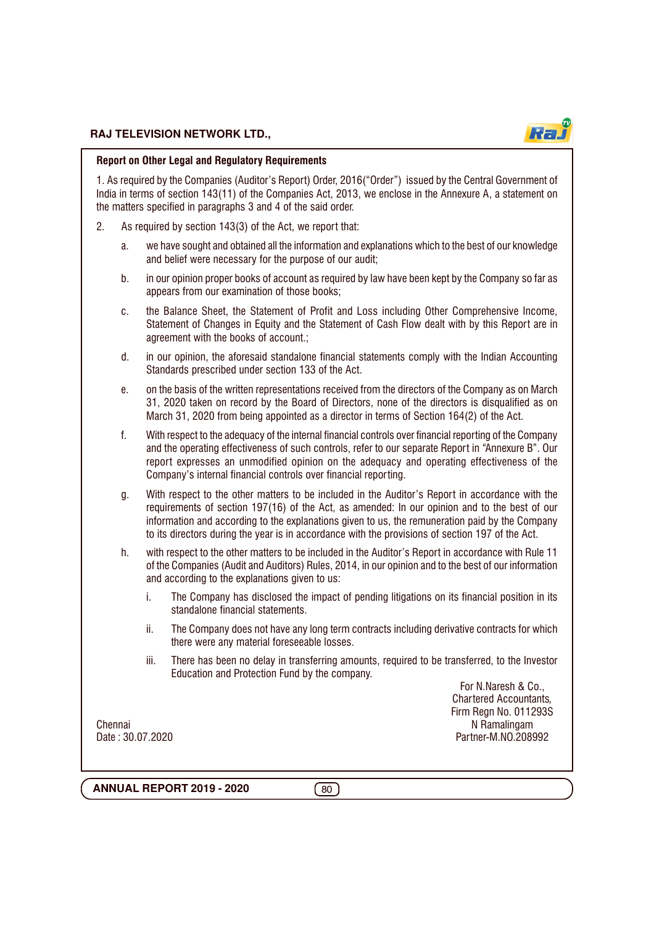

#### Report on Other Legal and Regulatory Requirements

1. As required by the Companies (Auditor's Report) Order, 2016("Order") issued by the Central Government of India in terms of section 143(11) of the Companies Act, 2013, we enclose in the Annexure A, a statement on the matters specified in paragraphs 3 and 4 of the said order.

- 2. As required by section 143(3) of the Act, we report that:
	- a. we have sought and obtained all the information and explanations which to the best of our knowledge and belief were necessary for the purpose of our audit;
	- b. in our opinion proper books of account as required by law have been kept by the Company so far as appears from our examination of those books;
	- c. the Balance Sheet, the Statement of Profit and Loss including Other Comprehensive Income, Statement of Changes in Equity and the Statement of Cash Flow dealt with by this Report are in agreement with the books of account.;
	- d. in our opinion, the aforesaid standalone financial statements comply with the Indian Accounting Standards prescribed under section 133 of the Act.
	- e. on the basis of the written representations received from the directors of the Company as on March 31, 2020 taken on record by the Board of Directors, none of the directors is disqualified as on March 31, 2020 from being appointed as a director in terms of Section 164(2) of the Act.
	- f. With respect to the adequacy of the internal financial controls over financial reporting of the Company and the operating effectiveness of such controls, refer to our separate Report in "Annexure B". Our report expresses an unmodified opinion on the adequacy and operating effectiveness of the Company's internal financial controls over financial reporting.
	- g. With respect to the other matters to be included in the Auditor's Report in accordance with the requirements of section 197(16) of the Act, as amended: In our opinion and to the best of our information and according to the explanations given to us, the remuneration paid by the Company to its directors during the year is in accordance with the provisions of section 197 of the Act.
	- h. with respect to the other matters to be included in the Auditor's Report in accordance with Rule 11 of the Companies (Audit and Auditors) Rules, 2014, in our opinion and to the best of our information and according to the explanations given to us:
		- i. The Company has disclosed the impact of pending litigations on its financial position in its standalone financial statements.
		- ii. The Company does not have any long term contracts including derivative contracts for which there were any material foreseeable losses.
		- iii. There has been no delay in transferring amounts, required to be transferred, to the Investor Education and Protection Fund by the company.

For N.Naresh & Co., Chartered Accountants, Firm Regn No. 011293S Chennai National Chennai National Accords and the Chennai National Accords and National Accords and National Accords and National Accords and National Accords and National Accords and National Accords and National Accords Date : 30.07.2020 Partner-M.NO.208992

**ANNUAL REPORT 2019 - 2020**

( 80 )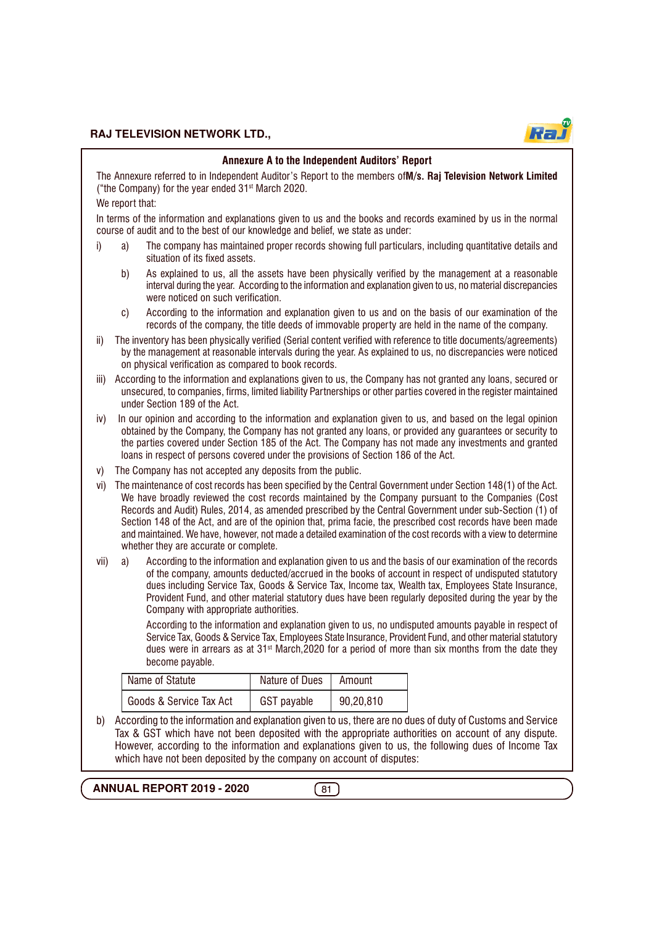

| <b>Annexure A to the Independent Auditors' Report</b>                                                                                                                                                                                                                                                                                                                                                                                                                                                                                                                                                               |
|---------------------------------------------------------------------------------------------------------------------------------------------------------------------------------------------------------------------------------------------------------------------------------------------------------------------------------------------------------------------------------------------------------------------------------------------------------------------------------------------------------------------------------------------------------------------------------------------------------------------|
| The Annexure referred to in Independent Auditor's Report to the members ofM/s. Raj Television Network Limited<br>("the Company) for the year ended 31 <sup>st</sup> March 2020.<br>We report that:                                                                                                                                                                                                                                                                                                                                                                                                                  |
| In terms of the information and explanations given to us and the books and records examined by us in the normal<br>course of audit and to the best of our knowledge and belief, we state as under:                                                                                                                                                                                                                                                                                                                                                                                                                  |
| i)<br>a)<br>The company has maintained proper records showing full particulars, including quantitative details and<br>situation of its fixed assets.                                                                                                                                                                                                                                                                                                                                                                                                                                                                |
| As explained to us, all the assets have been physically verified by the management at a reasonable<br>b)<br>interval during the year. According to the information and explanation given to us, no material discrepancies<br>were noticed on such verification.                                                                                                                                                                                                                                                                                                                                                     |
| According to the information and explanation given to us and on the basis of our examination of the<br>c)<br>records of the company, the title deeds of immovable property are held in the name of the company.                                                                                                                                                                                                                                                                                                                                                                                                     |
| The inventory has been physically verified (Serial content verified with reference to title documents/agreements)<br>$\mathsf{ii}$<br>by the management at reasonable intervals during the year. As explained to us, no discrepancies were noticed<br>on physical verification as compared to book records.                                                                                                                                                                                                                                                                                                         |
| According to the information and explanations given to us, the Company has not granted any loans, secured or<br>iii)<br>unsecured, to companies, firms, limited liability Partnerships or other parties covered in the register maintained<br>under Section 189 of the Act.                                                                                                                                                                                                                                                                                                                                         |
| In our opinion and according to the information and explanation given to us, and based on the legal opinion<br>iv)<br>obtained by the Company, the Company has not granted any loans, or provided any guarantees or security to<br>the parties covered under Section 185 of the Act. The Company has not made any investments and granted<br>loans in respect of persons covered under the provisions of Section 186 of the Act.                                                                                                                                                                                    |
| The Company has not accepted any deposits from the public.<br>V)                                                                                                                                                                                                                                                                                                                                                                                                                                                                                                                                                    |
| The maintenance of cost records has been specified by the Central Government under Section 148(1) of the Act.<br>vi)<br>We have broadly reviewed the cost records maintained by the Company pursuant to the Companies (Cost<br>Records and Audit) Rules, 2014, as amended prescribed by the Central Government under sub-Section (1) of<br>Section 148 of the Act, and are of the opinion that, prima facie, the prescribed cost records have been made<br>and maintained. We have, however, not made a detailed examination of the cost records with a view to determine<br>whether they are accurate or complete. |
| According to the information and explanation given to us and the basis of our examination of the records<br>a)<br>vii)<br>of the company, amounts deducted/accrued in the books of account in respect of undisputed statutory<br>dues including Service Tax, Goods & Service Tax, Income tax, Wealth tax, Employees State Insurance,<br>Provident Fund, and other material statutory dues have been regularly deposited during the year by the<br>Company with appropriate authorities.                                                                                                                             |
| According to the information and explanation given to us, no undisputed amounts payable in respect of<br>Service Tax, Goods & Service Tax, Employees State Insurance, Provident Fund, and other material statutory<br>dues were in arrears as at 31 <sup>st</sup> March, 2020 for a period of more than six months from the date they<br>become payable.                                                                                                                                                                                                                                                            |
| Name of Statute<br>Nature of Dues<br>Amount                                                                                                                                                                                                                                                                                                                                                                                                                                                                                                                                                                         |
| Goods & Service Tax Act<br>GST payable<br>90,20,810                                                                                                                                                                                                                                                                                                                                                                                                                                                                                                                                                                 |
| According to the information and explanation given to us, there are no dues of duty of Customs and Service<br>b)<br>Tax & GST which have not been deposited with the appropriate authorities on account of any dispute.<br>However, according to the information and explanations given to us, the following dues of Income Tax<br>which have not been deposited by the company on account of disputes:                                                                                                                                                                                                             |
| ANNUAL REPORT 2019 - 2020<br>81                                                                                                                                                                                                                                                                                                                                                                                                                                                                                                                                                                                     |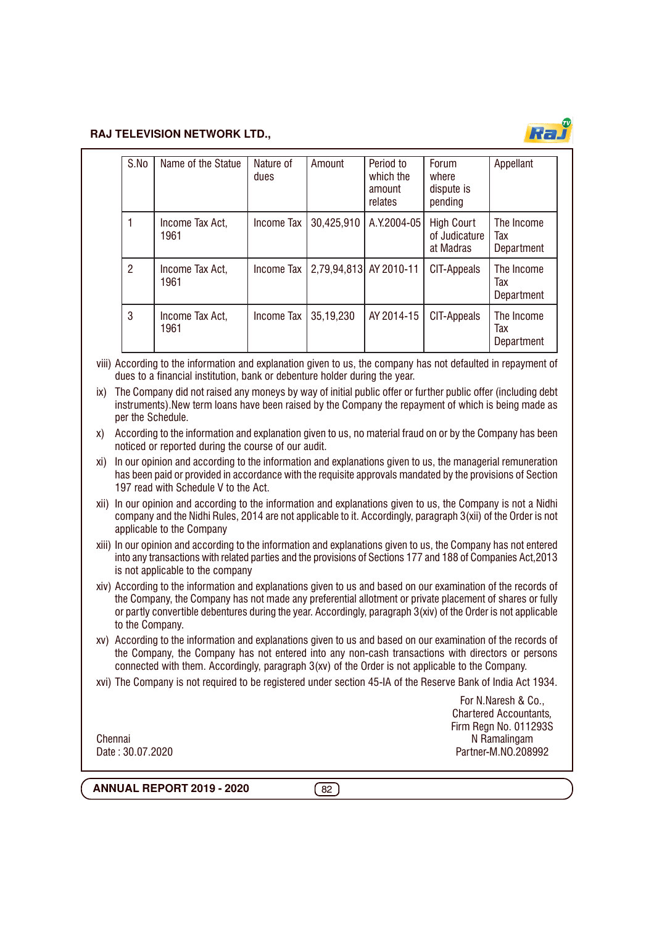

| S.No           | Name of the Statue      | Nature of<br>dues | Amount                 | Period to<br>which the<br>amount<br>relates | Forum<br>where<br>dispute is<br>pending         | Appellant                       |
|----------------|-------------------------|-------------------|------------------------|---------------------------------------------|-------------------------------------------------|---------------------------------|
|                | Income Tax Act,<br>1961 | Income Tax        | 30,425,910             | A.Y.2004-05                                 | <b>High Court</b><br>of Judicature<br>at Madras | The Income<br>Tax<br>Department |
| $\overline{2}$ | Income Tax Act,<br>1961 | Income Tax        | 2,79,94,813 AY 2010-11 |                                             | CIT-Appeals                                     | The Income<br>Tax<br>Department |
| 3              | Income Tax Act,<br>1961 | Income Tax        | 35,19,230              | AY 2014-15                                  | CIT-Appeals                                     | The Income<br>Tax<br>Department |

viii) According to the information and explanation given to us, the company has not defaulted in repayment of dues to a financial institution, bank or debenture holder during the year.

ix) The Company did not raised any moneys by way of initial public offer or further public offer (including debt instruments).New term loans have been raised by the Company the repayment of which is being made as per the Schedule.

x) According to the information and explanation given to us, no material fraud on or by the Company has been noticed or reported during the course of our audit.

xi) In our opinion and according to the information and explanations given to us, the managerial remuneration has been paid or provided in accordance with the requisite approvals mandated by the provisions of Section 197 read with Schedule V to the Act.

xii) In our opinion and according to the information and explanations given to us, the Company is not a Nidhi company and the Nidhi Rules, 2014 are not applicable to it. Accordingly, paragraph 3(xii) of the Order is not applicable to the Company

xiii) In our opinion and according to the information and explanations given to us, the Company has not entered into any transactions with related parties and the provisions of Sections 177 and 188 of Companies Act,2013 is not applicable to the company

xiv) According to the information and explanations given to us and based on our examination of the records of the Company, the Company has not made any preferential allotment or private placement of shares or fully or partly convertible debentures during the year. Accordingly, paragraph 3(xiv) of the Order is not applicable to the Company.

xv) According to the information and explanations given to us and based on our examination of the records of the Company, the Company has not entered into any non-cash transactions with directors or persons connected with them. Accordingly, paragraph 3(xv) of the Order is not applicable to the Company.

xvi) The Company is not required to be registered under section 45-IA of the Reserve Bank of India Act 1934.

For N.Naresh & Co., Chartered Accountants, Firm Regn No. 011293S Chennai National Chennai National Accords and the Chennai National Accords and National Accords and National Accords and National Accords and National Accords and National Accords and National Accords and National Accords Date : 30.07.2020 Partner-M.NO.208992

 $\sqrt{82}$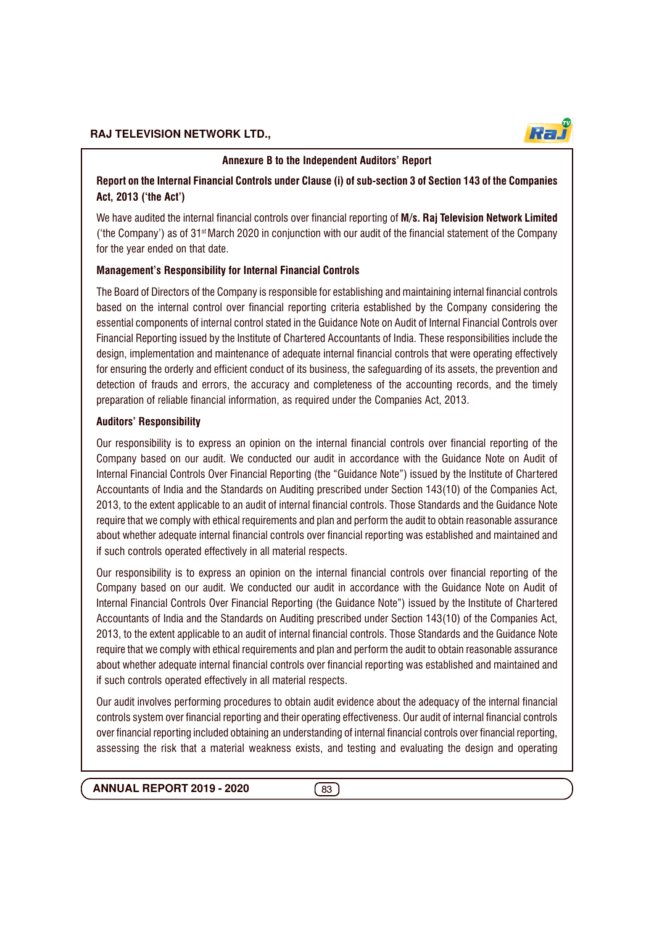

#### Annexure B to the Independent Auditors' Report

Report on the Internal Financial Controls under Clause (i) of sub-section 3 of Section 143 of the Companies Act, 2013 ('the Act')

We have audited the internal financial controls over financial reporting of M/s. Rai Television Network Limited ('the Company') as of 31st March 2020 in conjunction with our audit of the financial statement of the Company for the year ended on that date.

### Management's Responsibility for Internal Financial Controls

The Board of Directors of the Company is responsible for establishing and maintaining internal financial controls based on the internal control over financial reporting criteria established by the Company considering the essential components of internal control stated in the Guidance Note on Audit of Internal Financial Controls over Financial Reporting issued by the Institute of Chartered Accountants of India. These responsibilities include the design, implementation and maintenance of adequate internal financial controls that were operating effectively for ensuring the orderly and efficient conduct of its business, the safeguarding of its assets, the prevention and detection of frauds and errors, the accuracy and completeness of the accounting records, and the timely preparation of reliable financial information, as required under the Companies Act, 2013.

# Auditors' Responsibility

Our responsibility is to express an opinion on the internal financial controls over financial reporting of the Company based on our audit. We conducted our audit in accordance with the Guidance Note on Audit of Internal Financial Controls Over Financial Reporting (the "Guidance Note") issued by the Institute of Chartered Accountants of India and the Standards on Auditing prescribed under Section 143(10) of the Companies Act, 2013, to the extent applicable to an audit of internal financial controls. Those Standards and the Guidance Note require that we comply with ethical requirements and plan and perform the audit to obtain reasonable assurance about whether adequate internal financial controls over financial reporting was established and maintained and if such controls operated effectively in all material respects.

Our responsibility is to express an opinion on the internal financial controls over financial reporting of the Company based on our audit. We conducted our audit in accordance with the Guidance Note on Audit of Internal Financial Controls Over Financial Reporting (the Guidance Note") issued by the Institute of Chartered Accountants of India and the Standards on Auditing prescribed under Section 143(10) of the Companies Act, 2013, to the extent applicable to an audit of internal financial controls. Those Standards and the Guidance Note require that we comply with ethical requirements and plan and perform the audit to obtain reasonable assurance about whether adequate internal financial controls over financial reporting was established and maintained and if such controls operated effectively in all material respects.

Our audit involves performing procedures to obtain audit evidence about the adequacy of the internal financial controls system over financial reporting and their operating effectiveness. Our audit of internal financial controls over financial reporting included obtaining an understanding of internal financial controls over financial reporting, assessing the risk that a material weakness exists, and testing and evaluating the design and operating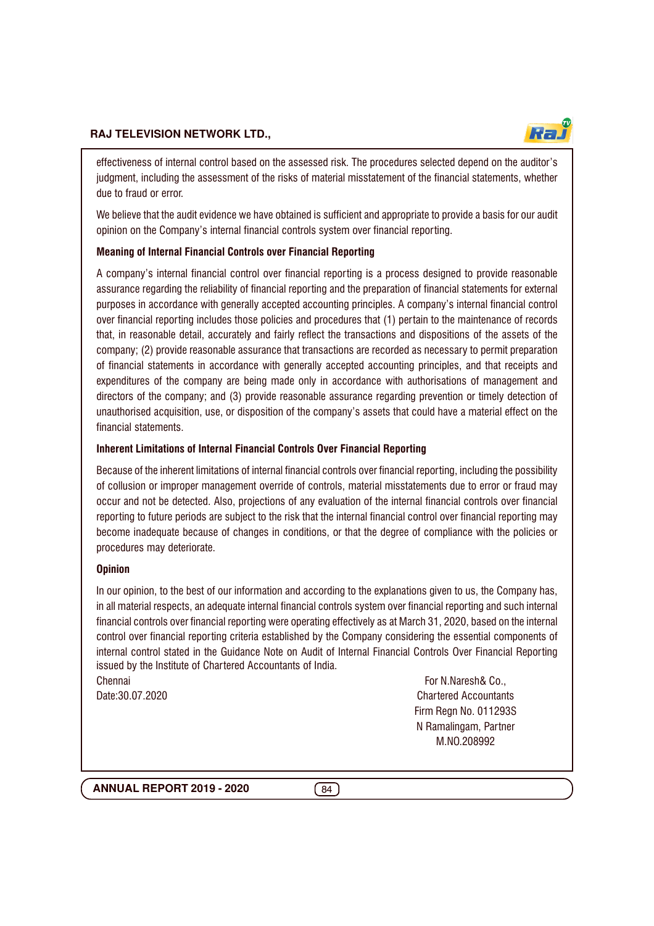

effectiveness of internal control based on the assessed risk. The procedures selected depend on the auditor's judgment, including the assessment of the risks of material misstatement of the financial statements, whether due to fraud or error.

We believe that the audit evidence we have obtained is sufficient and appropriate to provide a basis for our audit opinion on the Company's internal financial controls system over financial reporting.

# Meaning of Internal Financial Controls over Financial Reporting

A company's internal financial control over financial reporting is a process designed to provide reasonable assurance regarding the reliability of financial reporting and the preparation of financial statements for external purposes in accordance with generally accepted accounting principles. A company's internal financial control over financial reporting includes those policies and procedures that (1) pertain to the maintenance of records that, in reasonable detail, accurately and fairly reflect the transactions and dispositions of the assets of the company; (2) provide reasonable assurance that transactions are recorded as necessary to permit preparation of financial statements in accordance with generally accepted accounting principles, and that receipts and expenditures of the company are being made only in accordance with authorisations of management and directors of the company; and (3) provide reasonable assurance regarding prevention or timely detection of unauthorised acquisition, use, or disposition of the company's assets that could have a material effect on the financial statements.

## Inherent Limitations of Internal Financial Controls Over Financial Reporting

Because of the inherent limitations of internal financial controls over financial reporting, including the possibility of collusion or improper management override of controls, material misstatements due to error or fraud may occur and not be detected. Also, projections of any evaluation of the internal financial controls over financial reporting to future periods are subject to the risk that the internal financial control over financial reporting may become inadequate because of changes in conditions, or that the degree of compliance with the policies or procedures may deteriorate.

### **Opinion**

In our opinion, to the best of our information and according to the explanations given to us, the Company has, in all material respects, an adequate internal financial controls system over financial reporting and such internal financial controls over financial reporting were operating effectively as at March 31, 2020, based on the internal control over financial reporting criteria established by the Company considering the essential components of internal control stated in the Guidance Note on Audit of Internal Financial Controls Over Financial Reporting issued by the Institute of Chartered Accountants of India.

**Chennai** For N.Naresh& Co., Date:30.07.2020 Chartered Accountants Firm Regn No. 011293S N Ramalingam, Partner M.NO.208992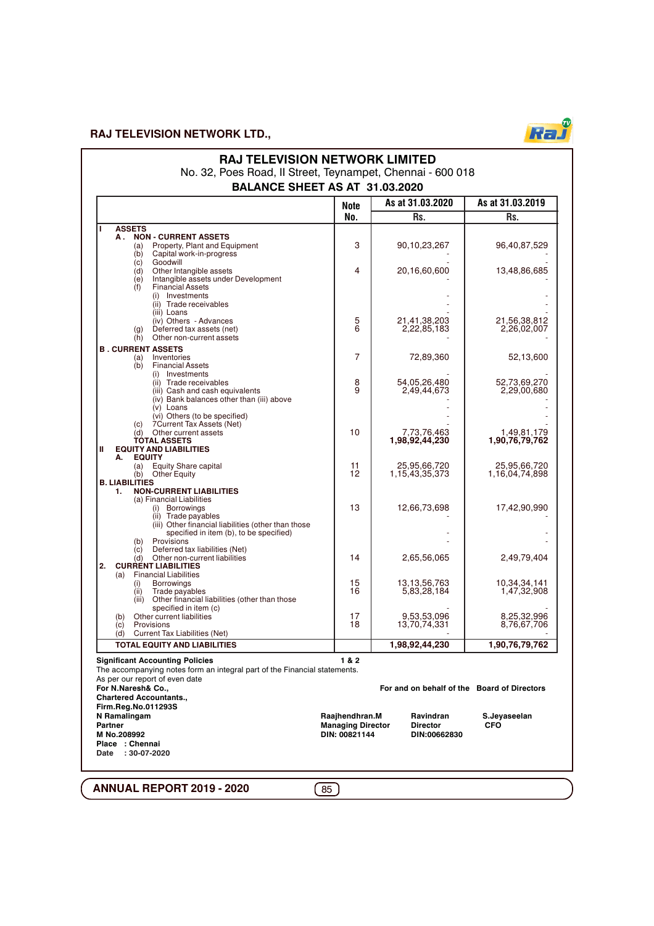

#### <u>85</u> **ANNUAL REPORT 2019 - 2020** Significant Accounting Policies 1 & 2 The accompanying notes form an integral part of the Financial statements. As per our report of even date<br>For N.Naresh& Co., For and on behalf of the Board of Directors Chartered Accountants., Firm.Reg.No.011293S Raajhendhran.M Ravindran S.Jeyaseelan<br>Managing Director Director CFO Partner Managing Director Director<br>Microsoft Microsoft DIN: 00821144 DIN:00662830 DIN: 00821144 Place : Chennai Date : 30-07-2020 **I ASSETS A . NON - CURRENT ASSETS**  (a) Property, Plant and Equipment 1 1 3 90,10,23,267 96,40,87,529<br>(b) Capital work-in-progress (c) Goodwill - - (d) Other Intangible assets  $\begin{array}{|c|c|c|c|c|}\n\hline\n(e) & \text{Intangible assets under Development} \\
(f) & \text{Financial Assets} \\
\hline\n\end{array}$   $\begin{array}{|c|c|c|c|c|}\n\hline\n\end{array}$   $\begin{array}{|c|c|c|c|c|}\n\hline\n\end{array}$   $\begin{array}{|c|c|c|c|c|}\n\hline\n\end{array}$   $\begin{array}{|c|c|c|c|c|}\n\hline\n\end{array}$   $\begin{array}{|c|c|c|c|$ Intangible assets under Development Financial Assets<br>(i) Investments (i) Investments<br>
(ii) Trade receiv<br>
(iii) Loans Trade receivables (iii) Loans - - (iv) Others - Advances<br>
Deferred tax assets (net)<br>  $\begin{array}{ccc}\n\text{(iv) Other's -} & \text{Advances} \\
\text{Deferred tax assets (net)} & 6 & 2,22,85,183 & 2,26,02,007\n\end{array}$ (g) Deferred tax assets (net)<br>(h) Other non-current assets Other non-current assets **B . CURRENT ASSETS** (a) Inventories **and the set of the set of the set of the set of the set of the set of the set of the set of the set of the set of the set of the set of the set of the set of the set of the set of the** (a) Inventories 7 7 7 72,89,360 52,13,600 52,13,600 (b) Financial Assets (i) Investments<br>
(ii) Trade receivables<br>  $\begin{array}{|c|c|c|c|c|c|c|c|c|} \hline \text{64,05,26,480} & & & 52,73,69,270 \hline \end{array}$ Trade receivables<br>
Cash and cash equivalents<br>
Cash and cash equivalents<br>
Cash and cash equivalents<br>
Cash and cash equivalents<br>
Cash and cash equivalents<br>
Cash and cash equivalents<br>
Cash and cash equivalents<br>
Cash and cash (iii) Cash and cash equivalents  $(iv)$  Bank balances other than (iii) above  $(v)$  Loans (v) Loans<br>
(vi) Others (to be specified)<br>
(d) Other current assets (Net)<br> **TOTAL ASSETS**<br> **TOTAL ASSETS**<br> **EXELD ASSETS**<br> **EXELD ASSETS**<br> **EXELD ASSETS**<br> **EXELD ASSETS**<br> **EXELD ASSETS**<br> **EXELD ASSETS**<br> **EXELD ASSETS**<br> **EXE II EQUITY AND LIABILITIES A. EQUITY** (a) Equity Share capital **and the COVID-** (a) **EQUITY** (a) 11 (a) Equity Share capital 11 25,95,66,720 25,95,66,720 25,95,66,720 25,95,66,720 25,95,66,720 25,95,66,720 25,95,66,720 (b) Other Equity 12 1,15,43,35,373 1,16,04,74,898 **B. LIABILITIES 1. NON-CURRENT LIABILITIES**  (a) Financial Liabilities<br>
(i) Rorrowings<br>
(a) 13  $\begin{array}{|c|c|c|c|c|c|c|c|} \hline \end{array}$  13 12,66,73,698 17,42,90,990 17,42,90,990 17,42,90,990 17,42,90,990 17,42,90,990 17,42,90,990 17,42,90,990 17,42,90,990 17,42,90,990 17,42,90,990 17,42,90,990 17,42,90,990 17,42,90,990 17 (ii) Trade payables - - (iii) Other financial liabilities (other than those specified in item  $(b)$ , to be specified)<br>Provisions (b) Provisions - - (c) Deferred tax liabilities (Net)<br>
(d) Other non-current liabilities (Net) (d) Other non-current liabilities 14 2,65,56,065 2,49,79,404 **2. CURRENT LIABILITIES**  (a) Financial Liabilities (i) Borrowings 15 15 13,13,56,763 10,34,34,141<br>
(ii) Trade payables (other than those 16 16 5,83,28,184 1,47,32,908<br>
(iii) Other financial liabilities (other than those specified in item (c)<br>
recurrent liabilities<br>
specified in item (c)<br>
from the current liabilities<br>  $\begin{array}{|c|c|c|c|c|c|}\n\hline\n17 & 9,53,53,096 & 8,25,32,996 \\
\hline\n18 & 13,70,74,331 & 8,76,67,706\n\end{array}$ (b) Other current liabilities 17<br>
(c) Provisions 18<br>
(d) Current Tax Liabilities (Net) (9,53,53,096<br>13,70,74,331 Current Tax Liabilities (Net) **TOTAL EQUITY AND LIABILITIES 1,98,92,44,230 1,90,76,79,762** RAJ TELEVISION NETWORK LIMITED No. 32, Poes Road, II Street, Teynampet, Chennai - 600 018 BALANCE SHEET AS AT 31.03.2020 Note No. As at 31.03.2019 Rs. As at 31.03.2020 Rs.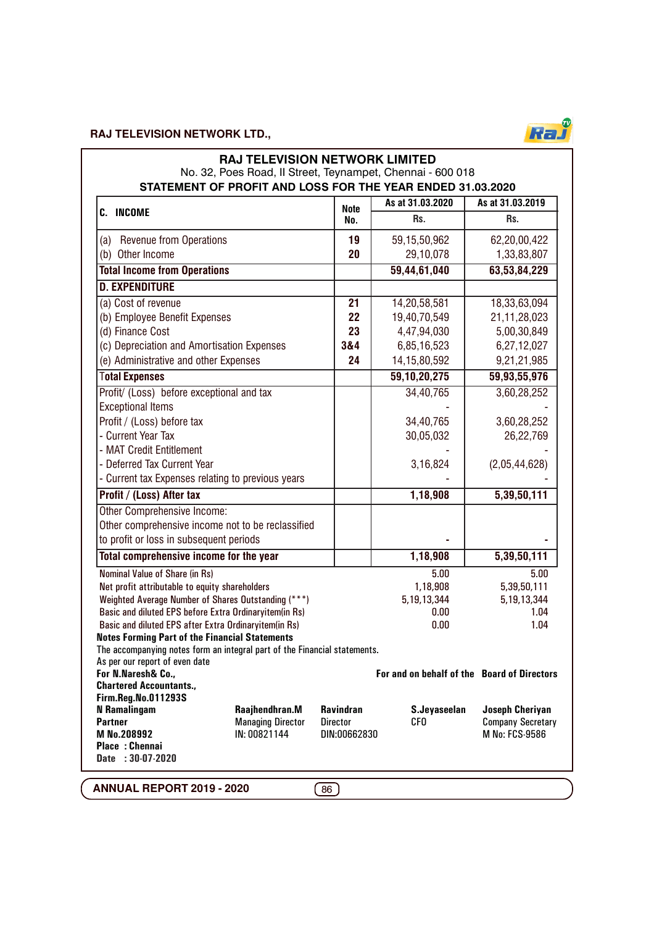

| <b>RAJ TELEVISION NETWORK LIMITED</b><br>No. 32, Poes Road, Il Street, Teynampet, Chennai - 600 018            |                  |                                             |                                             |
|----------------------------------------------------------------------------------------------------------------|------------------|---------------------------------------------|---------------------------------------------|
| STATEMENT OF PROFIT AND LOSS FOR THE YEAR ENDED 31.03.2020                                                     |                  |                                             |                                             |
|                                                                                                                | <b>Note</b>      | As at 31.03.2020                            | As at 31.03.2019                            |
| C. INCOME                                                                                                      | No.              | Rs.                                         | Rs.                                         |
| <b>Revenue from Operations</b><br>(a)                                                                          | 19               | 59,15,50,962                                | 62,20,00,422                                |
| (b) Other Income                                                                                               | 20               | 29,10,078                                   | 1,33,83,807                                 |
| <b>Total Income from Operations</b>                                                                            |                  | 59,44,61,040                                | 63,53,84,229                                |
| <b>D. EXPENDITURE</b>                                                                                          |                  |                                             |                                             |
| (a) Cost of revenue                                                                                            | 21               | 14,20,58,581                                | 18,33,63,094                                |
| (b) Employee Benefit Expenses                                                                                  | 22               | 19,40,70,549                                | 21,11,28,023                                |
| (d) Finance Cost                                                                                               | 23               | 4,47,94,030                                 | 5,00,30,849                                 |
| (c) Depreciation and Amortisation Expenses                                                                     | 3&4              | 6,85,16,523                                 | 6,27,12,027                                 |
| (e) Administrative and other Expenses                                                                          | 24               | 14,15,80,592                                | 9,21,21,985                                 |
| <b>Total Expenses</b>                                                                                          |                  | 59,10,20,275                                | 59,93,55,976                                |
| Profit/ (Loss) before exceptional and tax                                                                      |                  | 34,40,765                                   | 3,60,28,252                                 |
| <b>Exceptional Items</b>                                                                                       |                  |                                             |                                             |
| Profit / (Loss) before tax                                                                                     |                  | 34,40,765                                   | 3,60,28,252                                 |
| - Current Year Tax                                                                                             |                  |                                             |                                             |
| - MAT Credit Entitlement                                                                                       |                  | 30,05,032                                   | 26,22,769                                   |
| - Deferred Tax Current Year                                                                                    |                  | 3,16,824                                    | (2,05,44,628)                               |
|                                                                                                                |                  |                                             |                                             |
| - Current tax Expenses relating to previous years                                                              |                  |                                             |                                             |
| Profit / (Loss) After tax                                                                                      |                  | 1,18,908                                    | 5,39,50,111                                 |
| <b>Other Comprehensive Income:</b>                                                                             |                  |                                             |                                             |
| Other comprehensive income not to be reclassified                                                              |                  |                                             |                                             |
| to profit or loss in subsequent periods                                                                        |                  |                                             |                                             |
| Total comprehensive income for the year                                                                        |                  | 1,18,908                                    | 5,39,50,111                                 |
| Nominal Value of Share (in Rs)                                                                                 |                  | 5.00                                        | 5.00                                        |
| Net profit attributable to equity shareholders                                                                 |                  | 1,18,908                                    | 5,39,50,111                                 |
| Weighted Average Number of Shares Outstanding (***)                                                            |                  | 5, 19, 13, 344                              | 5, 19, 13, 344                              |
| Basic and diluted EPS before Extra Ordinaryitem(in Rs)                                                         |                  | 0.00                                        | 1.04                                        |
| Basic and diluted EPS after Extra Ordinaryitem(in Rs)<br><b>Notes Forming Part of the Financial Statements</b> |                  | 0.00                                        | 1.04                                        |
| The accompanying notes form an integral part of the Financial statements.                                      |                  |                                             |                                             |
| As per our report of even date                                                                                 |                  |                                             |                                             |
| For N.Naresh& Co.,                                                                                             |                  | For and on behalf of the Board of Directors |                                             |
| <b>Chartered Accountants.,</b>                                                                                 |                  |                                             |                                             |
| <b>Firm.Reg.No.011293S</b>                                                                                     | <b>Ravindran</b> |                                             |                                             |
| <b>N</b> Ramalingam<br>Raajhendhran.M<br><b>Partner</b><br><b>Managing Director</b>                            | <b>Director</b>  | S.Jeyaseelan<br>CFO                         | Joseph Cheriyan<br><b>Company Secretary</b> |
| IN: 00821144<br><b>M No.208992</b>                                                                             | DIN:00662830     |                                             | <b>M No: FCS-9586</b>                       |
| <b>Place: Chennai</b>                                                                                          |                  |                                             |                                             |
| Date: 30-07-2020                                                                                               |                  |                                             |                                             |
|                                                                                                                |                  |                                             |                                             |
| <b>ANNUAL REPORT 2019 - 2020</b>                                                                               | 86               |                                             |                                             |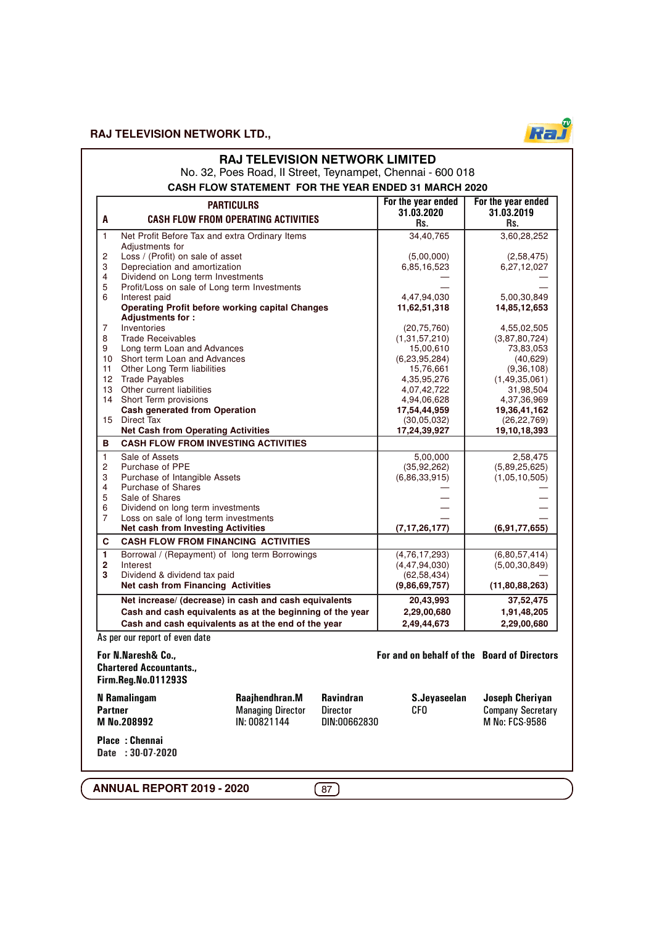

#### 1 Net Profit Before Tax and extra Ordinary Items 34,40,765 3,60,28,252 Adjustments for 2 Loss / (Profit) on sale of asset (5,00,000) (2,58,475)<br>3 Depreciation and amortization (5,00,000) (2,58,475) Depreciation and amortization 4 Dividend on Long term Investments<br>5 Profit/Loss on sale of Long term Inv 5 Profit/Loss on sale of Long term Investments  $\begin{array}{ccc} - & - \\ - & + \end{array}$   $\begin{array}{ccc} - & - \\ - & + \end{array}$  5.00.30.849 6 Interest paid 4,47,94,030 | 5,00,30,849 **Operating Profit before working capital Changes 11,62,51,318 14,85,12,653 Adjustments for :** 7 Inventories (20,75,760) 4,55,02,505 8 Trade Receivables (1,31,57,210) (1,31,57,210) (3,87,80,724) (1,31,57,210) (3,87,80,724) 9 Long term Loan and Advances 15,00,610 15,00,610 73,83,053<br>10 Short term Loan and Advances 16,23,95.284 10 Short term Loan and Advances (6,23,95,284) (6,23,95,284) (40,629) (40,629) (40,629) (40,629) (40,629) (40,629) 11 Other Long Term liabilities 15,76,661 (9,36,108)<br>12 Trade Payables 15,76,661 (1,49,35,061) 12 Trade Payables (1,49,35,061)<br>
13 Other current liabilities (1,49,35,061)<br>
13 Other current liabilities (1,49,35,061)<br>
14,07,42,722 (1,49,35,064) Other current liabilities 14 Short Term provisions 4,94,06,628 4,37,36,969 **Cash generated from Operation 17,54,44,959 19,36,41,162**<br>Direct Tax (30.05.032) (26.22.769) 15 Direct Tax (30,05,032) (26,22,769) **Net Cash from Operating Activities 17,24,39,927 19,10,18,393 B CASH FLOW FROM INVESTING ACTIVITIES** 1 Sale of Assets 5,00,000 2,58,475<br>2 Purchase of PPE (35.92.262) (5.89.25.625) Purchase of PPE (35,92,262) (5,89,25,625)<br>
Purchase of Intangible Assets (6,86,33,915) (1,05,10,505) (1,05,10,505) 3 Purchase of Intangible Assets (6,86,33,915)<br>4 Purchase of Shares (1,050,505) 4 Purchase of Shares<br>5 Sale of Shares Sale of Shares 6 Dividend on long term investments  $\overline{z}$  and  $\overline{z}$  are  $\overline{z}$  and  $\overline{z}$  are  $\overline{z}$  and  $\overline{z}$  are  $\overline{z}$  are  $\overline{z}$  and  $\overline{z}$  are  $\overline{z}$  and  $\overline{z}$  are  $\overline{z}$  are  $\overline{z}$  and  $\overline{z}$  are  $\over$ Loss on sale of long term investments **Net cash from Investing Activities (7,17,26,177)** (6,91,77,655) **C CASH FLOW FROM FINANCING ACTIVITIES 1** Borrowal / (Repayment) of long term Borrowings (4,76,17,293) (6,80,57,414)<br> **2** Interest (4,47,94,030) (5,00,30,849) **2** Interest (4,47,94,030)<br> **3** Dividend & dividend tax paid (62,58,434) **3** Dividend & dividend tax paid<br> **3 Net cash from Financing Activities** (9,86,69,757) (11,80,88,263) **Net cash from Financing Activities 19.86,69,757)** (9,86,69,757) **Net increase/ (decrease) in cash and cash equivalents 20,43,993 37,52,475** Cash and cash equivalents as at the beginning of the year  $\vert$  2.29,00,680  $\vert$  1.91,48,205 **Cash and cash equivalents as at the end of the year**  2,49,44,673 2,29,00,680 RAJ TELEVISION NETWORK LIMITED No. 32, Poes Road, II Street, Teynampet, Chennai - 600 018 CASH FLOW STATEMENT FOR THE YEAR ENDED 31 MARCH 2020 **PARTICULRS** A CASH FLOW FROM OPERATING ACTIVITIES For the year ended 31.03.2019 Rs. For the year ended 31.03.2020 Rs. As per our report of even date For N.Naresh& Co., For and on behalf of the Board of Directors Chartered Accountants., Firm.Reg.No.011293S N Ramalingam Raajhendhran.M Ravindran S.Jeyaseelan Joseph Cheriyan Partner Managing Director Director CFO Company Secretary M No.208992 IN: 00821144 DIN:00662830 M No: FCS-9586 Place : Chennai Date : 30-07-2020

**ANNUAL REPORT 2019 - 2020**

 $\sqrt{87}$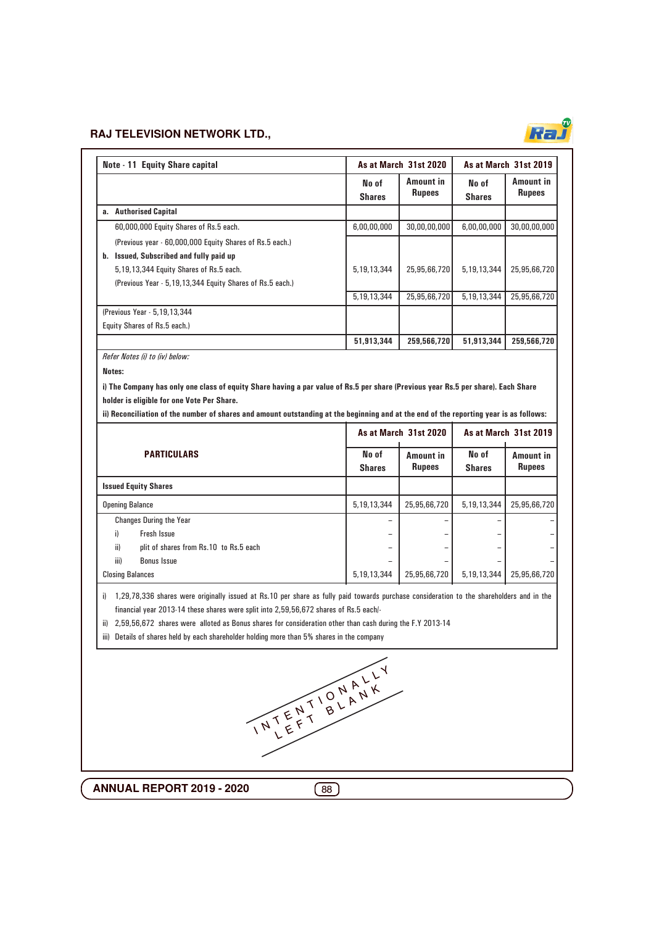

| Amount in<br>No of<br>No of<br><b>Rupees</b><br><b>Shares</b><br><b>Shares</b><br>a. Authorised Capital<br>60,000,000 Equity Shares of Rs.5 each.<br>6.00.00.000<br>30.00.00.000<br>6,00,00,000<br>(Previous year - 60,000,000 Equity Shares of Rs.5 each.)<br>b. Issued, Subscribed and fully paid up<br>5,19,13,344 Equity Shares of Rs.5 each.<br>5, 19, 13, 344<br>25,95,66,720<br>5, 19, 13, 344<br>(Previous Year - 5,19,13,344 Equity Shares of Rs.5 each.)<br>5, 19, 13, 344<br>25,95,66,720<br>5, 19, 13, 344<br>(Previous Year - 5,19,13,344<br>Equity Shares of Rs.5 each.)<br>51,913,344<br>259,566,720<br>51,913,344<br>Refer Notes (i) to (iv) below:<br>Notes:<br>i) The Company has only one class of equity Share having a par value of Rs.5 per share (Previous year Rs.5 per share). Each Share<br>holder is eligible for one Vote Per Share.<br>ii) Reconciliation of the number of shares and amount outstanding at the beginning and at the end of the reporting year is as follows:<br>As at March 31st 2020<br>No of<br>No of<br><b>PARTICULARS</b><br>Amount in<br><b>Rupees</b><br><b>Shares</b><br><b>Shares</b><br><b>Issued Equity Shares</b><br><b>Opening Balance</b><br>5, 19, 13, 344<br>25,95,66,720<br>5, 19, 13, 344<br><b>Changes During the Year</b><br>$\overline{\phantom{m}}$ | Amount in<br><b>Rupees</b><br>30,00,00,000<br>25,95,66,720<br>25,95,66,720<br>259,566,720<br>As at March 31st 2019<br><b>Amount in</b><br><b>Rupees</b> |
|------------------------------------------------------------------------------------------------------------------------------------------------------------------------------------------------------------------------------------------------------------------------------------------------------------------------------------------------------------------------------------------------------------------------------------------------------------------------------------------------------------------------------------------------------------------------------------------------------------------------------------------------------------------------------------------------------------------------------------------------------------------------------------------------------------------------------------------------------------------------------------------------------------------------------------------------------------------------------------------------------------------------------------------------------------------------------------------------------------------------------------------------------------------------------------------------------------------------------------------------------------------------------------------------------------------------|---------------------------------------------------------------------------------------------------------------------------------------------------------|
|                                                                                                                                                                                                                                                                                                                                                                                                                                                                                                                                                                                                                                                                                                                                                                                                                                                                                                                                                                                                                                                                                                                                                                                                                                                                                                                        |                                                                                                                                                         |
|                                                                                                                                                                                                                                                                                                                                                                                                                                                                                                                                                                                                                                                                                                                                                                                                                                                                                                                                                                                                                                                                                                                                                                                                                                                                                                                        |                                                                                                                                                         |
|                                                                                                                                                                                                                                                                                                                                                                                                                                                                                                                                                                                                                                                                                                                                                                                                                                                                                                                                                                                                                                                                                                                                                                                                                                                                                                                        |                                                                                                                                                         |
|                                                                                                                                                                                                                                                                                                                                                                                                                                                                                                                                                                                                                                                                                                                                                                                                                                                                                                                                                                                                                                                                                                                                                                                                                                                                                                                        |                                                                                                                                                         |
|                                                                                                                                                                                                                                                                                                                                                                                                                                                                                                                                                                                                                                                                                                                                                                                                                                                                                                                                                                                                                                                                                                                                                                                                                                                                                                                        |                                                                                                                                                         |
|                                                                                                                                                                                                                                                                                                                                                                                                                                                                                                                                                                                                                                                                                                                                                                                                                                                                                                                                                                                                                                                                                                                                                                                                                                                                                                                        |                                                                                                                                                         |
|                                                                                                                                                                                                                                                                                                                                                                                                                                                                                                                                                                                                                                                                                                                                                                                                                                                                                                                                                                                                                                                                                                                                                                                                                                                                                                                        |                                                                                                                                                         |
|                                                                                                                                                                                                                                                                                                                                                                                                                                                                                                                                                                                                                                                                                                                                                                                                                                                                                                                                                                                                                                                                                                                                                                                                                                                                                                                        |                                                                                                                                                         |
|                                                                                                                                                                                                                                                                                                                                                                                                                                                                                                                                                                                                                                                                                                                                                                                                                                                                                                                                                                                                                                                                                                                                                                                                                                                                                                                        |                                                                                                                                                         |
|                                                                                                                                                                                                                                                                                                                                                                                                                                                                                                                                                                                                                                                                                                                                                                                                                                                                                                                                                                                                                                                                                                                                                                                                                                                                                                                        |                                                                                                                                                         |
|                                                                                                                                                                                                                                                                                                                                                                                                                                                                                                                                                                                                                                                                                                                                                                                                                                                                                                                                                                                                                                                                                                                                                                                                                                                                                                                        |                                                                                                                                                         |
|                                                                                                                                                                                                                                                                                                                                                                                                                                                                                                                                                                                                                                                                                                                                                                                                                                                                                                                                                                                                                                                                                                                                                                                                                                                                                                                        |                                                                                                                                                         |
|                                                                                                                                                                                                                                                                                                                                                                                                                                                                                                                                                                                                                                                                                                                                                                                                                                                                                                                                                                                                                                                                                                                                                                                                                                                                                                                        |                                                                                                                                                         |
|                                                                                                                                                                                                                                                                                                                                                                                                                                                                                                                                                                                                                                                                                                                                                                                                                                                                                                                                                                                                                                                                                                                                                                                                                                                                                                                        |                                                                                                                                                         |
|                                                                                                                                                                                                                                                                                                                                                                                                                                                                                                                                                                                                                                                                                                                                                                                                                                                                                                                                                                                                                                                                                                                                                                                                                                                                                                                        |                                                                                                                                                         |
|                                                                                                                                                                                                                                                                                                                                                                                                                                                                                                                                                                                                                                                                                                                                                                                                                                                                                                                                                                                                                                                                                                                                                                                                                                                                                                                        |                                                                                                                                                         |
|                                                                                                                                                                                                                                                                                                                                                                                                                                                                                                                                                                                                                                                                                                                                                                                                                                                                                                                                                                                                                                                                                                                                                                                                                                                                                                                        |                                                                                                                                                         |
|                                                                                                                                                                                                                                                                                                                                                                                                                                                                                                                                                                                                                                                                                                                                                                                                                                                                                                                                                                                                                                                                                                                                                                                                                                                                                                                        |                                                                                                                                                         |
|                                                                                                                                                                                                                                                                                                                                                                                                                                                                                                                                                                                                                                                                                                                                                                                                                                                                                                                                                                                                                                                                                                                                                                                                                                                                                                                        |                                                                                                                                                         |
|                                                                                                                                                                                                                                                                                                                                                                                                                                                                                                                                                                                                                                                                                                                                                                                                                                                                                                                                                                                                                                                                                                                                                                                                                                                                                                                        | 25,95,66,720                                                                                                                                            |
|                                                                                                                                                                                                                                                                                                                                                                                                                                                                                                                                                                                                                                                                                                                                                                                                                                                                                                                                                                                                                                                                                                                                                                                                                                                                                                                        |                                                                                                                                                         |
| i)<br>Fresh Issue<br>$\overline{\phantom{0}}$                                                                                                                                                                                                                                                                                                                                                                                                                                                                                                                                                                                                                                                                                                                                                                                                                                                                                                                                                                                                                                                                                                                                                                                                                                                                          |                                                                                                                                                         |
| plit of shares from Rs.10 to Rs.5 each<br>ii)                                                                                                                                                                                                                                                                                                                                                                                                                                                                                                                                                                                                                                                                                                                                                                                                                                                                                                                                                                                                                                                                                                                                                                                                                                                                          |                                                                                                                                                         |
| <b>Bonus Issue</b><br>iii)                                                                                                                                                                                                                                                                                                                                                                                                                                                                                                                                                                                                                                                                                                                                                                                                                                                                                                                                                                                                                                                                                                                                                                                                                                                                                             |                                                                                                                                                         |
| 5, 19, 13, 344<br>25,95,66,720<br>5, 19, 13, 344                                                                                                                                                                                                                                                                                                                                                                                                                                                                                                                                                                                                                                                                                                                                                                                                                                                                                                                                                                                                                                                                                                                                                                                                                                                                       |                                                                                                                                                         |
| <b>Closing Balances</b><br>i) 1,29,78,336 shares were originally issued at Rs.10 per share as fully paid towards purchase consideration to the shareholders and in the<br>financial year 2013-14 these shares were split into 2,59,56,672 shares of Rs.5 each/-                                                                                                                                                                                                                                                                                                                                                                                                                                                                                                                                                                                                                                                                                                                                                                                                                                                                                                                                                                                                                                                        |                                                                                                                                                         |
| 2,59,56,672 shares were alloted as Bonus shares for consideration other than cash during the F.Y 2013-14<br>ii)                                                                                                                                                                                                                                                                                                                                                                                                                                                                                                                                                                                                                                                                                                                                                                                                                                                                                                                                                                                                                                                                                                                                                                                                        |                                                                                                                                                         |
| iii) Details of shares held by each shareholder holding more than 5% shares in the company                                                                                                                                                                                                                                                                                                                                                                                                                                                                                                                                                                                                                                                                                                                                                                                                                                                                                                                                                                                                                                                                                                                                                                                                                             | 25,95,66,720                                                                                                                                            |
|                                                                                                                                                                                                                                                                                                                                                                                                                                                                                                                                                                                                                                                                                                                                                                                                                                                                                                                                                                                                                                                                                                                                                                                                                                                                                                                        |                                                                                                                                                         |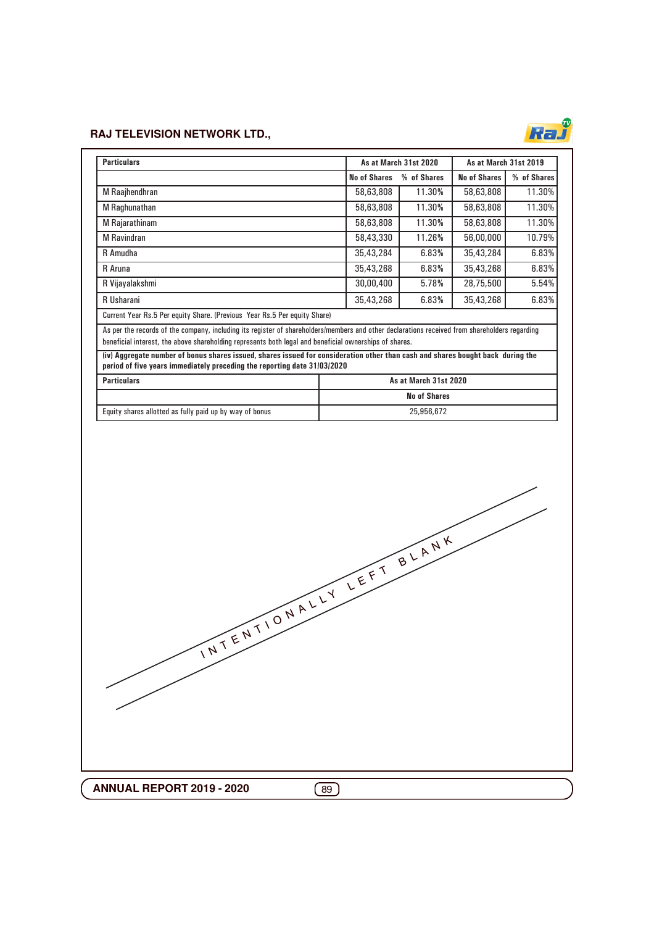

|                                                                                                                                                                                                                                                                                                                                                                                                                                                                        |                     | As at March 31st 2020 |                     | As at March 31st 2019 |
|------------------------------------------------------------------------------------------------------------------------------------------------------------------------------------------------------------------------------------------------------------------------------------------------------------------------------------------------------------------------------------------------------------------------------------------------------------------------|---------------------|-----------------------|---------------------|-----------------------|
|                                                                                                                                                                                                                                                                                                                                                                                                                                                                        | <b>No of Shares</b> | % of Shares           | <b>No of Shares</b> | % of Shares           |
| M Raajhendhran                                                                                                                                                                                                                                                                                                                                                                                                                                                         | 58,63,808           | 11.30%                | 58,63,808           | 11.30%                |
| <b>M</b> Raghunathan                                                                                                                                                                                                                                                                                                                                                                                                                                                   | 58,63,808           | 11.30%                | 58,63,808           | 11.30%                |
| M Rajarathinam                                                                                                                                                                                                                                                                                                                                                                                                                                                         | 58,63,808           | 11.30%                | 58,63,808           | 11.30%                |
| <b>M</b> Ravindran                                                                                                                                                                                                                                                                                                                                                                                                                                                     | 58,43,330           | 11.26%                | 56,00,000           | 10.79%                |
| R Amudha                                                                                                                                                                                                                                                                                                                                                                                                                                                               | 35,43,284           | 6.83%                 | 35,43,284           | 6.83%                 |
| R Aruna                                                                                                                                                                                                                                                                                                                                                                                                                                                                | 35,43,268           | 6.83%                 | 35,43,268           | 6.83%                 |
| R Vijayalakshmi                                                                                                                                                                                                                                                                                                                                                                                                                                                        | 30,00,400           | 5.78%                 | 28,75,500           | 5.54%                 |
| R Usharani                                                                                                                                                                                                                                                                                                                                                                                                                                                             | 35,43,268           | 6.83%                 | 35,43,268           | 6.83%                 |
| Current Year Rs.5 Per equity Share. (Previous Year Rs.5 Per equity Share)                                                                                                                                                                                                                                                                                                                                                                                              |                     |                       |                     |                       |
| As per the records of the company, including its register of shareholders/members and other declarations received from shareholders regarding<br>beneficial interest, the above shareholding represents both legal and beneficial ownerships of shares.<br>(iv) Aggregate number of bonus shares issued, shares issued for consideration other than cash and shares bought back during the<br>period of five years immediately preceding the reporting date 31/03/2020 |                     |                       |                     |                       |
| <b>Particulars</b>                                                                                                                                                                                                                                                                                                                                                                                                                                                     |                     | As at March 31st 2020 |                     |                       |
|                                                                                                                                                                                                                                                                                                                                                                                                                                                                        |                     | <b>No of Shares</b>   |                     |                       |
| Equity shares allotted as fully paid up by way of bonus                                                                                                                                                                                                                                                                                                                                                                                                                |                     | 25,956,672            |                     |                       |
|                                                                                                                                                                                                                                                                                                                                                                                                                                                                        |                     |                       |                     |                       |
|                                                                                                                                                                                                                                                                                                                                                                                                                                                                        |                     |                       |                     |                       |
| INTENTIONALLY LEFT BLANK                                                                                                                                                                                                                                                                                                                                                                                                                                               |                     |                       |                     |                       |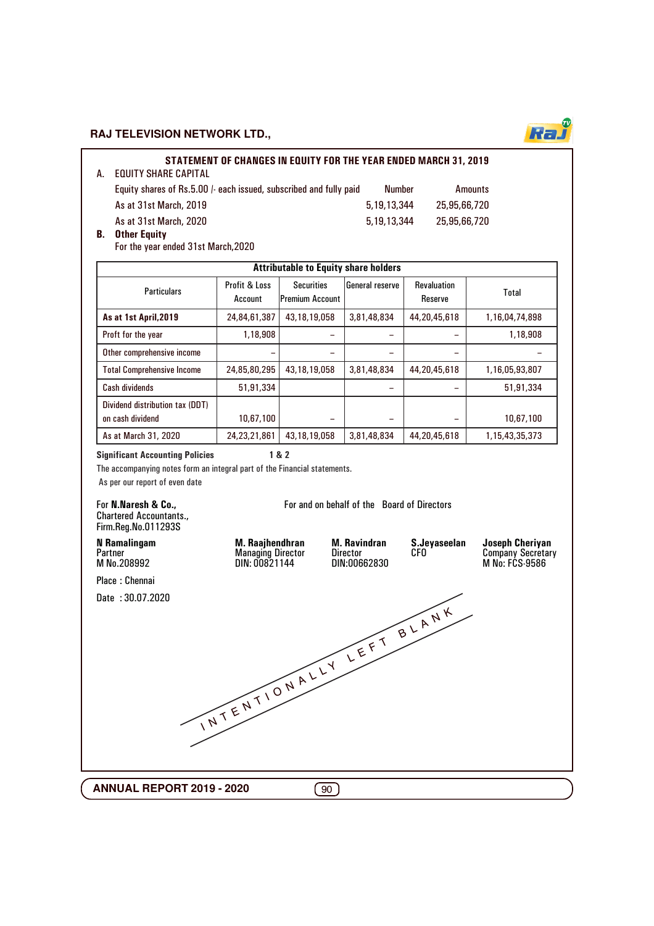

| For the year ended 31st March, 2020<br>Profit & Loss<br>Account<br>24,84,61,387<br>1,18,908<br>24,85,80,295<br>51,91,334<br>10,67,100<br>24,23,21,861<br>1 & 2 | Equity shares of Rs.5.00 / each issued, subscribed and fully paid<br><b>Securities</b><br>Premium Account<br>43,18,19,058<br>$\qquad \qquad -$<br>43,18,19,058<br>43,18,19,058 | Number<br>5,19,13,344<br>5,19,13,344<br><b>Attributable to Equity share holders</b><br>General reserve<br>3,81,48,834<br>3,81,48,834<br>3,81,48,834 | 25,95,66,720<br>25,95,66,720<br><b>Revaluation</b><br>Reserve<br>44,20,45,618<br>$\overline{\phantom{0}}$<br>44,20,45,618 | <b>Amounts</b><br>Total<br>1,16,04,74,898<br>1,18,908<br>1,16,05,93,807<br>51,91,334<br>10,67,100 |
|----------------------------------------------------------------------------------------------------------------------------------------------------------------|--------------------------------------------------------------------------------------------------------------------------------------------------------------------------------|-----------------------------------------------------------------------------------------------------------------------------------------------------|---------------------------------------------------------------------------------------------------------------------------|---------------------------------------------------------------------------------------------------|
|                                                                                                                                                                |                                                                                                                                                                                |                                                                                                                                                     |                                                                                                                           |                                                                                                   |
|                                                                                                                                                                |                                                                                                                                                                                |                                                                                                                                                     |                                                                                                                           |                                                                                                   |
|                                                                                                                                                                |                                                                                                                                                                                |                                                                                                                                                     |                                                                                                                           |                                                                                                   |
|                                                                                                                                                                |                                                                                                                                                                                |                                                                                                                                                     |                                                                                                                           |                                                                                                   |
|                                                                                                                                                                |                                                                                                                                                                                |                                                                                                                                                     |                                                                                                                           |                                                                                                   |
|                                                                                                                                                                |                                                                                                                                                                                |                                                                                                                                                     |                                                                                                                           |                                                                                                   |
|                                                                                                                                                                |                                                                                                                                                                                |                                                                                                                                                     |                                                                                                                           |                                                                                                   |
|                                                                                                                                                                |                                                                                                                                                                                |                                                                                                                                                     |                                                                                                                           |                                                                                                   |
|                                                                                                                                                                |                                                                                                                                                                                |                                                                                                                                                     |                                                                                                                           |                                                                                                   |
|                                                                                                                                                                |                                                                                                                                                                                |                                                                                                                                                     |                                                                                                                           |                                                                                                   |
|                                                                                                                                                                |                                                                                                                                                                                |                                                                                                                                                     |                                                                                                                           |                                                                                                   |
|                                                                                                                                                                |                                                                                                                                                                                |                                                                                                                                                     |                                                                                                                           |                                                                                                   |
|                                                                                                                                                                |                                                                                                                                                                                |                                                                                                                                                     |                                                                                                                           |                                                                                                   |
|                                                                                                                                                                |                                                                                                                                                                                |                                                                                                                                                     | 44,20,45,618                                                                                                              | 1, 15, 43, 35, 373                                                                                |
|                                                                                                                                                                |                                                                                                                                                                                | For and on behalf of the Board of Directors                                                                                                         |                                                                                                                           |                                                                                                   |
| M. Raajhendhran<br><b>Managing Director</b><br>DIN: 00821144                                                                                                   |                                                                                                                                                                                | <b>M. Ravindran</b><br><b>Director</b><br>DIN:00662830                                                                                              | S.Jeyaseelan<br>CFO                                                                                                       | Joseph Cheriyan<br><b>Company Secretary</b><br><b>M No: FCS-9586</b>                              |
|                                                                                                                                                                |                                                                                                                                                                                |                                                                                                                                                     |                                                                                                                           |                                                                                                   |
|                                                                                                                                                                |                                                                                                                                                                                |                                                                                                                                                     |                                                                                                                           |                                                                                                   |
|                                                                                                                                                                |                                                                                                                                                                                |                                                                                                                                                     |                                                                                                                           |                                                                                                   |
|                                                                                                                                                                |                                                                                                                                                                                |                                                                                                                                                     |                                                                                                                           | INTENTIONALLY LEFT BLANK                                                                          |

**ANNUAL REPORT 2019 - 2020**

 $\boxed{90}$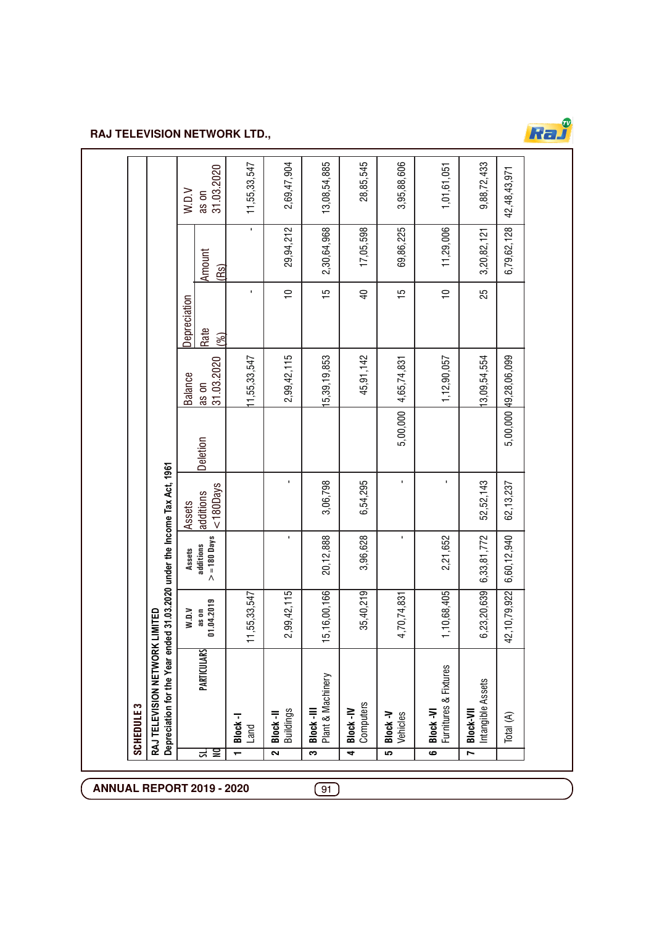| <b>SCHEDULE 3</b>                                                         |                              |                                       |                                    |          |                                        |                                      |                       |                              |
|---------------------------------------------------------------------------|------------------------------|---------------------------------------|------------------------------------|----------|----------------------------------------|--------------------------------------|-----------------------|------------------------------|
| RAJ TELEVISION NETWORK                                                    | LIMITED                      |                                       |                                    |          |                                        |                                      |                       |                              |
| Depreciation for the Year ended 31.03.2020 under the Income Tax Act, 1961 |                              |                                       |                                    |          |                                        |                                      |                       |                              |
| PARTICULARS<br>ਣ<br>ದ                                                     | 01.04.2019<br>W.D.V<br>as on | $> = 180$ Days<br>additions<br>Assets | $<$ 180Days<br>additions<br>Assets | Deletion | as on<br> 31.03.2020<br><b>Balance</b> | Depreciation<br>Rate<br>$\mathbb{S}$ | Amount<br><u>(Rs)</u> | 31.03.2020<br>W.D.V<br>as on |
| Block -I<br>Land<br>$\overline{ }$                                        | 11,55,33,547                 |                                       |                                    |          | 1,55,33,547                            | f.                                   | $\mathbf{I}$          | 11, 55, 33, 547              |
| <b>Buildings</b><br>Block-II<br>$\sim$                                    | 2,99,42,115                  | f.                                    | ı                                  |          | 2,99,42,115                            | $\overline{C}$                       | 29,94,212             | 2,69,47,904                  |
| <b>Block -III</b><br>Plant & Machinery<br>က                               | 5,16,00,166                  | 20,12,888                             | 3,06,798                           |          | 5,39,19,853                            | $\frac{15}{1}$                       | 2,30,64,968           | 13,08,54,885                 |
| Computers<br>Block-IV<br>÷                                                | 35,40,219                    | 3,96,628                              | 6,54,295                           |          | 45,91,142                              | $\overline{4}$                       | 17,05,598             | 28,85,545                    |
| Block -V<br>Vehicles<br>5                                                 | 4,70,74,831                  | $\blacksquare$                        | ٠                                  | 5,00,000 | 4,65,74,831                            | $\frac{5}{1}$                        | 69,86,225             | 3,95,88,606                  |
| Furnitures & Fixtures<br>Block -VI<br>م                                   | 1,10,68,405                  | 2,21,652                              |                                    |          | 1,12,90,057                            | $\overline{C}$                       | 11,29,006             | 1,01,61,051                  |
| Intangible Assets<br>Block-VII<br>$\blacksquare$                          | 6,23,20,639                  | 6,33,81,772                           | 52,52,143                          |          | 3,09,54,554                            | 25                                   | 3,20,82,121           | 9,88,72,433                  |
| Total (A)                                                                 | 42, 10, 79, 922              | 6,60,12,940                           | 62, 13, 237                        | 5,00,000 | 49,28,06,099                           |                                      | 6,79,62,128           | 42, 48, 43, 971              |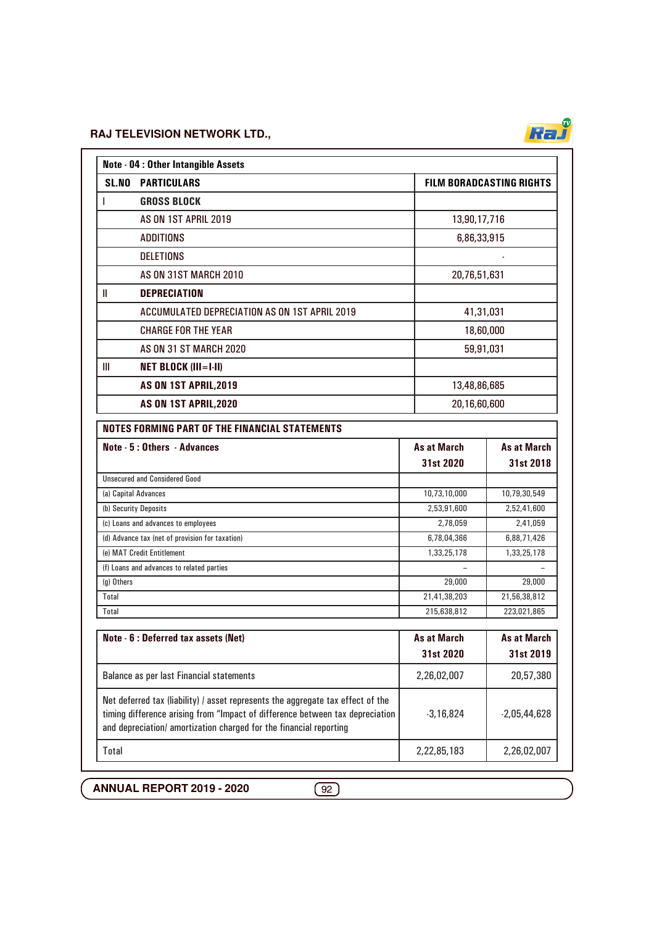

|                              | Note - 04 : Other Intangible Assets                                                                                                                                                                                                    |                    |                                 |  |
|------------------------------|----------------------------------------------------------------------------------------------------------------------------------------------------------------------------------------------------------------------------------------|--------------------|---------------------------------|--|
|                              | <b>SL.NO PARTICULARS</b>                                                                                                                                                                                                               |                    | <b>FILM BORADCASTING RIGHTS</b> |  |
| T                            | <b>GROSS BLOCK</b>                                                                                                                                                                                                                     |                    |                                 |  |
|                              | AS ON 1ST APRIL 2019                                                                                                                                                                                                                   | 13,90,17,716       |                                 |  |
|                              | <b>ADDITIONS</b>                                                                                                                                                                                                                       | 6,86,33,915        |                                 |  |
|                              | <b>DELETIONS</b>                                                                                                                                                                                                                       |                    |                                 |  |
|                              | <b>AS ON 31ST MARCH 2010</b>                                                                                                                                                                                                           | 20,76,51,631       |                                 |  |
| $\mathbf{I}$                 | <b>DEPRECIATION</b>                                                                                                                                                                                                                    |                    |                                 |  |
|                              | ACCUMULATED DEPRECIATION AS ON 1ST APRIL 2019                                                                                                                                                                                          | 41,31,031          |                                 |  |
|                              | <b>CHARGE FOR THE YEAR</b>                                                                                                                                                                                                             |                    | 18,60,000                       |  |
|                              |                                                                                                                                                                                                                                        |                    |                                 |  |
|                              | AS ON 31 ST MARCH 2020                                                                                                                                                                                                                 |                    | 59,91,031                       |  |
| Ш                            | <b>NET BLOCK (III=I-II)</b>                                                                                                                                                                                                            |                    |                                 |  |
|                              | AS ON 1ST APRIL, 2019                                                                                                                                                                                                                  | 13,48,86,685       |                                 |  |
|                              | AS ON 1ST APRIL, 2020                                                                                                                                                                                                                  |                    | 20,16,60,600                    |  |
|                              | <b>NOTES FORMING PART OF THE FINANCIAL STATEMENTS</b>                                                                                                                                                                                  |                    |                                 |  |
| Note - 5 : Others - Advances |                                                                                                                                                                                                                                        | <b>As at March</b> | <b>As at March</b>              |  |
|                              |                                                                                                                                                                                                                                        | 31st 2020          | 31st 2018                       |  |
|                              | <b>Unsecured and Considered Good</b>                                                                                                                                                                                                   |                    |                                 |  |
| (a) Capital Advances         |                                                                                                                                                                                                                                        | 10,73,10,000       | 10,79,30,549                    |  |
| (b) Security Deposits        |                                                                                                                                                                                                                                        | 2,53,91,600        | 2,52,41,600                     |  |
|                              | (c) Loans and advances to employees                                                                                                                                                                                                    | 2,78,059           | 2,41,059                        |  |
|                              | (d) Advance tax (net of provision for taxation)                                                                                                                                                                                        | 6,78,04,366        | 6,88,71,426                     |  |
|                              | (e) MAT Credit Entitlement                                                                                                                                                                                                             | 1,33,25,178        | 1,33,25,178                     |  |
|                              | (f) Loans and advances to related parties                                                                                                                                                                                              |                    |                                 |  |
| (g) Others                   |                                                                                                                                                                                                                                        | 29,000             | 29,000                          |  |
| Total                        |                                                                                                                                                                                                                                        | 21,41,38,203       | 21,56,38,812                    |  |
| Total                        |                                                                                                                                                                                                                                        | 215,638,812        | 223,021,865                     |  |
|                              | Note - 6 : Deferred tax assets (Net)                                                                                                                                                                                                   | <b>As at March</b> | As at March                     |  |
|                              |                                                                                                                                                                                                                                        | 31st 2020          | 31st 2019                       |  |
|                              | Balance as per last Financial statements                                                                                                                                                                                               | 2,26,02,007        | 20,57,380                       |  |
|                              | Net deferred tax (liability) / asset represents the aggregate tax effect of the<br>timing difference arising from "Impact of difference between tax depreciation<br>and depreciation/ amortization charged for the financial reporting | $-3,16,824$        | $-2,05,44,628$                  |  |
|                              |                                                                                                                                                                                                                                        |                    |                                 |  |

**ANNUAL REPORT 2019 - 2020**

 $\boxed{92}$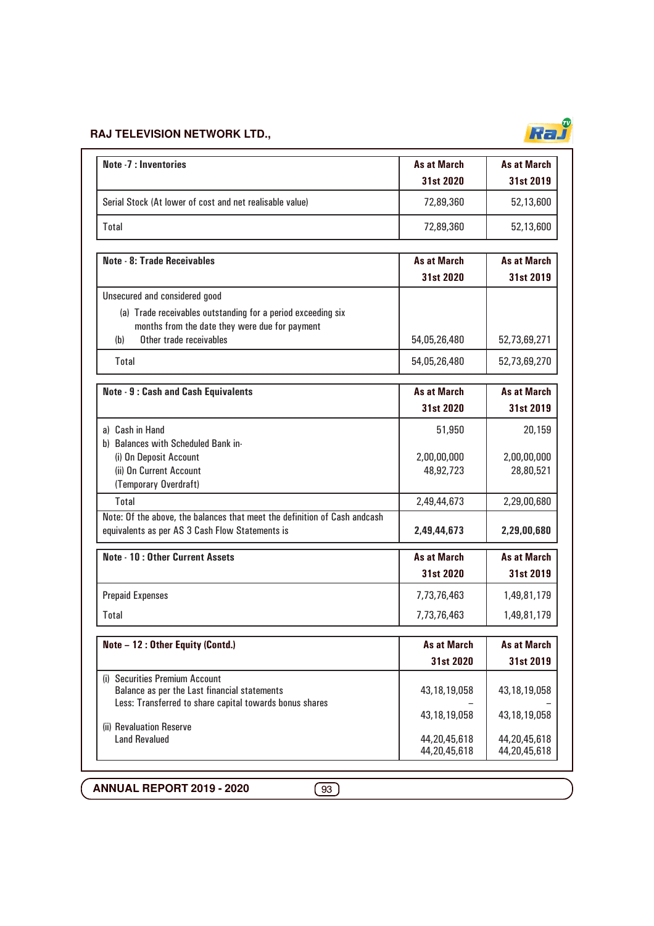

| Note -7 : Inventories                                                                                                                                                                         | <b>As at March</b><br>31st 2020                                    | <b>As at March</b><br>31st 2019                                 |
|-----------------------------------------------------------------------------------------------------------------------------------------------------------------------------------------------|--------------------------------------------------------------------|-----------------------------------------------------------------|
| Serial Stock (At lower of cost and net realisable value)                                                                                                                                      | 72,89,360                                                          | 52,13,600                                                       |
| Total                                                                                                                                                                                         | 72,89,360                                                          | 52,13,600                                                       |
| Note - 8: Trade Receivables                                                                                                                                                                   | As at March<br>31st 2020                                           | <b>As at March</b><br>31st 2019                                 |
| Unsecured and considered good<br>(a) Trade receivables outstanding for a period exceeding six<br>months from the date they were due for payment                                               |                                                                    |                                                                 |
| Other trade receivables<br>(b)<br>Total                                                                                                                                                       | 54,05,26,480<br>54,05,26,480                                       | 52,73,69,271<br>52,73,69,270                                    |
| Note - 9 : Cash and Cash Equivalents                                                                                                                                                          | <b>As at March</b><br>31st 2020                                    | <b>As at March</b><br>31st 2019                                 |
| a) Cash in Hand<br>b) Balances with Scheduled Bank in-<br>(i) On Deposit Account<br>(ii) On Current Account<br>(Temporary Overdraft)                                                          | 51,950<br>2,00,00,000<br>48,92,723                                 | 20,159<br>2,00,00,000<br>28,80,521                              |
| <b>Total</b>                                                                                                                                                                                  | 2,49,44,673                                                        | 2,29,00,680                                                     |
| Note: Of the above, the balances that meet the definition of Cash andcash<br>equivalents as per AS 3 Cash Flow Statements is                                                                  | 2,49,44,673                                                        | 2,29,00,680                                                     |
| Note - 10 : Other Current Assets                                                                                                                                                              | <b>As at March</b><br>31st 2020                                    | <b>As at March</b><br>31st 2019                                 |
| <b>Prepaid Expenses</b><br>Total                                                                                                                                                              | 7,73,76,463<br>7,73,76,463                                         | 1,49,81,179<br>1,49,81,179                                      |
| Note - 12: Other Equity (Contd.)                                                                                                                                                              | <b>As at March</b><br>31st 2020                                    | As at March<br>31st 2019                                        |
| (i) Securities Premium Account<br>Balance as per the Last financial statements<br>Less: Transferred to share capital towards bonus shares<br>(ii) Revaluation Reserve<br><b>Land Revalued</b> | 43, 18, 19, 058<br>43, 18, 19, 058<br>44,20,45,618<br>44,20,45,618 | 43,18,19,058<br>43, 18, 19, 058<br>44,20,45,618<br>44,20,45,618 |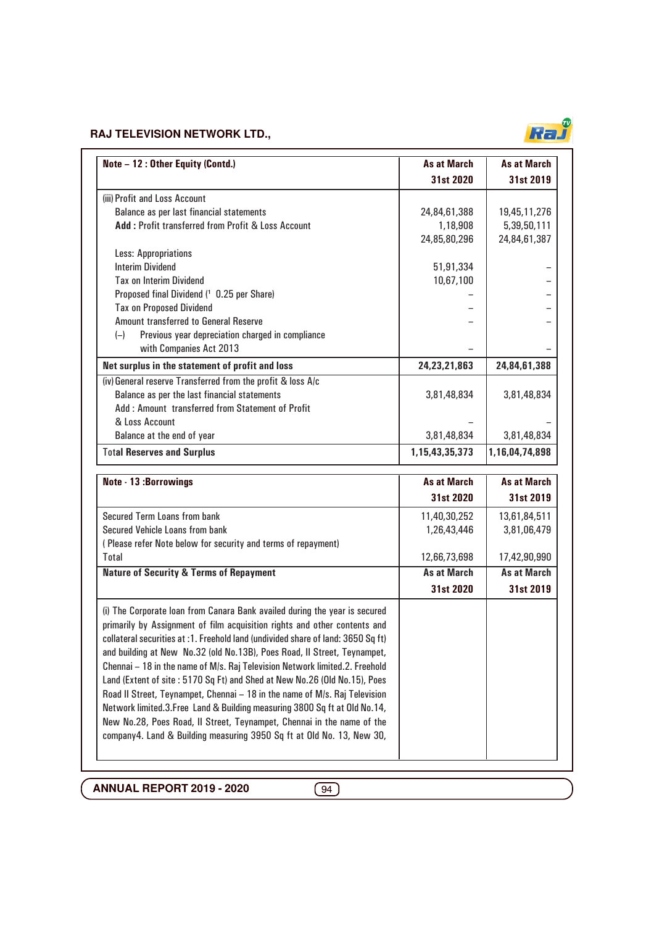

| Note - 12 : Other Equity (Contd.)                                                | <b>As at March</b> | As at March        |
|----------------------------------------------------------------------------------|--------------------|--------------------|
|                                                                                  | 31st 2020          | 31st 2019          |
| (iii) Profit and Loss Account                                                    |                    |                    |
| Balance as per last financial statements                                         | 24,84,61,388       | 19,45,11,276       |
| Add : Profit transferred from Profit & Loss Account                              | 1,18,908           | 5,39,50,111        |
|                                                                                  | 24,85,80,296       | 24,84,61,387       |
| <b>Less: Appropriations</b>                                                      |                    |                    |
| <b>Interim Dividend</b>                                                          | 51,91,334          |                    |
| <b>Tax on Interim Dividend</b>                                                   | 10,67,100          |                    |
| Proposed final Dividend (1 0.25 per Share)                                       |                    |                    |
| <b>Tax on Proposed Dividend</b>                                                  |                    |                    |
| Amount transferred to General Reserve                                            |                    |                    |
| Previous year depreciation charged in compliance<br>$(-)$                        |                    |                    |
| with Companies Act 2013                                                          |                    |                    |
| Net surplus in the statement of profit and loss                                  | 24,23,21,863       | 24,84,61,388       |
| (iv) General reserve Transferred from the profit & loss A/c                      |                    |                    |
| Balance as per the last financial statements                                     | 3,81,48,834        | 3,81,48,834        |
| Add: Amount transferred from Statement of Profit                                 |                    |                    |
| & Loss Account                                                                   |                    |                    |
| Balance at the end of year                                                       | 3,81,48,834        | 3,81,48,834        |
| <b>Total Reserves and Surplus</b>                                                | 1,15,43,35,373     | 1,16,04,74,898     |
| Note - 13: Borrowings                                                            | <b>As at March</b> | <b>As at March</b> |
|                                                                                  | 31st 2020          | 31st 2019          |
| Secured Term Loans from bank                                                     | 11,40,30,252       | 13,61,84,511       |
| Secured Vehicle Loans from bank                                                  | 1,26,43,446        | 3,81,06,479        |
| (Please refer Note below for security and terms of repayment)                    |                    |                    |
| Total                                                                            | 12,66,73,698       | 17,42,90,990       |
| <b>Nature of Security &amp; Terms of Repayment</b>                               | <b>As at March</b> | <b>As at March</b> |
|                                                                                  | 31st 2020          | 31st 2019          |
|                                                                                  |                    |                    |
| (i) The Corporate loan from Canara Bank availed during the year is secured       |                    |                    |
| primarily by Assignment of film acquisition rights and other contents and        |                    |                    |
| collateral securities at :1. Freehold land (undivided share of land: 3650 Sq ft) |                    |                    |
| and building at New No.32 (old No.13B), Poes Road, Il Street, Teynampet,         |                    |                    |
| Chennai - 18 in the name of M/s. Raj Television Network limited.2. Freehold      |                    |                    |
| Land (Extent of site: 5170 Sq Ft) and Shed at New No.26 (Old No.15), Poes        |                    |                    |
| Road II Street, Teynampet, Chennai - 18 in the name of M/s. Raj Television       |                    |                    |
| Network limited.3. Free Land & Building measuring 3800 Sq ft at Old No.14,       |                    |                    |
| New No.28, Poes Road, II Street, Teynampet, Chennai in the name of the           |                    |                    |
| company4. Land & Building measuring 3950 Sq ft at Old No. 13, New 30,            |                    |                    |
|                                                                                  |                    |                    |
|                                                                                  |                    |                    |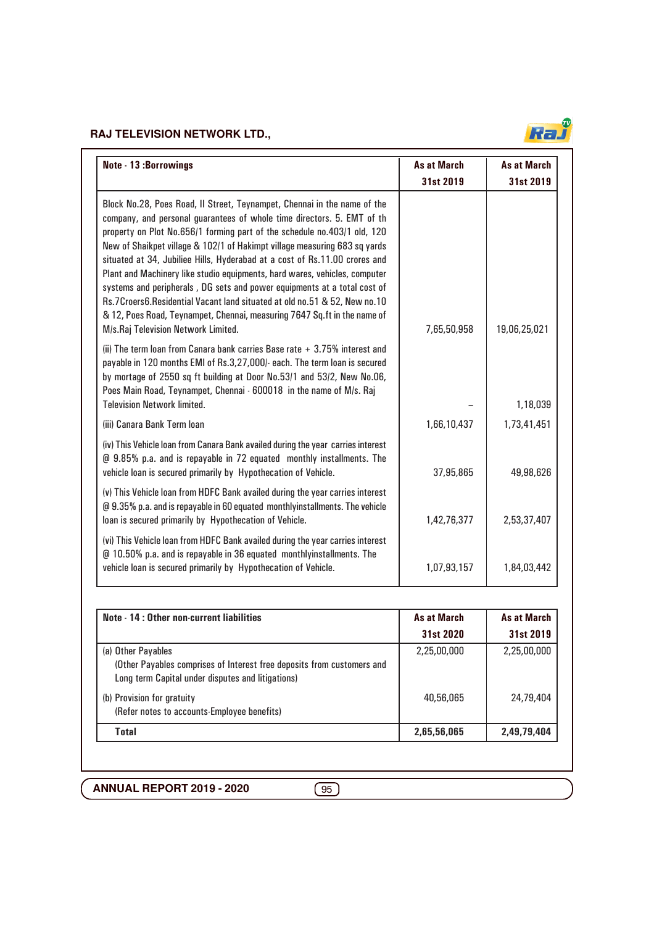

| Note - 13: Borrowings                                                                                                                                                                                                                                                                                                                                                                                                                                                                                                                                                                                                                                                                                                                               | <b>As at March</b> | As at March  |
|-----------------------------------------------------------------------------------------------------------------------------------------------------------------------------------------------------------------------------------------------------------------------------------------------------------------------------------------------------------------------------------------------------------------------------------------------------------------------------------------------------------------------------------------------------------------------------------------------------------------------------------------------------------------------------------------------------------------------------------------------------|--------------------|--------------|
|                                                                                                                                                                                                                                                                                                                                                                                                                                                                                                                                                                                                                                                                                                                                                     | 31st 2019          | 31st 2019    |
| Block No.28, Poes Road, II Street, Teynampet, Chennai in the name of the<br>company, and personal guarantees of whole time directors. 5. EMT of th<br>property on Plot No.656/1 forming part of the schedule no.403/1 old, 120<br>New of Shaikpet village & 102/1 of Hakimpt village measuring 683 sq yards<br>situated at 34, Jubiliee Hills, Hyderabad at a cost of Rs.11.00 crores and<br>Plant and Machinery like studio equipments, hard wares, vehicles, computer<br>systems and peripherals, DG sets and power equipments at a total cost of<br>Rs.7Croers6.Residential Vacant land situated at old no.51 & 52, New no.10<br>& 12, Poes Road, Teynampet, Chennai, measuring 7647 Sq.ft in the name of<br>M/s.Raj Television Network Limited. | 7,65,50,958        | 19,06,25,021 |
| (ii) The term loan from Canara bank carries Base rate $+3.75\%$ interest and<br>payable in 120 months EMI of Rs.3,27,000/- each. The term loan is secured<br>by mortage of 2550 sq ft building at Door No.53/1 and 53/2, New No.06,<br>Poes Main Road, Teynampet, Chennai - 600018 in the name of M/s. Raj<br><b>Television Network limited.</b>                                                                                                                                                                                                                                                                                                                                                                                                    |                    | 1,18,039     |
| (iii) Canara Bank Term Ioan                                                                                                                                                                                                                                                                                                                                                                                                                                                                                                                                                                                                                                                                                                                         | 1,66,10,437        | 1,73,41,451  |
| (iv) This Vehicle loan from Canara Bank availed during the year carries interest<br>@ 9.85% p.a. and is repayable in 72 equated monthly installments. The<br>vehicle loan is secured primarily by Hypothecation of Vehicle.                                                                                                                                                                                                                                                                                                                                                                                                                                                                                                                         | 37,95,865          | 49,98,626    |
| (v) This Vehicle loan from HDFC Bank availed during the year carries interest<br>@ 9.35% p.a. and is repayable in 60 equated monthlyinstallments. The vehicle<br>loan is secured primarily by Hypothecation of Vehicle.                                                                                                                                                                                                                                                                                                                                                                                                                                                                                                                             | 1,42,76,377        | 2,53,37,407  |
| (vi) This Vehicle loan from HDFC Bank availed during the year carries interest<br>@ 10.50% p.a. and is repayable in 36 equated monthlyinstallments. The<br>vehicle loan is secured primarily by Hypothecation of Vehicle.                                                                                                                                                                                                                                                                                                                                                                                                                                                                                                                           | 1,07,93,157        | 1,84,03,442  |

| Note - 14 : Other non-current liabilities                                                                                                         | <b>As at March</b> | <b>As at March</b> |
|---------------------------------------------------------------------------------------------------------------------------------------------------|--------------------|--------------------|
|                                                                                                                                                   | 31st 2020          | 31st 2019          |
| (a) Other Payables<br>(Other Payables comprises of Interest free deposits from customers and<br>Long term Capital under disputes and litigations) | 2,25,00,000        | 2,25,00,000        |
| (b) Provision for gratuity<br>(Refer notes to accounts-Employee benefits)                                                                         | 40,56,065          | 24,79,404          |
| <b>Total</b>                                                                                                                                      | 2,65,56,065        | 2,49,79,404        |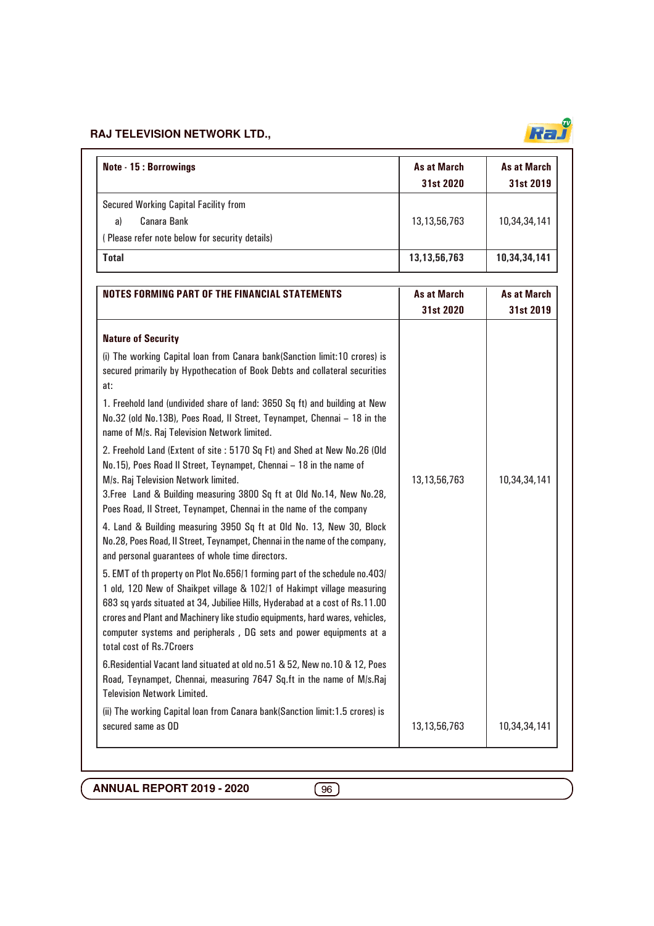

| <b>Secured Working Capital Facility from</b><br><b>Canara Bank</b><br>a)<br>(Please refer note below for security details)                                                                                                                                                                                                                                                                                                |                          |                          |
|---------------------------------------------------------------------------------------------------------------------------------------------------------------------------------------------------------------------------------------------------------------------------------------------------------------------------------------------------------------------------------------------------------------------------|--------------------------|--------------------------|
|                                                                                                                                                                                                                                                                                                                                                                                                                           |                          |                          |
|                                                                                                                                                                                                                                                                                                                                                                                                                           | 13, 13, 56, 763          | 10,34,34,141             |
|                                                                                                                                                                                                                                                                                                                                                                                                                           |                          |                          |
| <b>Total</b>                                                                                                                                                                                                                                                                                                                                                                                                              | 13,13,56,763             | 10,34,34,141             |
| <b>NOTES FORMING PART OF THE FINANCIAL STATEMENTS</b>                                                                                                                                                                                                                                                                                                                                                                     | As at March<br>31st 2020 | As at March<br>31st 2019 |
| <b>Nature of Security</b>                                                                                                                                                                                                                                                                                                                                                                                                 |                          |                          |
| (i) The working Capital loan from Canara bank(Sanction limit:10 crores) is<br>secured primarily by Hypothecation of Book Debts and collateral securities<br>at:                                                                                                                                                                                                                                                           |                          |                          |
| 1. Freehold land (undivided share of land: 3650 Sq ft) and building at New<br>No.32 (old No.13B), Poes Road, Il Street, Teynampet, Chennai - 18 in the<br>name of M/s. Raj Television Network limited.                                                                                                                                                                                                                    |                          |                          |
| 2. Freehold Land (Extent of site: 5170 Sq Ft) and Shed at New No.26 (Old<br>No.15), Poes Road II Street, Teynampet, Chennai - 18 in the name of<br>M/s. Raj Television Network limited.<br>3. Free Land & Building measuring 3800 Sq ft at Old No. 14, New No. 28,<br>Poes Road, Il Street, Teynampet, Chennai in the name of the company                                                                                 | 13, 13, 56, 763          | 10,34,34,141             |
| 4. Land & Building measuring 3950 Sq ft at Old No. 13, New 30, Block<br>No.28, Poes Road, II Street, Teynampet, Chennai in the name of the company,<br>and personal guarantees of whole time directors.                                                                                                                                                                                                                   |                          |                          |
| 5. EMT of th property on Plot No.656/1 forming part of the schedule no.403/<br>1 old, 120 New of Shaikpet village & 102/1 of Hakimpt village measuring<br>683 sq yards situated at 34, Jubiliee Hills, Hyderabad at a cost of Rs.11.00<br>crores and Plant and Machinery like studio equipments, hard wares, vehicles,<br>computer systems and peripherals, DG sets and power equipments at a<br>total cost of Rs.7Croers |                          |                          |
| 6. Residential Vacant land situated at old no. 51 & 52, New no. 10 & 12, Poes<br>Road, Teynampet, Chennai, measuring 7647 Sq.ft in the name of M/s.Raj<br><b>Television Network Limited.</b>                                                                                                                                                                                                                              |                          |                          |
| (ii) The working Capital loan from Canara bank(Sanction limit:1.5 crores) is<br>secured same as OD                                                                                                                                                                                                                                                                                                                        | 13, 13, 56, 763          | 10,34,34,141             |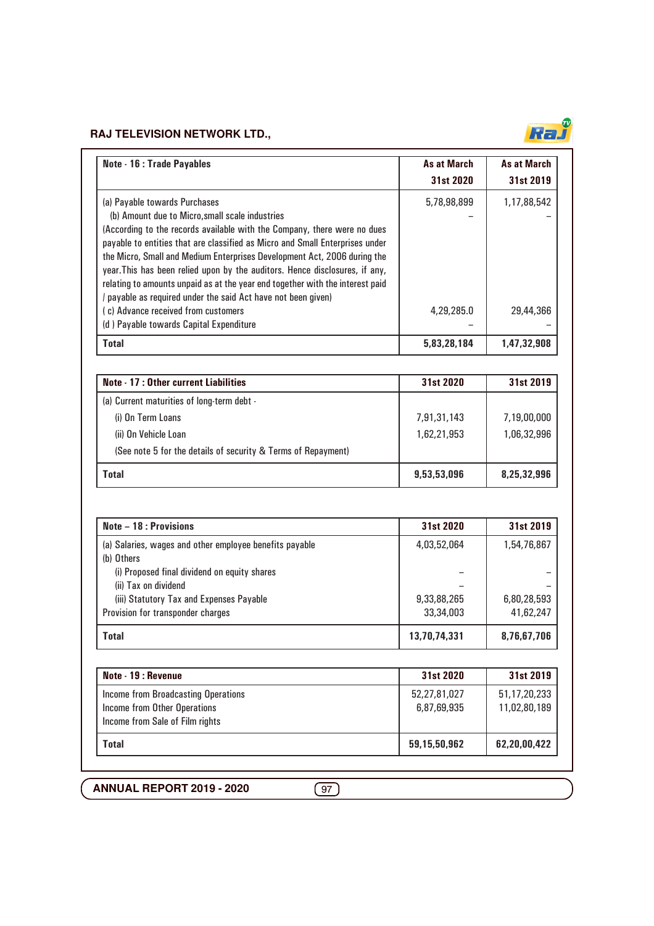

| Note - 16 : Trade Payables                                                                                                                                                                                                                                                                                                                                                                                                                                                                                                                              | <b>As at March</b><br>31st 2020 | As at March<br>31st 2019 |
|---------------------------------------------------------------------------------------------------------------------------------------------------------------------------------------------------------------------------------------------------------------------------------------------------------------------------------------------------------------------------------------------------------------------------------------------------------------------------------------------------------------------------------------------------------|---------------------------------|--------------------------|
| (a) Payable towards Purchases<br>(b) Amount due to Micro, small scale industries<br>(According to the records available with the Company, there were no dues<br>payable to entities that are classified as Micro and Small Enterprises under<br>the Micro, Small and Medium Enterprises Development Act, 2006 during the<br>year. This has been relied upon by the auditors. Hence disclosures, if any,<br>relating to amounts unpaid as at the year end together with the interest paid<br>payable as required under the said Act have not been given) | 5,78,98,899                     | 1,17,88,542              |
| c) Advance received from customers<br>(d) Payable towards Capital Expenditure                                                                                                                                                                                                                                                                                                                                                                                                                                                                           | 4,29,285.0                      | 29,44,366                |
| <b>Total</b>                                                                                                                                                                                                                                                                                                                                                                                                                                                                                                                                            | 5,83,28,184                     | 1,47,32,908              |

| Note - 17 : Other current Liabilities                         | 31st 2020   | 31st 2019   |
|---------------------------------------------------------------|-------------|-------------|
| (a) Current maturities of long-term debt -                    |             |             |
| (i) On Term Loans                                             | 7,91,31,143 | 7,19,00,000 |
| (ii) On Vehicle Loan                                          | 1,62,21,953 | 1,06,32,996 |
| (See note 5 for the details of security & Terms of Repayment) |             |             |
| Total                                                         | 9,53,53,096 | 8,25,32,996 |

| Note - 18 : Provisions                                                | 31st 2020    | 31st 2019                |
|-----------------------------------------------------------------------|--------------|--------------------------|
| (a) Salaries, wages and other employee benefits payable<br>(b) Others | 4,03,52,064  | 1,54,76,867              |
| (i) Proposed final dividend on equity shares                          |              |                          |
| (ii) Tax on dividend                                                  |              |                          |
| (iii) Statutory Tax and Expenses Payable                              | 9,33,88,265  | 6,80,28,593              |
| Provision for transponder charges                                     | 33,34,003    | 41,62,247                |
|                                                                       |              |                          |
| <b>Total</b>                                                          | 13,70,74,331 |                          |
|                                                                       |              |                          |
| Note - 19 : Revenue                                                   | 31st 2020    | 8,76,67,706<br>31st 2019 |
| Income from Broadcasting Operations                                   | 52,27,81,027 | 51,17,20,233             |
| Income from Other Operations                                          | 6,87,69,935  | 11,02,80,189             |
| Income from Sale of Film rights                                       |              |                          |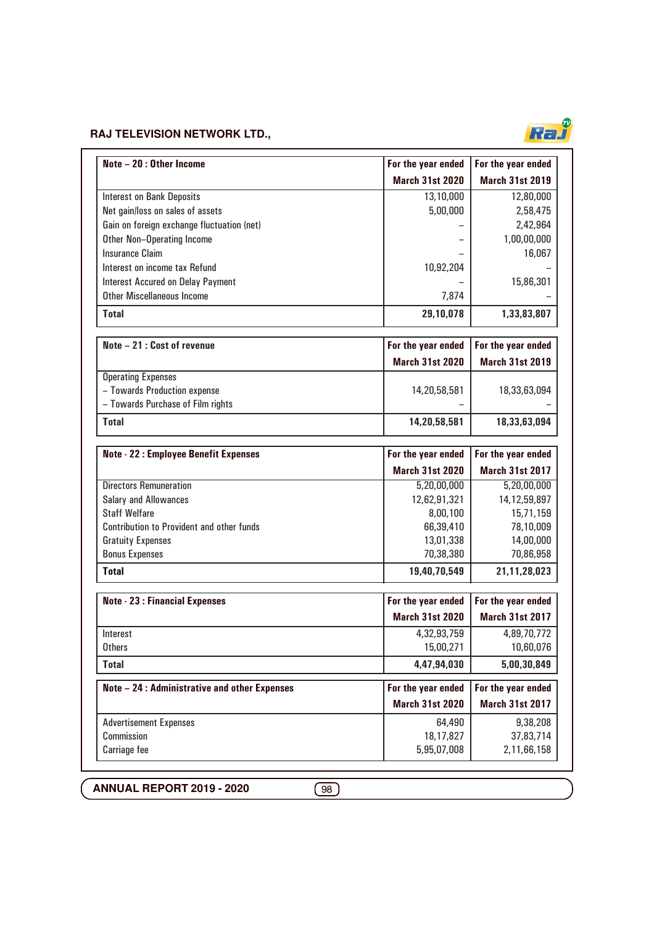

| Note - 20 : Other Income                      | For the year ended       | For the year ended       |
|-----------------------------------------------|--------------------------|--------------------------|
|                                               | <b>March 31st 2020</b>   | <b>March 31st 2019</b>   |
| <b>Interest on Bank Deposits</b>              | 13,10,000                | 12,80,000                |
| Net gain/loss on sales of assets              | 5,00,000                 | 2,58,475                 |
| Gain on foreign exchange fluctuation (net)    |                          | 2,42,964                 |
| <b>Other Non-Operating Income</b>             |                          | 1,00,00,000              |
| <b>Insurance Claim</b>                        |                          | 16,067                   |
| Interest on income tax Refund                 | 10,92,204                |                          |
| <b>Interest Accured on Delay Payment</b>      |                          | 15,86,301                |
| <b>Other Miscellaneous Income</b>             | 7,874                    |                          |
| <b>Total</b>                                  | 29,10,078                | 1,33,83,807              |
| Note - 21 : Cost of revenue                   | For the year ended       | For the year ended       |
|                                               | <b>March 31st 2020</b>   | <b>March 31st 2019</b>   |
| <b>Operating Expenses</b>                     |                          |                          |
| - Towards Production expense                  | 14,20,58,581             | 18,33,63,094             |
| - Towards Purchase of Film rights             |                          |                          |
| <b>Total</b>                                  | 14,20,58,581             | 18,33,63,094             |
| Note - 22 : Employee Benefit Expenses         | For the year ended       | For the year ended       |
|                                               | <b>March 31st 2020</b>   | <b>March 31st 2017</b>   |
| <b>Directors Remuneration</b>                 | 5,20,00,000              | 5,20,00,000              |
| <b>Salary and Allowances</b>                  | 12,62,91,321             | 14,12,59,897             |
| <b>Staff Welfare</b>                          | 8,00,100                 | 15,71,159                |
| Contribution to Provident and other funds     | 66,39,410                | 78,10,009                |
| <b>Gratuity Expenses</b>                      | 13,01,338                | 14,00,000                |
| <b>Bonus Expenses</b>                         | 70,38,380                | 70,86,958                |
| <b>Total</b>                                  | 19,40,70,549             | 21,11,28,023             |
| <b>Note - 23: Financial Expenses</b>          | For the year ended       | For the year ended       |
|                                               | <b>March 31st 2020</b>   | <b>March 31st 2017</b>   |
|                                               |                          |                          |
| Interest                                      |                          |                          |
| <b>Others</b>                                 | 4,32,93,759<br>15,00,271 | 4,89,70,772<br>10,60,076 |
| <b>Total</b>                                  | 4,47,94,030              | 5,00,30,849              |
| Note - 24 : Administrative and other Expenses | For the year ended       | For the year ended       |
|                                               | <b>March 31st 2020</b>   | <b>March 31st 2017</b>   |
| <b>Advertisement Expenses</b>                 | 64,490                   | 9,38,208                 |
| Commission                                    | 18,17,827                | 37,83,714                |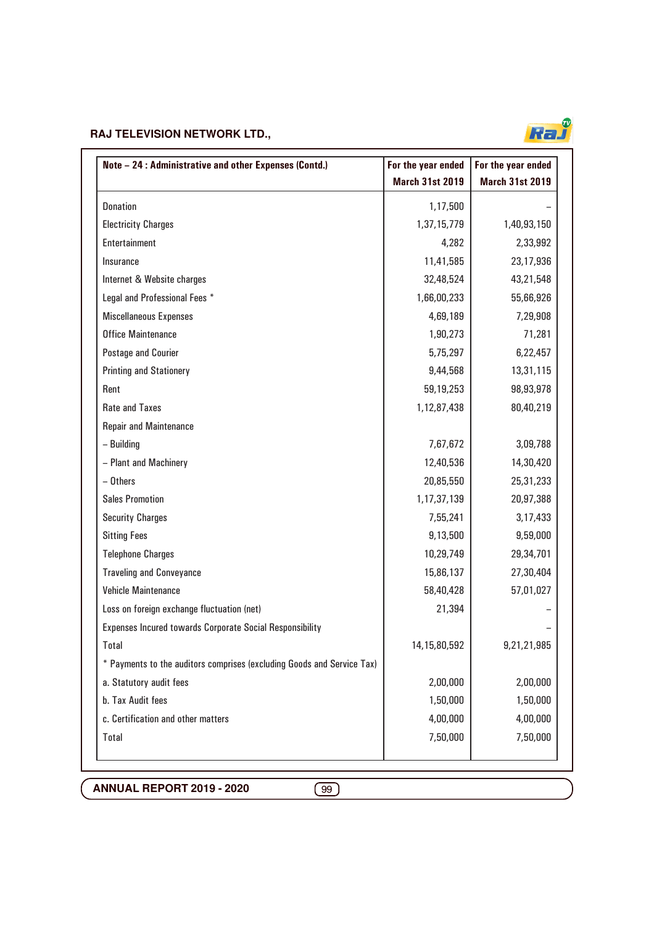

| Note - 24 : Administrative and other Expenses (Contd.)                 | For the year ended     | For the year ended     |
|------------------------------------------------------------------------|------------------------|------------------------|
|                                                                        | <b>March 31st 2019</b> | <b>March 31st 2019</b> |
| <b>Donation</b>                                                        | 1,17,500               |                        |
| <b>Electricity Charges</b>                                             | 1,37,15,779            | 1,40,93,150            |
| Entertainment                                                          | 4,282                  | 2,33,992               |
| Insurance                                                              | 11,41,585              | 23,17,936              |
| Internet & Website charges                                             | 32,48,524              | 43,21,548              |
| Legal and Professional Fees *                                          | 1,66,00,233            | 55,66,926              |
| <b>Miscellaneous Expenses</b>                                          | 4,69,189               | 7,29,908               |
| <b>Office Maintenance</b>                                              | 1,90,273               | 71,281                 |
| <b>Postage and Courier</b>                                             | 5,75,297               | 6,22,457               |
| <b>Printing and Stationery</b>                                         | 9,44,568               | 13,31,115              |
| Rent                                                                   | 59,19,253              | 98,93,978              |
| <b>Rate and Taxes</b>                                                  | 1,12,87,438            | 80,40,219              |
| <b>Repair and Maintenance</b>                                          |                        |                        |
| - Building                                                             | 7,67,672               | 3,09,788               |
| - Plant and Machinery                                                  | 12,40,536              | 14,30,420              |
| $-$ Others                                                             | 20,85,550              | 25,31,233              |
| <b>Sales Promotion</b>                                                 | 1,17,37,139            | 20,97,388              |
| <b>Security Charges</b>                                                | 7,55,241               | 3,17,433               |
| <b>Sitting Fees</b>                                                    | 9,13,500               | 9,59,000               |
| <b>Telephone Charges</b>                                               | 10,29,749              | 29,34,701              |
| <b>Traveling and Conveyance</b>                                        | 15,86,137              | 27,30,404              |
| <b>Vehicle Maintenance</b>                                             | 58,40,428              | 57,01,027              |
| Loss on foreign exchange fluctuation (net)                             | 21,394                 |                        |
| <b>Expenses Incured towards Corporate Social Responsibility</b>        |                        |                        |
| Total                                                                  | 14,15,80,592           | 9,21,21,985            |
| * Payments to the auditors comprises (excluding Goods and Service Tax) |                        |                        |
| a. Statutory audit fees                                                | 2,00,000               | 2,00,000               |
| b. Tax Audit fees                                                      | 1,50,000               | 1,50,000               |
| c. Certification and other matters                                     | 4,00,000               | 4,00,000               |
| <b>Total</b>                                                           | 7,50,000               | 7,50,000               |
|                                                                        |                        |                        |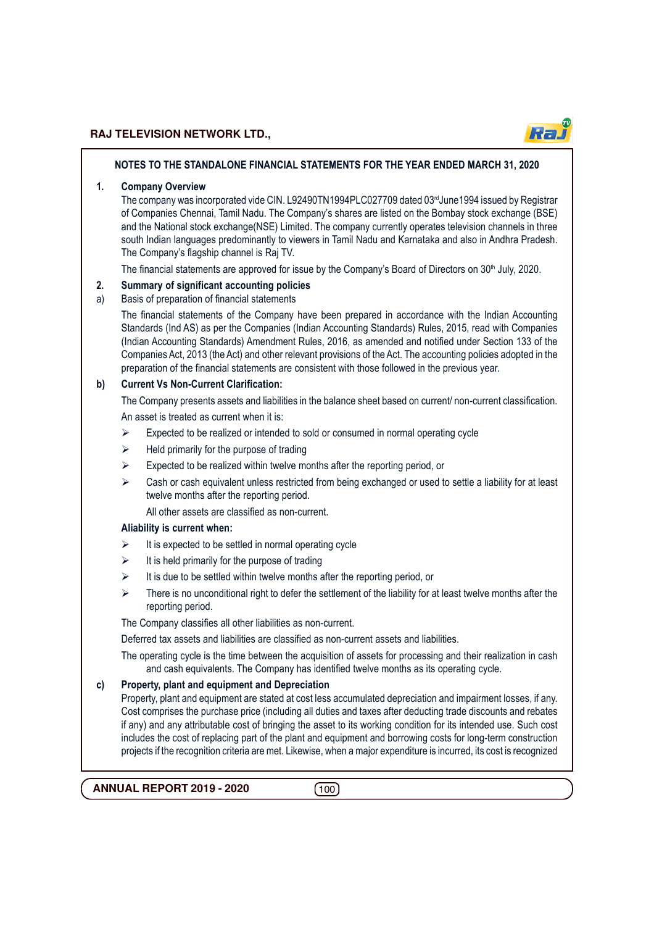

# NOTES TO THE STANDALONE FINANCIAL STATEMENTS FOR THE YEAR ENDED MARCH 31, 2020

#### 1. Company Overview

The company was incorporated vide CIN. L92490TN1994PLC027709 dated 03rdJune1994 issued by Registrar of Companies Chennai, Tamil Nadu. The Company's shares are listed on the Bombay stock exchange (BSE) and the National stock exchange(NSE) Limited. The company currently operates television channels in three south Indian languages predominantly to viewers in Tamil Nadu and Karnataka and also in Andhra Pradesh. The Company's flagship channel is Raj TV.

The financial statements are approved for issue by the Company's Board of Directors on 30<sup>th</sup> July, 2020.

### 2. Summary of significant accounting policies

### a) Basis of preparation of financial statements

The financial statements of the Company have been prepared in accordance with the Indian Accounting Standards (Ind AS) as per the Companies (Indian Accounting Standards) Rules, 2015, read with Companies (Indian Accounting Standards) Amendment Rules, 2016, as amended and notified under Section 133 of the Companies Act, 2013 (the Act) and other relevant provisions of the Act. The accounting policies adopted in the preparation of the financial statements are consistent with those followed in the previous year.

# b) Current Vs Non-Current Clarification:

The Company presents assets and liabilities in the balance sheet based on current/ non-current classification. An asset is treated as current when it is:

- $\triangleright$  Expected to be realized or intended to sold or consumed in normal operating cycle
- $\triangleright$  Held primarily for the purpose of trading
- $\triangleright$  Expected to be realized within twelve months after the reporting period, or
- Cash or cash equivalent unless restricted from being exchanged or used to settle a liability for at least twelve months after the reporting period.

All other assets are classified as non-current.

### Aliability is current when:

- $\triangleright$  It is expected to be settled in normal operating cycle
- $\triangleright$  It is held primarily for the purpose of trading
- $\triangleright$  It is due to be settled within twelve months after the reporting period, or
- There is no unconditional right to defer the settlement of the liability for at least twelve months after the reporting period.

The Company classifies all other liabilities as non-current.

Deferred tax assets and liabilities are classified as non-current assets and liabilities.

The operating cycle is the time between the acquisition of assets for processing and their realization in cash and cash equivalents. The Company has identified twelve months as its operating cycle.

### c) Property, plant and equipment and Depreciation

Property, plant and equipment are stated at cost less accumulated depreciation and impairment losses, if any. Cost comprises the purchase price (including all duties and taxes after deducting trade discounts and rebates if any) and any attributable cost of bringing the asset to its working condition for its intended use. Such cost includes the cost of replacing part of the plant and equipment and borrowing costs for long-term construction projects if the recognition criteria are met. Likewise, when a major expenditure is incurred, its cost is recognized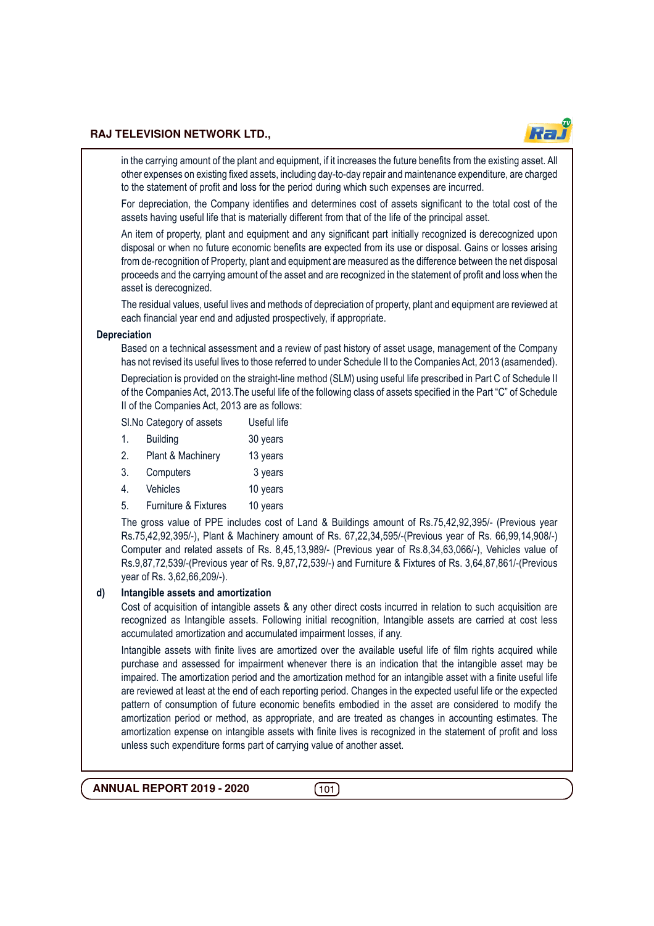

in the carrying amount of the plant and equipment, if it increases the future benefits from the existing asset. All other expenses on existing fixed assets, including day-to-day repair and maintenance expenditure, are charged to the statement of profit and loss for the period during which such expenses are incurred.

For depreciation, the Company identifies and determines cost of assets significant to the total cost of the assets having useful life that is materially different from that of the life of the principal asset.

An item of property, plant and equipment and any significant part initially recognized is derecognized upon disposal or when no future economic benefits are expected from its use or disposal. Gains or losses arising from de-recognition of Property, plant and equipment are measured as the difference between the net disposal proceeds and the carrying amount of the asset and are recognized in the statement of profit and loss when the asset is derecognized.

The residual values, useful lives and methods of depreciation of property, plant and equipment are reviewed at each financial year end and adjusted prospectively, if appropriate.

## **Depreciation**

Based on a technical assessment and a review of past history of asset usage, management of the Company has not revised its useful lives to those referred to under Schedule II to the Companies Act, 2013 (asamended). Depreciation is provided on the straight-line method (SLM) using useful life prescribed in Part C of Schedule II of the Companies Act, 2013.The useful life of the following class of assets specified in the Part "C" of Schedule II of the Companies Act, 2013 are as follows:

|    | SI.No Category of assets | Useful life |
|----|--------------------------|-------------|
| 1. | <b>Building</b>          | 30 years    |
| 2. | Plant & Machinery        | 13 years    |
| 3. | Computers                | 3 years     |
| 4. | Vehicles                 | 10 years    |
| 5. | Furniture & Fixtures     | 10 years    |

The gross value of PPE includes cost of Land & Buildings amount of Rs.75,42,92,395/- (Previous year Rs.75,42,92,395/-), Plant & Machinery amount of Rs. 67,22,34,595/-(Previous year of Rs. 66,99,14,908/-) Computer and related assets of Rs. 8,45,13,989/- (Previous year of Rs.8,34,63,066/-), Vehicles value of Rs.9,87,72,539/-(Previous year of Rs. 9,87,72,539/-) and Furniture & Fixtures of Rs. 3,64,87,861/-(Previous year of Rs. 3,62,66,209/-).

#### d) Intangible assets and amortization

Cost of acquisition of intangible assets & any other direct costs incurred in relation to such acquisition are recognized as Intangible assets. Following initial recognition, Intangible assets are carried at cost less accumulated amortization and accumulated impairment losses, if any.

Intangible assets with finite lives are amortized over the available useful life of film rights acquired while purchase and assessed for impairment whenever there is an indication that the intangible asset may be impaired. The amortization period and the amortization method for an intangible asset with a finite useful life are reviewed at least at the end of each reporting period. Changes in the expected useful life or the expected pattern of consumption of future economic benefits embodied in the asset are considered to modify the amortization period or method, as appropriate, and are treated as changes in accounting estimates. The amortization expense on intangible assets with finite lives is recognized in the statement of profit and loss unless such expenditure forms part of carrying value of another asset.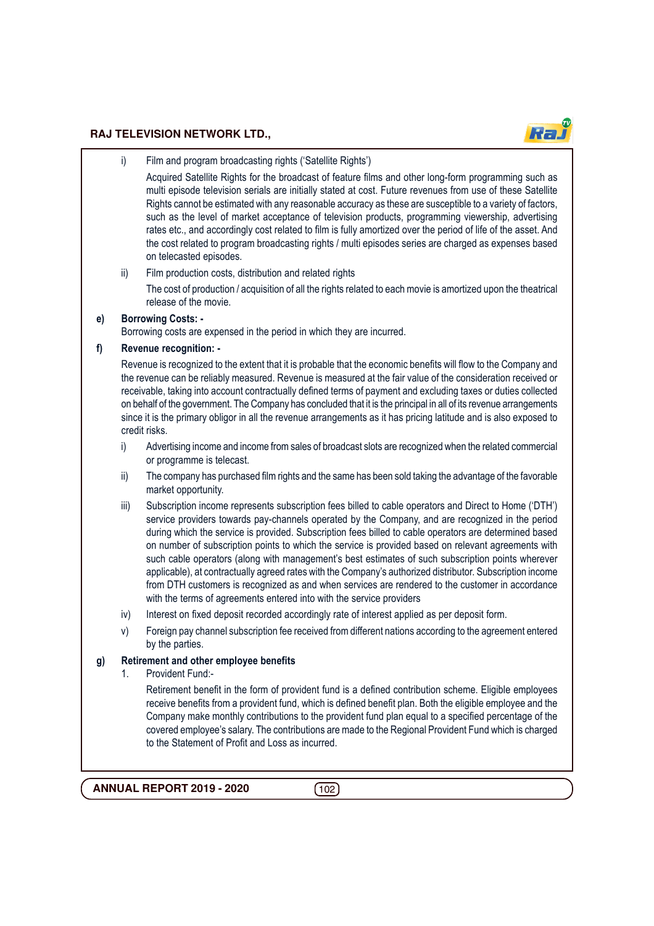

### i) Film and program broadcasting rights ('Satellite Rights')

Acquired Satellite Rights for the broadcast of feature films and other long-form programming such as multi episode television serials are initially stated at cost. Future revenues from use of these Satellite Rights cannot be estimated with any reasonable accuracy as these are susceptible to a variety of factors, such as the level of market acceptance of television products, programming viewership, advertising rates etc., and accordingly cost related to film is fully amortized over the period of life of the asset. And the cost related to program broadcasting rights / multi episodes series are charged as expenses based on telecasted episodes.

ii) Film production costs, distribution and related rights The cost of production / acquisition of all the rights related to each movie is amortized upon the theatrical release of the movie.

#### e) Borrowing Costs: -

Borrowing costs are expensed in the period in which they are incurred.

#### f) Revenue recognition: -

Revenue is recognized to the extent that it is probable that the economic benefits will flow to the Company and the revenue can be reliably measured. Revenue is measured at the fair value of the consideration received or receivable, taking into account contractually defined terms of payment and excluding taxes or duties collected on behalf of the government. The Company has concluded that it is the principal in all of its revenue arrangements since it is the primary obligor in all the revenue arrangements as it has pricing latitude and is also exposed to credit risks.

- i) Advertising income and income from sales of broadcast slots are recognized when the related commercial or programme is telecast.
- ii) The company has purchased film rights and the same has been sold taking the advantage of the favorable market opportunity.
- iii) Subscription income represents subscription fees billed to cable operators and Direct to Home ('DTH') service providers towards pay-channels operated by the Company, and are recognized in the period during which the service is provided. Subscription fees billed to cable operators are determined based on number of subscription points to which the service is provided based on relevant agreements with such cable operators (along with management's best estimates of such subscription points wherever applicable), at contractually agreed rates with the Company's authorized distributor. Subscription income from DTH customers is recognized as and when services are rendered to the customer in accordance with the terms of agreements entered into with the service providers
- iv) Interest on fixed deposit recorded accordingly rate of interest applied as per deposit form.
- v) Foreign pay channel subscription fee received from different nations according to the agreement entered by the parties.

### g) Retirement and other employee benefits

1. Provident Fund:-

Retirement benefit in the form of provident fund is a defined contribution scheme. Eligible employees receive benefits from a provident fund, which is defined benefit plan. Both the eligible employee and the Company make monthly contributions to the provident fund plan equal to a specified percentage of the covered employee's salary. The contributions are made to the Regional Provident Fund which is charged to the Statement of Profit and Loss as incurred.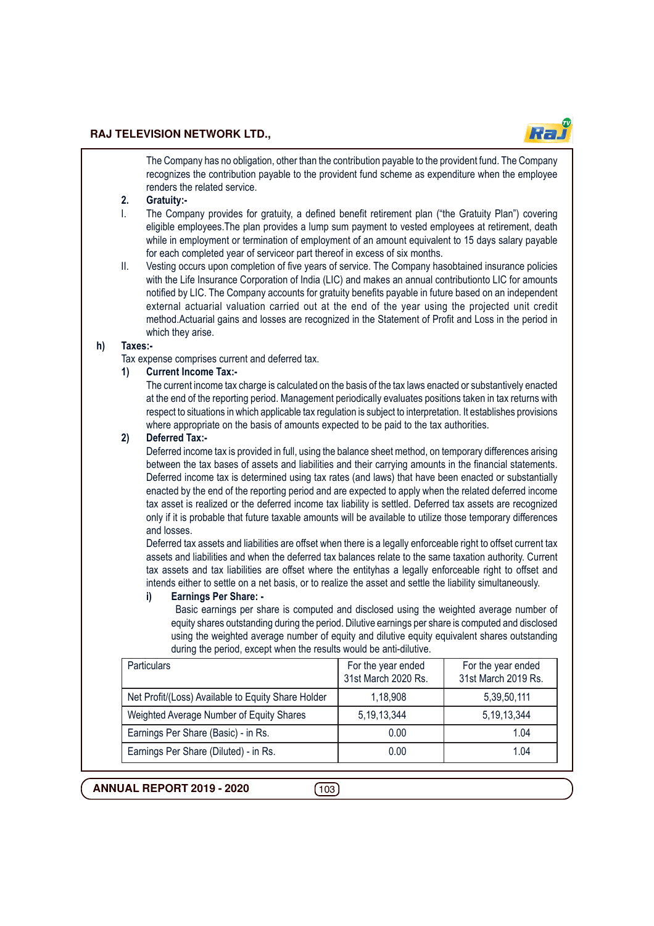

The Company has no obligation, other than the contribution payable to the provident fund. The Company recognizes the contribution payable to the provident fund scheme as expenditure when the employee renders the related service.

### 2. Gratuity:-

- I. The Company provides for gratuity, a defined benefit retirement plan ("the Gratuity Plan") covering eligible employees.The plan provides a lump sum payment to vested employees at retirement, death while in employment or termination of employment of an amount equivalent to 15 days salary payable for each completed year of serviceor part thereof in excess of six months.
- II. Vesting occurs upon completion of five years of service. The Company hasobtained insurance policies with the Life Insurance Corporation of India (LIC) and makes an annual contributionto LIC for amounts notified by LIC. The Company accounts for gratuity benefits payable in future based on an independent external actuarial valuation carried out at the end of the year using the projected unit credit method.Actuarial gains and losses are recognized in the Statement of Profit and Loss in the period in which they arise.

### h) Taxes:-

Tax expense comprises current and deferred tax.

### 1) Current Income Tax:-

The current income tax charge is calculated on the basis of the tax laws enacted or substantively enacted at the end of the reporting period. Management periodically evaluates positions taken in tax returns with respect to situations in which applicable tax regulation is subject to interpretation. It establishes provisions where appropriate on the basis of amounts expected to be paid to the tax authorities.

### 2) Deferred Tax:-

Deferred income tax is provided in full, using the balance sheet method, on temporary differences arising between the tax bases of assets and liabilities and their carrying amounts in the financial statements. Deferred income tax is determined using tax rates (and laws) that have been enacted or substantially enacted by the end of the reporting period and are expected to apply when the related deferred income tax asset is realized or the deferred income tax liability is settled. Deferred tax assets are recognized only if it is probable that future taxable amounts will be available to utilize those temporary differences and losses.

Deferred tax assets and liabilities are offset when there is a legally enforceable right to offset current tax assets and liabilities and when the deferred tax balances relate to the same taxation authority. Current tax assets and tax liabilities are offset where the entityhas a legally enforceable right to offset and intends either to settle on a net basis, or to realize the asset and settle the liability simultaneously.

### i) Earnings Per Share: -

Basic earnings per share is computed and disclosed using the weighted average number of equity shares outstanding during the period. Dilutive earnings per share is computed and disclosed using the weighted average number of equity and dilutive equity equivalent shares outstanding during the period, except when the results would be anti-dilutive.

| <b>Particulars</b>                                 | For the year ended<br>31st March 2020 Rs. | For the year ended<br>31st March 2019 Rs. |
|----------------------------------------------------|-------------------------------------------|-------------------------------------------|
| Net Profit/(Loss) Available to Equity Share Holder | 1,18,908                                  | 5,39,50,111                               |
| Weighted Average Number of Equity Shares           | 5, 19, 13, 344                            | 5, 19, 13, 344                            |
| Earnings Per Share (Basic) - in Rs.                | 0.00                                      | 1.04                                      |
| Earnings Per Share (Diluted) - in Rs.              | 0.00                                      | 1.04                                      |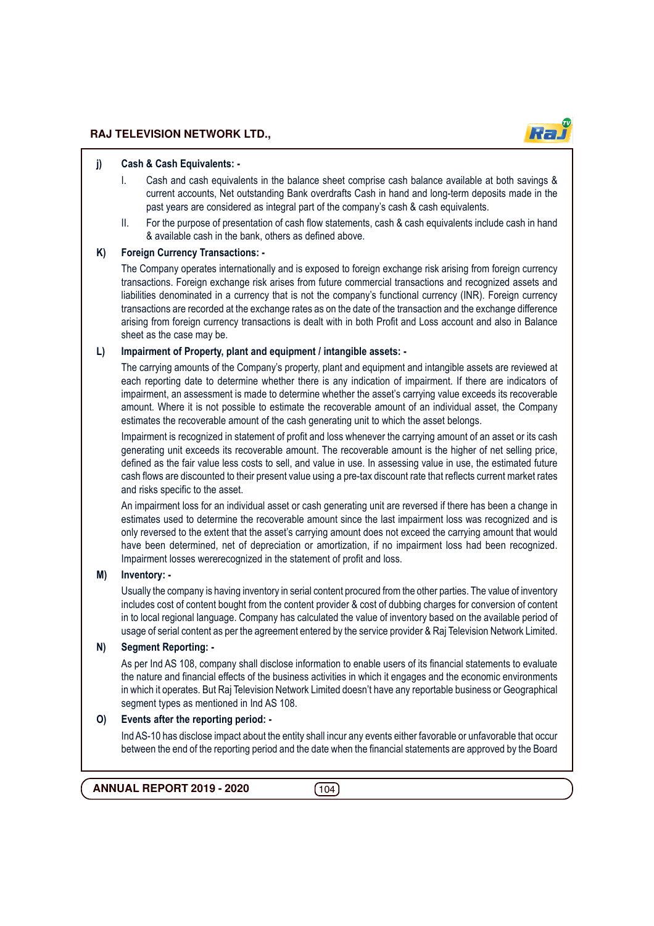

### j) Cash & Cash Equivalents: -

- I. Cash and cash equivalents in the balance sheet comprise cash balance available at both savings & current accounts, Net outstanding Bank overdrafts Cash in hand and long-term deposits made in the past years are considered as integral part of the company's cash & cash equivalents.
- II. For the purpose of presentation of cash flow statements, cash & cash equivalents include cash in hand & available cash in the bank, others as defined above.

### K) Foreign Currency Transactions: -

The Company operates internationally and is exposed to foreign exchange risk arising from foreign currency transactions. Foreign exchange risk arises from future commercial transactions and recognized assets and liabilities denominated in a currency that is not the company's functional currency (INR). Foreign currency transactions are recorded at the exchange rates as on the date of the transaction and the exchange difference arising from foreign currency transactions is dealt with in both Profit and Loss account and also in Balance sheet as the case may be.

### L) Impairment of Property, plant and equipment / intangible assets: -

The carrying amounts of the Company's property, plant and equipment and intangible assets are reviewed at each reporting date to determine whether there is any indication of impairment. If there are indicators of impairment, an assessment is made to determine whether the asset's carrying value exceeds its recoverable amount. Where it is not possible to estimate the recoverable amount of an individual asset, the Company estimates the recoverable amount of the cash generating unit to which the asset belongs.

Impairment is recognized in statement of profit and loss whenever the carrying amount of an asset or its cash generating unit exceeds its recoverable amount. The recoverable amount is the higher of net selling price, defined as the fair value less costs to sell, and value in use. In assessing value in use, the estimated future cash flows are discounted to their present value using a pre-tax discount rate that reflects current market rates and risks specific to the asset.

An impairment loss for an individual asset or cash generating unit are reversed if there has been a change in estimates used to determine the recoverable amount since the last impairment loss was recognized and is only reversed to the extent that the asset's carrying amount does not exceed the carrying amount that would have been determined, net of depreciation or amortization, if no impairment loss had been recognized. Impairment losses wererecognized in the statement of profit and loss.

### M) Inventory: -

Usually the company is having inventory in serial content procured from the other parties. The value of inventory includes cost of content bought from the content provider & cost of dubbing charges for conversion of content in to local regional language. Company has calculated the value of inventory based on the available period of usage of serial content as per the agreement entered by the service provider & Raj Television Network Limited.

### N) Segment Reporting: -

As per Ind AS 108, company shall disclose information to enable users of its financial statements to evaluate the nature and financial effects of the business activities in which it engages and the economic environments in which it operates. But Raj Television Network Limited doesn't have any reportable business or Geographical segment types as mentioned in Ind AS 108.

### O) Events after the reporting period: -

Ind AS-10 has disclose impact about the entity shall incur any events either favorable or unfavorable that occur between the end of the reporting period and the date when the financial statements are approved by the Board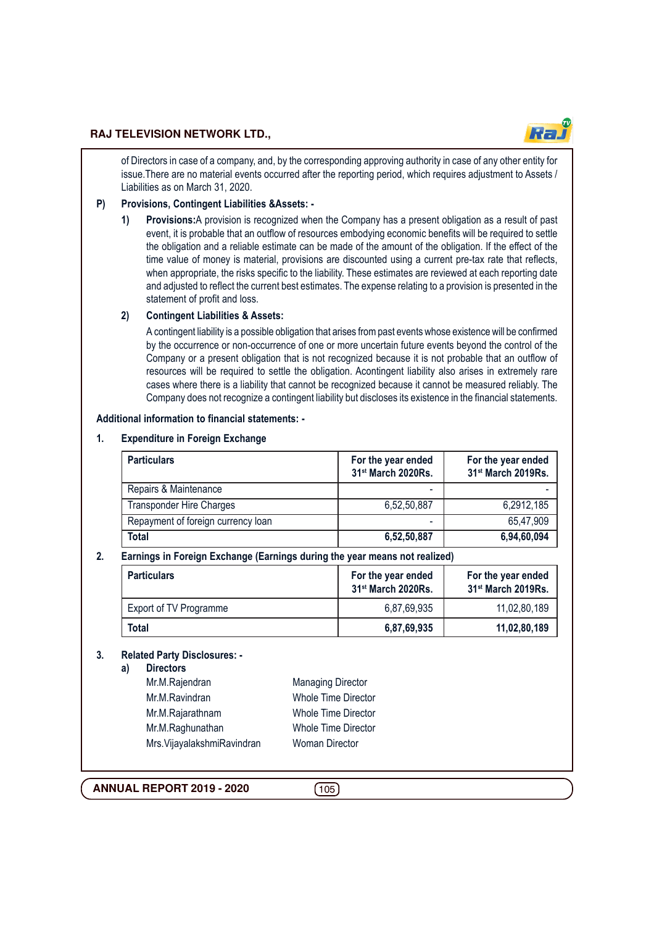

of Directors in case of a company, and, by the corresponding approving authority in case of any other entity for issue.There are no material events occurred after the reporting period, which requires adjustment to Assets / Liabilities as on March 31, 2020.

## P) Provisions, Contingent Liabilities &Assets: -

1) Provisions:A provision is recognized when the Company has a present obligation as a result of past event, it is probable that an outflow of resources embodying economic benefits will be required to settle the obligation and a reliable estimate can be made of the amount of the obligation. If the effect of the time value of money is material, provisions are discounted using a current pre-tax rate that reflects, when appropriate, the risks specific to the liability. These estimates are reviewed at each reporting date and adjusted to reflect the current best estimates. The expense relating to a provision is presented in the statement of profit and loss.

## 2) Contingent Liabilities & Assets:

A contingent liability is a possible obligation that arises from past events whose existence will be confirmed by the occurrence or non-occurrence of one or more uncertain future events beyond the control of the Company or a present obligation that is not recognized because it is not probable that an outflow of resources will be required to settle the obligation. Acontingent liability also arises in extremely rare cases where there is a liability that cannot be recognized because it cannot be measured reliably. The Company does not recognize a contingent liability but discloses its existence in the financial statements.

### Additional information to financial statements: -

### 1. Expenditure in Foreign Exchange

| <b>Particulars</b>                 | For the year ended<br>31 <sup>st</sup> March 2020Rs. | For the year ended<br>31 <sup>st</sup> March 2019Rs. |
|------------------------------------|------------------------------------------------------|------------------------------------------------------|
| Repairs & Maintenance              |                                                      |                                                      |
| <b>Transponder Hire Charges</b>    | 6.52.50.887                                          | 6,2912,185                                           |
| Repayment of foreign currency loan |                                                      | 65,47,909                                            |
| <b>Total</b>                       | 6,52,50,887                                          | 6,94,60,094                                          |

# 2. Earnings in Foreign Exchange (Earnings during the year means not realized)

| <b>Particulars</b>     | For the year ended<br>31 <sup>st</sup> March 2020Rs. | For the year ended<br>31 <sup>st</sup> March 2019Rs. |  |  |  |
|------------------------|------------------------------------------------------|------------------------------------------------------|--|--|--|
| Export of TV Programme | 6,87,69,935                                          | 11,02,80,189                                         |  |  |  |
| Total                  | 6,87,69,935                                          | 11,02,80,189                                         |  |  |  |

# 3. Related Party Disclosures: -

# a) Directors

| Mr.M.Rajendran              | <b>Managing Director</b>   |
|-----------------------------|----------------------------|
| Mr.M.Ravindran              | Whole Time Director        |
| Mr.M.Rajarathnam            | <b>Whole Time Director</b> |
| Mr.M.Raghunathan            | <b>Whole Time Director</b> |
| Mrs. VijayalakshmiRavindran | <b>Woman Director</b>      |
|                             |                            |

**ANNUAL REPORT 2019 - 2020**

 $(105)$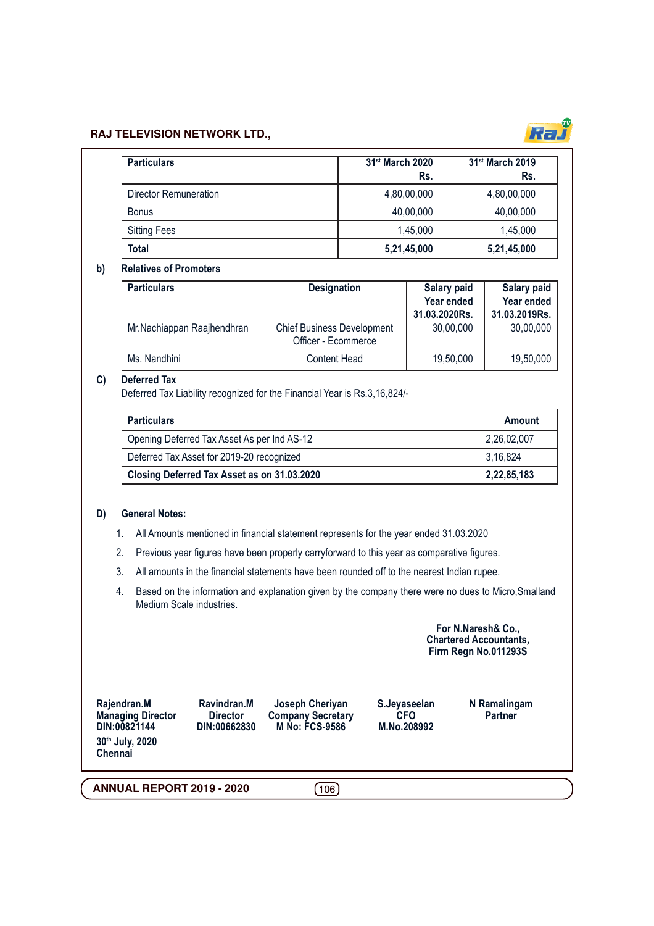

| <b>Particulars</b>           | 31 <sup>st</sup> March 2020<br>Rs. | 31 <sup>st</sup> March 2019<br>Rs. |
|------------------------------|------------------------------------|------------------------------------|
| <b>Director Remuneration</b> | 4,80,00,000                        | 4,80,00,000                        |
| <b>Bonus</b>                 | 40,00,000                          | 40,00,000                          |
| <b>Sitting Fees</b>          | 1,45,000                           | 1,45,000                           |
| Total                        | 5,21,45,000                        | 5,21,45,000                        |

### b) Relatives of Promoters

| <b>Particulars</b>         | <b>Designation</b>                                       | Salary paid<br>Year ended<br>31.03.2020Rs. | <b>Salary paid</b><br>Year ended<br>31.03.2019Rs. |
|----------------------------|----------------------------------------------------------|--------------------------------------------|---------------------------------------------------|
| Mr.Nachiappan Raajhendhran | <b>Chief Business Development</b><br>Officer - Ecommerce | 30,00,000                                  | 30,00,000                                         |
| Ms. Nandhini               | Content Head                                             | 19,50,000                                  | 19,50,000                                         |

### C) Deferred Tax

Deferred Tax Liability recognized for the Financial Year is Rs.3,16,824/-

| <b>Particulars</b>                          | Amount      |
|---------------------------------------------|-------------|
| Opening Deferred Tax Asset As per Ind AS-12 | 2,26,02,007 |
| Deferred Tax Asset for 2019-20 recognized   | 3,16,824    |
| Closing Deferred Tax Asset as on 31.03.2020 | 2,22,85,183 |

### D) General Notes:

- 1. All Amounts mentioned in financial statement represents for the year ended 31.03.2020
- 2. Previous year figures have been properly carryforward to this year as comparative figures.
- 3. All amounts in the financial statements have been rounded off to the nearest Indian rupee.
- 4. Based on the information and explanation given by the company there were no dues to Micro,Smalland Medium Scale industries.

| For N.Naresh& Co              |
|-------------------------------|
| <b>Chartered Accountants,</b> |
| Firm Regn No.011293S          |

| Rajendran.M<br><b>Managing Director</b><br>DIN:00821144 | Ravindran.M<br><b>Director</b><br>DIN:00662830 | Joseph Cheriyan<br><b>Company Secretary</b><br><b>M No: FCS-9586</b> | S.Jevaseelan<br>CFO<br>M.No.208992 | N Ramalingam<br><b>Partner</b> |
|---------------------------------------------------------|------------------------------------------------|----------------------------------------------------------------------|------------------------------------|--------------------------------|
| $30th$ July, 2020<br><b>Chennai</b>                     |                                                |                                                                      |                                    |                                |

**ANNUAL REPORT 2019 - 2020**

 $(106)$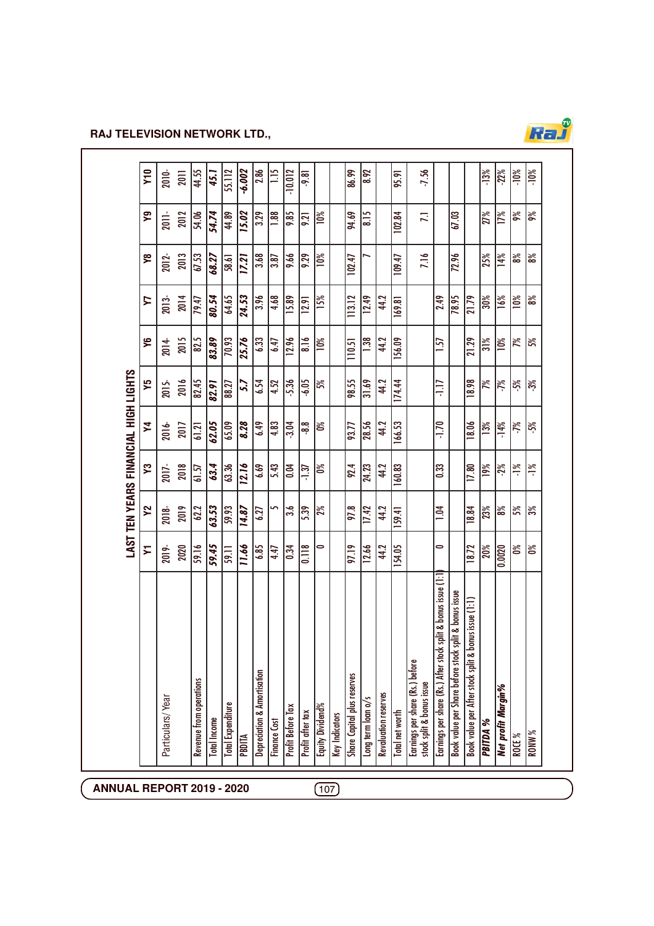



|                                      | V <sub>10</sub><br>ይ | 2010-<br>2011-   | 2011<br>2012 | 44.55<br>54.06          | 45.1                | 55.112<br>$\sqrt{4.89}$  | $-6.002$                    | 2.86<br>3.29                | 1.15<br><u> ≋</u> | $-10.012$<br>9.85 | -9.81<br>53      | $10\%$           |                | 86.99<br>94.69              | 8.92<br>8.15       |                      | 95.91           | $-7.56$<br>$\overline{z}$                                    |                                                                  | 67.03                                                 |                                                      | $-13%$<br>27%   | $\frac{3}{22\%}$<br>$\mathbb{E}$ | $-10\%$<br>$\frac{56}{3}$ | $-10%$<br><b>g</b> |
|--------------------------------------|----------------------|------------------|--------------|-------------------------|---------------------|--------------------------|-----------------------------|-----------------------------|-------------------|-------------------|------------------|------------------|----------------|-----------------------------|--------------------|----------------------|-----------------|--------------------------------------------------------------|------------------------------------------------------------------|-------------------------------------------------------|------------------------------------------------------|-----------------|----------------------------------|---------------------------|--------------------|
|                                      |                      |                  |              |                         | 54.74               |                          | $\overline{15.02}$          |                             |                   |                   |                  |                  |                |                             |                    |                      | 102.84          |                                                              |                                                                  |                                                       |                                                      |                 |                                  |                           |                    |
|                                      | ۶                    | 2012-            | 2013         | $\overline{67.53}$      | 68.27               | 58.61                    | $\overline{17.21}$          | 3.68                        | 3.87              | 9.66              | 9.29             | 10%              |                | 102.47                      |                    |                      | 109.47          | 7.16                                                         |                                                                  | 72.96                                                 |                                                      | 25%             | 14%                              | 8%                        | 8%                 |
|                                      | 7                    | 2013-            | 2014         | $\sqrt{9.47}$           | 80.54               | 64.65                    | 24.53                       | 3.96                        | 4.68              | $\frac{15.89}{ }$ | 12.91            | 15%              |                | 113.12                      | $\frac{12.49}{ }$  | 44.2                 | 169.81          |                                                              | 2.49                                                             | 78.95                                                 | 21.79                                                | $30\%$          | 16%                              | $\approx$                 | జ                  |
|                                      | ٣                    | 2014-            | 2015         | $\overline{82.5}$       | 83.89               | $\frac{1}{2}$            | $\frac{25.76}{ }$           | 6.33                        | 6.47              | 12.96             | $\frac{816}{2}$  | 10%              |                | 110.51                      | 1.38               | 44.2                 | 156.09          |                                                              | 1.57                                                             |                                                       | $\frac{1}{21.29}$                                    | 31%             | 10%                              | $\frac{5}{2}$             | 5%                 |
|                                      | 54                   | 2015-            | 2016         | $\frac{82.45}{ }$       | 82.91               | $\sqrt{8.27}$            | $\overline{55}$             | 6.54                        | 4.52              | $\frac{36}{5}$    | $-6.05$          | 5%               |                | 98.55                       | 31.69              | 44.2                 | 174.44          |                                                              | Ξ                                                                |                                                       | 8.98                                                 | 7%              | $-7%$                            | $\approx$                 | $-3%$              |
|                                      | 2                    | 2016-            | 2017         | $\sqrt{1.21}$           | 62.05               | 65.09                    | $\overline{\frac{8.28}{2}}$ | 6.49                        | 4.83              | $\frac{3}{2}$     | -8.8             | జ                |                | 93.77                       | 28.56              | $\overline{44.2}$    | 166.53          |                                                              | $\overline{1}$ .70                                               |                                                       | 18.06                                                | $\sqrt{3\%}$    | $-14%$                           | $\overline{7\%}$          | $5\%$              |
|                                      | ይ                    | 2017-            | 2018         | $\sqrt{5.19}$           | 63.4                | 63.36                    | $\overline{12.16}$          | 6.69                        | 5.43              | $\overline{0.04}$ | $-1.37$          | జ                |                | 92.4                        | $\sqrt{4.23}$      | 44.2                 | 160.83          |                                                              | 0.33                                                             |                                                       | $\overline{17.80}$                                   | $\sqrt{19\%}$   | $-2\%$                           | $\approx$                 | $-1\%$             |
| LAST TEN YEARS FINANCIAL HIGH LIGHTS | ኤ                    | 2018-            | 2019         | $\overline{62.2}$       | 63.53               | $\frac{59.93}{59.33}$    | $\frac{14.87}{ }$           | 6.27                        | ء                 | 3.6               | 5.39             | $2\%$            |                | 97.8                        | 17.42              | 44.2                 | 59.41           |                                                              | 1.04                                                             |                                                       | 18.84                                                | 23%             | 8%                               | ౖ                         | $3\%$              |
|                                      | Σ                    | 2019-            | 2020         | $\frac{59.16}{}$        | 59.45               | 59.11                    | $\frac{99'11}{2}$           | 6.85                        | 4.47              | $\overline{0.34}$ | 0.118            | 0                |                | 97.19                       | $\overline{12.66}$ | $\overline{44.2}$    | 154.05          |                                                              | 0                                                                |                                                       | $\overline{18.72}$                                   | 20%             | $\frac{1}{2}$                    | $\approx$                 | δg                 |
|                                      |                      | Particulars/Year |              | Revenue from operations | <b>Total Income</b> | <b>Total Expenditure</b> | <b>NIDIK</b>                | Depreciation & Amortisation | Finance Cost      | Profit Before Tax | Profit after tax | Equity Dividend% | Key Indicators | Share Capital plus reserves | Long term loan o/s | Revaluation reserves | Total net worth | Earnings per share (Rs.) before<br>stock split & bonus issue | split & bonus issue (1:1<br>Earnings per share (Rs.) After stock | Book value per Share before stock split & bonus issue | Book value per After stock split & bonus issue (1:1) | <b>PBITDA %</b> | Net profit Margin%               | <b>ROCE %</b>             | <b>RONW%</b>       |